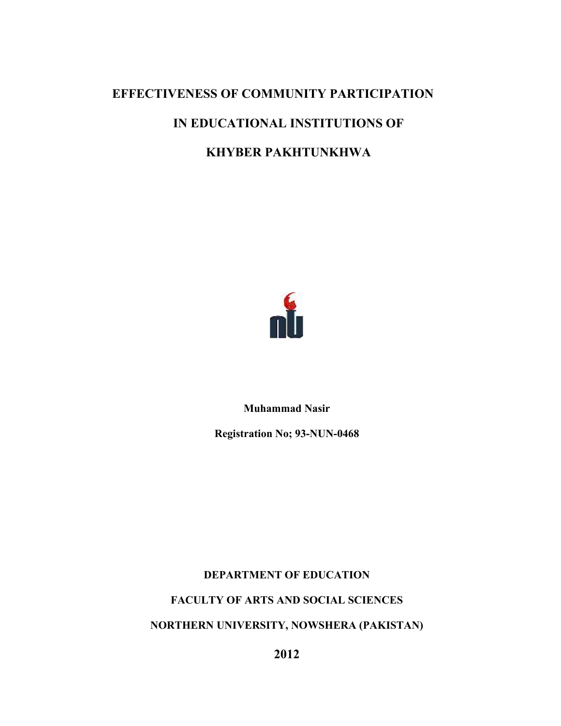# **EFFECTIVENESS OF COMMUNITY PARTICIPATION**

## **IN EDUCATIONAL INSTITUTIONS OF**

## **KHYBER PAKHTUNKHWA**



**Muhammad Nasir** 

**Registration No; 93-NUN-0468** 

**DEPARTMENT OF EDUCATION** 

**FACULTY OF ARTS AND SOCIAL SCIENCES** 

**NORTHERN UNIVERSITY, NOWSHERA (PAKISTAN)** 

**2012**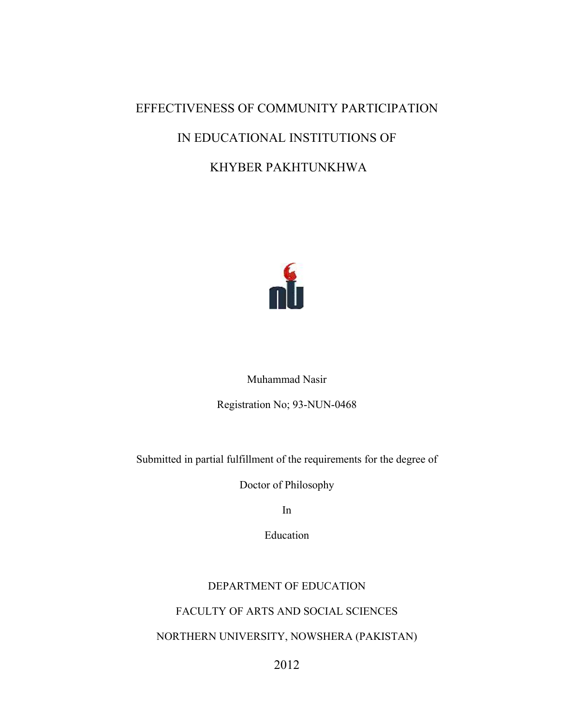# EFFECTIVENESS OF COMMUNITY PARTICIPATION IN EDUCATIONAL INSTITUTIONS OF KHYBER PAKHTUNKHWA



Muhammad Nasir

Registration No; 93-NUN-0468

Submitted in partial fulfillment of the requirements for the degree of

Doctor of Philosophy

In

Education

## DEPARTMENT OF EDUCATION

## FACULTY OF ARTS AND SOCIAL SCIENCES

## NORTHERN UNIVERSITY, NOWSHERA (PAKISTAN)

2012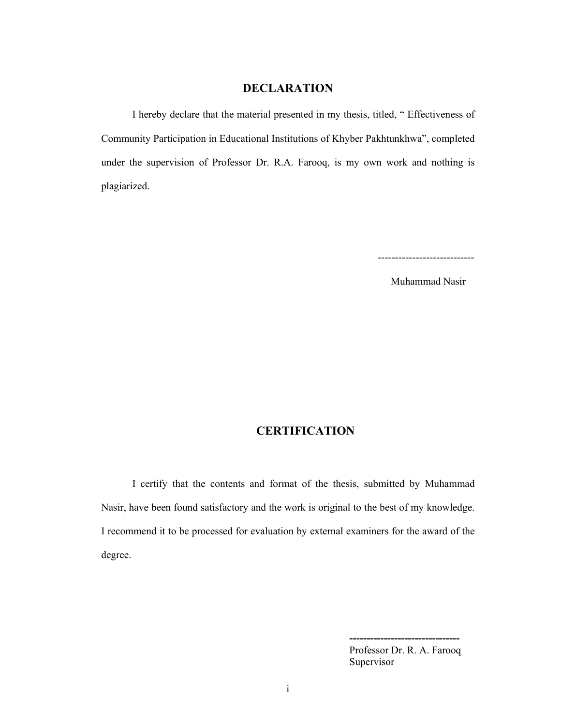#### **DECLARATION**

 I hereby declare that the material presented in my thesis, titled, " Effectiveness of Community Participation in Educational Institutions of Khyber Pakhtunkhwa", completed under the supervision of Professor Dr. R.A. Farooq, is my own work and nothing is plagiarized.

----------------------------

Muhammad Nasir

## **CERTIFICATION**

I certify that the contents and format of the thesis, submitted by Muhammad Nasir, have been found satisfactory and the work is original to the best of my knowledge. I recommend it to be processed for evaluation by external examiners for the award of the degree.

> Professor Dr. R. A. Farooq Supervisor

 **--------------------------------**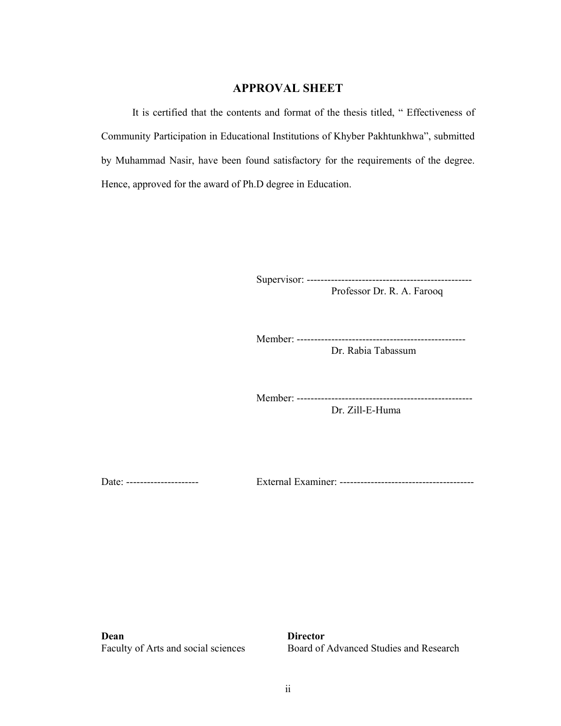### **APPROVAL SHEET**

It is certified that the contents and format of the thesis titled, " Effectiveness of Community Participation in Educational Institutions of Khyber Pakhtunkhwa", submitted by Muhammad Nasir, have been found satisfactory for the requirements of the degree. Hence, approved for the award of Ph.D degree in Education.

Supervisor: ------------------------------------------------

Professor Dr. R. A. Farooq

Member: -------------------------------------------------

Dr. Rabia Tabassum

 Member: --------------------------------------------------- Dr. Zill-E-Huma

Date: --------------------- External Examiner: ---------------------------------------

**Dean Director**

Faculty of Arts and social sciences Board of Advanced Studies and Research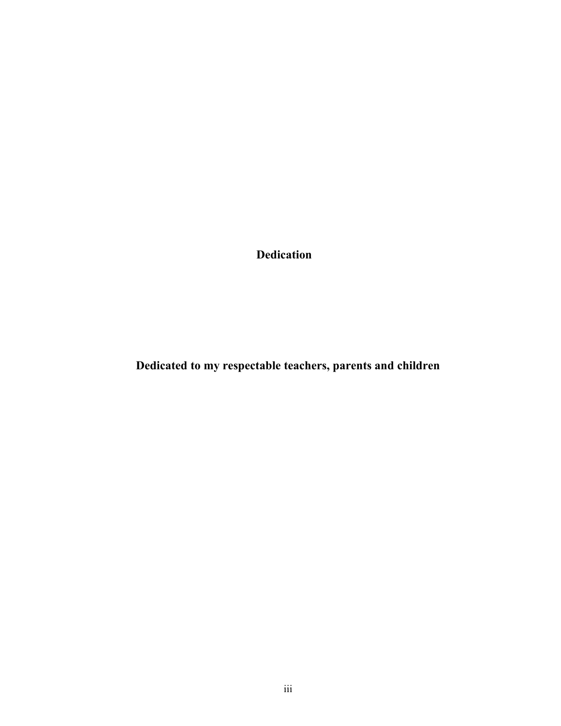**Dedication** 

**Dedicated to my respectable teachers, parents and children**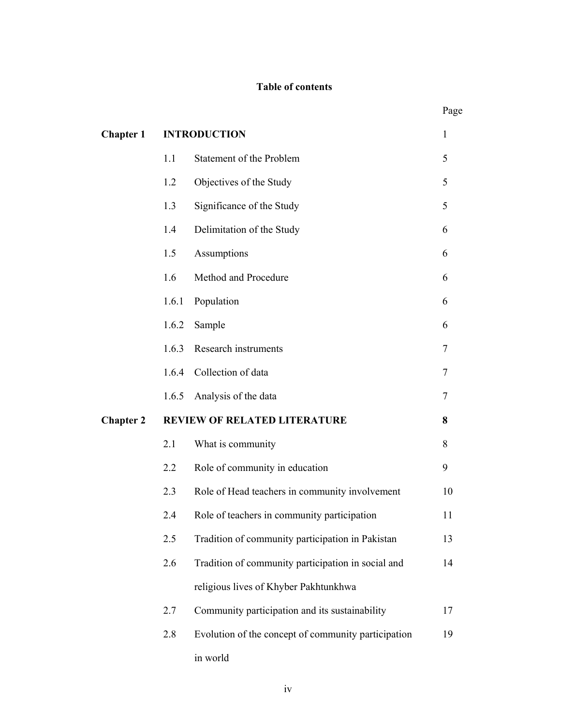## **Table of contents**

|                  |                                     |                                                     | Page |
|------------------|-------------------------------------|-----------------------------------------------------|------|
| <b>Chapter 1</b> |                                     | <b>INTRODUCTION</b>                                 | 1    |
|                  | 1.1                                 | Statement of the Problem                            | 5    |
|                  | 1.2                                 | Objectives of the Study                             | 5    |
|                  | 1.3                                 | Significance of the Study                           | 5    |
|                  | 1.4                                 | Delimitation of the Study                           | 6    |
|                  | 1.5                                 | Assumptions                                         | 6    |
|                  | 1.6                                 | Method and Procedure                                | 6    |
|                  | 1.6.1                               | Population                                          | 6    |
|                  | 1.6.2                               | Sample                                              | 6    |
| <b>Chapter 2</b> | 1.6.3                               | Research instruments                                | 7    |
|                  | 1.6.4                               | Collection of data                                  | 7    |
|                  | 1.6.5                               | Analysis of the data                                | 7    |
|                  | <b>REVIEW OF RELATED LITERATURE</b> |                                                     | 8    |
|                  | 2.1                                 | What is community                                   | 8    |
|                  | 2.2                                 | Role of community in education                      | 9    |
|                  | 2.3                                 | Role of Head teachers in community involvement      | 10   |
|                  | 2.4                                 | Role of teachers in community participation         | 11   |
|                  | 2.5                                 | Tradition of community participation in Pakistan    | 13   |
|                  | 2.6                                 | Tradition of community participation in social and  | 14   |
|                  |                                     | religious lives of Khyber Pakhtunkhwa               |      |
|                  | 2.7                                 | Community participation and its sustainability      | 17   |
|                  | 2.8                                 | Evolution of the concept of community participation | 19   |
|                  |                                     | in world                                            |      |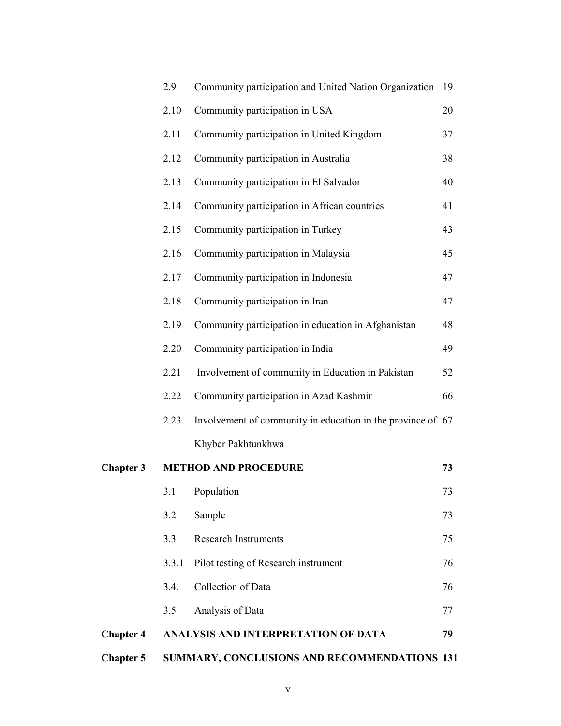| <b>Chapter 5</b> | SUMMARY, CONCLUSIONS AND RECOMMENDATIONS 131 |                                                             |    |
|------------------|----------------------------------------------|-------------------------------------------------------------|----|
| <b>Chapter 4</b> |                                              | ANALYSIS AND INTERPRETATION OF DATA                         | 79 |
|                  | 3.5                                          | Analysis of Data                                            | 77 |
|                  | 3.4.                                         | Collection of Data                                          | 76 |
|                  | 3.3.1                                        | Pilot testing of Research instrument                        | 76 |
|                  | 3.3                                          | <b>Research Instruments</b>                                 | 75 |
|                  | 3.2                                          | Sample                                                      | 73 |
|                  |                                              | 3.1 Population                                              | 73 |
| <b>Chapter 3</b> |                                              | <b>METHOD AND PROCEDURE</b>                                 | 73 |
|                  |                                              | Khyber Pakhtunkhwa                                          |    |
|                  | 2.23                                         | Involvement of community in education in the province of 67 |    |
|                  | 2.22                                         | Community participation in Azad Kashmir                     | 66 |
|                  | 2.21                                         | Involvement of community in Education in Pakistan           | 52 |
|                  | 2.20                                         | Community participation in India                            | 49 |
|                  | 2.19                                         | Community participation in education in Afghanistan         | 48 |
|                  | 2.18                                         | Community participation in Iran                             | 47 |
|                  | 2.17                                         | Community participation in Indonesia                        | 47 |
|                  | 2.16                                         | Community participation in Malaysia                         | 45 |
|                  | 2.15                                         | Community participation in Turkey                           | 43 |
|                  | 2.14                                         | Community participation in African countries                | 41 |
|                  | 2.13                                         | Community participation in El Salvador                      | 40 |
|                  | 2.12                                         | Community participation in Australia                        | 38 |
|                  | 2.11                                         | Community participation in United Kingdom                   | 37 |
|                  | 2.10                                         | Community participation in USA                              | 20 |
|                  | 2.9                                          | Community participation and United Nation Organization      | 19 |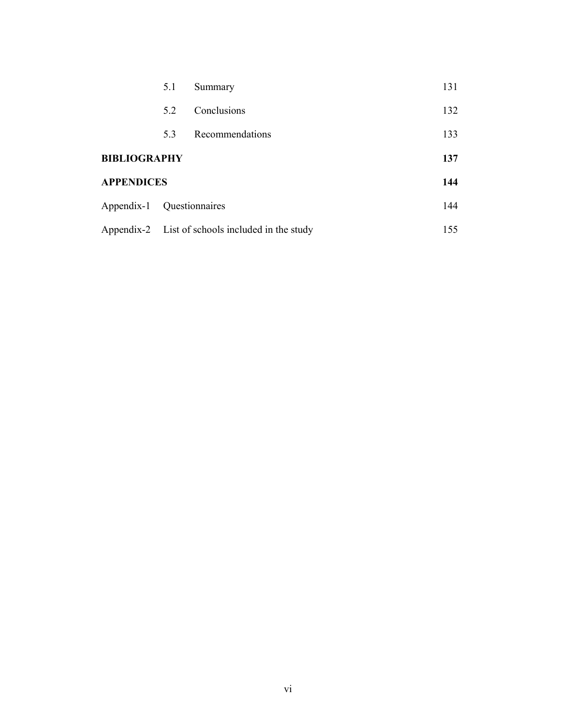|                           | 5.1 | Summary                                          | 131 |
|---------------------------|-----|--------------------------------------------------|-----|
|                           | 52  | Conclusions                                      | 132 |
|                           | 5.3 | Recommendations                                  | 133 |
| <b>BIBLIOGRAPHY</b>       |     |                                                  | 137 |
| <b>APPENDICES</b>         |     |                                                  | 144 |
| Appendix-1 Questionnaires |     |                                                  | 144 |
|                           |     | Appendix-2 List of schools included in the study | 155 |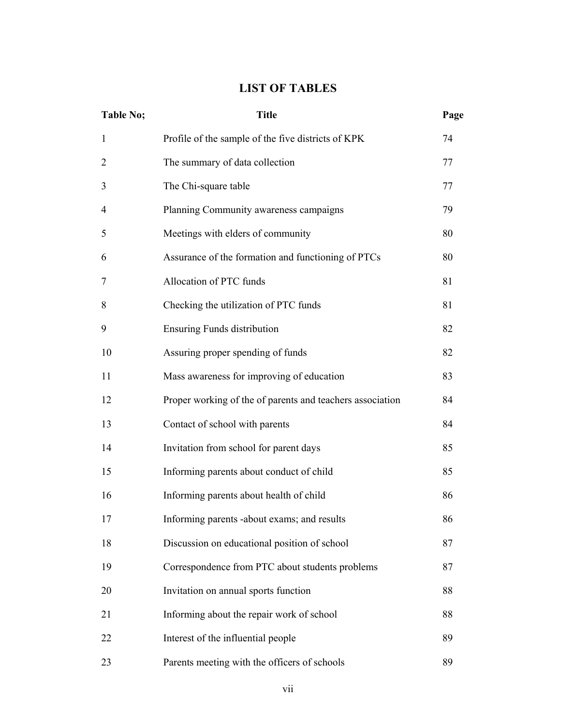## **LIST OF TABLES**

| <b>Table No;</b> | <b>Title</b>                                              | Page |
|------------------|-----------------------------------------------------------|------|
| $\mathbf{1}$     | Profile of the sample of the five districts of KPK        | 74   |
| $\overline{2}$   | The summary of data collection                            | 77   |
| 3                | The Chi-square table                                      | 77   |
| 4                | Planning Community awareness campaigns                    | 79   |
| 5                | Meetings with elders of community                         | 80   |
| 6                | Assurance of the formation and functioning of PTCs        | 80   |
| 7                | Allocation of PTC funds                                   | 81   |
| 8                | Checking the utilization of PTC funds                     | 81   |
| 9                | <b>Ensuring Funds distribution</b>                        | 82   |
| 10               | Assuring proper spending of funds                         | 82   |
| 11               | Mass awareness for improving of education                 | 83   |
| 12               | Proper working of the of parents and teachers association | 84   |
| 13               | Contact of school with parents                            | 84   |
| 14               | Invitation from school for parent days                    | 85   |
| 15               | Informing parents about conduct of child                  | 85   |
| 16               | Informing parents about health of child                   | 86   |
| 17               | Informing parents -about exams; and results               | 86   |
| 18               | Discussion on educational position of school              | 87   |
| 19               | Correspondence from PTC about students problems           | 87   |
| 20               | Invitation on annual sports function                      | 88   |
| 21               | Informing about the repair work of school                 | 88   |
| 22               | Interest of the influential people                        | 89   |
| 23               | Parents meeting with the officers of schools              | 89   |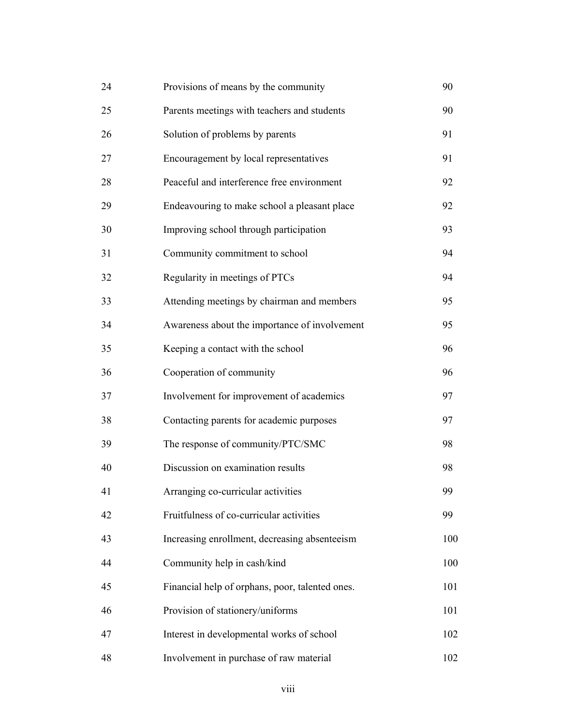| 24 | Provisions of means by the community            | 90  |
|----|-------------------------------------------------|-----|
| 25 | Parents meetings with teachers and students     | 90  |
| 26 | Solution of problems by parents                 | 91  |
| 27 | Encouragement by local representatives          | 91  |
| 28 | Peaceful and interference free environment      | 92  |
| 29 | Endeavouring to make school a pleasant place    | 92  |
| 30 | Improving school through participation          | 93  |
| 31 | Community commitment to school                  | 94  |
| 32 | Regularity in meetings of PTCs                  | 94  |
| 33 | Attending meetings by chairman and members      | 95  |
| 34 | Awareness about the importance of involvement   | 95  |
| 35 | Keeping a contact with the school               | 96  |
| 36 | Cooperation of community                        | 96  |
| 37 | Involvement for improvement of academics        | 97  |
| 38 | Contacting parents for academic purposes        | 97  |
| 39 | The response of community/PTC/SMC               | 98  |
| 40 | Discussion on examination results               | 98  |
| 41 | Arranging co-curricular activities              | 99  |
| 42 | Fruitfulness of co-curricular activities        | 99  |
| 43 | Increasing enrollment, decreasing absenteeism   | 100 |
| 44 | Community help in cash/kind                     | 100 |
| 45 | Financial help of orphans, poor, talented ones. | 101 |
| 46 | Provision of stationery/uniforms                | 101 |
| 47 | Interest in developmental works of school       | 102 |
| 48 | Involvement in purchase of raw material         | 102 |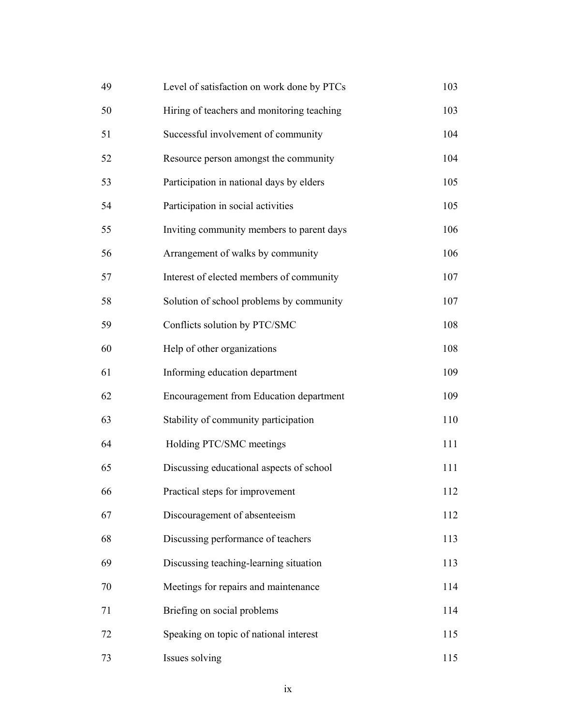| 49 | Level of satisfaction on work done by PTCs | 103 |
|----|--------------------------------------------|-----|
| 50 | Hiring of teachers and monitoring teaching | 103 |
| 51 | Successful involvement of community        | 104 |
| 52 | Resource person amongst the community      | 104 |
| 53 | Participation in national days by elders   | 105 |
| 54 | Participation in social activities         | 105 |
| 55 | Inviting community members to parent days  | 106 |
| 56 | Arrangement of walks by community          | 106 |
| 57 | Interest of elected members of community   | 107 |
| 58 | Solution of school problems by community   | 107 |
| 59 | Conflicts solution by PTC/SMC              | 108 |
| 60 | Help of other organizations                | 108 |
| 61 | Informing education department             | 109 |
| 62 | Encouragement from Education department    | 109 |
| 63 | Stability of community participation       | 110 |
| 64 | Holding PTC/SMC meetings                   | 111 |
| 65 | Discussing educational aspects of school   | 111 |
| 66 | Practical steps for improvement            | 112 |
| 67 | Discouragement of absenteeism              | 112 |
| 68 | Discussing performance of teachers         | 113 |
| 69 | Discussing teaching-learning situation     | 113 |
| 70 | Meetings for repairs and maintenance       | 114 |
| 71 | Briefing on social problems                | 114 |
| 72 | Speaking on topic of national interest     | 115 |
| 73 | Issues solving                             | 115 |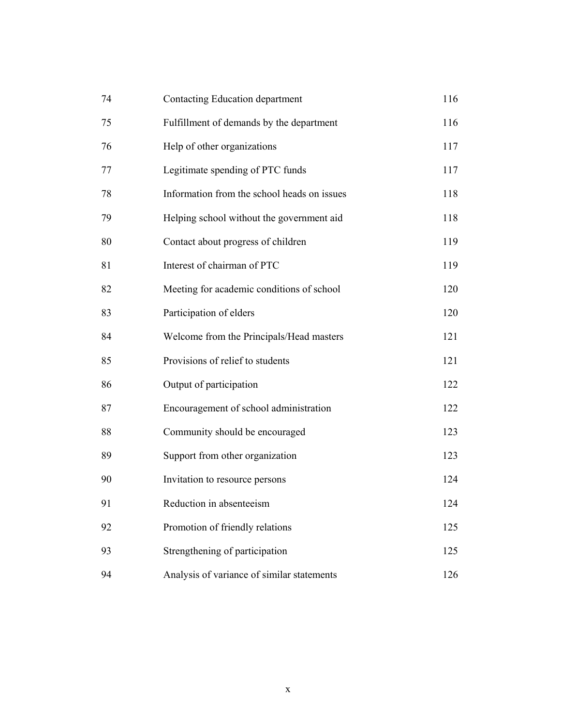| 74 | Contacting Education department             | 116 |
|----|---------------------------------------------|-----|
| 75 | Fulfillment of demands by the department    | 116 |
| 76 | Help of other organizations                 | 117 |
| 77 | Legitimate spending of PTC funds            | 117 |
| 78 | Information from the school heads on issues | 118 |
| 79 | Helping school without the government aid   | 118 |
| 80 | Contact about progress of children          | 119 |
| 81 | Interest of chairman of PTC                 | 119 |
| 82 | Meeting for academic conditions of school   | 120 |
| 83 | Participation of elders                     | 120 |
| 84 | Welcome from the Principals/Head masters    | 121 |
| 85 | Provisions of relief to students            | 121 |
| 86 | Output of participation                     | 122 |
| 87 | Encouragement of school administration      | 122 |
| 88 | Community should be encouraged              | 123 |
| 89 | Support from other organization             | 123 |
| 90 | Invitation to resource persons              | 124 |
| 91 | Reduction in absenteeism                    | 124 |
| 92 | Promotion of friendly relations             | 125 |
| 93 | Strengthening of participation              | 125 |
| 94 | Analysis of variance of similar statements  | 126 |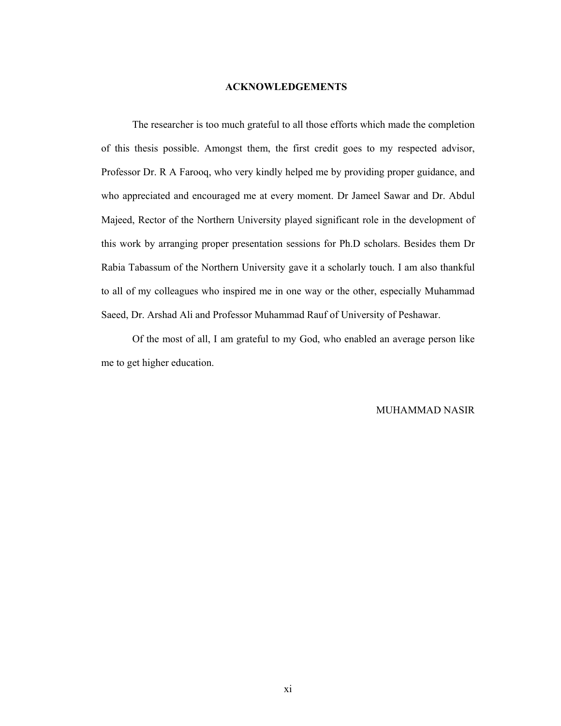#### **ACKNOWLEDGEMENTS**

The researcher is too much grateful to all those efforts which made the completion of this thesis possible. Amongst them, the first credit goes to my respected advisor, Professor Dr. R A Farooq, who very kindly helped me by providing proper guidance, and who appreciated and encouraged me at every moment. Dr Jameel Sawar and Dr. Abdul Majeed, Rector of the Northern University played significant role in the development of this work by arranging proper presentation sessions for Ph.D scholars. Besides them Dr Rabia Tabassum of the Northern University gave it a scholarly touch. I am also thankful to all of my colleagues who inspired me in one way or the other, especially Muhammad Saeed, Dr. Arshad Ali and Professor Muhammad Rauf of University of Peshawar.

 Of the most of all, I am grateful to my God, who enabled an average person like me to get higher education.

#### MUHAMMAD NASIR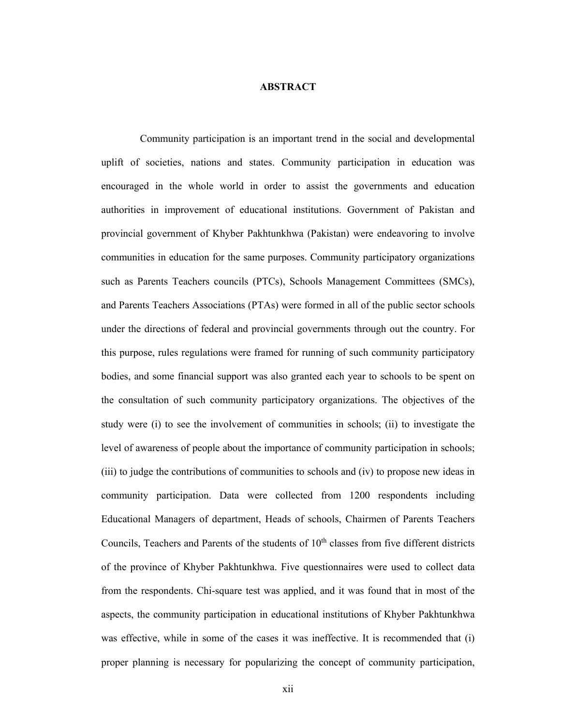#### **ABSTRACT**

 Community participation is an important trend in the social and developmental uplift of societies, nations and states. Community participation in education was encouraged in the whole world in order to assist the governments and education authorities in improvement of educational institutions. Government of Pakistan and provincial government of Khyber Pakhtunkhwa (Pakistan) were endeavoring to involve communities in education for the same purposes. Community participatory organizations such as Parents Teachers councils (PTCs), Schools Management Committees (SMCs), and Parents Teachers Associations (PTAs) were formed in all of the public sector schools under the directions of federal and provincial governments through out the country. For this purpose, rules regulations were framed for running of such community participatory bodies, and some financial support was also granted each year to schools to be spent on the consultation of such community participatory organizations. The objectives of the study were (i) to see the involvement of communities in schools; (ii) to investigate the level of awareness of people about the importance of community participation in schools; (iii) to judge the contributions of communities to schools and (iv) to propose new ideas in community participation. Data were collected from 1200 respondents including Educational Managers of department, Heads of schools, Chairmen of Parents Teachers Councils, Teachers and Parents of the students of  $10<sup>th</sup>$  classes from five different districts of the province of Khyber Pakhtunkhwa. Five questionnaires were used to collect data from the respondents. Chi-square test was applied, and it was found that in most of the aspects, the community participation in educational institutions of Khyber Pakhtunkhwa was effective, while in some of the cases it was ineffective. It is recommended that (i) proper planning is necessary for popularizing the concept of community participation,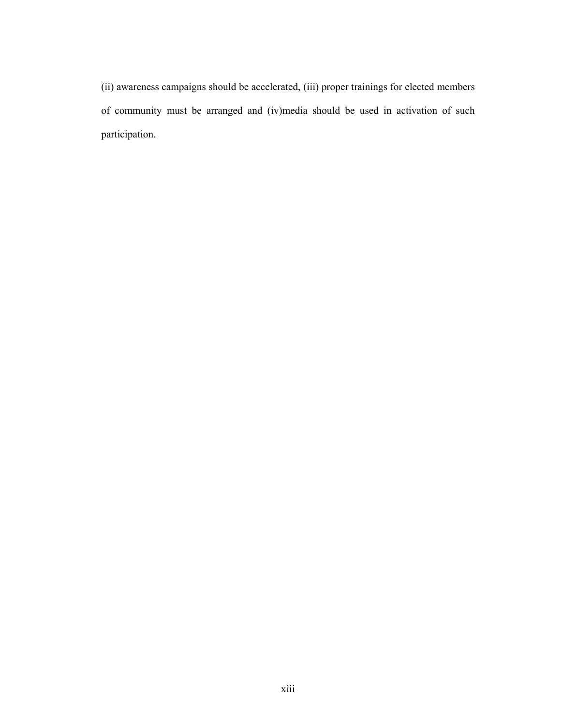(ii) awareness campaigns should be accelerated, (iii) proper trainings for elected members of community must be arranged and (iv)media should be used in activation of such participation.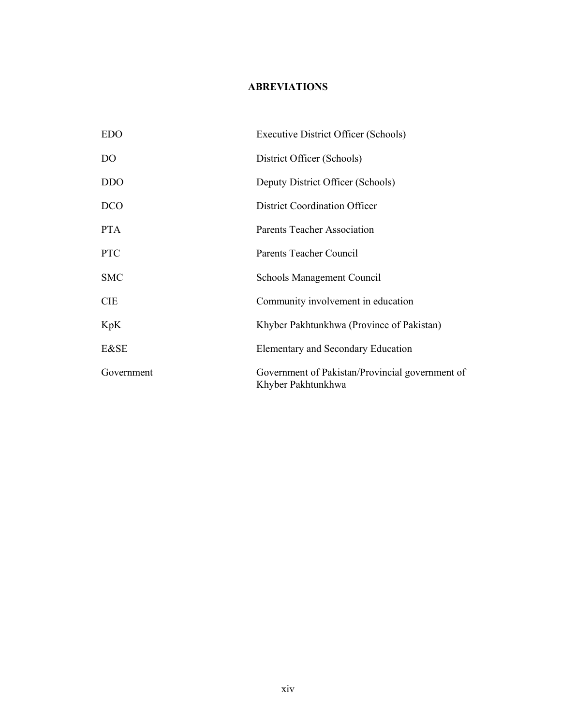## **ABREVIATIONS**

| <b>EDO</b>     | Executive District Officer (Schools)                                  |
|----------------|-----------------------------------------------------------------------|
| D <sub>O</sub> | District Officer (Schools)                                            |
| <b>DDO</b>     | Deputy District Officer (Schools)                                     |
| <b>DCO</b>     | <b>District Coordination Officer</b>                                  |
| <b>PTA</b>     | <b>Parents Teacher Association</b>                                    |
| <b>PTC</b>     | Parents Teacher Council                                               |
| <b>SMC</b>     | <b>Schools Management Council</b>                                     |
| <b>CIE</b>     | Community involvement in education                                    |
| KpK            | Khyber Pakhtunkhwa (Province of Pakistan)                             |
| E&SE           | Elementary and Secondary Education                                    |
| Government     | Government of Pakistan/Provincial government of<br>Khyber Pakhtunkhwa |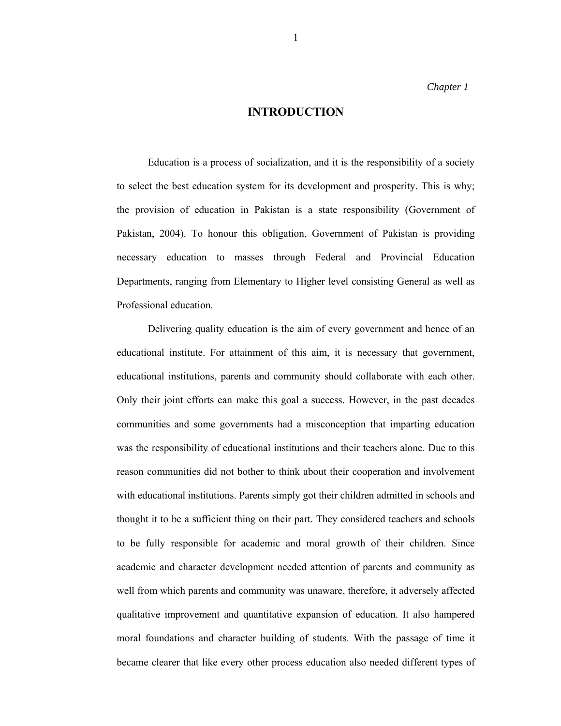*Chapter 1* 

#### **INTRODUCTION**

Education is a process of socialization, and it is the responsibility of a society to select the best education system for its development and prosperity. This is why; the provision of education in Pakistan is a state responsibility (Government of Pakistan, 2004). To honour this obligation, Government of Pakistan is providing necessary education to masses through Federal and Provincial Education Departments, ranging from Elementary to Higher level consisting General as well as Professional education.

Delivering quality education is the aim of every government and hence of an educational institute. For attainment of this aim, it is necessary that government, educational institutions, parents and community should collaborate with each other. Only their joint efforts can make this goal a success. However, in the past decades communities and some governments had a misconception that imparting education was the responsibility of educational institutions and their teachers alone. Due to this reason communities did not bother to think about their cooperation and involvement with educational institutions. Parents simply got their children admitted in schools and thought it to be a sufficient thing on their part. They considered teachers and schools to be fully responsible for academic and moral growth of their children. Since academic and character development needed attention of parents and community as well from which parents and community was unaware, therefore, it adversely affected qualitative improvement and quantitative expansion of education. It also hampered moral foundations and character building of students. With the passage of time it became clearer that like every other process education also needed different types of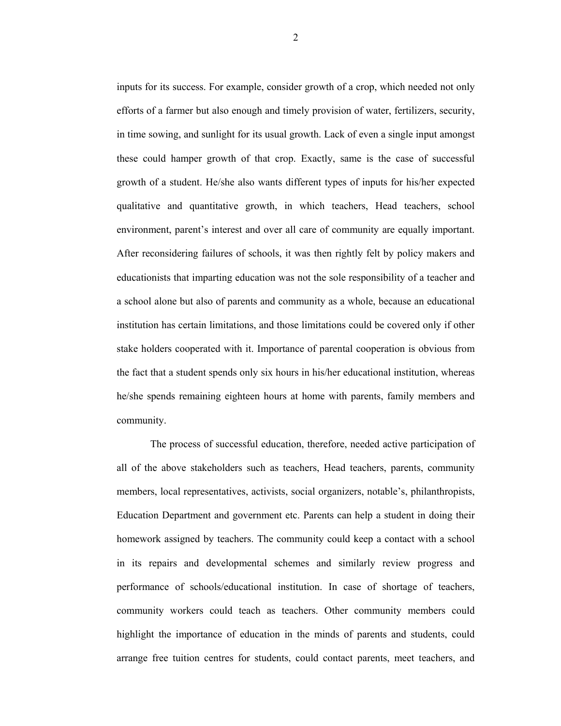inputs for its success. For example, consider growth of a crop, which needed not only efforts of a farmer but also enough and timely provision of water, fertilizers, security, in time sowing, and sunlight for its usual growth. Lack of even a single input amongst these could hamper growth of that crop. Exactly, same is the case of successful growth of a student. He/she also wants different types of inputs for his/her expected qualitative and quantitative growth, in which teachers, Head teachers, school environment, parent's interest and over all care of community are equally important. After reconsidering failures of schools, it was then rightly felt by policy makers and educationists that imparting education was not the sole responsibility of a teacher and a school alone but also of parents and community as a whole, because an educational institution has certain limitations, and those limitations could be covered only if other stake holders cooperated with it. Importance of parental cooperation is obvious from the fact that a student spends only six hours in his/her educational institution, whereas he/she spends remaining eighteen hours at home with parents, family members and community.

 The process of successful education, therefore, needed active participation of all of the above stakeholders such as teachers, Head teachers, parents, community members, local representatives, activists, social organizers, notable's, philanthropists, Education Department and government etc. Parents can help a student in doing their homework assigned by teachers. The community could keep a contact with a school in its repairs and developmental schemes and similarly review progress and performance of schools/educational institution. In case of shortage of teachers, community workers could teach as teachers. Other community members could highlight the importance of education in the minds of parents and students, could arrange free tuition centres for students, could contact parents, meet teachers, and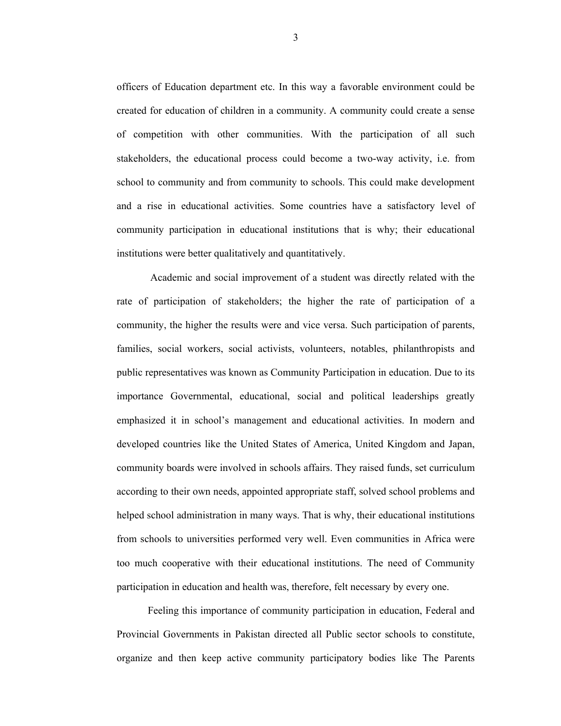officers of Education department etc. In this way a favorable environment could be created for education of children in a community. A community could create a sense of competition with other communities. With the participation of all such stakeholders, the educational process could become a two-way activity, i.e. from school to community and from community to schools. This could make development and a rise in educational activities. Some countries have a satisfactory level of community participation in educational institutions that is why; their educational institutions were better qualitatively and quantitatively.

 Academic and social improvement of a student was directly related with the rate of participation of stakeholders; the higher the rate of participation of a community, the higher the results were and vice versa. Such participation of parents, families, social workers, social activists, volunteers, notables, philanthropists and public representatives was known as Community Participation in education. Due to its importance Governmental, educational, social and political leaderships greatly emphasized it in school's management and educational activities. In modern and developed countries like the United States of America, United Kingdom and Japan, community boards were involved in schools affairs. They raised funds, set curriculum according to their own needs, appointed appropriate staff, solved school problems and helped school administration in many ways. That is why, their educational institutions from schools to universities performed very well. Even communities in Africa were too much cooperative with their educational institutions. The need of Community participation in education and health was, therefore, felt necessary by every one.

Feeling this importance of community participation in education, Federal and Provincial Governments in Pakistan directed all Public sector schools to constitute, organize and then keep active community participatory bodies like The Parents

3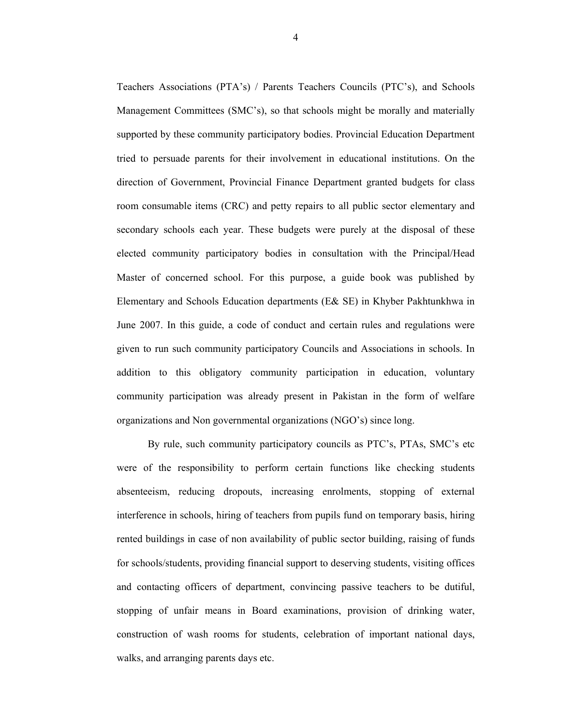Teachers Associations (PTA's) / Parents Teachers Councils (PTC's), and Schools Management Committees (SMC's), so that schools might be morally and materially supported by these community participatory bodies. Provincial Education Department tried to persuade parents for their involvement in educational institutions. On the direction of Government, Provincial Finance Department granted budgets for class room consumable items (CRC) and petty repairs to all public sector elementary and secondary schools each year. These budgets were purely at the disposal of these elected community participatory bodies in consultation with the Principal/Head Master of concerned school. For this purpose, a guide book was published by Elementary and Schools Education departments (E& SE) in Khyber Pakhtunkhwa in June 2007. In this guide, a code of conduct and certain rules and regulations were given to run such community participatory Councils and Associations in schools. In addition to this obligatory community participation in education, voluntary community participation was already present in Pakistan in the form of welfare organizations and Non governmental organizations (NGO's) since long.

By rule, such community participatory councils as PTC's, PTAs, SMC's etc were of the responsibility to perform certain functions like checking students absenteeism, reducing dropouts, increasing enrolments, stopping of external interference in schools, hiring of teachers from pupils fund on temporary basis, hiring rented buildings in case of non availability of public sector building, raising of funds for schools/students, providing financial support to deserving students, visiting offices and contacting officers of department, convincing passive teachers to be dutiful, stopping of unfair means in Board examinations, provision of drinking water, construction of wash rooms for students, celebration of important national days, walks, and arranging parents days etc.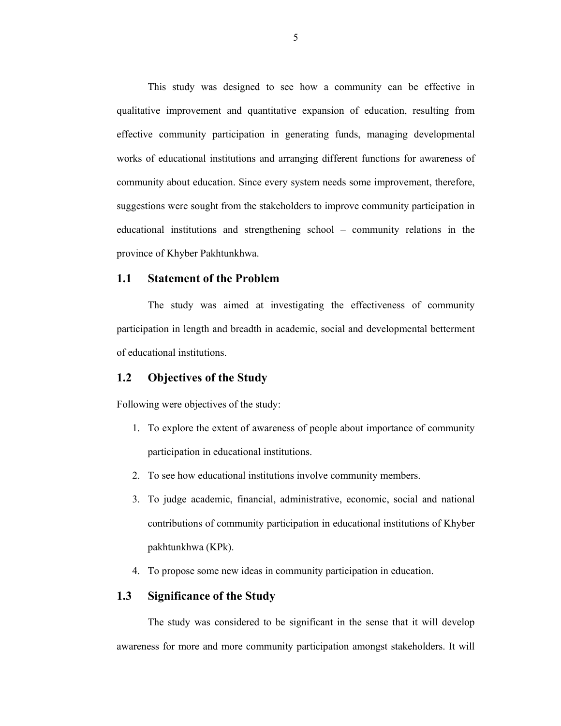This study was designed to see how a community can be effective in qualitative improvement and quantitative expansion of education, resulting from effective community participation in generating funds, managing developmental works of educational institutions and arranging different functions for awareness of community about education. Since every system needs some improvement, therefore, suggestions were sought from the stakeholders to improve community participation in educational institutions and strengthening school – community relations in the province of Khyber Pakhtunkhwa.

#### **1.1 Statement of the Problem**

The study was aimed at investigating the effectiveness of community participation in length and breadth in academic, social and developmental betterment of educational institutions.

#### **1.2 Objectives of the Study**

Following were objectives of the study:

- 1. To explore the extent of awareness of people about importance of community participation in educational institutions.
- 2. To see how educational institutions involve community members.
- 3. To judge academic, financial, administrative, economic, social and national contributions of community participation in educational institutions of Khyber pakhtunkhwa (KPk).
- 4. To propose some new ideas in community participation in education.

### **1.3 Significance of the Study**

The study was considered to be significant in the sense that it will develop awareness for more and more community participation amongst stakeholders. It will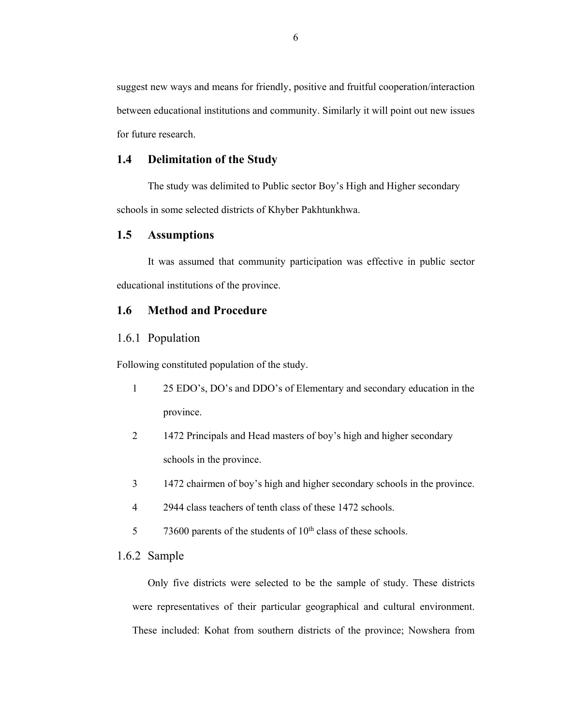suggest new ways and means for friendly, positive and fruitful cooperation/interaction between educational institutions and community. Similarly it will point out new issues for future research.

#### **1.4 Delimitation of the Study**

The study was delimited to Public sector Boy's High and Higher secondary schools in some selected districts of Khyber Pakhtunkhwa.

#### **1.5 Assumptions**

It was assumed that community participation was effective in public sector educational institutions of the province.

#### **1.6 Method and Procedure**

#### 1.6.1 Population

Following constituted population of the study.

- 1 25 EDO's, DO's and DDO's of Elementary and secondary education in the province.
- 2 1472 Principals and Head masters of boy's high and higher secondary schools in the province.
- 3 1472 chairmen of boy's high and higher secondary schools in the province.
- 4 2944 class teachers of tenth class of these 1472 schools.
- 5 73600 parents of the students of 10<sup>th</sup> class of these schools.

#### 1.6.2 Sample

Only five districts were selected to be the sample of study. These districts were representatives of their particular geographical and cultural environment. These included: Kohat from southern districts of the province; Nowshera from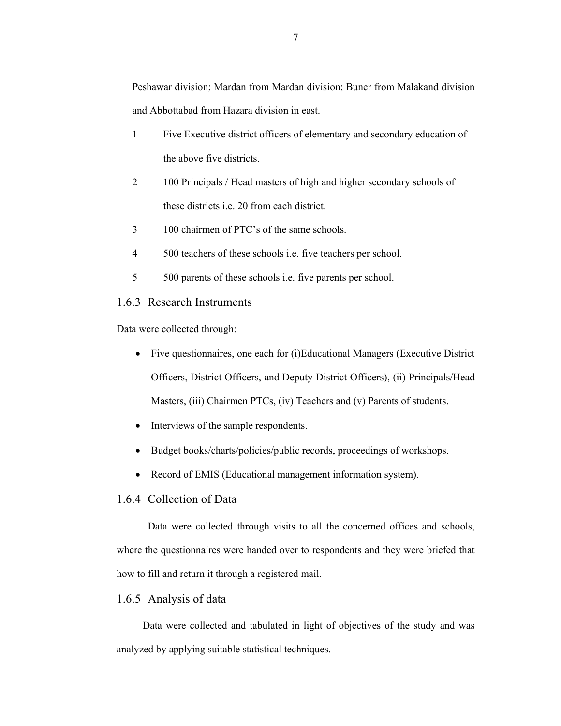- 1 Five Executive district officers of elementary and secondary education of the above five districts.
- 2 100 Principals / Head masters of high and higher secondary schools of these districts i.e. 20 from each district.
- 3 100 chairmen of PTC's of the same schools.
- 4 500 teachers of these schools i.e. five teachers per school.
- 5 500 parents of these schools i.e. five parents per school.

#### 1.6.3 Research Instruments

Data were collected through:

- Five questionnaires, one each for (i)Educational Managers (Executive District Officers, District Officers, and Deputy District Officers), (ii) Principals/Head Masters, (iii) Chairmen PTCs, (iv) Teachers and (v) Parents of students.
- Interviews of the sample respondents.
- Budget books/charts/policies/public records, proceedings of workshops.
- Record of EMIS (Educational management information system).

#### 1.6.4 Collection of Data

Data were collected through visits to all the concerned offices and schools, where the questionnaires were handed over to respondents and they were briefed that how to fill and return it through a registered mail.

#### 1.6.5 Analysis of data

 Data were collected and tabulated in light of objectives of the study and was analyzed by applying suitable statistical techniques.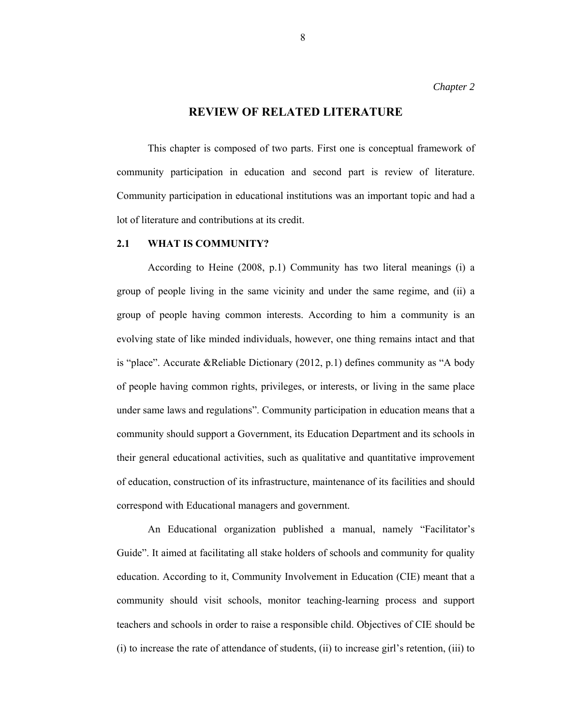#### **REVIEW OF RELATED LITERATURE**

 This chapter is composed of two parts. First one is conceptual framework of community participation in education and second part is review of literature. Community participation in educational institutions was an important topic and had a lot of literature and contributions at its credit.

#### **2.1 WHAT IS COMMUNITY?**

 According to Heine (2008, p.1) Community has two literal meanings (i) a group of people living in the same vicinity and under the same regime, and (ii) a group of people having common interests. According to him a community is an evolving state of like minded individuals, however, one thing remains intact and that is "place". Accurate &Reliable Dictionary (2012, p.1) defines community as "A body of people having common rights, privileges, or interests, or living in the same place under same laws and regulations". Community participation in education means that a community should support a Government, its Education Department and its schools in their general educational activities, such as qualitative and quantitative improvement of education, construction of its infrastructure, maintenance of its facilities and should correspond with Educational managers and government.

 An Educational organization published a manual, namely "Facilitator's Guide". It aimed at facilitating all stake holders of schools and community for quality education. According to it, Community Involvement in Education (CIE) meant that a community should visit schools, monitor teaching-learning process and support teachers and schools in order to raise a responsible child. Objectives of CIE should be (i) to increase the rate of attendance of students, (ii) to increase girl's retention, (iii) to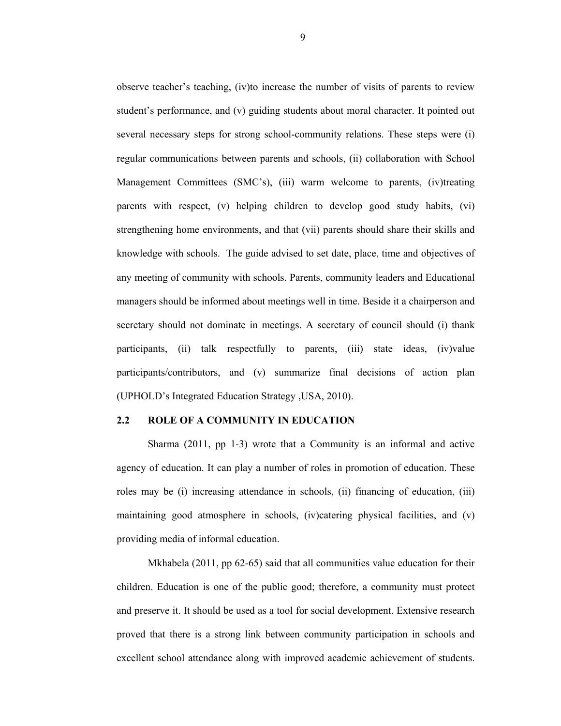observe teacher's teaching, (iv)to increase the number of visits of parents to review student's performance, and (v) guiding students about moral character. It pointed out several necessary steps for strong school-community relations. These steps were (i) regular communications between parents and schools, (ii) collaboration with School Management Committees (SMC's), (iii) warm welcome to parents, (iv)treating parents with respect, (v) helping children to develop good study habits, (vi) strengthening home environments, and that (vii) parents should share their skills and knowledge with schools. The guide advised to set date, place, time and objectives of any meeting of community with schools. Parents, community leaders and Educational managers should be informed about meetings well in time. Beside it a chairperson and secretary should not dominate in meetings. A secretary of council should (i) thank participants, (ii) talk respectfully to parents, (iii) state ideas, (iv)value participants/contributors, and (v) summarize final decisions of action plan (UPHOLD's Integrated Education Strategy ,USA, 2010).

#### **2.2 ROLE OF A COMMUNITY IN EDUCATION**

Sharma (2011, pp 1-3) wrote that a Community is an informal and active agency of education. It can play a number of roles in promotion of education. These roles may be (i) increasing attendance in schools, (ii) financing of education, (iii) maintaining good atmosphere in schools, (iv)catering physical facilities, and (v) providing media of informal education.

Mkhabela (2011, pp 62-65) said that all communities value education for their children. Education is one of the public good; therefore, a community must protect and preserve it. It should be used as a tool for social development. Extensive research proved that there is a strong link between community participation in schools and excellent school attendance along with improved academic achievement of students.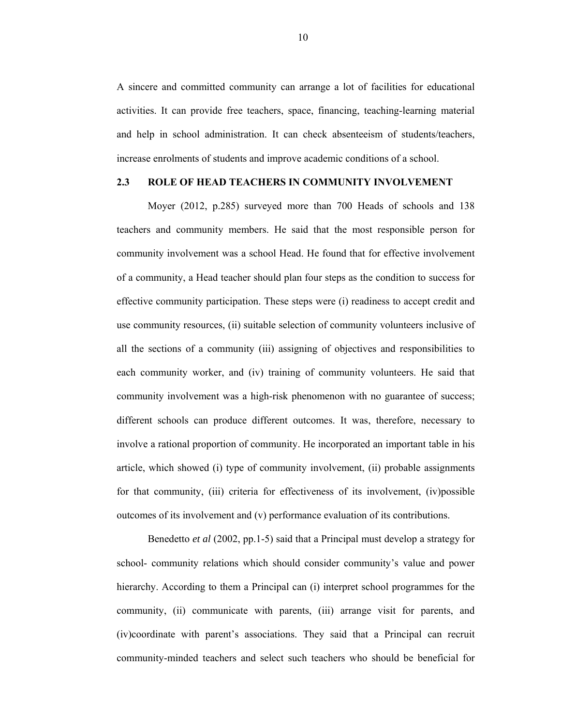A sincere and committed community can arrange a lot of facilities for educational activities. It can provide free teachers, space, financing, teaching-learning material and help in school administration. It can check absenteeism of students/teachers, increase enrolments of students and improve academic conditions of a school.

#### **2.3 ROLE OF HEAD TEACHERS IN COMMUNITY INVOLVEMENT**

Moyer (2012, p.285) surveyed more than 700 Heads of schools and 138 teachers and community members. He said that the most responsible person for community involvement was a school Head. He found that for effective involvement of a community, a Head teacher should plan four steps as the condition to success for effective community participation. These steps were (i) readiness to accept credit and use community resources, (ii) suitable selection of community volunteers inclusive of all the sections of a community (iii) assigning of objectives and responsibilities to each community worker, and (iv) training of community volunteers. He said that community involvement was a high-risk phenomenon with no guarantee of success; different schools can produce different outcomes. It was, therefore, necessary to involve a rational proportion of community. He incorporated an important table in his article, which showed (i) type of community involvement, (ii) probable assignments for that community, (iii) criteria for effectiveness of its involvement, (iv)possible outcomes of its involvement and (v) performance evaluation of its contributions.

 Benedetto *et al* (2002, pp.1-5) said that a Principal must develop a strategy for school- community relations which should consider community's value and power hierarchy. According to them a Principal can (i) interpret school programmes for the community, (ii) communicate with parents, (iii) arrange visit for parents, and (iv)coordinate with parent's associations. They said that a Principal can recruit community-minded teachers and select such teachers who should be beneficial for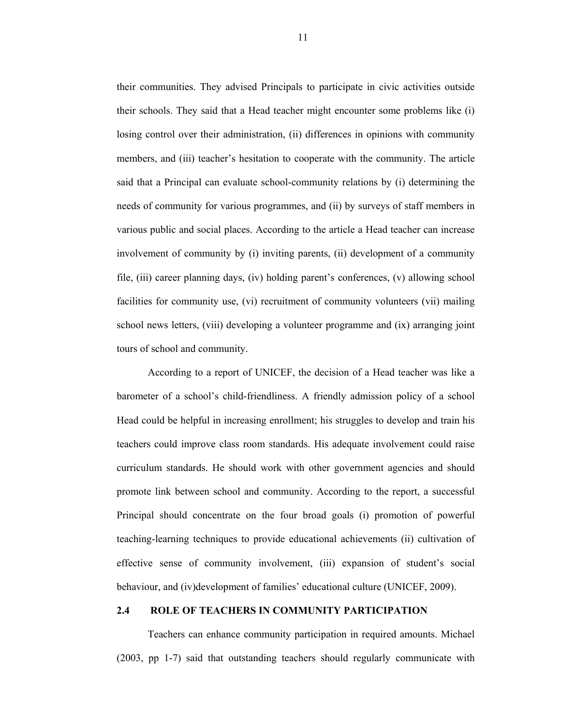their communities. They advised Principals to participate in civic activities outside their schools. They said that a Head teacher might encounter some problems like (i) losing control over their administration, (ii) differences in opinions with community members, and (iii) teacher's hesitation to cooperate with the community. The article said that a Principal can evaluate school-community relations by (i) determining the needs of community for various programmes, and (ii) by surveys of staff members in various public and social places. According to the article a Head teacher can increase involvement of community by (i) inviting parents, (ii) development of a community file, (iii) career planning days, (iv) holding parent's conferences, (v) allowing school facilities for community use, (vi) recruitment of community volunteers (vii) mailing school news letters, (viii) developing a volunteer programme and (ix) arranging joint tours of school and community.

 According to a report of UNICEF, the decision of a Head teacher was like a barometer of a school's child-friendliness. A friendly admission policy of a school Head could be helpful in increasing enrollment; his struggles to develop and train his teachers could improve class room standards. His adequate involvement could raise curriculum standards. He should work with other government agencies and should promote link between school and community. According to the report, a successful Principal should concentrate on the four broad goals (i) promotion of powerful teaching-learning techniques to provide educational achievements (ii) cultivation of effective sense of community involvement, (iii) expansion of student's social behaviour, and (iv)development of families' educational culture (UNICEF, 2009).

#### **2.4 ROLE OF TEACHERS IN COMMUNITY PARTICIPATION**

Teachers can enhance community participation in required amounts. Michael (2003, pp 1-7) said that outstanding teachers should regularly communicate with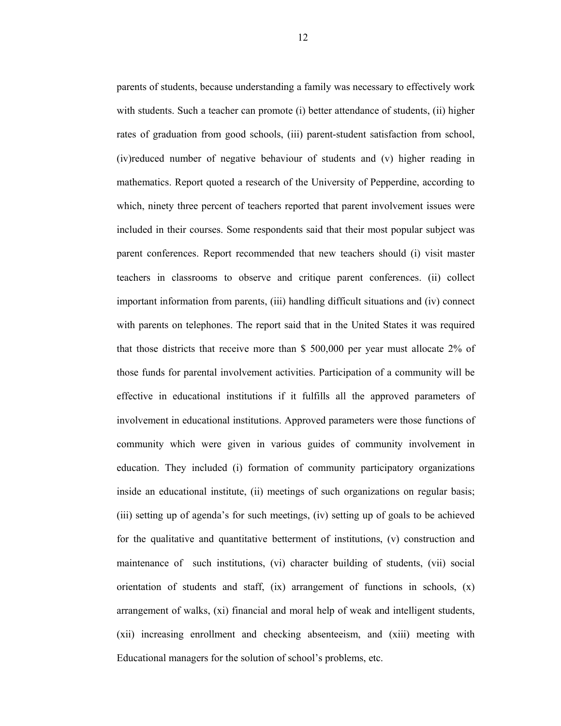parents of students, because understanding a family was necessary to effectively work with students. Such a teacher can promote (i) better attendance of students, (ii) higher rates of graduation from good schools, (iii) parent-student satisfaction from school, (iv)reduced number of negative behaviour of students and (v) higher reading in mathematics. Report quoted a research of the University of Pepperdine, according to which, ninety three percent of teachers reported that parent involvement issues were included in their courses. Some respondents said that their most popular subject was parent conferences. Report recommended that new teachers should (i) visit master teachers in classrooms to observe and critique parent conferences. (ii) collect important information from parents, (iii) handling difficult situations and (iv) connect with parents on telephones. The report said that in the United States it was required that those districts that receive more than \$ 500,000 per year must allocate 2% of those funds for parental involvement activities. Participation of a community will be effective in educational institutions if it fulfills all the approved parameters of involvement in educational institutions. Approved parameters were those functions of community which were given in various guides of community involvement in education. They included (i) formation of community participatory organizations inside an educational institute, (ii) meetings of such organizations on regular basis; (iii) setting up of agenda's for such meetings, (iv) setting up of goals to be achieved for the qualitative and quantitative betterment of institutions, (v) construction and maintenance of such institutions, (vi) character building of students, (vii) social orientation of students and staff,  $(ix)$  arrangement of functions in schools,  $(x)$ arrangement of walks, (xi) financial and moral help of weak and intelligent students, (xii) increasing enrollment and checking absenteeism, and (xiii) meeting with Educational managers for the solution of school's problems, etc.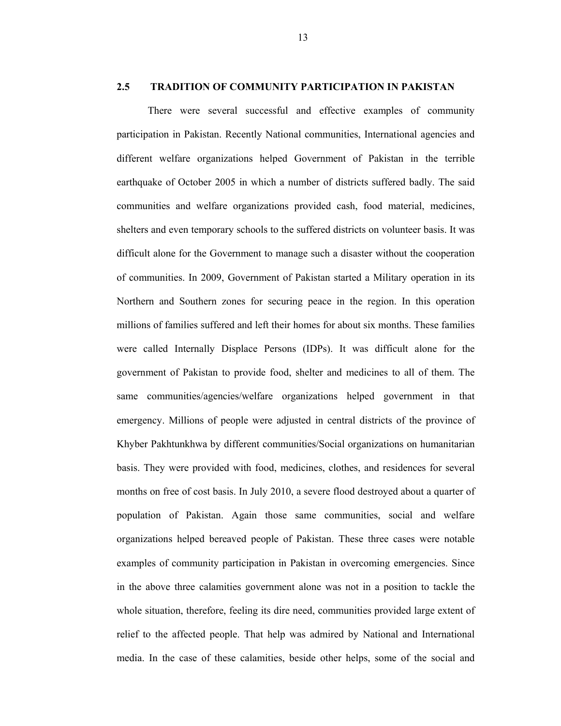#### **2.5 TRADITION OF COMMUNITY PARTICIPATION IN PAKISTAN**

There were several successful and effective examples of community participation in Pakistan. Recently National communities, International agencies and different welfare organizations helped Government of Pakistan in the terrible earthquake of October 2005 in which a number of districts suffered badly. The said communities and welfare organizations provided cash, food material, medicines, shelters and even temporary schools to the suffered districts on volunteer basis. It was difficult alone for the Government to manage such a disaster without the cooperation of communities. In 2009, Government of Pakistan started a Military operation in its Northern and Southern zones for securing peace in the region. In this operation millions of families suffered and left their homes for about six months. These families were called Internally Displace Persons (IDPs). It was difficult alone for the government of Pakistan to provide food, shelter and medicines to all of them. The same communities/agencies/welfare organizations helped government in that emergency. Millions of people were adjusted in central districts of the province of Khyber Pakhtunkhwa by different communities/Social organizations on humanitarian basis. They were provided with food, medicines, clothes, and residences for several months on free of cost basis. In July 2010, a severe flood destroyed about a quarter of population of Pakistan. Again those same communities, social and welfare organizations helped bereaved people of Pakistan. These three cases were notable examples of community participation in Pakistan in overcoming emergencies. Since in the above three calamities government alone was not in a position to tackle the whole situation, therefore, feeling its dire need, communities provided large extent of relief to the affected people. That help was admired by National and International media. In the case of these calamities, beside other helps, some of the social and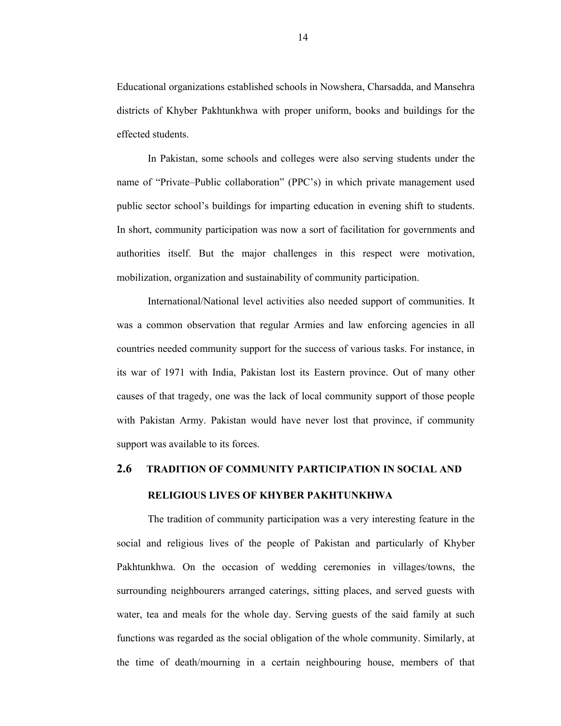Educational organizations established schools in Nowshera, Charsadda, and Mansehra districts of Khyber Pakhtunkhwa with proper uniform, books and buildings for the effected students.

In Pakistan, some schools and colleges were also serving students under the name of "Private–Public collaboration" (PPC's) in which private management used public sector school's buildings for imparting education in evening shift to students. In short, community participation was now a sort of facilitation for governments and authorities itself. But the major challenges in this respect were motivation, mobilization, organization and sustainability of community participation.

International/National level activities also needed support of communities. It was a common observation that regular Armies and law enforcing agencies in all countries needed community support for the success of various tasks. For instance, in its war of 1971 with India, Pakistan lost its Eastern province. Out of many other causes of that tragedy, one was the lack of local community support of those people with Pakistan Army. Pakistan would have never lost that province, if community support was available to its forces.

# **2.6 TRADITION OF COMMUNITY PARTICIPATION IN SOCIAL AND RELIGIOUS LIVES OF KHYBER PAKHTUNKHWA**

The tradition of community participation was a very interesting feature in the social and religious lives of the people of Pakistan and particularly of Khyber Pakhtunkhwa. On the occasion of wedding ceremonies in villages/towns, the surrounding neighbourers arranged caterings, sitting places, and served guests with water, tea and meals for the whole day. Serving guests of the said family at such functions was regarded as the social obligation of the whole community. Similarly, at the time of death/mourning in a certain neighbouring house, members of that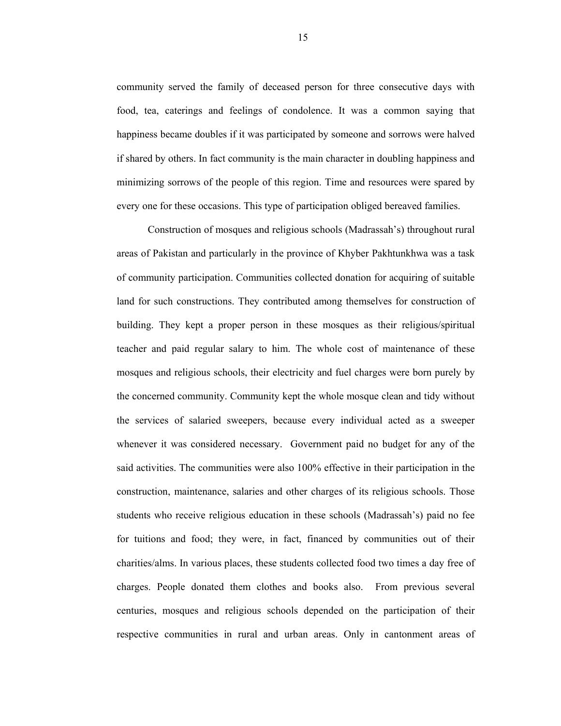community served the family of deceased person for three consecutive days with food, tea, caterings and feelings of condolence. It was a common saying that happiness became doubles if it was participated by someone and sorrows were halved if shared by others. In fact community is the main character in doubling happiness and minimizing sorrows of the people of this region. Time and resources were spared by every one for these occasions. This type of participation obliged bereaved families.

Construction of mosques and religious schools (Madrassah's) throughout rural areas of Pakistan and particularly in the province of Khyber Pakhtunkhwa was a task of community participation. Communities collected donation for acquiring of suitable land for such constructions. They contributed among themselves for construction of building. They kept a proper person in these mosques as their religious/spiritual teacher and paid regular salary to him. The whole cost of maintenance of these mosques and religious schools, their electricity and fuel charges were born purely by the concerned community. Community kept the whole mosque clean and tidy without the services of salaried sweepers, because every individual acted as a sweeper whenever it was considered necessary. Government paid no budget for any of the said activities. The communities were also 100% effective in their participation in the construction, maintenance, salaries and other charges of its religious schools. Those students who receive religious education in these schools (Madrassah's) paid no fee for tuitions and food; they were, in fact, financed by communities out of their charities/alms. In various places, these students collected food two times a day free of charges. People donated them clothes and books also. From previous several centuries, mosques and religious schools depended on the participation of their respective communities in rural and urban areas. Only in cantonment areas of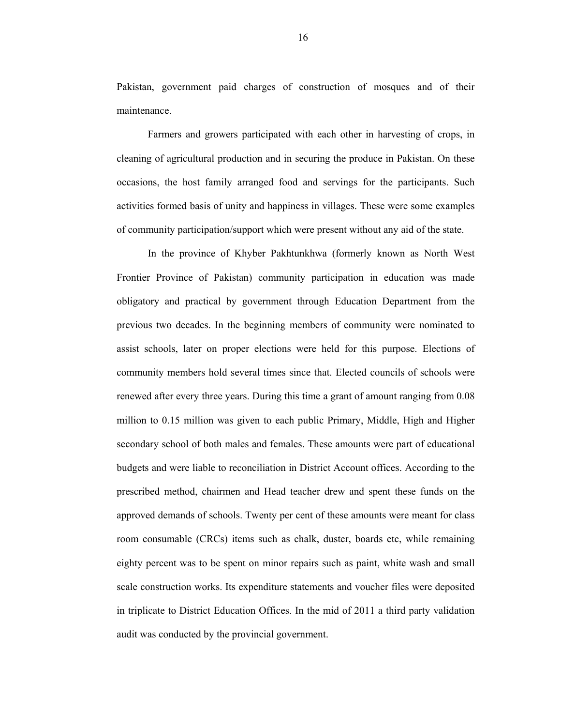Pakistan, government paid charges of construction of mosques and of their maintenance.

Farmers and growers participated with each other in harvesting of crops, in cleaning of agricultural production and in securing the produce in Pakistan. On these occasions, the host family arranged food and servings for the participants. Such activities formed basis of unity and happiness in villages. These were some examples of community participation/support which were present without any aid of the state.

In the province of Khyber Pakhtunkhwa (formerly known as North West Frontier Province of Pakistan) community participation in education was made obligatory and practical by government through Education Department from the previous two decades. In the beginning members of community were nominated to assist schools, later on proper elections were held for this purpose. Elections of community members hold several times since that. Elected councils of schools were renewed after every three years. During this time a grant of amount ranging from 0.08 million to 0.15 million was given to each public Primary, Middle, High and Higher secondary school of both males and females. These amounts were part of educational budgets and were liable to reconciliation in District Account offices. According to the prescribed method, chairmen and Head teacher drew and spent these funds on the approved demands of schools. Twenty per cent of these amounts were meant for class room consumable (CRCs) items such as chalk, duster, boards etc, while remaining eighty percent was to be spent on minor repairs such as paint, white wash and small scale construction works. Its expenditure statements and voucher files were deposited in triplicate to District Education Offices. In the mid of 2011 a third party validation audit was conducted by the provincial government.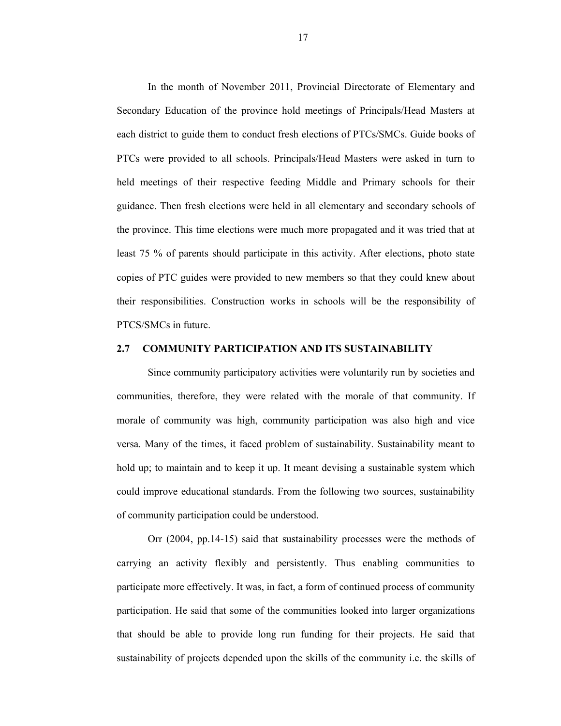In the month of November 2011, Provincial Directorate of Elementary and Secondary Education of the province hold meetings of Principals/Head Masters at each district to guide them to conduct fresh elections of PTCs/SMCs. Guide books of PTCs were provided to all schools. Principals/Head Masters were asked in turn to held meetings of their respective feeding Middle and Primary schools for their guidance. Then fresh elections were held in all elementary and secondary schools of the province. This time elections were much more propagated and it was tried that at least 75 % of parents should participate in this activity. After elections, photo state copies of PTC guides were provided to new members so that they could knew about their responsibilities. Construction works in schools will be the responsibility of PTCS/SMCs in future.

#### **2.7 COMMUNITY PARTICIPATION AND ITS SUSTAINABILITY**

Since community participatory activities were voluntarily run by societies and communities, therefore, they were related with the morale of that community. If morale of community was high, community participation was also high and vice versa. Many of the times, it faced problem of sustainability. Sustainability meant to hold up; to maintain and to keep it up. It meant devising a sustainable system which could improve educational standards. From the following two sources, sustainability of community participation could be understood.

 Orr (2004, pp.14-15) said that sustainability processes were the methods of carrying an activity flexibly and persistently. Thus enabling communities to participate more effectively. It was, in fact, a form of continued process of community participation. He said that some of the communities looked into larger organizations that should be able to provide long run funding for their projects. He said that sustainability of projects depended upon the skills of the community i.e. the skills of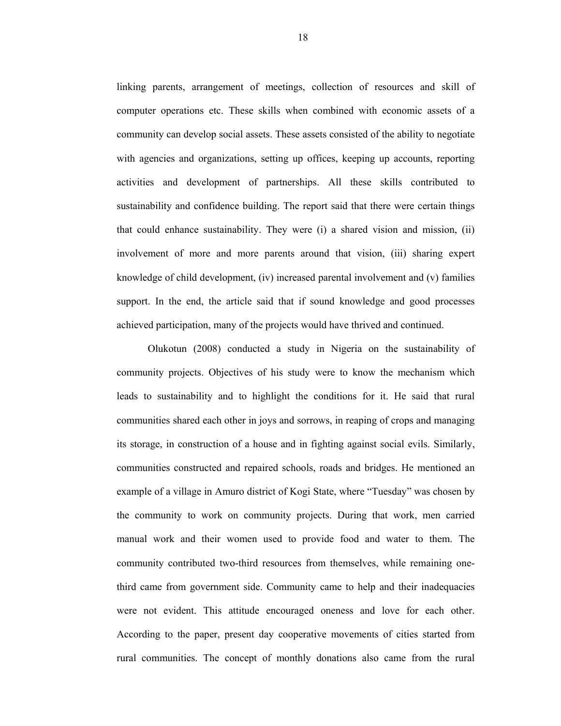linking parents, arrangement of meetings, collection of resources and skill of computer operations etc. These skills when combined with economic assets of a community can develop social assets. These assets consisted of the ability to negotiate with agencies and organizations, setting up offices, keeping up accounts, reporting activities and development of partnerships. All these skills contributed to sustainability and confidence building. The report said that there were certain things that could enhance sustainability. They were (i) a shared vision and mission, (ii) involvement of more and more parents around that vision, (iii) sharing expert knowledge of child development, (iv) increased parental involvement and (v) families support. In the end, the article said that if sound knowledge and good processes achieved participation, many of the projects would have thrived and continued.

 Olukotun (2008) conducted a study in Nigeria on the sustainability of community projects. Objectives of his study were to know the mechanism which leads to sustainability and to highlight the conditions for it. He said that rural communities shared each other in joys and sorrows, in reaping of crops and managing its storage, in construction of a house and in fighting against social evils. Similarly, communities constructed and repaired schools, roads and bridges. He mentioned an example of a village in Amuro district of Kogi State, where "Tuesday" was chosen by the community to work on community projects. During that work, men carried manual work and their women used to provide food and water to them. The community contributed two-third resources from themselves, while remaining onethird came from government side. Community came to help and their inadequacies were not evident. This attitude encouraged oneness and love for each other. According to the paper, present day cooperative movements of cities started from rural communities. The concept of monthly donations also came from the rural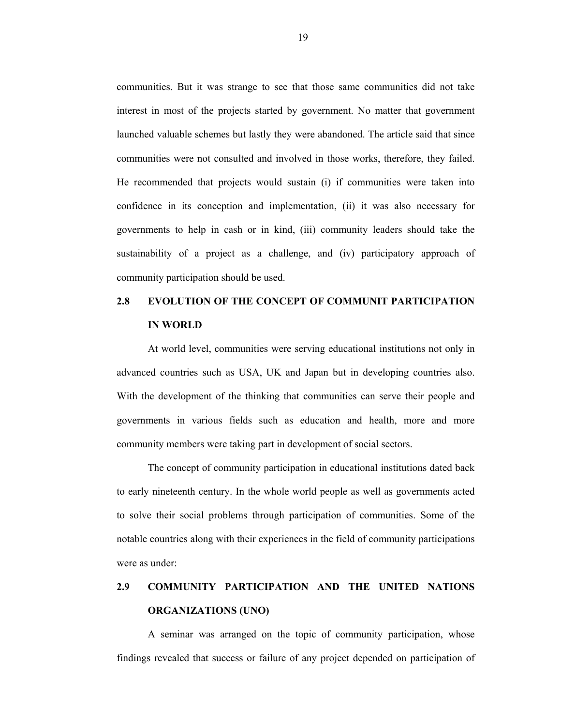communities. But it was strange to see that those same communities did not take interest in most of the projects started by government. No matter that government launched valuable schemes but lastly they were abandoned. The article said that since communities were not consulted and involved in those works, therefore, they failed. He recommended that projects would sustain (i) if communities were taken into confidence in its conception and implementation, (ii) it was also necessary for governments to help in cash or in kind, (iii) community leaders should take the sustainability of a project as a challenge, and (iv) participatory approach of community participation should be used.

# **2.8 EVOLUTION OF THE CONCEPT OF COMMUNIT PARTICIPATION IN WORLD**

At world level, communities were serving educational institutions not only in advanced countries such as USA, UK and Japan but in developing countries also. With the development of the thinking that communities can serve their people and governments in various fields such as education and health, more and more community members were taking part in development of social sectors.

The concept of community participation in educational institutions dated back to early nineteenth century. In the whole world people as well as governments acted to solve their social problems through participation of communities. Some of the notable countries along with their experiences in the field of community participations were as under:

# **2.9 COMMUNITY PARTICIPATION AND THE UNITED NATIONS ORGANIZATIONS (UNO)**

A seminar was arranged on the topic of community participation, whose findings revealed that success or failure of any project depended on participation of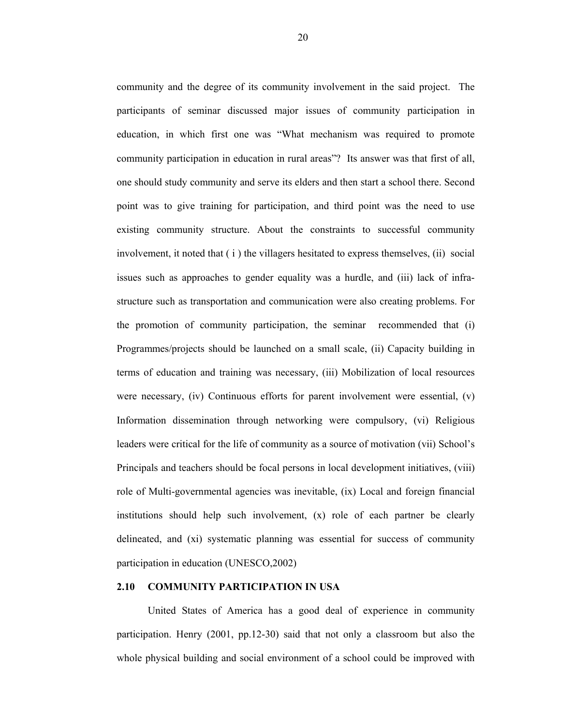community and the degree of its community involvement in the said project. The participants of seminar discussed major issues of community participation in education, in which first one was "What mechanism was required to promote community participation in education in rural areas"? Its answer was that first of all, one should study community and serve its elders and then start a school there. Second point was to give training for participation, and third point was the need to use existing community structure. About the constraints to successful community involvement, it noted that  $(i)$  the villagers hesitated to express themselves,  $(ii)$  social issues such as approaches to gender equality was a hurdle, and (iii) lack of infrastructure such as transportation and communication were also creating problems. For the promotion of community participation, the seminar recommended that (i) Programmes/projects should be launched on a small scale, (ii) Capacity building in terms of education and training was necessary, (iii) Mobilization of local resources were necessary, (iv) Continuous efforts for parent involvement were essential, (v) Information dissemination through networking were compulsory, (vi) Religious leaders were critical for the life of community as a source of motivation (vii) School's Principals and teachers should be focal persons in local development initiatives, (viii) role of Multi-governmental agencies was inevitable, (ix) Local and foreign financial institutions should help such involvement, (x) role of each partner be clearly delineated, and (xi) systematic planning was essential for success of community participation in education (UNESCO,2002)

#### **2.10 COMMUNITY PARTICIPATION IN USA**

United States of America has a good deal of experience in community participation. Henry (2001, pp.12-30) said that not only a classroom but also the whole physical building and social environment of a school could be improved with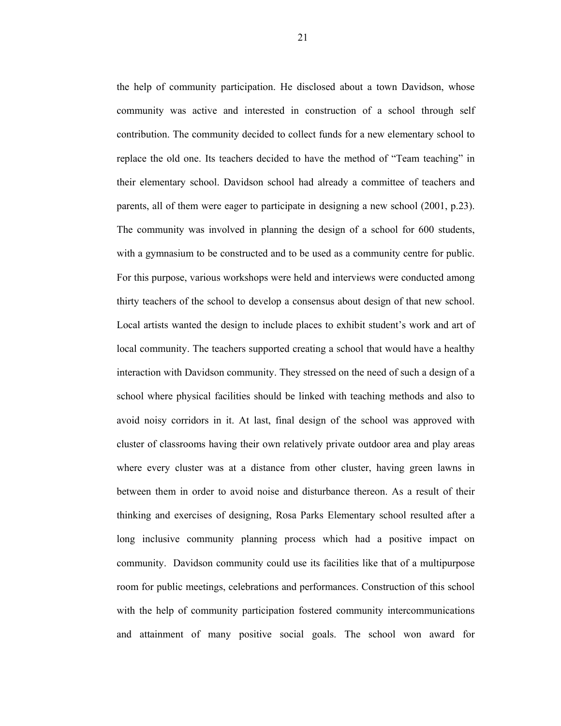the help of community participation. He disclosed about a town Davidson, whose community was active and interested in construction of a school through self contribution. The community decided to collect funds for a new elementary school to replace the old one. Its teachers decided to have the method of "Team teaching" in their elementary school. Davidson school had already a committee of teachers and parents, all of them were eager to participate in designing a new school (2001, p.23). The community was involved in planning the design of a school for 600 students, with a gymnasium to be constructed and to be used as a community centre for public. For this purpose, various workshops were held and interviews were conducted among thirty teachers of the school to develop a consensus about design of that new school. Local artists wanted the design to include places to exhibit student's work and art of local community. The teachers supported creating a school that would have a healthy interaction with Davidson community. They stressed on the need of such a design of a school where physical facilities should be linked with teaching methods and also to avoid noisy corridors in it. At last, final design of the school was approved with cluster of classrooms having their own relatively private outdoor area and play areas where every cluster was at a distance from other cluster, having green lawns in between them in order to avoid noise and disturbance thereon. As a result of their thinking and exercises of designing, Rosa Parks Elementary school resulted after a long inclusive community planning process which had a positive impact on community. Davidson community could use its facilities like that of a multipurpose room for public meetings, celebrations and performances. Construction of this school with the help of community participation fostered community intercommunications and attainment of many positive social goals. The school won award for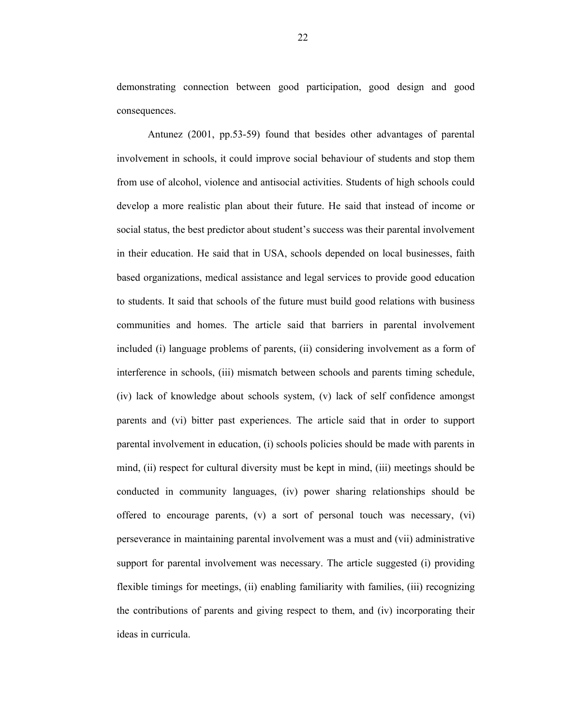demonstrating connection between good participation, good design and good consequences.

Antunez (2001, pp.53-59) found that besides other advantages of parental involvement in schools, it could improve social behaviour of students and stop them from use of alcohol, violence and antisocial activities. Students of high schools could develop a more realistic plan about their future. He said that instead of income or social status, the best predictor about student's success was their parental involvement in their education. He said that in USA, schools depended on local businesses, faith based organizations, medical assistance and legal services to provide good education to students. It said that schools of the future must build good relations with business communities and homes. The article said that barriers in parental involvement included (i) language problems of parents, (ii) considering involvement as a form of interference in schools, (iii) mismatch between schools and parents timing schedule, (iv) lack of knowledge about schools system, (v) lack of self confidence amongst parents and (vi) bitter past experiences. The article said that in order to support parental involvement in education, (i) schools policies should be made with parents in mind, (ii) respect for cultural diversity must be kept in mind, (iii) meetings should be conducted in community languages, (iv) power sharing relationships should be offered to encourage parents, (v) a sort of personal touch was necessary, (vi) perseverance in maintaining parental involvement was a must and (vii) administrative support for parental involvement was necessary. The article suggested (i) providing flexible timings for meetings, (ii) enabling familiarity with families, (iii) recognizing the contributions of parents and giving respect to them, and (iv) incorporating their ideas in curricula.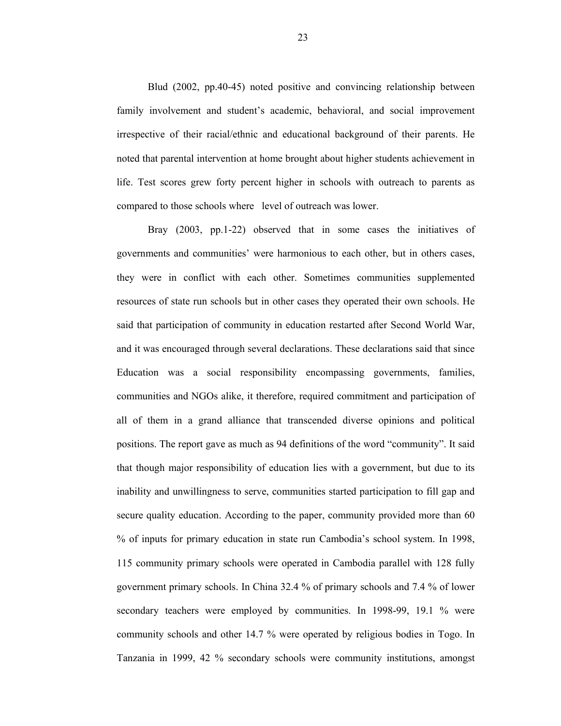Blud (2002, pp.40-45) noted positive and convincing relationship between family involvement and student's academic, behavioral, and social improvement irrespective of their racial/ethnic and educational background of their parents. He noted that parental intervention at home brought about higher students achievement in life. Test scores grew forty percent higher in schools with outreach to parents as compared to those schools where level of outreach was lower.

Bray (2003, pp.1-22) observed that in some cases the initiatives of governments and communities' were harmonious to each other, but in others cases, they were in conflict with each other. Sometimes communities supplemented resources of state run schools but in other cases they operated their own schools. He said that participation of community in education restarted after Second World War, and it was encouraged through several declarations. These declarations said that since Education was a social responsibility encompassing governments, families, communities and NGOs alike, it therefore, required commitment and participation of all of them in a grand alliance that transcended diverse opinions and political positions. The report gave as much as 94 definitions of the word "community". It said that though major responsibility of education lies with a government, but due to its inability and unwillingness to serve, communities started participation to fill gap and secure quality education. According to the paper, community provided more than 60 % of inputs for primary education in state run Cambodia's school system. In 1998, 115 community primary schools were operated in Cambodia parallel with 128 fully government primary schools. In China 32.4 % of primary schools and 7.4 % of lower secondary teachers were employed by communities. In 1998-99, 19.1 % were community schools and other 14.7 % were operated by religious bodies in Togo. In Tanzania in 1999, 42 % secondary schools were community institutions, amongst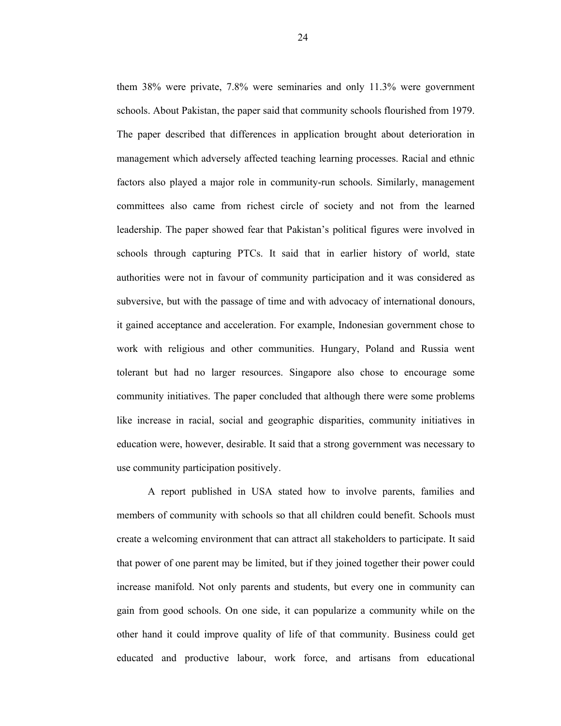them 38% were private, 7.8% were seminaries and only 11.3% were government schools. About Pakistan, the paper said that community schools flourished from 1979. The paper described that differences in application brought about deterioration in management which adversely affected teaching learning processes. Racial and ethnic factors also played a major role in community-run schools. Similarly, management committees also came from richest circle of society and not from the learned leadership. The paper showed fear that Pakistan's political figures were involved in schools through capturing PTCs. It said that in earlier history of world, state authorities were not in favour of community participation and it was considered as subversive, but with the passage of time and with advocacy of international donours, it gained acceptance and acceleration. For example, Indonesian government chose to work with religious and other communities. Hungary, Poland and Russia went tolerant but had no larger resources. Singapore also chose to encourage some community initiatives. The paper concluded that although there were some problems like increase in racial, social and geographic disparities, community initiatives in education were, however, desirable. It said that a strong government was necessary to use community participation positively.

A report published in USA stated how to involve parents, families and members of community with schools so that all children could benefit. Schools must create a welcoming environment that can attract all stakeholders to participate. It said that power of one parent may be limited, but if they joined together their power could increase manifold. Not only parents and students, but every one in community can gain from good schools. On one side, it can popularize a community while on the other hand it could improve quality of life of that community. Business could get educated and productive labour, work force, and artisans from educational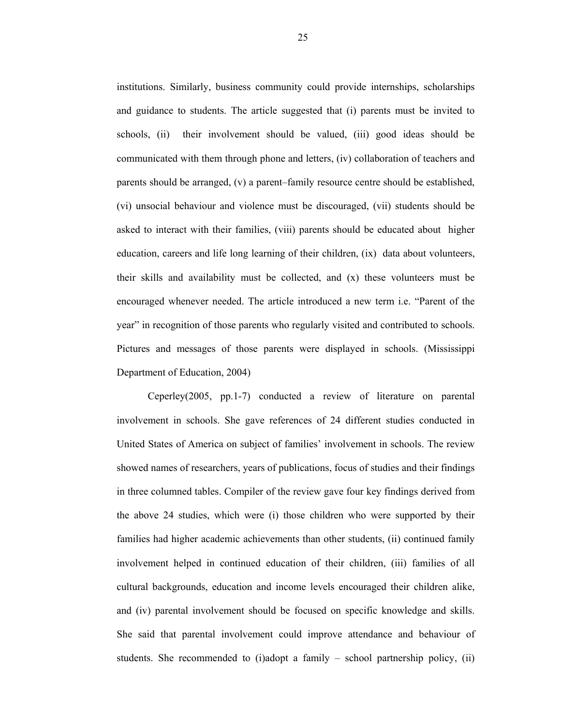institutions. Similarly, business community could provide internships, scholarships and guidance to students. The article suggested that (i) parents must be invited to schools, (ii) their involvement should be valued, (iii) good ideas should be communicated with them through phone and letters, (iv) collaboration of teachers and parents should be arranged, (v) a parent–family resource centre should be established, (vi) unsocial behaviour and violence must be discouraged, (vii) students should be asked to interact with their families, (viii) parents should be educated about higher education, careers and life long learning of their children, (ix) data about volunteers, their skills and availability must be collected, and (x) these volunteers must be encouraged whenever needed. The article introduced a new term i.e. "Parent of the year" in recognition of those parents who regularly visited and contributed to schools. Pictures and messages of those parents were displayed in schools. (Mississippi Department of Education, 2004)

Ceperley(2005, pp.1-7) conducted a review of literature on parental involvement in schools. She gave references of 24 different studies conducted in United States of America on subject of families' involvement in schools. The review showed names of researchers, years of publications, focus of studies and their findings in three columned tables. Compiler of the review gave four key findings derived from the above 24 studies, which were (i) those children who were supported by their families had higher academic achievements than other students, (ii) continued family involvement helped in continued education of their children, (iii) families of all cultural backgrounds, education and income levels encouraged their children alike, and (iv) parental involvement should be focused on specific knowledge and skills. She said that parental involvement could improve attendance and behaviour of students. She recommended to (i)adopt a family – school partnership policy, (ii)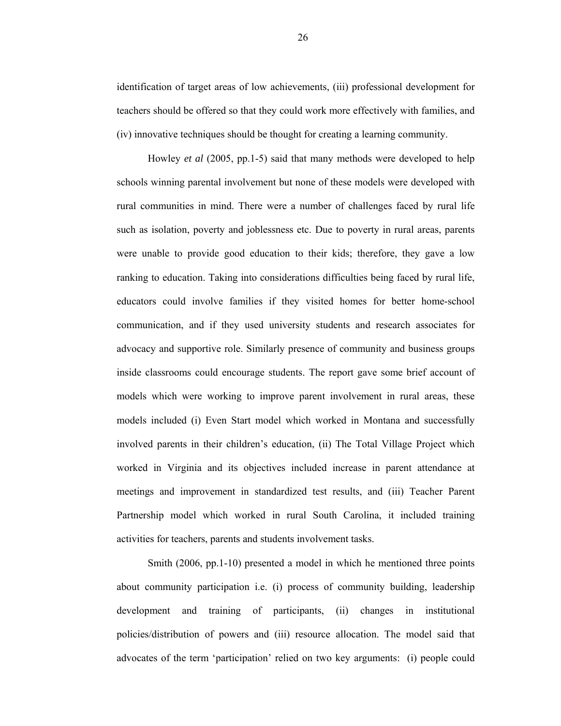identification of target areas of low achievements, (iii) professional development for teachers should be offered so that they could work more effectively with families, and (iv) innovative techniques should be thought for creating a learning community.

Howley *et al* (2005, pp.1-5) said that many methods were developed to help schools winning parental involvement but none of these models were developed with rural communities in mind. There were a number of challenges faced by rural life such as isolation, poverty and joblessness etc. Due to poverty in rural areas, parents were unable to provide good education to their kids; therefore, they gave a low ranking to education. Taking into considerations difficulties being faced by rural life, educators could involve families if they visited homes for better home-school communication, and if they used university students and research associates for advocacy and supportive role. Similarly presence of community and business groups inside classrooms could encourage students. The report gave some brief account of models which were working to improve parent involvement in rural areas, these models included (i) Even Start model which worked in Montana and successfully involved parents in their children's education, (ii) The Total Village Project which worked in Virginia and its objectives included increase in parent attendance at meetings and improvement in standardized test results, and (iii) Teacher Parent Partnership model which worked in rural South Carolina, it included training activities for teachers, parents and students involvement tasks.

Smith (2006, pp.1-10) presented a model in which he mentioned three points about community participation i.e. (i) process of community building, leadership development and training of participants, (ii) changes in institutional policies/distribution of powers and (iii) resource allocation. The model said that advocates of the term 'participation' relied on two key arguments: (i) people could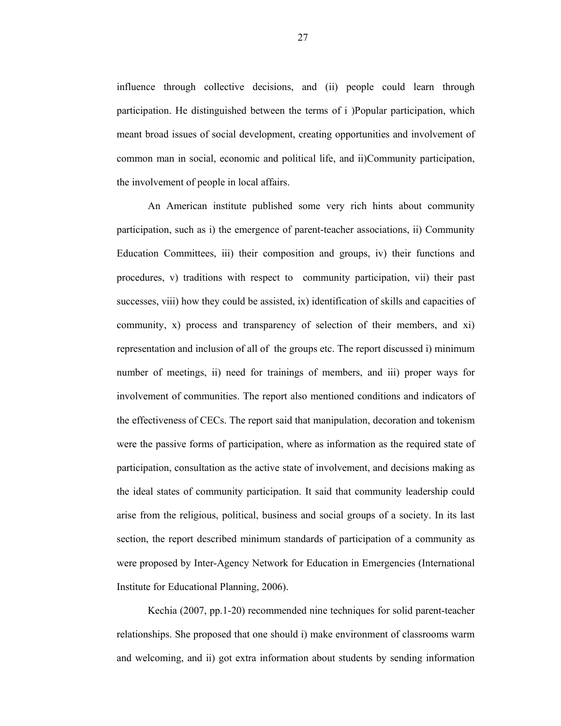influence through collective decisions, and (ii) people could learn through participation. He distinguished between the terms of i )Popular participation, which meant broad issues of social development, creating opportunities and involvement of common man in social, economic and political life, and ii)Community participation, the involvement of people in local affairs.

An American institute published some very rich hints about community participation, such as i) the emergence of parent-teacher associations, ii) Community Education Committees, iii) their composition and groups, iv) their functions and procedures, v) traditions with respect to community participation, vii) their past successes, viii) how they could be assisted, ix) identification of skills and capacities of community, x) process and transparency of selection of their members, and xi) representation and inclusion of all of the groups etc. The report discussed i) minimum number of meetings, ii) need for trainings of members, and iii) proper ways for involvement of communities. The report also mentioned conditions and indicators of the effectiveness of CECs. The report said that manipulation, decoration and tokenism were the passive forms of participation, where as information as the required state of participation, consultation as the active state of involvement, and decisions making as the ideal states of community participation. It said that community leadership could arise from the religious, political, business and social groups of a society. In its last section, the report described minimum standards of participation of a community as were proposed by Inter-Agency Network for Education in Emergencies (International Institute for Educational Planning, 2006).

Kechia (2007, pp.1-20) recommended nine techniques for solid parent-teacher relationships. She proposed that one should i) make environment of classrooms warm and welcoming, and ii) got extra information about students by sending information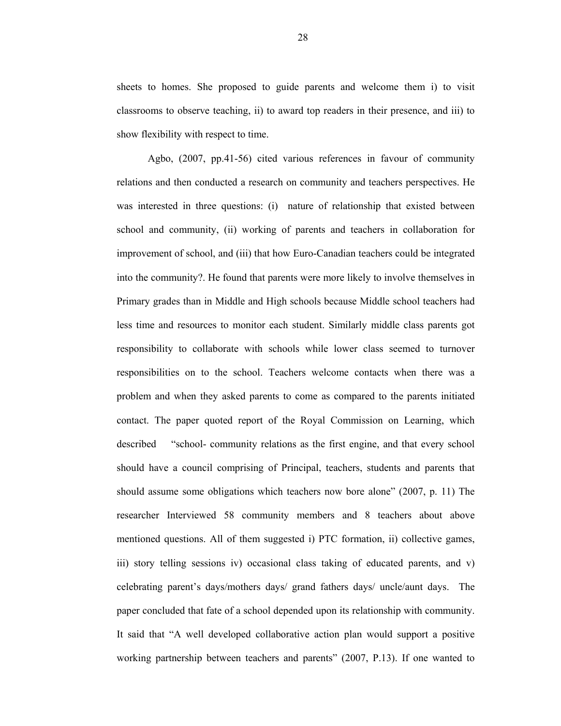sheets to homes. She proposed to guide parents and welcome them i) to visit classrooms to observe teaching, ii) to award top readers in their presence, and iii) to show flexibility with respect to time.

Agbo, (2007, pp.41-56) cited various references in favour of community relations and then conducted a research on community and teachers perspectives. He was interested in three questions: (i) nature of relationship that existed between school and community, (ii) working of parents and teachers in collaboration for improvement of school, and (iii) that how Euro-Canadian teachers could be integrated into the community?. He found that parents were more likely to involve themselves in Primary grades than in Middle and High schools because Middle school teachers had less time and resources to monitor each student. Similarly middle class parents got responsibility to collaborate with schools while lower class seemed to turnover responsibilities on to the school. Teachers welcome contacts when there was a problem and when they asked parents to come as compared to the parents initiated contact. The paper quoted report of the Royal Commission on Learning, which described "school- community relations as the first engine, and that every school should have a council comprising of Principal, teachers, students and parents that should assume some obligations which teachers now bore alone" (2007, p. 11) The researcher Interviewed 58 community members and 8 teachers about above mentioned questions. All of them suggested i) PTC formation, ii) collective games, iii) story telling sessions iv) occasional class taking of educated parents, and v) celebrating parent's days/mothers days/ grand fathers days/ uncle/aunt days. The paper concluded that fate of a school depended upon its relationship with community. It said that "A well developed collaborative action plan would support a positive working partnership between teachers and parents" (2007, P.13). If one wanted to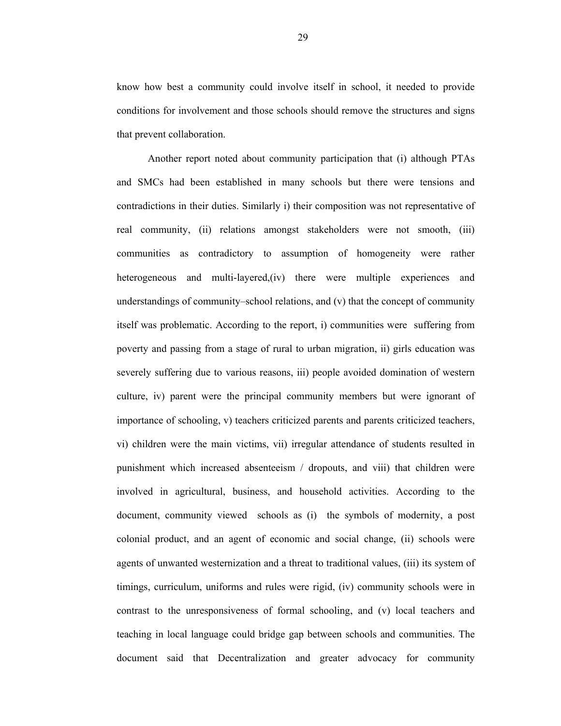know how best a community could involve itself in school, it needed to provide conditions for involvement and those schools should remove the structures and signs that prevent collaboration.

Another report noted about community participation that (i) although PTAs and SMCs had been established in many schools but there were tensions and contradictions in their duties. Similarly i) their composition was not representative of real community, (ii) relations amongst stakeholders were not smooth, (iii) communities as contradictory to assumption of homogeneity were rather heterogeneous and multi-layered,(iv) there were multiple experiences and understandings of community–school relations, and (v) that the concept of community itself was problematic. According to the report, i) communities were suffering from poverty and passing from a stage of rural to urban migration, ii) girls education was severely suffering due to various reasons, iii) people avoided domination of western culture, iv) parent were the principal community members but were ignorant of importance of schooling, v) teachers criticized parents and parents criticized teachers, vi) children were the main victims, vii) irregular attendance of students resulted in punishment which increased absenteeism / dropouts, and viii) that children were involved in agricultural, business, and household activities. According to the document, community viewed schools as (i) the symbols of modernity, a post colonial product, and an agent of economic and social change, (ii) schools were agents of unwanted westernization and a threat to traditional values, (iii) its system of timings, curriculum, uniforms and rules were rigid, (iv) community schools were in contrast to the unresponsiveness of formal schooling, and (v) local teachers and teaching in local language could bridge gap between schools and communities. The document said that Decentralization and greater advocacy for community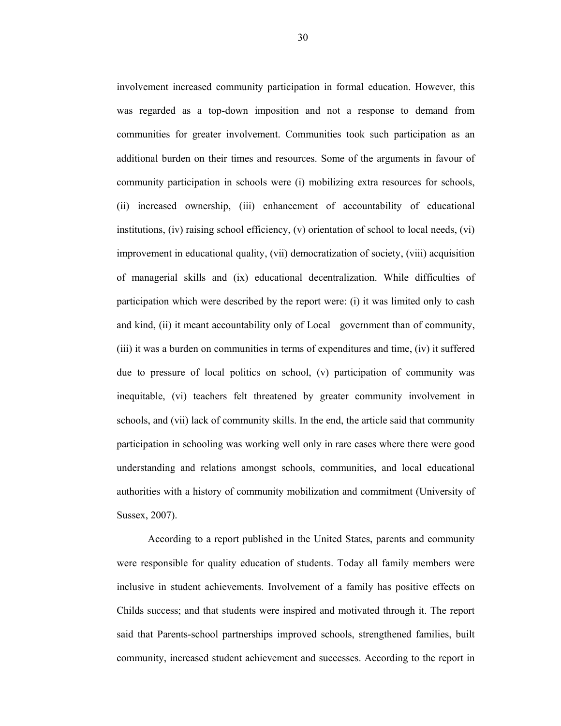involvement increased community participation in formal education. However, this was regarded as a top-down imposition and not a response to demand from communities for greater involvement. Communities took such participation as an additional burden on their times and resources. Some of the arguments in favour of community participation in schools were (i) mobilizing extra resources for schools, (ii) increased ownership, (iii) enhancement of accountability of educational institutions, (iv) raising school efficiency, (v) orientation of school to local needs, (vi) improvement in educational quality, (vii) democratization of society, (viii) acquisition of managerial skills and (ix) educational decentralization. While difficulties of participation which were described by the report were: (i) it was limited only to cash and kind, (ii) it meant accountability only of Local government than of community, (iii) it was a burden on communities in terms of expenditures and time, (iv) it suffered due to pressure of local politics on school, (v) participation of community was inequitable, (vi) teachers felt threatened by greater community involvement in schools, and (vii) lack of community skills. In the end, the article said that community participation in schooling was working well only in rare cases where there were good understanding and relations amongst schools, communities, and local educational authorities with a history of community mobilization and commitment (University of Sussex, 2007).

According to a report published in the United States, parents and community were responsible for quality education of students. Today all family members were inclusive in student achievements. Involvement of a family has positive effects on Childs success; and that students were inspired and motivated through it. The report said that Parents-school partnerships improved schools, strengthened families, built community, increased student achievement and successes. According to the report in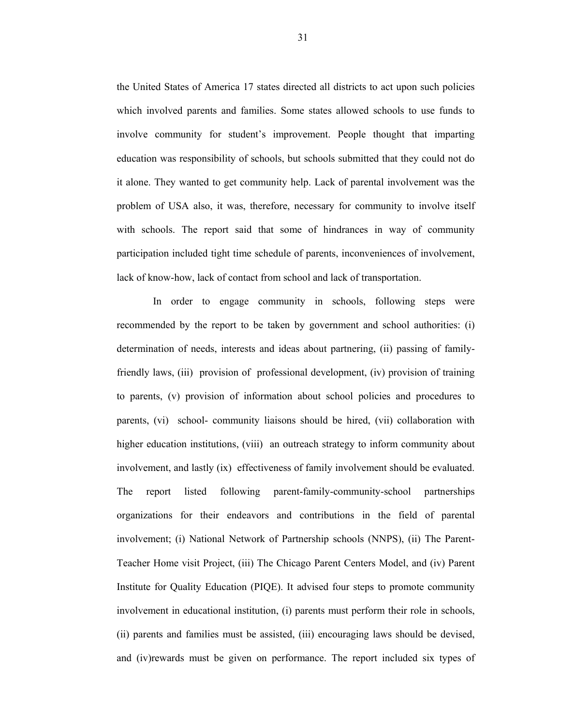the United States of America 17 states directed all districts to act upon such policies which involved parents and families. Some states allowed schools to use funds to involve community for student's improvement. People thought that imparting education was responsibility of schools, but schools submitted that they could not do it alone. They wanted to get community help. Lack of parental involvement was the problem of USA also, it was, therefore, necessary for community to involve itself with schools. The report said that some of hindrances in way of community participation included tight time schedule of parents, inconveniences of involvement, lack of know-how, lack of contact from school and lack of transportation.

 In order to engage community in schools, following steps were recommended by the report to be taken by government and school authorities: (i) determination of needs, interests and ideas about partnering, (ii) passing of familyfriendly laws, (iii) provision of professional development, (iv) provision of training to parents, (v) provision of information about school policies and procedures to parents, (vi) school- community liaisons should be hired, (vii) collaboration with higher education institutions, (viii) an outreach strategy to inform community about involvement, and lastly (ix) effectiveness of family involvement should be evaluated. The report listed following parent-family-community-school partnerships organizations for their endeavors and contributions in the field of parental involvement; (i) National Network of Partnership schools (NNPS), (ii) The Parent-Teacher Home visit Project, (iii) The Chicago Parent Centers Model, and (iv) Parent Institute for Quality Education (PIQE). It advised four steps to promote community involvement in educational institution, (i) parents must perform their role in schools, (ii) parents and families must be assisted, (iii) encouraging laws should be devised, and (iv)rewards must be given on performance. The report included six types of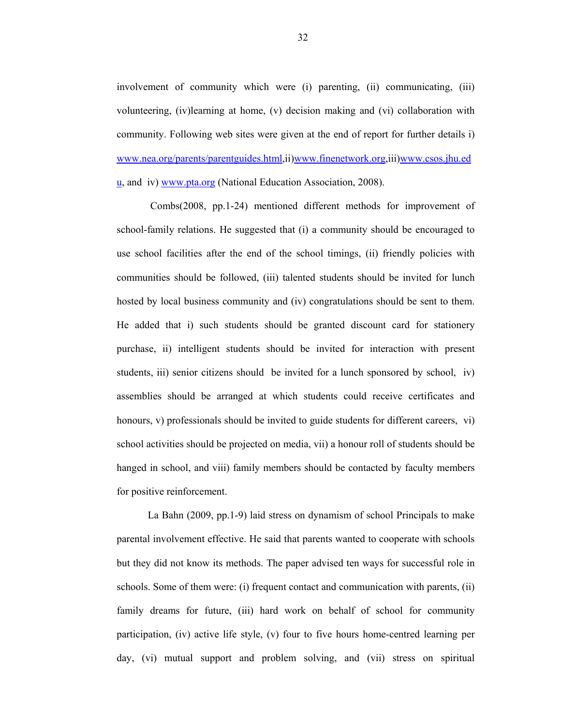involvement of community which were (i) parenting, (ii) communicating, (iii) volunteering, (iv)learning at home, (v) decision making and (vi) collaboration with community. Following web sites were given at the end of report for further details i) www.nea.org/parents/parentguides.html,ii)www.finenetwork.org,iii)www.csos.jhu.ed u, and iv) www.pta.org (National Education Association, 2008).

 Combs(2008, pp.1-24) mentioned different methods for improvement of school-family relations. He suggested that (i) a community should be encouraged to use school facilities after the end of the school timings, (ii) friendly policies with communities should be followed, (iii) talented students should be invited for lunch hosted by local business community and (iv) congratulations should be sent to them. He added that i) such students should be granted discount card for stationery purchase, ii) intelligent students should be invited for interaction with present students, iii) senior citizens should be invited for a lunch sponsored by school, iv) assemblies should be arranged at which students could receive certificates and honours, v) professionals should be invited to guide students for different careers, vi) school activities should be projected on media, vii) a honour roll of students should be hanged in school, and viii) family members should be contacted by faculty members for positive reinforcement.

La Bahn (2009, pp.1-9) laid stress on dynamism of school Principals to make parental involvement effective. He said that parents wanted to cooperate with schools but they did not know its methods. The paper advised ten ways for successful role in schools. Some of them were: (i) frequent contact and communication with parents, (ii) family dreams for future, (iii) hard work on behalf of school for community participation, (iv) active life style, (v) four to five hours home-centred learning per day, (vi) mutual support and problem solving, and (vii) stress on spiritual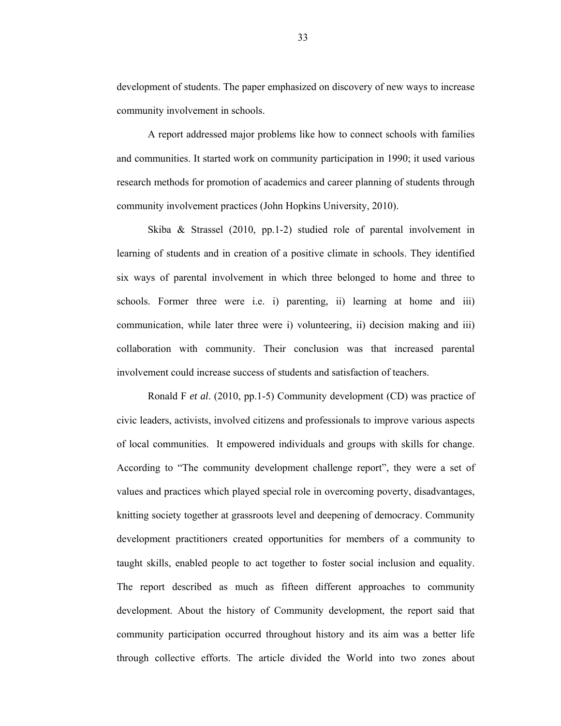development of students. The paper emphasized on discovery of new ways to increase community involvement in schools.

A report addressed major problems like how to connect schools with families and communities. It started work on community participation in 1990; it used various research methods for promotion of academics and career planning of students through community involvement practices (John Hopkins University, 2010).

Skiba & Strassel (2010, pp.1-2) studied role of parental involvement in learning of students and in creation of a positive climate in schools. They identified six ways of parental involvement in which three belonged to home and three to schools. Former three were i.e. i) parenting, ii) learning at home and iii) communication, while later three were i) volunteering, ii) decision making and iii) collaboration with community. Their conclusion was that increased parental involvement could increase success of students and satisfaction of teachers.

Ronald F *et al*. (2010, pp.1-5) Community development (CD) was practice of civic leaders, activists, involved citizens and professionals to improve various aspects of local communities. It empowered individuals and groups with skills for change. According to "The community development challenge report", they were a set of values and practices which played special role in overcoming poverty, disadvantages, knitting society together at grassroots level and deepening of democracy. Community development practitioners created opportunities for members of a community to taught skills, enabled people to act together to foster social inclusion and equality. The report described as much as fifteen different approaches to community development. About the history of Community development, the report said that community participation occurred throughout history and its aim was a better life through collective efforts. The article divided the World into two zones about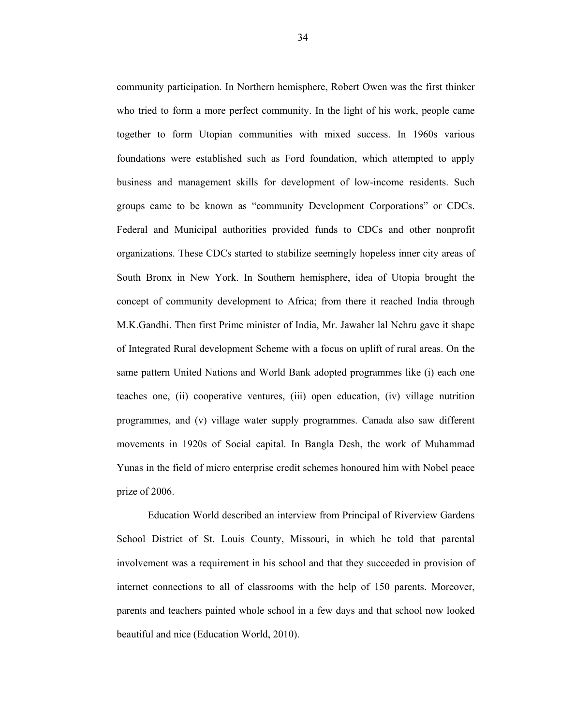community participation. In Northern hemisphere, Robert Owen was the first thinker who tried to form a more perfect community. In the light of his work, people came together to form Utopian communities with mixed success. In 1960s various foundations were established such as Ford foundation, which attempted to apply business and management skills for development of low-income residents. Such groups came to be known as "community Development Corporations" or CDCs. Federal and Municipal authorities provided funds to CDCs and other nonprofit organizations. These CDCs started to stabilize seemingly hopeless inner city areas of South Bronx in New York. In Southern hemisphere, idea of Utopia brought the concept of community development to Africa; from there it reached India through M.K.Gandhi. Then first Prime minister of India, Mr. Jawaher lal Nehru gave it shape of Integrated Rural development Scheme with a focus on uplift of rural areas. On the same pattern United Nations and World Bank adopted programmes like (i) each one teaches one, (ii) cooperative ventures, (iii) open education, (iv) village nutrition programmes, and (v) village water supply programmes. Canada also saw different movements in 1920s of Social capital. In Bangla Desh, the work of Muhammad Yunas in the field of micro enterprise credit schemes honoured him with Nobel peace prize of 2006.

Education World described an interview from Principal of Riverview Gardens School District of St. Louis County, Missouri, in which he told that parental involvement was a requirement in his school and that they succeeded in provision of internet connections to all of classrooms with the help of 150 parents. Moreover, parents and teachers painted whole school in a few days and that school now looked beautiful and nice (Education World, 2010).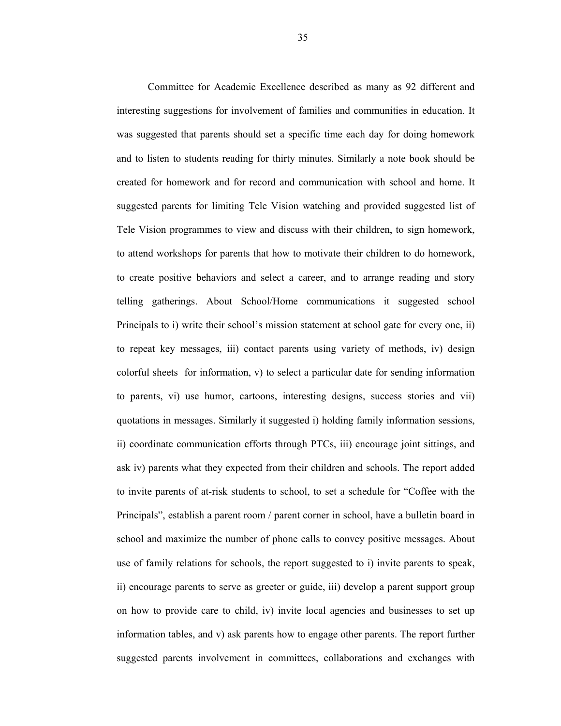Committee for Academic Excellence described as many as 92 different and interesting suggestions for involvement of families and communities in education. It was suggested that parents should set a specific time each day for doing homework and to listen to students reading for thirty minutes. Similarly a note book should be created for homework and for record and communication with school and home. It suggested parents for limiting Tele Vision watching and provided suggested list of Tele Vision programmes to view and discuss with their children, to sign homework, to attend workshops for parents that how to motivate their children to do homework, to create positive behaviors and select a career, and to arrange reading and story telling gatherings. About School/Home communications it suggested school Principals to i) write their school's mission statement at school gate for every one, ii) to repeat key messages, iii) contact parents using variety of methods, iv) design colorful sheets for information, v) to select a particular date for sending information to parents, vi) use humor, cartoons, interesting designs, success stories and vii) quotations in messages. Similarly it suggested i) holding family information sessions, ii) coordinate communication efforts through PTCs, iii) encourage joint sittings, and ask iv) parents what they expected from their children and schools. The report added to invite parents of at-risk students to school, to set a schedule for "Coffee with the Principals", establish a parent room / parent corner in school, have a bulletin board in school and maximize the number of phone calls to convey positive messages. About use of family relations for schools, the report suggested to i) invite parents to speak, ii) encourage parents to serve as greeter or guide, iii) develop a parent support group on how to provide care to child, iv) invite local agencies and businesses to set up information tables, and v) ask parents how to engage other parents. The report further suggested parents involvement in committees, collaborations and exchanges with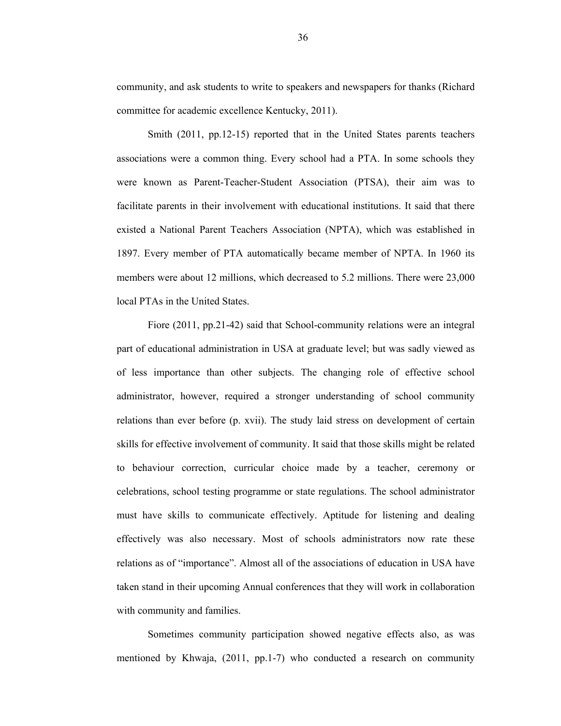community, and ask students to write to speakers and newspapers for thanks (Richard committee for academic excellence Kentucky, 2011).

Smith (2011, pp.12-15) reported that in the United States parents teachers associations were a common thing. Every school had a PTA. In some schools they were known as Parent-Teacher-Student Association (PTSA), their aim was to facilitate parents in their involvement with educational institutions. It said that there existed a National Parent Teachers Association (NPTA), which was established in 1897. Every member of PTA automatically became member of NPTA. In 1960 its members were about 12 millions, which decreased to 5.2 millions. There were 23,000 local PTAs in the United States.

Fiore (2011, pp.21-42) said that School-community relations were an integral part of educational administration in USA at graduate level; but was sadly viewed as of less importance than other subjects. The changing role of effective school administrator, however, required a stronger understanding of school community relations than ever before (p. xvii). The study laid stress on development of certain skills for effective involvement of community. It said that those skills might be related to behaviour correction, curricular choice made by a teacher, ceremony or celebrations, school testing programme or state regulations. The school administrator must have skills to communicate effectively. Aptitude for listening and dealing effectively was also necessary. Most of schools administrators now rate these relations as of "importance". Almost all of the associations of education in USA have taken stand in their upcoming Annual conferences that they will work in collaboration with community and families.

Sometimes community participation showed negative effects also, as was mentioned by Khwaja, (2011, pp.1-7) who conducted a research on community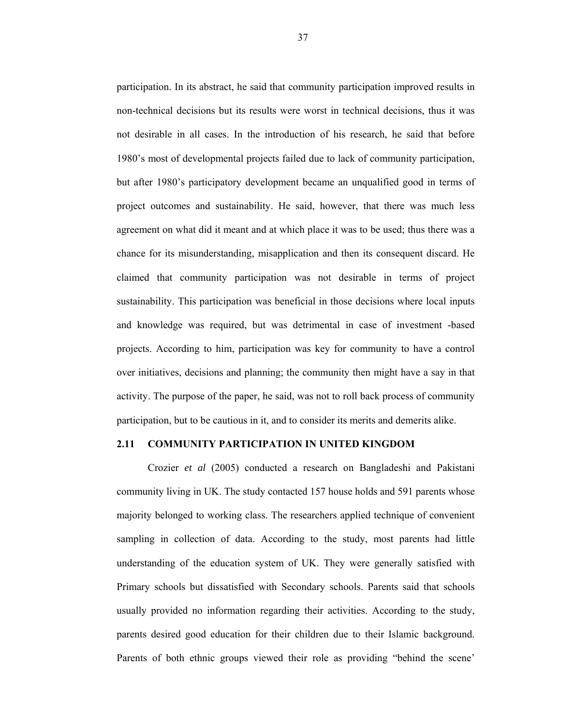participation. In its abstract, he said that community participation improved results in non-technical decisions but its results were worst in technical decisions, thus it was not desirable in all cases. In the introduction of his research, he said that before 1980's most of developmental projects failed due to lack of community participation, but after 1980's participatory development became an unqualified good in terms of project outcomes and sustainability. He said, however, that there was much less agreement on what did it meant and at which place it was to be used; thus there was a chance for its misunderstanding, misapplication and then its consequent discard. He claimed that community participation was not desirable in terms of project sustainability. This participation was beneficial in those decisions where local inputs and knowledge was required, but was detrimental in case of investment -based projects. According to him, participation was key for community to have a control over initiatives, decisions and planning; the community then might have a say in that activity. The purpose of the paper, he said, was not to roll back process of community participation, but to be cautious in it, and to consider its merits and demerits alike.

### **2.11 COMMUNITY PARTICIPATION IN UNITED KINGDOM**

Crozier *et al* (2005) conducted a research on Bangladeshi and Pakistani community living in UK. The study contacted 157 house holds and 591 parents whose majority belonged to working class. The researchers applied technique of convenient sampling in collection of data. According to the study, most parents had little understanding of the education system of UK. They were generally satisfied with Primary schools but dissatisfied with Secondary schools. Parents said that schools usually provided no information regarding their activities. According to the study, parents desired good education for their children due to their Islamic background. Parents of both ethnic groups viewed their role as providing "behind the scene'

37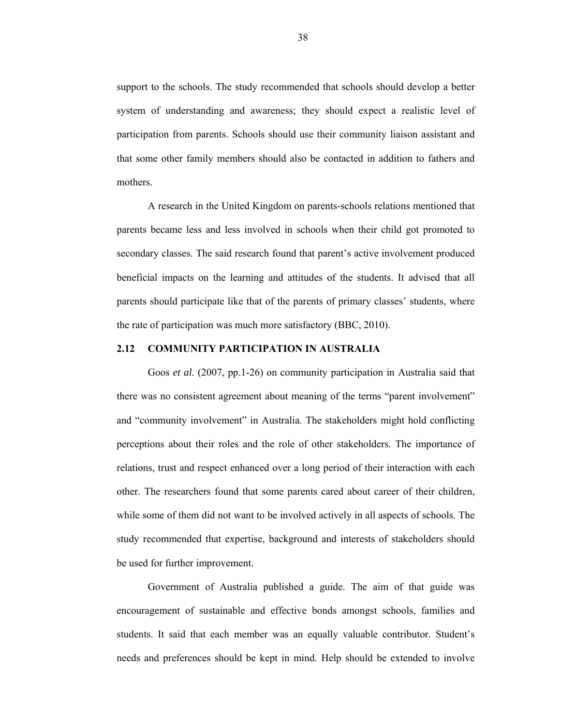support to the schools. The study recommended that schools should develop a better system of understanding and awareness; they should expect a realistic level of participation from parents. Schools should use their community liaison assistant and that some other family members should also be contacted in addition to fathers and mothers.

A research in the United Kingdom on parents-schools relations mentioned that parents became less and less involved in schools when their child got promoted to secondary classes. The said research found that parent's active involvement produced beneficial impacts on the learning and attitudes of the students. It advised that all parents should participate like that of the parents of primary classes' students, where the rate of participation was much more satisfactory (BBC, 2010).

#### **2.12 COMMUNITY PARTICIPATION IN AUSTRALIA**

Goos *et al*. (2007, pp.1-26) on community participation in Australia said that there was no consistent agreement about meaning of the terms "parent involvement" and "community involvement" in Australia. The stakeholders might hold conflicting perceptions about their roles and the role of other stakeholders. The importance of relations, trust and respect enhanced over a long period of their interaction with each other. The researchers found that some parents cared about career of their children, while some of them did not want to be involved actively in all aspects of schools. The study recommended that expertise, background and interests of stakeholders should be used for further improvement.

Government of Australia published a guide. The aim of that guide was encouragement of sustainable and effective bonds amongst schools, families and students. It said that each member was an equally valuable contributor. Student's needs and preferences should be kept in mind. Help should be extended to involve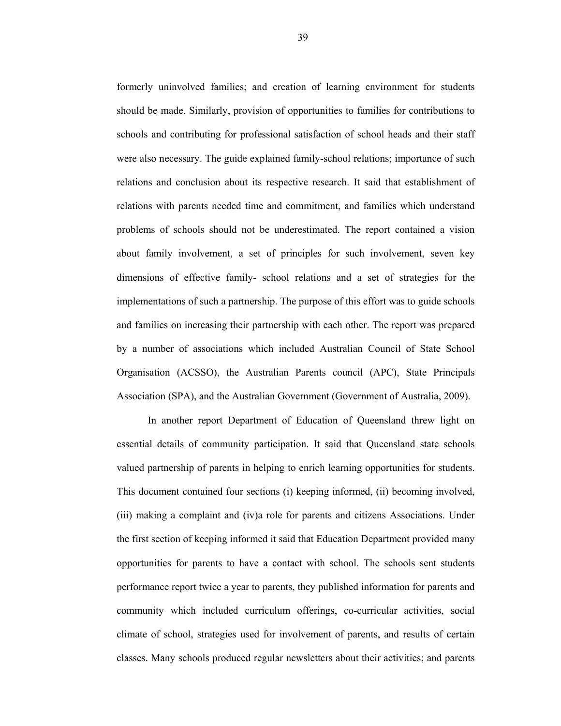formerly uninvolved families; and creation of learning environment for students should be made. Similarly, provision of opportunities to families for contributions to schools and contributing for professional satisfaction of school heads and their staff were also necessary. The guide explained family-school relations; importance of such relations and conclusion about its respective research. It said that establishment of relations with parents needed time and commitment, and families which understand problems of schools should not be underestimated. The report contained a vision about family involvement, a set of principles for such involvement, seven key dimensions of effective family- school relations and a set of strategies for the implementations of such a partnership. The purpose of this effort was to guide schools and families on increasing their partnership with each other. The report was prepared by a number of associations which included Australian Council of State School Organisation (ACSSO), the Australian Parents council (APC), State Principals Association (SPA), and the Australian Government (Government of Australia, 2009).

In another report Department of Education of Queensland threw light on essential details of community participation. It said that Queensland state schools valued partnership of parents in helping to enrich learning opportunities for students. This document contained four sections (i) keeping informed, (ii) becoming involved, (iii) making a complaint and (iv)a role for parents and citizens Associations. Under the first section of keeping informed it said that Education Department provided many opportunities for parents to have a contact with school. The schools sent students performance report twice a year to parents, they published information for parents and community which included curriculum offerings, co-curricular activities, social climate of school, strategies used for involvement of parents, and results of certain classes. Many schools produced regular newsletters about their activities; and parents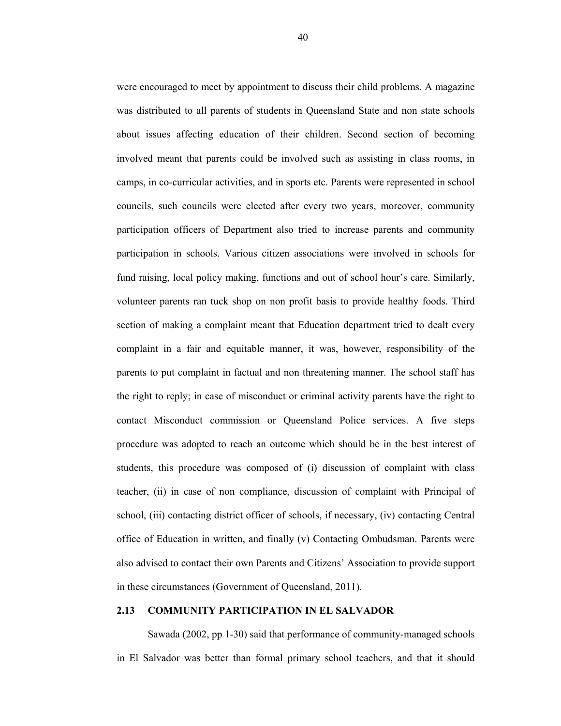were encouraged to meet by appointment to discuss their child problems. A magazine was distributed to all parents of students in Queensland State and non state schools about issues affecting education of their children. Second section of becoming involved meant that parents could be involved such as assisting in class rooms, in camps, in co-curricular activities, and in sports etc. Parents were represented in school councils, such councils were elected after every two years, moreover, community participation officers of Department also tried to increase parents and community participation in schools. Various citizen associations were involved in schools for fund raising, local policy making, functions and out of school hour's care. Similarly, volunteer parents ran tuck shop on non profit basis to provide healthy foods. Third section of making a complaint meant that Education department tried to dealt every complaint in a fair and equitable manner, it was, however, responsibility of the parents to put complaint in factual and non threatening manner. The school staff has the right to reply; in case of misconduct or criminal activity parents have the right to contact Misconduct commission or Queensland Police services. A five steps procedure was adopted to reach an outcome which should be in the best interest of students, this procedure was composed of (i) discussion of complaint with class teacher, (ii) in case of non compliance, discussion of complaint with Principal of school, (iii) contacting district officer of schools, if necessary, (iv) contacting Central office of Education in written, and finally (v) Contacting Ombudsman. Parents were also advised to contact their own Parents and Citizens' Association to provide support in these circumstances (Government of Queensland, 2011).

### **2.13 COMMUNITY PARTICIPATION IN EL SALVADOR**

Sawada (2002, pp 1-30) said that performance of community-managed schools in El Salvador was better than formal primary school teachers, and that it should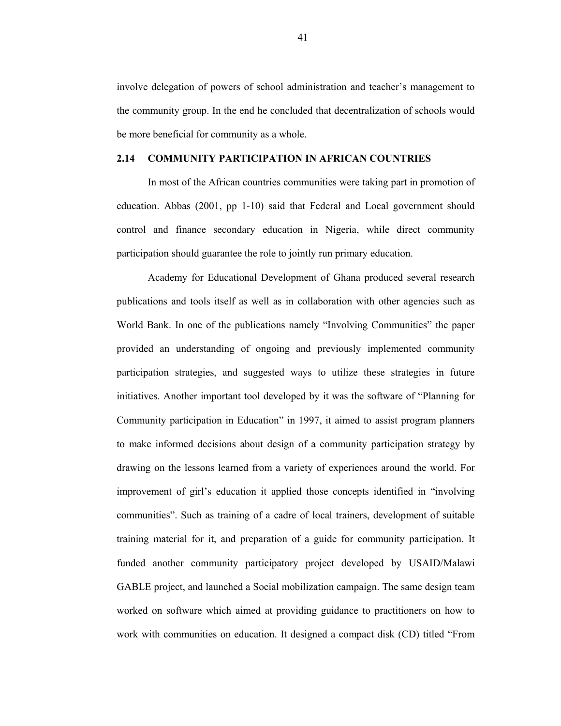involve delegation of powers of school administration and teacher's management to the community group. In the end he concluded that decentralization of schools would be more beneficial for community as a whole.

### **2.14 COMMUNITY PARTICIPATION IN AFRICAN COUNTRIES**

In most of the African countries communities were taking part in promotion of education. Abbas (2001, pp 1-10) said that Federal and Local government should control and finance secondary education in Nigeria, while direct community participation should guarantee the role to jointly run primary education.

Academy for Educational Development of Ghana produced several research publications and tools itself as well as in collaboration with other agencies such as World Bank. In one of the publications namely "Involving Communities" the paper provided an understanding of ongoing and previously implemented community participation strategies, and suggested ways to utilize these strategies in future initiatives. Another important tool developed by it was the software of "Planning for Community participation in Education" in 1997, it aimed to assist program planners to make informed decisions about design of a community participation strategy by drawing on the lessons learned from a variety of experiences around the world. For improvement of girl's education it applied those concepts identified in "involving communities". Such as training of a cadre of local trainers, development of suitable training material for it, and preparation of a guide for community participation. It funded another community participatory project developed by USAID/Malawi GABLE project, and launched a Social mobilization campaign. The same design team worked on software which aimed at providing guidance to practitioners on how to work with communities on education. It designed a compact disk (CD) titled "From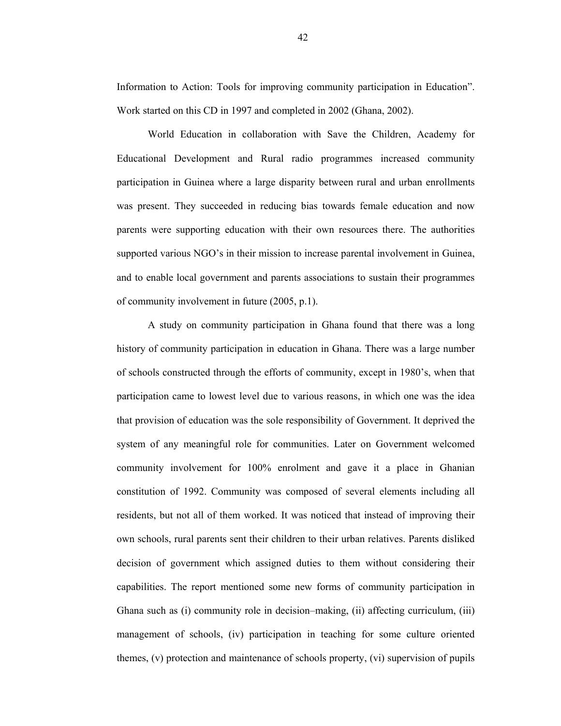Information to Action: Tools for improving community participation in Education". Work started on this CD in 1997 and completed in 2002 (Ghana, 2002).

World Education in collaboration with Save the Children, Academy for Educational Development and Rural radio programmes increased community participation in Guinea where a large disparity between rural and urban enrollments was present. They succeeded in reducing bias towards female education and now parents were supporting education with their own resources there. The authorities supported various NGO's in their mission to increase parental involvement in Guinea, and to enable local government and parents associations to sustain their programmes of community involvement in future (2005, p.1).

A study on community participation in Ghana found that there was a long history of community participation in education in Ghana. There was a large number of schools constructed through the efforts of community, except in 1980's, when that participation came to lowest level due to various reasons, in which one was the idea that provision of education was the sole responsibility of Government. It deprived the system of any meaningful role for communities. Later on Government welcomed community involvement for 100% enrolment and gave it a place in Ghanian constitution of 1992. Community was composed of several elements including all residents, but not all of them worked. It was noticed that instead of improving their own schools, rural parents sent their children to their urban relatives. Parents disliked decision of government which assigned duties to them without considering their capabilities. The report mentioned some new forms of community participation in Ghana such as (i) community role in decision–making, (ii) affecting curriculum, (iii) management of schools, (iv) participation in teaching for some culture oriented themes, (v) protection and maintenance of schools property, (vi) supervision of pupils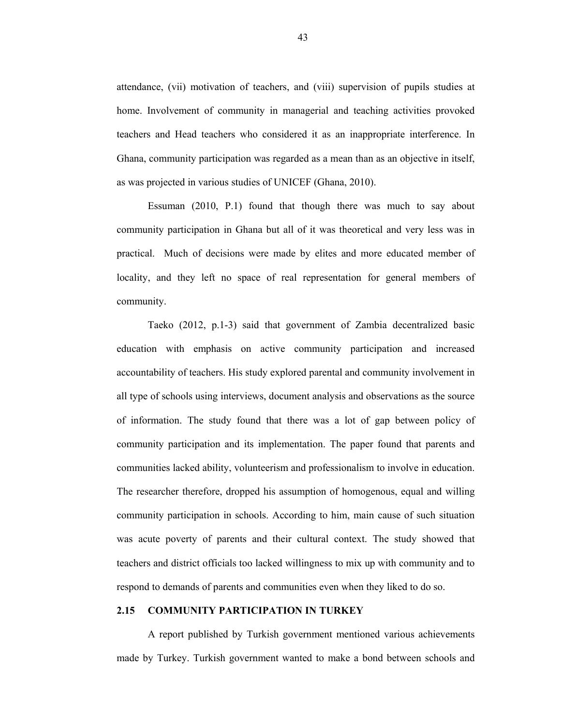attendance, (vii) motivation of teachers, and (viii) supervision of pupils studies at home. Involvement of community in managerial and teaching activities provoked teachers and Head teachers who considered it as an inappropriate interference. In Ghana, community participation was regarded as a mean than as an objective in itself, as was projected in various studies of UNICEF (Ghana, 2010).

Essuman (2010, P.1) found that though there was much to say about community participation in Ghana but all of it was theoretical and very less was in practical. Much of decisions were made by elites and more educated member of locality, and they left no space of real representation for general members of community.

Taeko (2012, p.1-3) said that government of Zambia decentralized basic education with emphasis on active community participation and increased accountability of teachers. His study explored parental and community involvement in all type of schools using interviews, document analysis and observations as the source of information. The study found that there was a lot of gap between policy of community participation and its implementation. The paper found that parents and communities lacked ability, volunteerism and professionalism to involve in education. The researcher therefore, dropped his assumption of homogenous, equal and willing community participation in schools. According to him, main cause of such situation was acute poverty of parents and their cultural context. The study showed that teachers and district officials too lacked willingness to mix up with community and to respond to demands of parents and communities even when they liked to do so.

## **2.15 COMMUNITY PARTICIPATION IN TURKEY**

A report published by Turkish government mentioned various achievements made by Turkey. Turkish government wanted to make a bond between schools and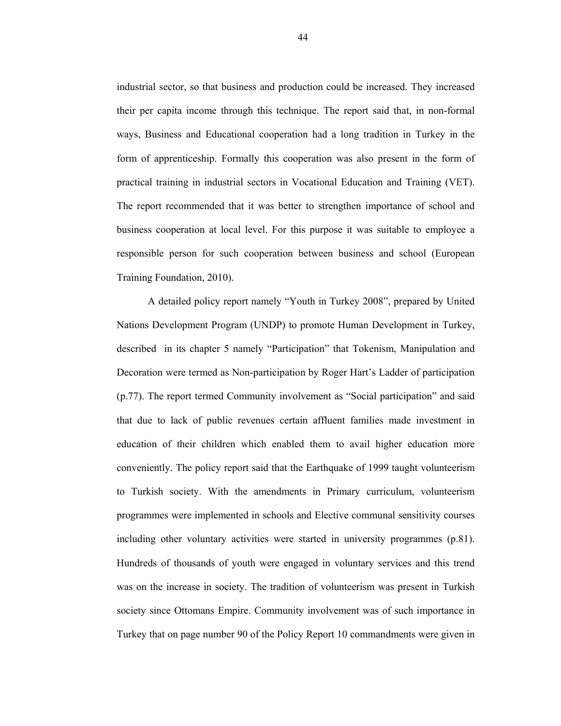industrial sector, so that business and production could be increased. They increased their per capita income through this technique. The report said that, in non-formal ways, Business and Educational cooperation had a long tradition in Turkey in the form of apprenticeship. Formally this cooperation was also present in the form of practical training in industrial sectors in Vocational Education and Training (VET). The report recommended that it was better to strengthen importance of school and business cooperation at local level. For this purpose it was suitable to employee a responsible person for such cooperation between business and school (European Training Foundation, 2010).

A detailed policy report namely "Youth in Turkey 2008", prepared by United Nations Development Program (UNDP) to promote Human Development in Turkey, described in its chapter 5 namely "Participation" that Tokenism, Manipulation and Decoration were termed as Non-participation by Roger Hart's Ladder of participation (p.77). The report termed Community involvement as "Social participation" and said that due to lack of public revenues certain affluent families made investment in education of their children which enabled them to avail higher education more conveniently. The policy report said that the Earthquake of 1999 taught volunteerism to Turkish society. With the amendments in Primary curriculum, volunteerism programmes were implemented in schools and Elective communal sensitivity courses including other voluntary activities were started in university programmes (p.81). Hundreds of thousands of youth were engaged in voluntary services and this trend was on the increase in society. The tradition of volunteerism was present in Turkish society since Ottomans Empire. Community involvement was of such importance in Turkey that on page number 90 of the Policy Report 10 commandments were given in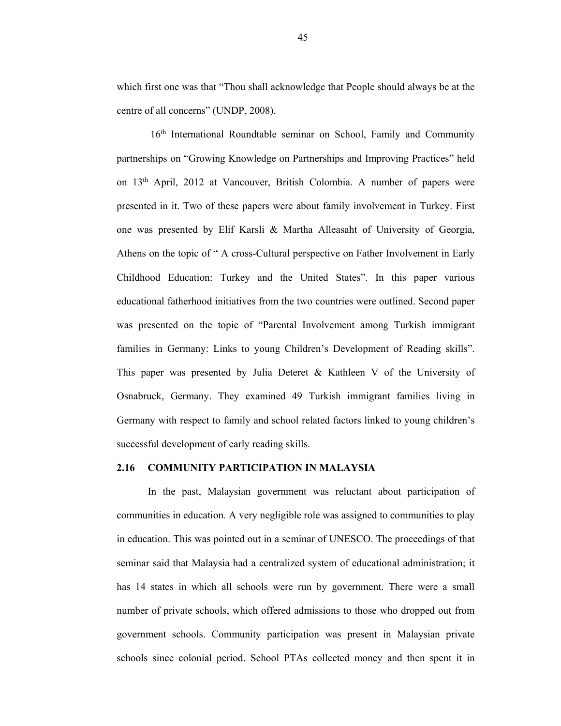which first one was that "Thou shall acknowledge that People should always be at the centre of all concerns" (UNDP, 2008).

16<sup>th</sup> International Roundtable seminar on School, Family and Community partnerships on "Growing Knowledge on Partnerships and Improving Practices" held on 13th April, 2012 at Vancouver, British Colombia. A number of papers were presented in it. Two of these papers were about family involvement in Turkey. First one was presented by Elif Karsli & Martha Alleasaht of University of Georgia, Athens on the topic of " A cross-Cultural perspective on Father Involvement in Early Childhood Education: Turkey and the United States". In this paper various educational fatherhood initiatives from the two countries were outlined. Second paper was presented on the topic of "Parental Involvement among Turkish immigrant families in Germany: Links to young Children's Development of Reading skills". This paper was presented by Julia Deteret & Kathleen V of the University of Osnabruck, Germany. They examined 49 Turkish immigrant families living in Germany with respect to family and school related factors linked to young children's successful development of early reading skills.

#### **2.16 COMMUNITY PARTICIPATION IN MALAYSIA**

In the past, Malaysian government was reluctant about participation of communities in education. A very negligible role was assigned to communities to play in education. This was pointed out in a seminar of UNESCO. The proceedings of that seminar said that Malaysia had a centralized system of educational administration; it has 14 states in which all schools were run by government. There were a small number of private schools, which offered admissions to those who dropped out from government schools. Community participation was present in Malaysian private schools since colonial period. School PTAs collected money and then spent it in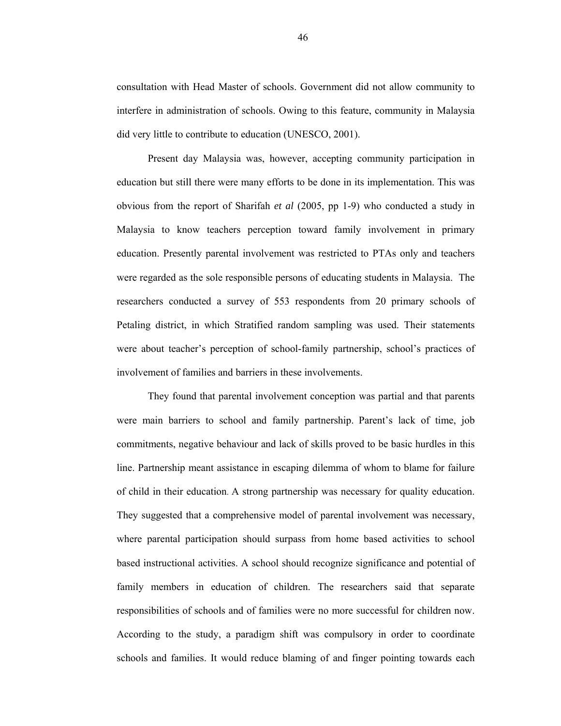consultation with Head Master of schools. Government did not allow community to interfere in administration of schools. Owing to this feature, community in Malaysia did very little to contribute to education (UNESCO, 2001).

Present day Malaysia was, however, accepting community participation in education but still there were many efforts to be done in its implementation. This was obvious from the report of Sharifah *et al* (2005, pp 1-9) who conducted a study in Malaysia to know teachers perception toward family involvement in primary education. Presently parental involvement was restricted to PTAs only and teachers were regarded as the sole responsible persons of educating students in Malaysia. The researchers conducted a survey of 553 respondents from 20 primary schools of Petaling district, in which Stratified random sampling was used. Their statements were about teacher's perception of school-family partnership, school's practices of involvement of families and barriers in these involvements.

They found that parental involvement conception was partial and that parents were main barriers to school and family partnership. Parent's lack of time, job commitments, negative behaviour and lack of skills proved to be basic hurdles in this line. Partnership meant assistance in escaping dilemma of whom to blame for failure of child in their education. A strong partnership was necessary for quality education. They suggested that a comprehensive model of parental involvement was necessary, where parental participation should surpass from home based activities to school based instructional activities. A school should recognize significance and potential of family members in education of children. The researchers said that separate responsibilities of schools and of families were no more successful for children now. According to the study, a paradigm shift was compulsory in order to coordinate schools and families. It would reduce blaming of and finger pointing towards each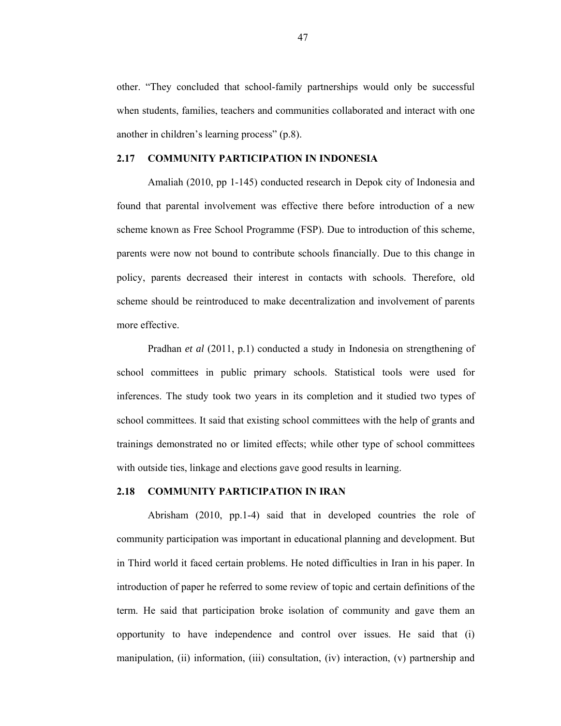other. "They concluded that school-family partnerships would only be successful when students, families, teachers and communities collaborated and interact with one another in children's learning process" (p.8).

### **2.17 COMMUNITY PARTICIPATION IN INDONESIA**

Amaliah (2010, pp 1-145) conducted research in Depok city of Indonesia and found that parental involvement was effective there before introduction of a new scheme known as Free School Programme (FSP). Due to introduction of this scheme, parents were now not bound to contribute schools financially. Due to this change in policy, parents decreased their interest in contacts with schools. Therefore, old scheme should be reintroduced to make decentralization and involvement of parents more effective.

 Pradhan *et al* (2011, p.1) conducted a study in Indonesia on strengthening of school committees in public primary schools. Statistical tools were used for inferences. The study took two years in its completion and it studied two types of school committees. It said that existing school committees with the help of grants and trainings demonstrated no or limited effects; while other type of school committees with outside ties, linkage and elections gave good results in learning.

### **2.18 COMMUNITY PARTICIPATION IN IRAN**

Abrisham (2010, pp.1-4) said that in developed countries the role of community participation was important in educational planning and development. But in Third world it faced certain problems. He noted difficulties in Iran in his paper. In introduction of paper he referred to some review of topic and certain definitions of the term. He said that participation broke isolation of community and gave them an opportunity to have independence and control over issues. He said that (i) manipulation, (ii) information, (iii) consultation, (iv) interaction, (v) partnership and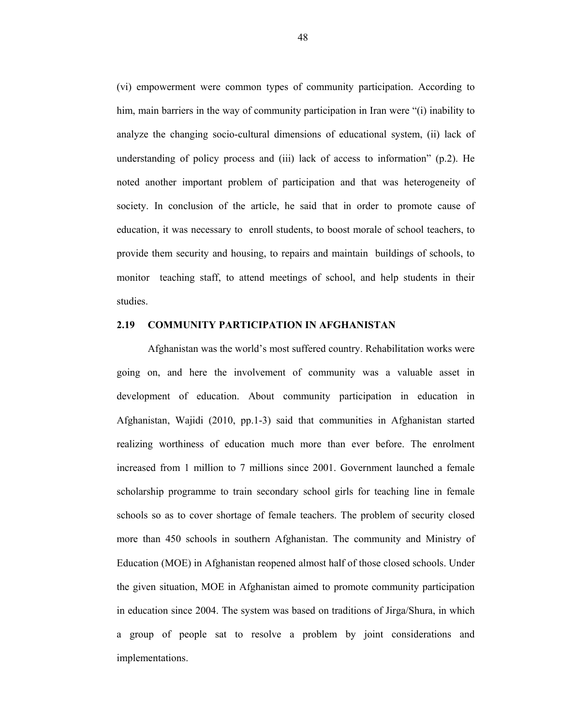(vi) empowerment were common types of community participation. According to him, main barriers in the way of community participation in Iran were "(i) inability to analyze the changing socio-cultural dimensions of educational system, (ii) lack of understanding of policy process and (iii) lack of access to information" (p.2). He noted another important problem of participation and that was heterogeneity of society. In conclusion of the article, he said that in order to promote cause of education, it was necessary to enroll students, to boost morale of school teachers, to provide them security and housing, to repairs and maintain buildings of schools, to monitor teaching staff, to attend meetings of school, and help students in their studies.

## **2.19 COMMUNITY PARTICIPATION IN AFGHANISTAN**

Afghanistan was the world's most suffered country. Rehabilitation works were going on, and here the involvement of community was a valuable asset in development of education. About community participation in education in Afghanistan, Wajidi (2010, pp.1-3) said that communities in Afghanistan started realizing worthiness of education much more than ever before. The enrolment increased from 1 million to 7 millions since 2001. Government launched a female scholarship programme to train secondary school girls for teaching line in female schools so as to cover shortage of female teachers. The problem of security closed more than 450 schools in southern Afghanistan. The community and Ministry of Education (MOE) in Afghanistan reopened almost half of those closed schools. Under the given situation, MOE in Afghanistan aimed to promote community participation in education since 2004. The system was based on traditions of Jirga/Shura, in which a group of people sat to resolve a problem by joint considerations and implementations.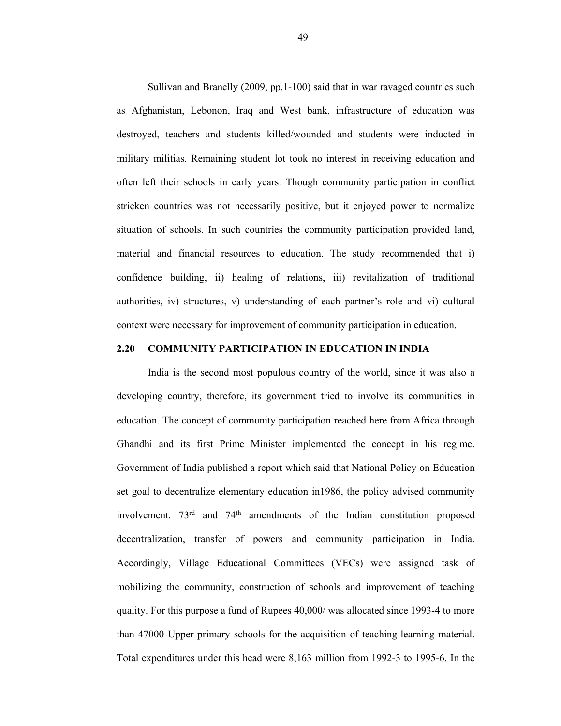Sullivan and Branelly (2009, pp.1-100) said that in war ravaged countries such as Afghanistan, Lebonon, Iraq and West bank, infrastructure of education was destroyed, teachers and students killed/wounded and students were inducted in military militias. Remaining student lot took no interest in receiving education and often left their schools in early years. Though community participation in conflict stricken countries was not necessarily positive, but it enjoyed power to normalize situation of schools. In such countries the community participation provided land, material and financial resources to education. The study recommended that i) confidence building, ii) healing of relations, iii) revitalization of traditional authorities, iv) structures, v) understanding of each partner's role and vi) cultural context were necessary for improvement of community participation in education.

### **2.20 COMMUNITY PARTICIPATION IN EDUCATION IN INDIA**

India is the second most populous country of the world, since it was also a developing country, therefore, its government tried to involve its communities in education. The concept of community participation reached here from Africa through Ghandhi and its first Prime Minister implemented the concept in his regime. Government of India published a report which said that National Policy on Education set goal to decentralize elementary education in1986, the policy advised community involvement.  $73<sup>rd</sup>$  and  $74<sup>th</sup>$  amendments of the Indian constitution proposed decentralization, transfer of powers and community participation in India. Accordingly, Village Educational Committees (VECs) were assigned task of mobilizing the community, construction of schools and improvement of teaching quality. For this purpose a fund of Rupees 40,000/ was allocated since 1993-4 to more than 47000 Upper primary schools for the acquisition of teaching-learning material. Total expenditures under this head were 8,163 million from 1992-3 to 1995-6. In the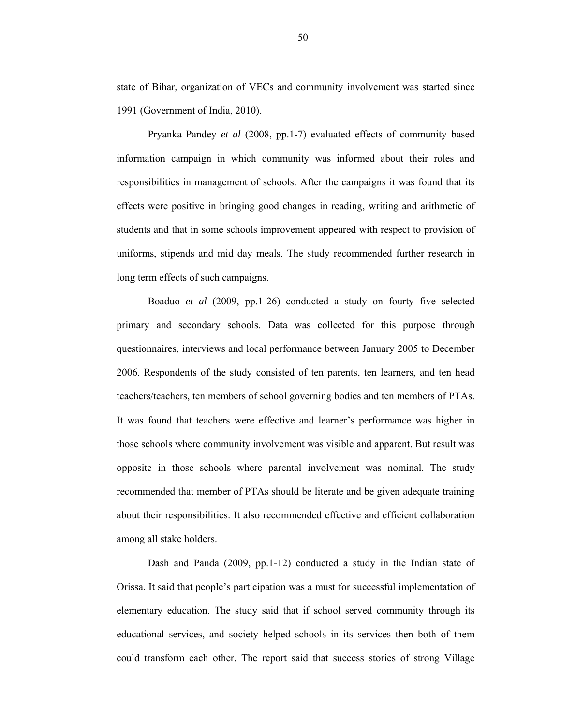state of Bihar, organization of VECs and community involvement was started since 1991 (Government of India, 2010).

Pryanka Pandey *et al* (2008, pp.1-7) evaluated effects of community based information campaign in which community was informed about their roles and responsibilities in management of schools. After the campaigns it was found that its effects were positive in bringing good changes in reading, writing and arithmetic of students and that in some schools improvement appeared with respect to provision of uniforms, stipends and mid day meals. The study recommended further research in long term effects of such campaigns.

Boaduo *et al* (2009, pp.1-26) conducted a study on fourty five selected primary and secondary schools. Data was collected for this purpose through questionnaires, interviews and local performance between January 2005 to December 2006. Respondents of the study consisted of ten parents, ten learners, and ten head teachers/teachers, ten members of school governing bodies and ten members of PTAs. It was found that teachers were effective and learner's performance was higher in those schools where community involvement was visible and apparent. But result was opposite in those schools where parental involvement was nominal. The study recommended that member of PTAs should be literate and be given adequate training about their responsibilities. It also recommended effective and efficient collaboration among all stake holders.

Dash and Panda (2009, pp.1-12) conducted a study in the Indian state of Orissa. It said that people's participation was a must for successful implementation of elementary education. The study said that if school served community through its educational services, and society helped schools in its services then both of them could transform each other. The report said that success stories of strong Village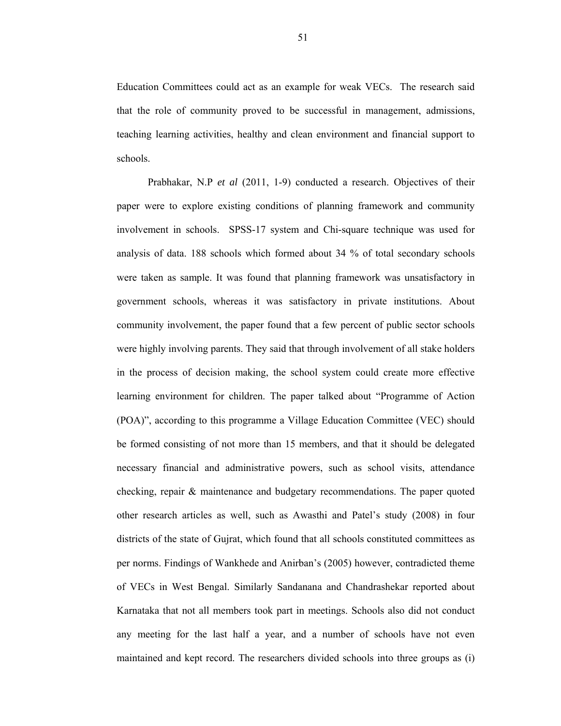Education Committees could act as an example for weak VECs. The research said that the role of community proved to be successful in management, admissions, teaching learning activities, healthy and clean environment and financial support to schools.

Prabhakar, N.P *et al* (2011, 1-9) conducted a research. Objectives of their paper were to explore existing conditions of planning framework and community involvement in schools. SPSS-17 system and Chi-square technique was used for analysis of data. 188 schools which formed about 34 % of total secondary schools were taken as sample. It was found that planning framework was unsatisfactory in government schools, whereas it was satisfactory in private institutions. About community involvement, the paper found that a few percent of public sector schools were highly involving parents. They said that through involvement of all stake holders in the process of decision making, the school system could create more effective learning environment for children. The paper talked about "Programme of Action (POA)", according to this programme a Village Education Committee (VEC) should be formed consisting of not more than 15 members, and that it should be delegated necessary financial and administrative powers, such as school visits, attendance checking, repair & maintenance and budgetary recommendations. The paper quoted other research articles as well, such as Awasthi and Patel's study (2008) in four districts of the state of Gujrat, which found that all schools constituted committees as per norms. Findings of Wankhede and Anirban's (2005) however, contradicted theme of VECs in West Bengal. Similarly Sandanana and Chandrashekar reported about Karnataka that not all members took part in meetings. Schools also did not conduct any meeting for the last half a year, and a number of schools have not even maintained and kept record. The researchers divided schools into three groups as (i)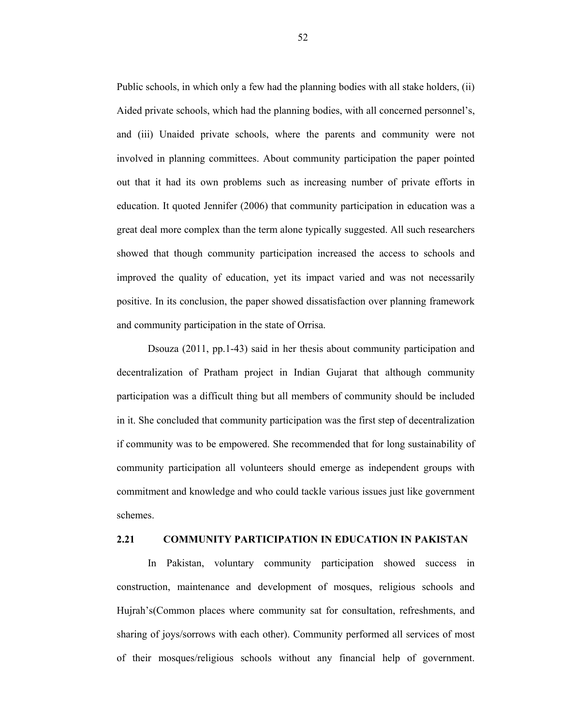Public schools, in which only a few had the planning bodies with all stake holders, (ii) Aided private schools, which had the planning bodies, with all concerned personnel's, and (iii) Unaided private schools, where the parents and community were not involved in planning committees. About community participation the paper pointed out that it had its own problems such as increasing number of private efforts in education. It quoted Jennifer (2006) that community participation in education was a great deal more complex than the term alone typically suggested. All such researchers showed that though community participation increased the access to schools and improved the quality of education, yet its impact varied and was not necessarily positive. In its conclusion, the paper showed dissatisfaction over planning framework and community participation in the state of Orrisa.

Dsouza (2011, pp.1-43) said in her thesis about community participation and decentralization of Pratham project in Indian Gujarat that although community participation was a difficult thing but all members of community should be included in it. She concluded that community participation was the first step of decentralization if community was to be empowered. She recommended that for long sustainability of community participation all volunteers should emerge as independent groups with commitment and knowledge and who could tackle various issues just like government schemes.

# **2.21 COMMUNITY PARTICIPATION IN EDUCATION IN PAKISTAN**

In Pakistan, voluntary community participation showed success in construction, maintenance and development of mosques, religious schools and Hujrah's(Common places where community sat for consultation, refreshments, and sharing of joys/sorrows with each other). Community performed all services of most of their mosques/religious schools without any financial help of government.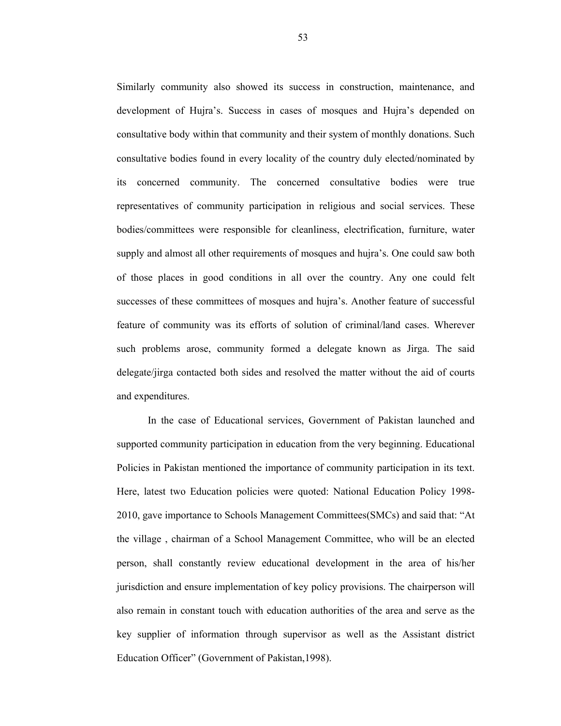Similarly community also showed its success in construction, maintenance, and development of Hujra's. Success in cases of mosques and Hujra's depended on consultative body within that community and their system of monthly donations. Such consultative bodies found in every locality of the country duly elected/nominated by its concerned community. The concerned consultative bodies were true representatives of community participation in religious and social services. These bodies/committees were responsible for cleanliness, electrification, furniture, water supply and almost all other requirements of mosques and hujra's. One could saw both of those places in good conditions in all over the country. Any one could felt successes of these committees of mosques and hujra's. Another feature of successful feature of community was its efforts of solution of criminal/land cases. Wherever such problems arose, community formed a delegate known as Jirga. The said delegate/jirga contacted both sides and resolved the matter without the aid of courts and expenditures.

In the case of Educational services, Government of Pakistan launched and supported community participation in education from the very beginning. Educational Policies in Pakistan mentioned the importance of community participation in its text. Here, latest two Education policies were quoted: National Education Policy 1998- 2010, gave importance to Schools Management Committees(SMCs) and said that: "At the village , chairman of a School Management Committee, who will be an elected person, shall constantly review educational development in the area of his/her jurisdiction and ensure implementation of key policy provisions. The chairperson will also remain in constant touch with education authorities of the area and serve as the key supplier of information through supervisor as well as the Assistant district Education Officer" (Government of Pakistan,1998).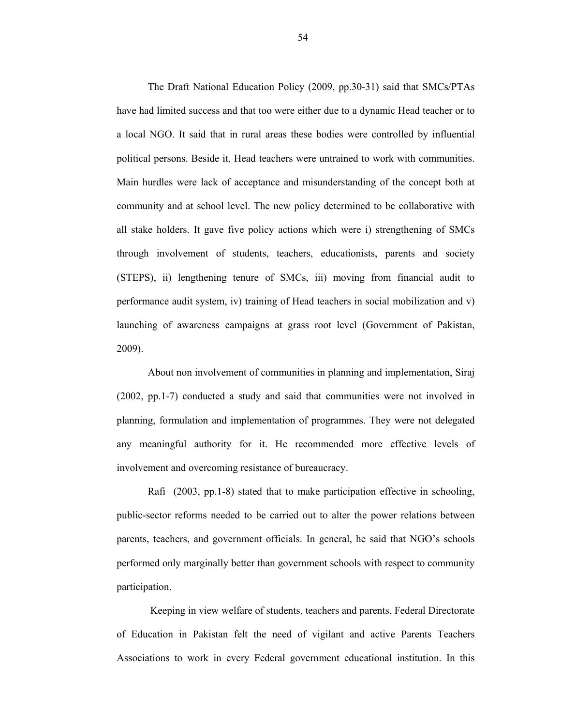The Draft National Education Policy (2009, pp.30-31) said that SMCs/PTAs have had limited success and that too were either due to a dynamic Head teacher or to a local NGO. It said that in rural areas these bodies were controlled by influential political persons. Beside it, Head teachers were untrained to work with communities. Main hurdles were lack of acceptance and misunderstanding of the concept both at community and at school level. The new policy determined to be collaborative with all stake holders. It gave five policy actions which were i) strengthening of SMCs through involvement of students, teachers, educationists, parents and society (STEPS), ii) lengthening tenure of SMCs, iii) moving from financial audit to performance audit system, iv) training of Head teachers in social mobilization and v) launching of awareness campaigns at grass root level (Government of Pakistan, 2009).

About non involvement of communities in planning and implementation, Siraj (2002, pp.1-7) conducted a study and said that communities were not involved in planning, formulation and implementation of programmes. They were not delegated any meaningful authority for it. He recommended more effective levels of involvement and overcoming resistance of bureaucracy.

Rafi (2003, pp.1-8) stated that to make participation effective in schooling, public-sector reforms needed to be carried out to alter the power relations between parents, teachers, and government officials. In general, he said that NGO's schools performed only marginally better than government schools with respect to community participation.

 Keeping in view welfare of students, teachers and parents, Federal Directorate of Education in Pakistan felt the need of vigilant and active Parents Teachers Associations to work in every Federal government educational institution. In this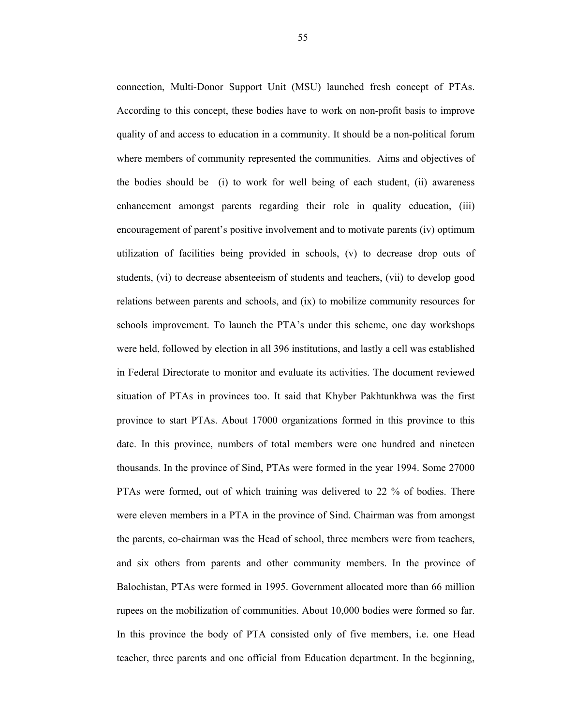connection, Multi-Donor Support Unit (MSU) launched fresh concept of PTAs. According to this concept, these bodies have to work on non-profit basis to improve quality of and access to education in a community. It should be a non-political forum where members of community represented the communities. Aims and objectives of the bodies should be (i) to work for well being of each student, (ii) awareness enhancement amongst parents regarding their role in quality education, (iii) encouragement of parent's positive involvement and to motivate parents (iv) optimum utilization of facilities being provided in schools, (v) to decrease drop outs of students, (vi) to decrease absenteeism of students and teachers, (vii) to develop good relations between parents and schools, and (ix) to mobilize community resources for schools improvement. To launch the PTA's under this scheme, one day workshops were held, followed by election in all 396 institutions, and lastly a cell was established in Federal Directorate to monitor and evaluate its activities. The document reviewed situation of PTAs in provinces too. It said that Khyber Pakhtunkhwa was the first province to start PTAs. About 17000 organizations formed in this province to this date. In this province, numbers of total members were one hundred and nineteen thousands. In the province of Sind, PTAs were formed in the year 1994. Some 27000 PTAs were formed, out of which training was delivered to 22 % of bodies. There were eleven members in a PTA in the province of Sind. Chairman was from amongst the parents, co-chairman was the Head of school, three members were from teachers, and six others from parents and other community members. In the province of Balochistan, PTAs were formed in 1995. Government allocated more than 66 million rupees on the mobilization of communities. About 10,000 bodies were formed so far. In this province the body of PTA consisted only of five members, i.e. one Head teacher, three parents and one official from Education department. In the beginning,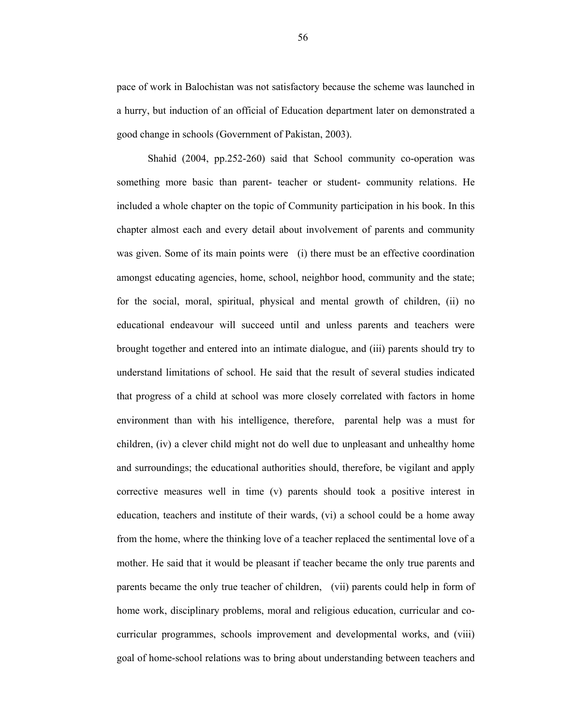pace of work in Balochistan was not satisfactory because the scheme was launched in a hurry, but induction of an official of Education department later on demonstrated a good change in schools (Government of Pakistan, 2003).

Shahid (2004, pp.252-260) said that School community co-operation was something more basic than parent- teacher or student- community relations. He included a whole chapter on the topic of Community participation in his book. In this chapter almost each and every detail about involvement of parents and community was given. Some of its main points were (i) there must be an effective coordination amongst educating agencies, home, school, neighbor hood, community and the state; for the social, moral, spiritual, physical and mental growth of children, (ii) no educational endeavour will succeed until and unless parents and teachers were brought together and entered into an intimate dialogue, and (iii) parents should try to understand limitations of school. He said that the result of several studies indicated that progress of a child at school was more closely correlated with factors in home environment than with his intelligence, therefore, parental help was a must for children, (iv) a clever child might not do well due to unpleasant and unhealthy home and surroundings; the educational authorities should, therefore, be vigilant and apply corrective measures well in time (v) parents should took a positive interest in education, teachers and institute of their wards, (vi) a school could be a home away from the home, where the thinking love of a teacher replaced the sentimental love of a mother. He said that it would be pleasant if teacher became the only true parents and parents became the only true teacher of children, (vii) parents could help in form of home work, disciplinary problems, moral and religious education, curricular and cocurricular programmes, schools improvement and developmental works, and (viii) goal of home-school relations was to bring about understanding between teachers and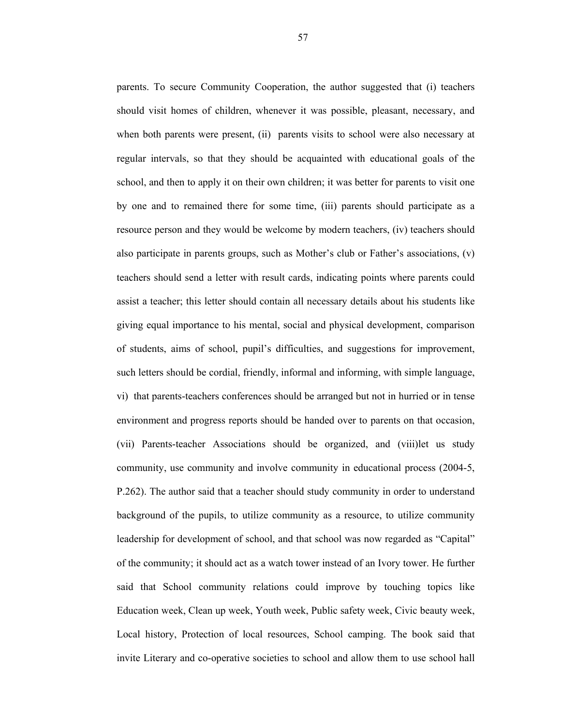parents. To secure Community Cooperation, the author suggested that (i) teachers should visit homes of children, whenever it was possible, pleasant, necessary, and when both parents were present, (ii) parents visits to school were also necessary at regular intervals, so that they should be acquainted with educational goals of the school, and then to apply it on their own children; it was better for parents to visit one by one and to remained there for some time, (iii) parents should participate as a resource person and they would be welcome by modern teachers, (iv) teachers should also participate in parents groups, such as Mother's club or Father's associations, (v) teachers should send a letter with result cards, indicating points where parents could assist a teacher; this letter should contain all necessary details about his students like giving equal importance to his mental, social and physical development, comparison of students, aims of school, pupil's difficulties, and suggestions for improvement, such letters should be cordial, friendly, informal and informing, with simple language, vi) that parents-teachers conferences should be arranged but not in hurried or in tense environment and progress reports should be handed over to parents on that occasion, (vii) Parents-teacher Associations should be organized, and (viii)let us study community, use community and involve community in educational process (2004-5, P.262). The author said that a teacher should study community in order to understand background of the pupils, to utilize community as a resource, to utilize community leadership for development of school, and that school was now regarded as "Capital" of the community; it should act as a watch tower instead of an Ivory tower. He further said that School community relations could improve by touching topics like Education week, Clean up week, Youth week, Public safety week, Civic beauty week, Local history, Protection of local resources, School camping. The book said that invite Literary and co-operative societies to school and allow them to use school hall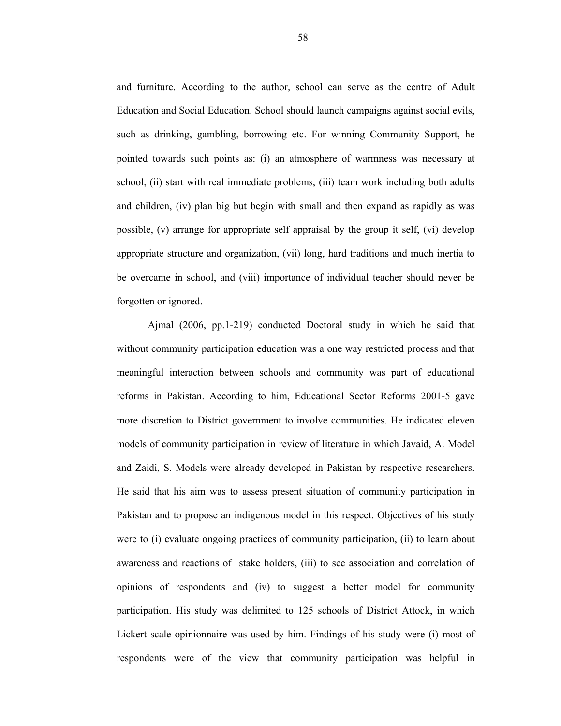and furniture. According to the author, school can serve as the centre of Adult Education and Social Education. School should launch campaigns against social evils, such as drinking, gambling, borrowing etc. For winning Community Support, he pointed towards such points as: (i) an atmosphere of warmness was necessary at school, (ii) start with real immediate problems, (iii) team work including both adults and children, (iv) plan big but begin with small and then expand as rapidly as was possible, (v) arrange for appropriate self appraisal by the group it self, (vi) develop appropriate structure and organization, (vii) long, hard traditions and much inertia to be overcame in school, and (viii) importance of individual teacher should never be forgotten or ignored.

Ajmal (2006, pp.1-219) conducted Doctoral study in which he said that without community participation education was a one way restricted process and that meaningful interaction between schools and community was part of educational reforms in Pakistan. According to him, Educational Sector Reforms 2001-5 gave more discretion to District government to involve communities. He indicated eleven models of community participation in review of literature in which Javaid, A. Model and Zaidi, S. Models were already developed in Pakistan by respective researchers. He said that his aim was to assess present situation of community participation in Pakistan and to propose an indigenous model in this respect. Objectives of his study were to (i) evaluate ongoing practices of community participation, (ii) to learn about awareness and reactions of stake holders, (iii) to see association and correlation of opinions of respondents and (iv) to suggest a better model for community participation. His study was delimited to 125 schools of District Attock, in which Lickert scale opinionnaire was used by him. Findings of his study were (i) most of respondents were of the view that community participation was helpful in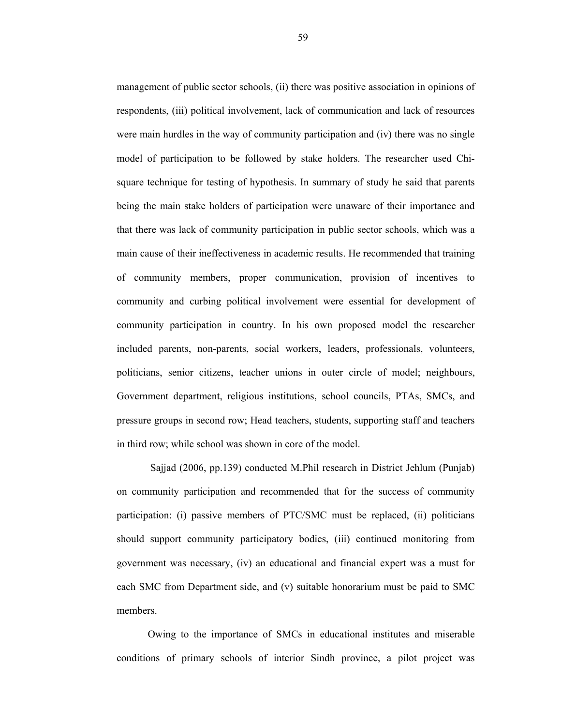management of public sector schools, (ii) there was positive association in opinions of respondents, (iii) political involvement, lack of communication and lack of resources were main hurdles in the way of community participation and (iv) there was no single model of participation to be followed by stake holders. The researcher used Chisquare technique for testing of hypothesis. In summary of study he said that parents being the main stake holders of participation were unaware of their importance and that there was lack of community participation in public sector schools, which was a main cause of their ineffectiveness in academic results. He recommended that training of community members, proper communication, provision of incentives to community and curbing political involvement were essential for development of community participation in country. In his own proposed model the researcher included parents, non-parents, social workers, leaders, professionals, volunteers, politicians, senior citizens, teacher unions in outer circle of model; neighbours, Government department, religious institutions, school councils, PTAs, SMCs, and pressure groups in second row; Head teachers, students, supporting staff and teachers in third row; while school was shown in core of the model.

 Sajjad (2006, pp.139) conducted M.Phil research in District Jehlum (Punjab) on community participation and recommended that for the success of community participation: (i) passive members of PTC/SMC must be replaced, (ii) politicians should support community participatory bodies, (iii) continued monitoring from government was necessary, (iv) an educational and financial expert was a must for each SMC from Department side, and (v) suitable honorarium must be paid to SMC members.

Owing to the importance of SMCs in educational institutes and miserable conditions of primary schools of interior Sindh province, a pilot project was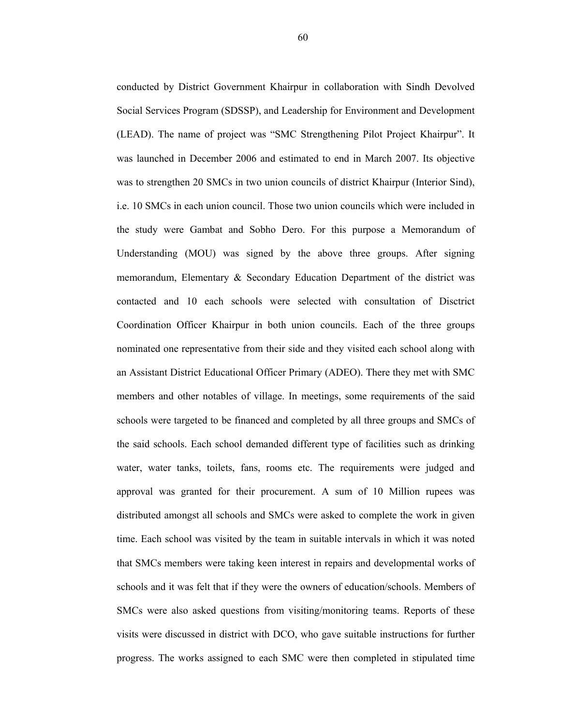conducted by District Government Khairpur in collaboration with Sindh Devolved Social Services Program (SDSSP), and Leadership for Environment and Development (LEAD). The name of project was "SMC Strengthening Pilot Project Khairpur". It was launched in December 2006 and estimated to end in March 2007. Its objective was to strengthen 20 SMCs in two union councils of district Khairpur (Interior Sind), i.e. 10 SMCs in each union council. Those two union councils which were included in the study were Gambat and Sobho Dero. For this purpose a Memorandum of Understanding (MOU) was signed by the above three groups. After signing memorandum, Elementary & Secondary Education Department of the district was contacted and 10 each schools were selected with consultation of Disctrict Coordination Officer Khairpur in both union councils. Each of the three groups nominated one representative from their side and they visited each school along with an Assistant District Educational Officer Primary (ADEO). There they met with SMC members and other notables of village. In meetings, some requirements of the said schools were targeted to be financed and completed by all three groups and SMCs of the said schools. Each school demanded different type of facilities such as drinking water, water tanks, toilets, fans, rooms etc. The requirements were judged and approval was granted for their procurement. A sum of 10 Million rupees was distributed amongst all schools and SMCs were asked to complete the work in given time. Each school was visited by the team in suitable intervals in which it was noted that SMCs members were taking keen interest in repairs and developmental works of schools and it was felt that if they were the owners of education/schools. Members of SMCs were also asked questions from visiting/monitoring teams. Reports of these visits were discussed in district with DCO, who gave suitable instructions for further progress. The works assigned to each SMC were then completed in stipulated time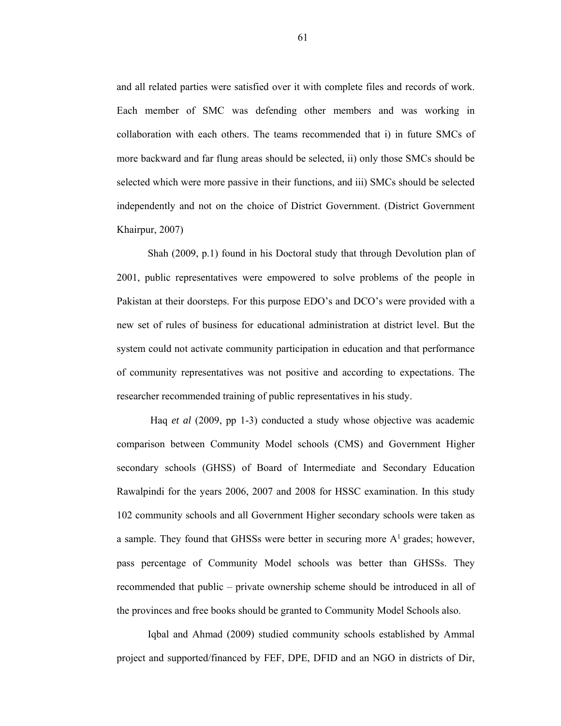and all related parties were satisfied over it with complete files and records of work. Each member of SMC was defending other members and was working in collaboration with each others. The teams recommended that i) in future SMCs of more backward and far flung areas should be selected, ii) only those SMCs should be selected which were more passive in their functions, and iii) SMCs should be selected independently and not on the choice of District Government. (District Government Khairpur, 2007)

Shah (2009, p.1) found in his Doctoral study that through Devolution plan of 2001, public representatives were empowered to solve problems of the people in Pakistan at their doorsteps. For this purpose EDO's and DCO's were provided with a new set of rules of business for educational administration at district level. But the system could not activate community participation in education and that performance of community representatives was not positive and according to expectations. The researcher recommended training of public representatives in his study.

 Haq *et al* (2009, pp 1-3) conducted a study whose objective was academic comparison between Community Model schools (CMS) and Government Higher secondary schools (GHSS) of Board of Intermediate and Secondary Education Rawalpindi for the years 2006, 2007 and 2008 for HSSC examination. In this study 102 community schools and all Government Higher secondary schools were taken as a sample. They found that GHSSs were better in securing more  $A<sup>1</sup>$  grades; however, pass percentage of Community Model schools was better than GHSSs. They recommended that public – private ownership scheme should be introduced in all of the provinces and free books should be granted to Community Model Schools also.

Iqbal and Ahmad (2009) studied community schools established by Ammal project and supported/financed by FEF, DPE, DFID and an NGO in districts of Dir,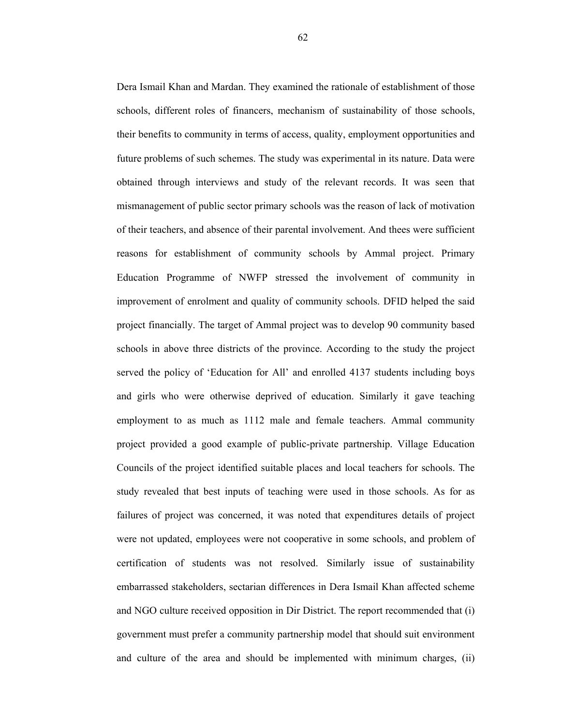Dera Ismail Khan and Mardan. They examined the rationale of establishment of those schools, different roles of financers, mechanism of sustainability of those schools, their benefits to community in terms of access, quality, employment opportunities and future problems of such schemes. The study was experimental in its nature. Data were obtained through interviews and study of the relevant records. It was seen that mismanagement of public sector primary schools was the reason of lack of motivation of their teachers, and absence of their parental involvement. And thees were sufficient reasons for establishment of community schools by Ammal project. Primary Education Programme of NWFP stressed the involvement of community in improvement of enrolment and quality of community schools. DFID helped the said project financially. The target of Ammal project was to develop 90 community based schools in above three districts of the province. According to the study the project served the policy of 'Education for All' and enrolled 4137 students including boys and girls who were otherwise deprived of education. Similarly it gave teaching employment to as much as 1112 male and female teachers. Ammal community project provided a good example of public-private partnership. Village Education Councils of the project identified suitable places and local teachers for schools. The study revealed that best inputs of teaching were used in those schools. As for as failures of project was concerned, it was noted that expenditures details of project were not updated, employees were not cooperative in some schools, and problem of certification of students was not resolved. Similarly issue of sustainability embarrassed stakeholders, sectarian differences in Dera Ismail Khan affected scheme and NGO culture received opposition in Dir District. The report recommended that (i) government must prefer a community partnership model that should suit environment and culture of the area and should be implemented with minimum charges, (ii)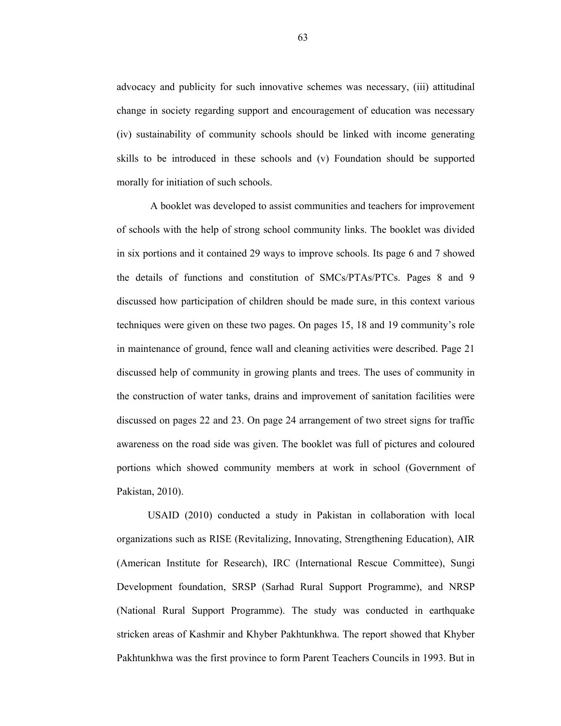advocacy and publicity for such innovative schemes was necessary, (iii) attitudinal change in society regarding support and encouragement of education was necessary (iv) sustainability of community schools should be linked with income generating skills to be introduced in these schools and (v) Foundation should be supported morally for initiation of such schools.

 A booklet was developed to assist communities and teachers for improvement of schools with the help of strong school community links. The booklet was divided in six portions and it contained 29 ways to improve schools. Its page 6 and 7 showed the details of functions and constitution of SMCs/PTAs/PTCs. Pages 8 and 9 discussed how participation of children should be made sure, in this context various techniques were given on these two pages. On pages 15, 18 and 19 community's role in maintenance of ground, fence wall and cleaning activities were described. Page 21 discussed help of community in growing plants and trees. The uses of community in the construction of water tanks, drains and improvement of sanitation facilities were discussed on pages 22 and 23. On page 24 arrangement of two street signs for traffic awareness on the road side was given. The booklet was full of pictures and coloured portions which showed community members at work in school (Government of Pakistan, 2010).

USAID (2010) conducted a study in Pakistan in collaboration with local organizations such as RISE (Revitalizing, Innovating, Strengthening Education), AIR (American Institute for Research), IRC (International Rescue Committee), Sungi Development foundation, SRSP (Sarhad Rural Support Programme), and NRSP (National Rural Support Programme). The study was conducted in earthquake stricken areas of Kashmir and Khyber Pakhtunkhwa. The report showed that Khyber Pakhtunkhwa was the first province to form Parent Teachers Councils in 1993. But in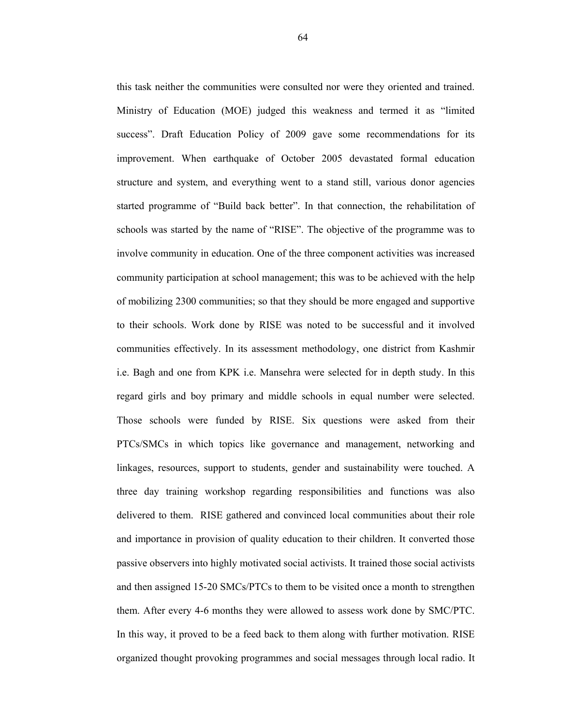this task neither the communities were consulted nor were they oriented and trained. Ministry of Education (MOE) judged this weakness and termed it as "limited success". Draft Education Policy of 2009 gave some recommendations for its improvement. When earthquake of October 2005 devastated formal education structure and system, and everything went to a stand still, various donor agencies started programme of "Build back better". In that connection, the rehabilitation of schools was started by the name of "RISE". The objective of the programme was to involve community in education. One of the three component activities was increased community participation at school management; this was to be achieved with the help of mobilizing 2300 communities; so that they should be more engaged and supportive to their schools. Work done by RISE was noted to be successful and it involved communities effectively. In its assessment methodology, one district from Kashmir i.e. Bagh and one from KPK i.e. Mansehra were selected for in depth study. In this regard girls and boy primary and middle schools in equal number were selected. Those schools were funded by RISE. Six questions were asked from their PTCs/SMCs in which topics like governance and management, networking and linkages, resources, support to students, gender and sustainability were touched. A three day training workshop regarding responsibilities and functions was also delivered to them. RISE gathered and convinced local communities about their role and importance in provision of quality education to their children. It converted those passive observers into highly motivated social activists. It trained those social activists and then assigned 15-20 SMCs/PTCs to them to be visited once a month to strengthen them. After every 4-6 months they were allowed to assess work done by SMC/PTC. In this way, it proved to be a feed back to them along with further motivation. RISE organized thought provoking programmes and social messages through local radio. It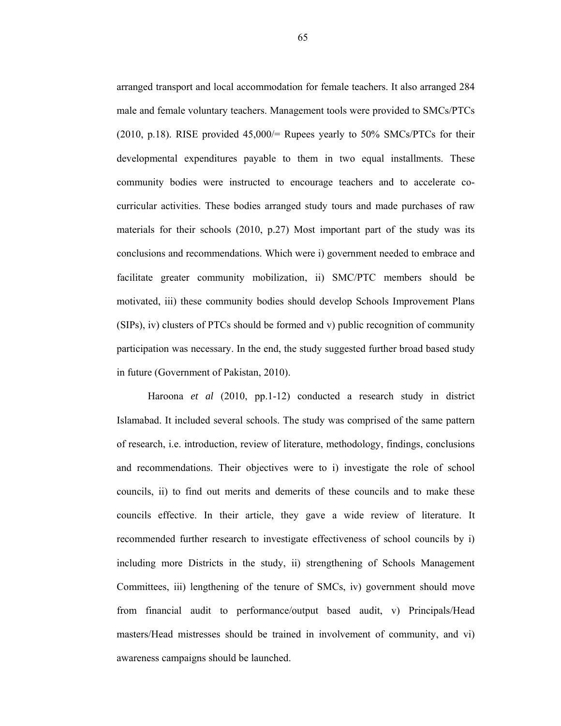arranged transport and local accommodation for female teachers. It also arranged 284 male and female voluntary teachers. Management tools were provided to SMCs/PTCs (2010, p.18). RISE provided  $45,000/=$  Rupees yearly to 50% SMCs/PTCs for their developmental expenditures payable to them in two equal installments. These community bodies were instructed to encourage teachers and to accelerate cocurricular activities. These bodies arranged study tours and made purchases of raw materials for their schools (2010, p.27) Most important part of the study was its conclusions and recommendations. Which were i) government needed to embrace and facilitate greater community mobilization, ii) SMC/PTC members should be motivated, iii) these community bodies should develop Schools Improvement Plans (SIPs), iv) clusters of PTCs should be formed and v) public recognition of community participation was necessary. In the end, the study suggested further broad based study in future (Government of Pakistan, 2010).

Haroona *et al* (2010, pp.1-12) conducted a research study in district Islamabad. It included several schools. The study was comprised of the same pattern of research, i.e. introduction, review of literature, methodology, findings, conclusions and recommendations. Their objectives were to i) investigate the role of school councils, ii) to find out merits and demerits of these councils and to make these councils effective. In their article, they gave a wide review of literature. It recommended further research to investigate effectiveness of school councils by i) including more Districts in the study, ii) strengthening of Schools Management Committees, iii) lengthening of the tenure of SMCs, iv) government should move from financial audit to performance/output based audit, v) Principals/Head masters/Head mistresses should be trained in involvement of community, and vi) awareness campaigns should be launched.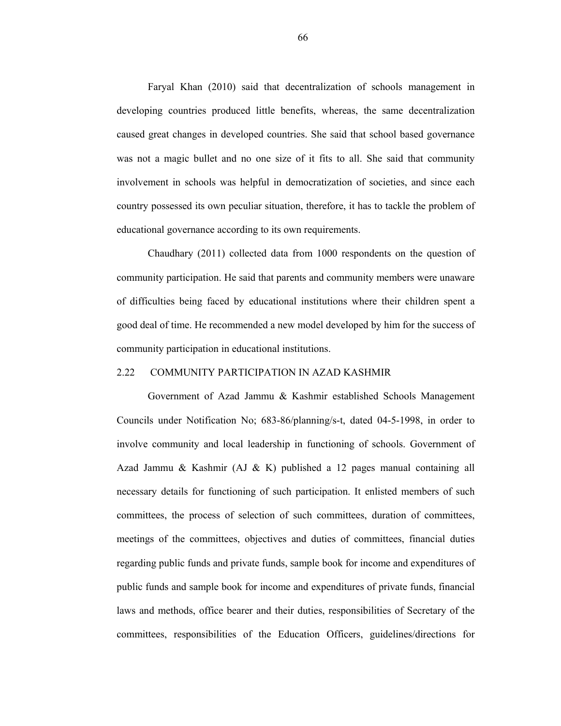Faryal Khan (2010) said that decentralization of schools management in developing countries produced little benefits, whereas, the same decentralization caused great changes in developed countries. She said that school based governance was not a magic bullet and no one size of it fits to all. She said that community involvement in schools was helpful in democratization of societies, and since each country possessed its own peculiar situation, therefore, it has to tackle the problem of educational governance according to its own requirements.

Chaudhary (2011) collected data from 1000 respondents on the question of community participation. He said that parents and community members were unaware of difficulties being faced by educational institutions where their children spent a good deal of time. He recommended a new model developed by him for the success of community participation in educational institutions.

#### 2.22 COMMUNITY PARTICIPATION IN AZAD KASHMIR

Government of Azad Jammu & Kashmir established Schools Management Councils under Notification No; 683-86/planning/s-t, dated 04-5-1998, in order to involve community and local leadership in functioning of schools. Government of Azad Jammu & Kashmir (AJ & K) published a 12 pages manual containing all necessary details for functioning of such participation. It enlisted members of such committees, the process of selection of such committees, duration of committees, meetings of the committees, objectives and duties of committees, financial duties regarding public funds and private funds, sample book for income and expenditures of public funds and sample book for income and expenditures of private funds, financial laws and methods, office bearer and their duties, responsibilities of Secretary of the committees, responsibilities of the Education Officers, guidelines/directions for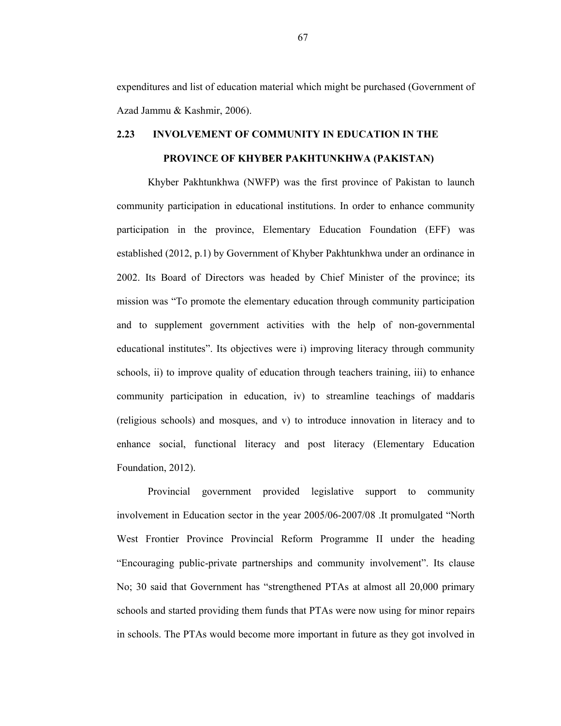expenditures and list of education material which might be purchased (Government of Azad Jammu & Kashmir, 2006).

# **2.23 INVOLVEMENT OF COMMUNITY IN EDUCATION IN THE PROVINCE OF KHYBER PAKHTUNKHWA (PAKISTAN)**

Khyber Pakhtunkhwa (NWFP) was the first province of Pakistan to launch community participation in educational institutions. In order to enhance community participation in the province, Elementary Education Foundation (EFF) was established (2012, p.1) by Government of Khyber Pakhtunkhwa under an ordinance in 2002. Its Board of Directors was headed by Chief Minister of the province; its mission was "To promote the elementary education through community participation and to supplement government activities with the help of non-governmental educational institutes". Its objectives were i) improving literacy through community schools, ii) to improve quality of education through teachers training, iii) to enhance community participation in education, iv) to streamline teachings of maddaris (religious schools) and mosques, and v) to introduce innovation in literacy and to enhance social, functional literacy and post literacy (Elementary Education Foundation, 2012).

Provincial government provided legislative support to community involvement in Education sector in the year 2005/06-2007/08 .It promulgated "North West Frontier Province Provincial Reform Programme II under the heading "Encouraging public-private partnerships and community involvement". Its clause No; 30 said that Government has "strengthened PTAs at almost all 20,000 primary schools and started providing them funds that PTAs were now using for minor repairs in schools. The PTAs would become more important in future as they got involved in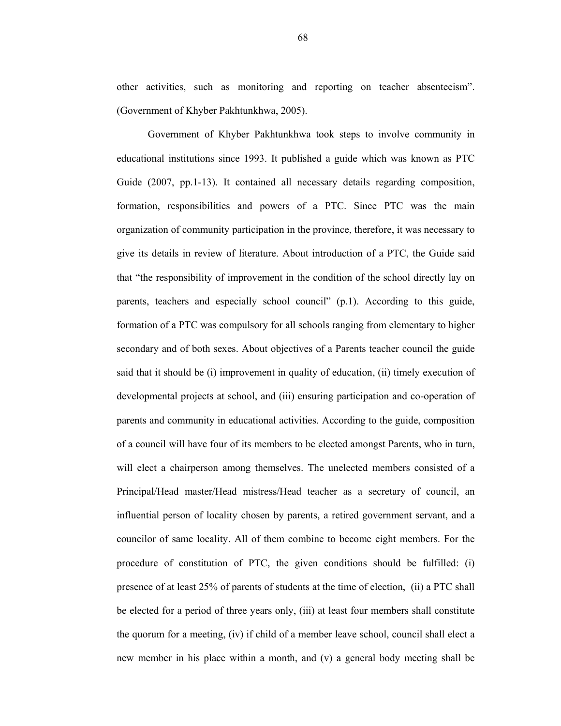other activities, such as monitoring and reporting on teacher absenteeism". (Government of Khyber Pakhtunkhwa, 2005).

Government of Khyber Pakhtunkhwa took steps to involve community in educational institutions since 1993. It published a guide which was known as PTC Guide (2007, pp. 1-13). It contained all necessary details regarding composition, formation, responsibilities and powers of a PTC. Since PTC was the main organization of community participation in the province, therefore, it was necessary to give its details in review of literature. About introduction of a PTC, the Guide said that "the responsibility of improvement in the condition of the school directly lay on parents, teachers and especially school council" (p.1). According to this guide, formation of a PTC was compulsory for all schools ranging from elementary to higher secondary and of both sexes. About objectives of a Parents teacher council the guide said that it should be (i) improvement in quality of education, (ii) timely execution of developmental projects at school, and (iii) ensuring participation and co-operation of parents and community in educational activities. According to the guide, composition of a council will have four of its members to be elected amongst Parents, who in turn, will elect a chairperson among themselves. The unelected members consisted of a Principal/Head master/Head mistress/Head teacher as a secretary of council, an influential person of locality chosen by parents, a retired government servant, and a councilor of same locality. All of them combine to become eight members. For the procedure of constitution of PTC, the given conditions should be fulfilled: (i) presence of at least 25% of parents of students at the time of election, (ii) a PTC shall be elected for a period of three years only, (iii) at least four members shall constitute the quorum for a meeting, (iv) if child of a member leave school, council shall elect a new member in his place within a month, and (v) a general body meeting shall be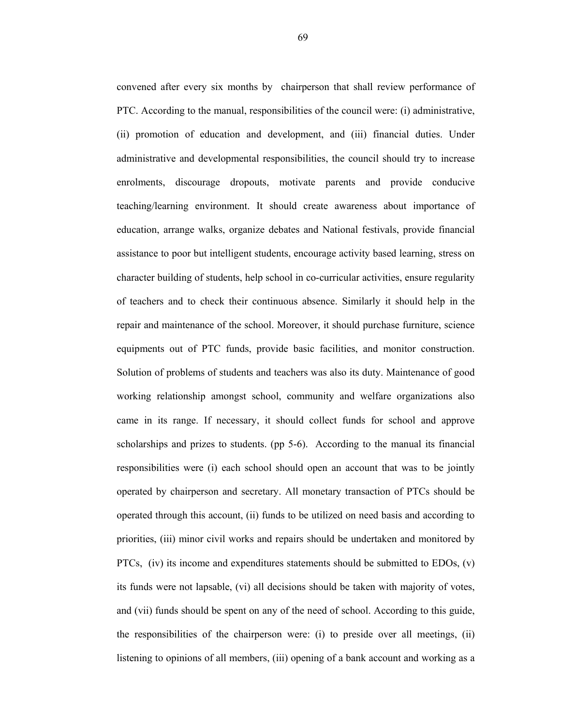convened after every six months by chairperson that shall review performance of PTC. According to the manual, responsibilities of the council were: (i) administrative, (ii) promotion of education and development, and (iii) financial duties. Under administrative and developmental responsibilities, the council should try to increase enrolments, discourage dropouts, motivate parents and provide conducive teaching/learning environment. It should create awareness about importance of education, arrange walks, organize debates and National festivals, provide financial assistance to poor but intelligent students, encourage activity based learning, stress on character building of students, help school in co-curricular activities, ensure regularity of teachers and to check their continuous absence. Similarly it should help in the repair and maintenance of the school. Moreover, it should purchase furniture, science equipments out of PTC funds, provide basic facilities, and monitor construction. Solution of problems of students and teachers was also its duty. Maintenance of good working relationship amongst school, community and welfare organizations also came in its range. If necessary, it should collect funds for school and approve scholarships and prizes to students. (pp 5-6). According to the manual its financial responsibilities were (i) each school should open an account that was to be jointly operated by chairperson and secretary. All monetary transaction of PTCs should be operated through this account, (ii) funds to be utilized on need basis and according to priorities, (iii) minor civil works and repairs should be undertaken and monitored by PTCs,  $(iv)$  its income and expenditures statements should be submitted to EDOs,  $(v)$ its funds were not lapsable, (vi) all decisions should be taken with majority of votes, and (vii) funds should be spent on any of the need of school. According to this guide, the responsibilities of the chairperson were: (i) to preside over all meetings, (ii) listening to opinions of all members, (iii) opening of a bank account and working as a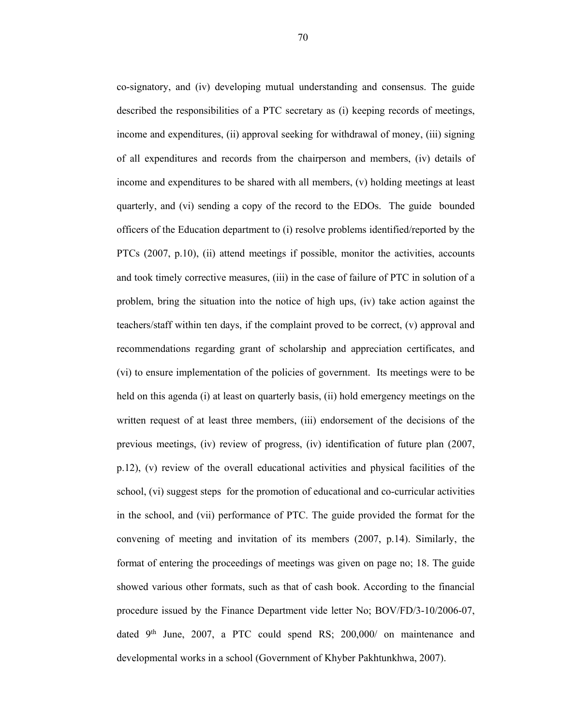co-signatory, and (iv) developing mutual understanding and consensus. The guide described the responsibilities of a PTC secretary as (i) keeping records of meetings, income and expenditures, (ii) approval seeking for withdrawal of money, (iii) signing of all expenditures and records from the chairperson and members, (iv) details of income and expenditures to be shared with all members, (v) holding meetings at least quarterly, and (vi) sending a copy of the record to the EDOs. The guide bounded officers of the Education department to (i) resolve problems identified/reported by the PTCs (2007, p.10), (ii) attend meetings if possible, monitor the activities, accounts and took timely corrective measures, (iii) in the case of failure of PTC in solution of a problem, bring the situation into the notice of high ups, (iv) take action against the teachers/staff within ten days, if the complaint proved to be correct, (v) approval and recommendations regarding grant of scholarship and appreciation certificates, and (vi) to ensure implementation of the policies of government. Its meetings were to be held on this agenda (i) at least on quarterly basis, (ii) hold emergency meetings on the written request of at least three members, (iii) endorsement of the decisions of the previous meetings, (iv) review of progress, (iv) identification of future plan (2007, p.12), (v) review of the overall educational activities and physical facilities of the school, (vi) suggest steps for the promotion of educational and co-curricular activities in the school, and (vii) performance of PTC. The guide provided the format for the convening of meeting and invitation of its members (2007, p.14). Similarly, the format of entering the proceedings of meetings was given on page no; 18. The guide showed various other formats, such as that of cash book. According to the financial procedure issued by the Finance Department vide letter No; BOV/FD/3-10/2006-07, dated  $9<sup>th</sup>$  June, 2007, a PTC could spend RS; 200,000/ on maintenance and developmental works in a school (Government of Khyber Pakhtunkhwa, 2007).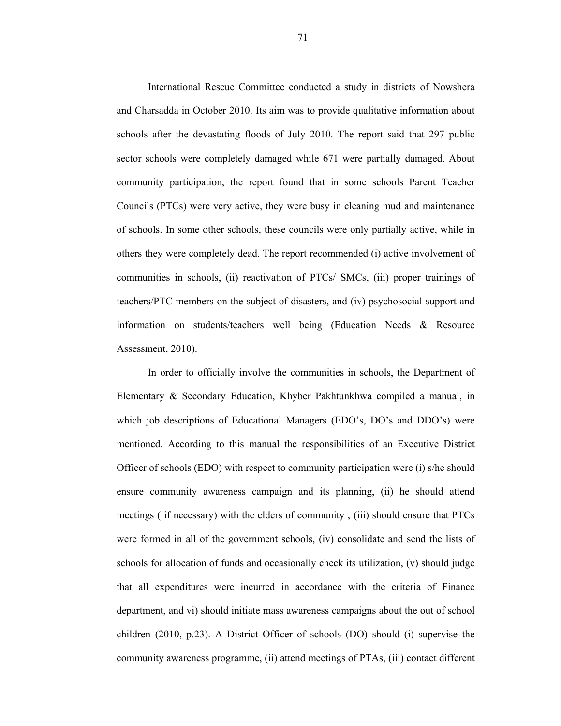International Rescue Committee conducted a study in districts of Nowshera and Charsadda in October 2010. Its aim was to provide qualitative information about schools after the devastating floods of July 2010. The report said that 297 public sector schools were completely damaged while 671 were partially damaged. About community participation, the report found that in some schools Parent Teacher Councils (PTCs) were very active, they were busy in cleaning mud and maintenance of schools. In some other schools, these councils were only partially active, while in others they were completely dead. The report recommended (i) active involvement of communities in schools, (ii) reactivation of PTCs/ SMCs, (iii) proper trainings of teachers/PTC members on the subject of disasters, and (iv) psychosocial support and information on students/teachers well being (Education Needs & Resource Assessment, 2010).

In order to officially involve the communities in schools, the Department of Elementary & Secondary Education, Khyber Pakhtunkhwa compiled a manual, in which job descriptions of Educational Managers (EDO's, DO's and DDO's) were mentioned. According to this manual the responsibilities of an Executive District Officer of schools (EDO) with respect to community participation were (i) s/he should ensure community awareness campaign and its planning, (ii) he should attend meetings ( if necessary) with the elders of community , (iii) should ensure that PTCs were formed in all of the government schools, (iv) consolidate and send the lists of schools for allocation of funds and occasionally check its utilization, (v) should judge that all expenditures were incurred in accordance with the criteria of Finance department, and vi) should initiate mass awareness campaigns about the out of school children (2010, p.23). A District Officer of schools (DO) should (i) supervise the community awareness programme, (ii) attend meetings of PTAs, (iii) contact different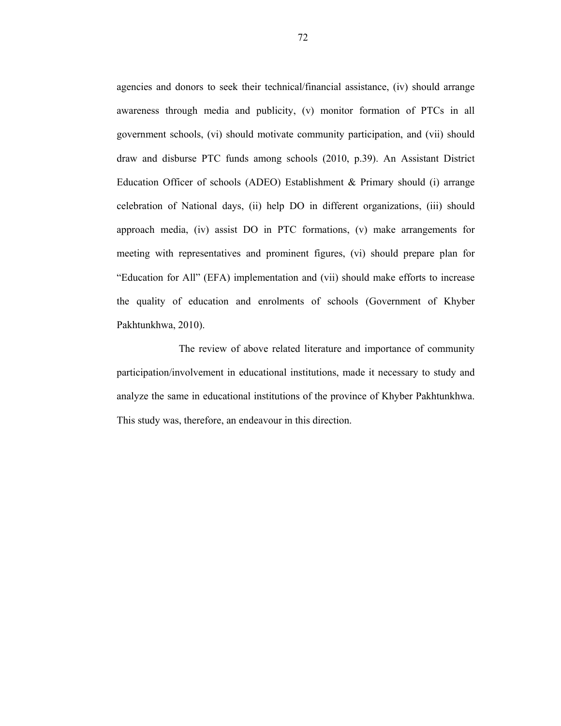agencies and donors to seek their technical/financial assistance, (iv) should arrange awareness through media and publicity, (v) monitor formation of PTCs in all government schools, (vi) should motivate community participation, and (vii) should draw and disburse PTC funds among schools (2010, p.39). An Assistant District Education Officer of schools (ADEO) Establishment  $\&$  Primary should (i) arrange celebration of National days, (ii) help DO in different organizations, (iii) should approach media, (iv) assist DO in PTC formations, (v) make arrangements for meeting with representatives and prominent figures, (vi) should prepare plan for "Education for All" (EFA) implementation and (vii) should make efforts to increase the quality of education and enrolments of schools (Government of Khyber Pakhtunkhwa, 2010).

 The review of above related literature and importance of community participation/involvement in educational institutions, made it necessary to study and analyze the same in educational institutions of the province of Khyber Pakhtunkhwa. This study was, therefore, an endeavour in this direction.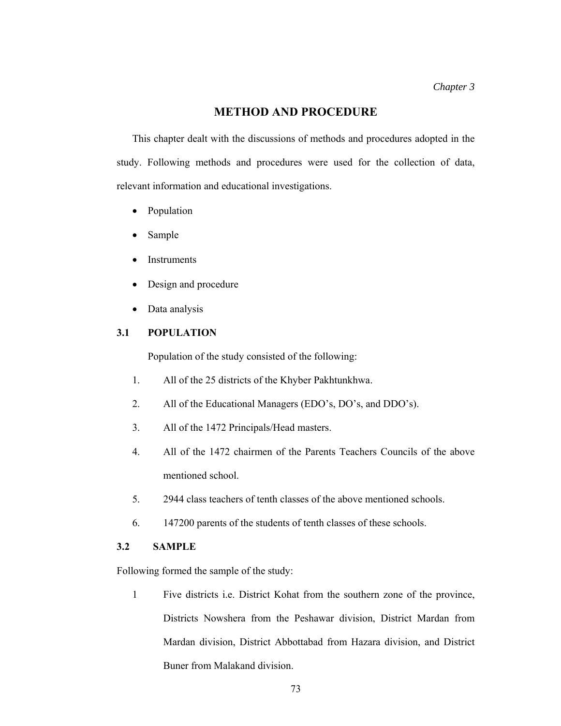# **METHOD AND PROCEDURE**

This chapter dealt with the discussions of methods and procedures adopted in the study. Following methods and procedures were used for the collection of data, relevant information and educational investigations.

- Population
- Sample
- Instruments
- Design and procedure
- Data analysis

# **3.1 POPULATION**

Population of the study consisted of the following:

- 1. All of the 25 districts of the Khyber Pakhtunkhwa.
- 2. All of the Educational Managers (EDO's, DO's, and DDO's).
- 3. All of the 1472 Principals/Head masters.
- 4. All of the 1472 chairmen of the Parents Teachers Councils of the above mentioned school.
- 5. 2944 class teachers of tenth classes of the above mentioned schools.
- 6. 147200 parents of the students of tenth classes of these schools.

#### **3.2 SAMPLE**

Following formed the sample of the study:

1 Five districts i.e. District Kohat from the southern zone of the province, Districts Nowshera from the Peshawar division, District Mardan from Mardan division, District Abbottabad from Hazara division, and District Buner from Malakand division.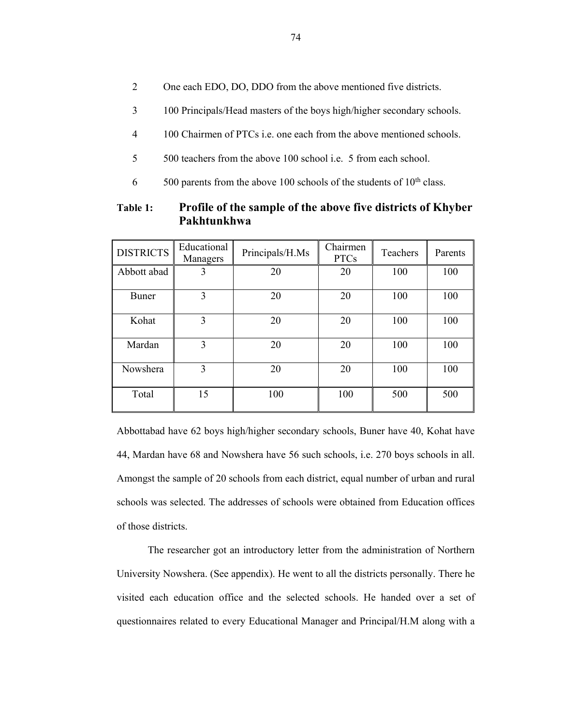- 2 One each EDO, DO, DDO from the above mentioned five districts.
- 3 100 Principals/Head masters of the boys high/higher secondary schools.
- 4 100 Chairmen of PTCs i.e. one each from the above mentioned schools.
- 5 500 teachers from the above 100 school i.e. 5 from each school.
- $6$  500 parents from the above 100 schools of the students of 10<sup>th</sup> class.

# **Table 1: Profile of the sample of the above five districts of Khyber Pakhtunkhwa**

| <b>DISTRICTS</b> | Educational<br>Managers | Principals/H.Ms | Chairmen<br><b>PTCs</b> | Teachers | Parents |
|------------------|-------------------------|-----------------|-------------------------|----------|---------|
| Abbott abad      | 3                       | 20              | 20                      | 100      | 100     |
| Buner            | 3                       | 20              | 20                      | 100      | 100     |
| Kohat            | 3                       | 20              | 20                      | 100      | 100     |
| Mardan           | 3                       | 20              | 20                      | 100      | 100     |
| Nowshera         | 3                       | 20              | 20                      | 100      | 100     |
| Total            | 15                      | 100             | 100                     | 500      | 500     |

Abbottabad have 62 boys high/higher secondary schools, Buner have 40, Kohat have 44, Mardan have 68 and Nowshera have 56 such schools, i.e. 270 boys schools in all. Amongst the sample of 20 schools from each district, equal number of urban and rural schools was selected. The addresses of schools were obtained from Education offices of those districts.

 The researcher got an introductory letter from the administration of Northern University Nowshera. (See appendix). He went to all the districts personally. There he visited each education office and the selected schools. He handed over a set of questionnaires related to every Educational Manager and Principal/H.M along with a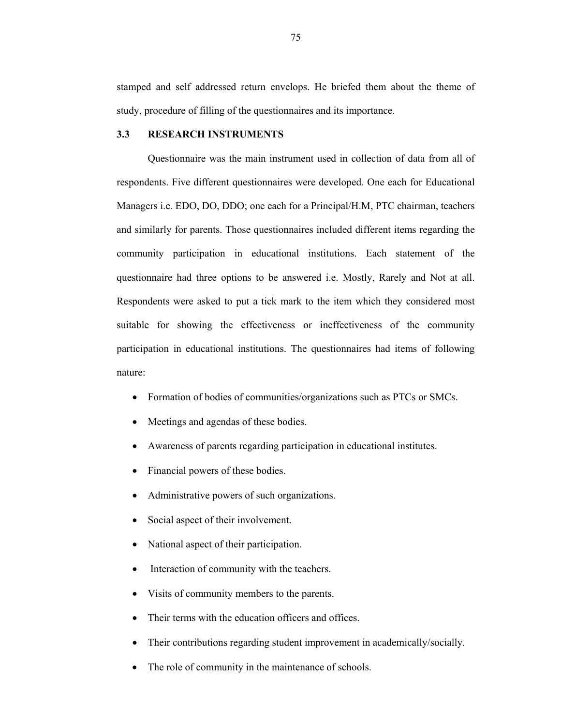stamped and self addressed return envelops. He briefed them about the theme of study, procedure of filling of the questionnaires and its importance.

#### **3.3 RESEARCH INSTRUMENTS**

 Questionnaire was the main instrument used in collection of data from all of respondents. Five different questionnaires were developed. One each for Educational Managers i.e. EDO, DO, DDO; one each for a Principal/H.M, PTC chairman, teachers and similarly for parents. Those questionnaires included different items regarding the community participation in educational institutions. Each statement of the questionnaire had three options to be answered i.e. Mostly, Rarely and Not at all. Respondents were asked to put a tick mark to the item which they considered most suitable for showing the effectiveness or ineffectiveness of the community participation in educational institutions. The questionnaires had items of following nature:

- Formation of bodies of communities/organizations such as PTCs or SMCs.
- Meetings and agendas of these bodies.
- Awareness of parents regarding participation in educational institutes.
- Financial powers of these bodies.
- Administrative powers of such organizations.
- Social aspect of their involvement.
- National aspect of their participation.
- Interaction of community with the teachers.
- Visits of community members to the parents.
- Their terms with the education officers and offices.
- Their contributions regarding student improvement in academically/socially.
- The role of community in the maintenance of schools.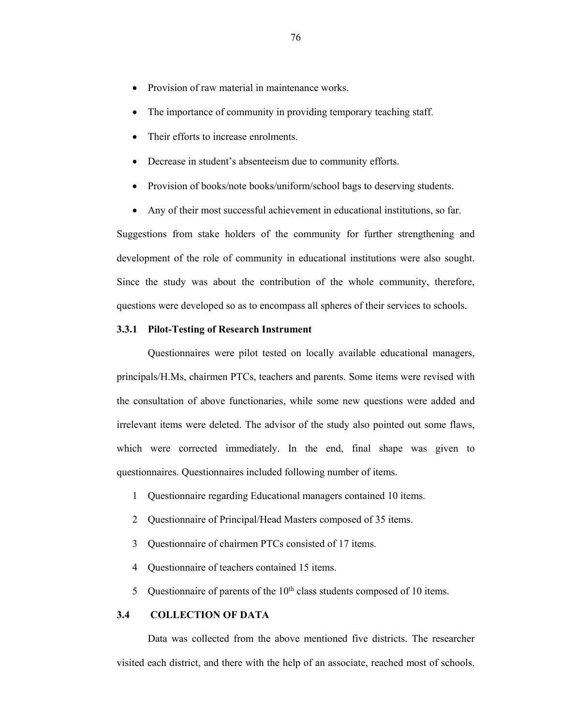- Provision of raw material in maintenance works.
- The importance of community in providing temporary teaching staff.
- Their efforts to increase enrolments.
- Decrease in student's absenteeism due to community efforts.
- Provision of books/note books/uniform/school bags to deserving students.
- Any of their most successful achievement in educational institutions, so far.

Suggestions from stake holders of the community for further strengthening and development of the role of community in educational institutions were also sought. Since the study was about the contribution of the whole community, therefore, questions were developed so as to encompass all spheres of their services to schools.

#### **3.3.1 Pilot-Testing of Research Instrument**

Questionnaires were pilot tested on locally available educational managers, principals/H.Ms, chairmen PTCs, teachers and parents. Some items were revised with the consultation of above functionaries, while some new questions were added and irrelevant items were deleted. The advisor of the study also pointed out some flaws, which were corrected immediately. In the end, final shape was given to questionnaires. Questionnaires included following number of items.

- 1 Questionnaire regarding Educational managers contained 10 items.
- 2 Questionnaire of Principal/Head Masters composed of 35 items.
- 3 Questionnaire of chairmen PTCs consisted of 17 items.
- 4 Questionnaire of teachers contained 15 items.
- 5 Questionnaire of parents of the  $10<sup>th</sup>$  class students composed of 10 items.

## **3.4 COLLECTION OF DATA**

 Data was collected from the above mentioned five districts. The researcher visited each district, and there with the help of an associate, reached most of schools.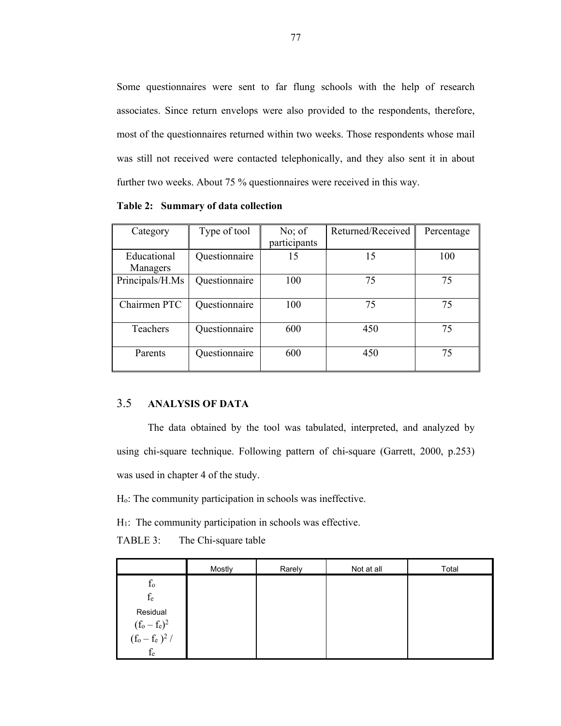Some questionnaires were sent to far flung schools with the help of research associates. Since return envelops were also provided to the respondents, therefore, most of the questionnaires returned within two weeks. Those respondents whose mail was still not received were contacted telephonically, and they also sent it in about further two weeks. About 75 % questionnaires were received in this way.

Category Type of tool No; of participants Returned/Received Percentage Educational Managers Questionnaire 15 15 100 Principals/H.Ms Questionnaire 100 75 75 Chairmen PTC Questionnaire 100 75 75 75 Teachers Questionnaire 600 450 75 Parents Questionnaire 600 450 75

**Table 2: Summary of data collection** 

### 3.5 **ANALYSIS OF DATA**

The data obtained by the tool was tabulated, interpreted, and analyzed by using chi-square technique. Following pattern of chi-square (Garrett, 2000, p.253) was used in chapter 4 of the study.

Ho: The community participation in schools was ineffective.

H1: The community participation in schools was effective.

# TABLE 3: The Chi-square table

|                                               | Mostly | Rarely | Not at all | Total |
|-----------------------------------------------|--------|--------|------------|-------|
| $f_{o}$                                       |        |        |            |       |
| $f_e$                                         |        |        |            |       |
| Residual                                      |        |        |            |       |
| $(f_o - f_e)^2$<br>$(f_o - f_e)^2$ /<br>$f_e$ |        |        |            |       |
|                                               |        |        |            |       |
|                                               |        |        |            |       |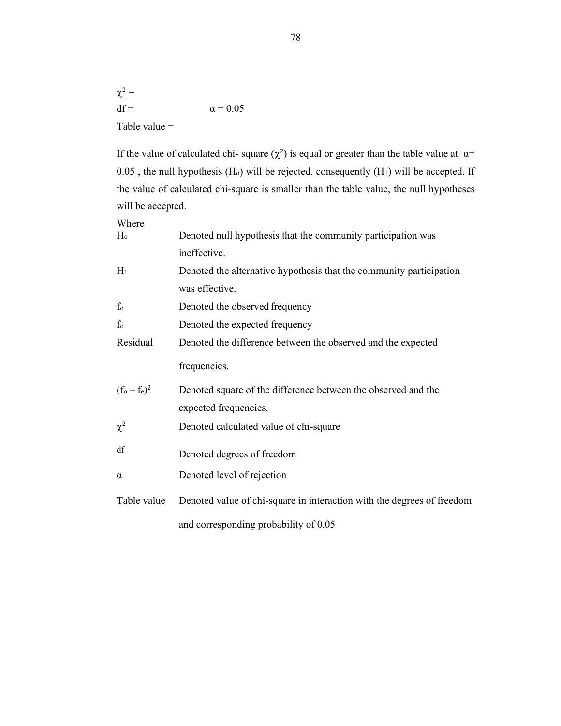$\chi^2 =$  $df = \alpha = 0.05$ Table value =

If the value of calculated chi-square  $(\chi^2)$  is equal or greater than the table value at  $\alpha$ =  $0.05$ , the null hypothesis (H<sub>o</sub>) will be rejected, consequently (H<sub>1</sub>) will be accepted. If the value of calculated chi-square is smaller than the table value, the null hypotheses will be accepted.

| Where           |                                                                        |
|-----------------|------------------------------------------------------------------------|
| $H_0$           | Denoted null hypothesis that the community participation was           |
|                 | ineffective.                                                           |
| $H_1$           | Denoted the alternative hypothesis that the community participation    |
|                 | was effective.                                                         |
| $f_{o}$         | Denoted the observed frequency                                         |
| fe              | Denoted the expected frequency                                         |
| Residual        | Denoted the difference between the observed and the expected           |
|                 | frequencies.                                                           |
| $(f_0 - f_e)^2$ | Denoted square of the difference between the observed and the          |
|                 | expected frequencies.                                                  |
| $\chi^2$        | Denoted calculated value of chi-square                                 |
| df              | Denoted degrees of freedom                                             |
| $\alpha$        | Denoted level of rejection                                             |
|                 |                                                                        |
| Table value     | Denoted value of chi-square in interaction with the degrees of freedom |
|                 | and corresponding probability of 0.05                                  |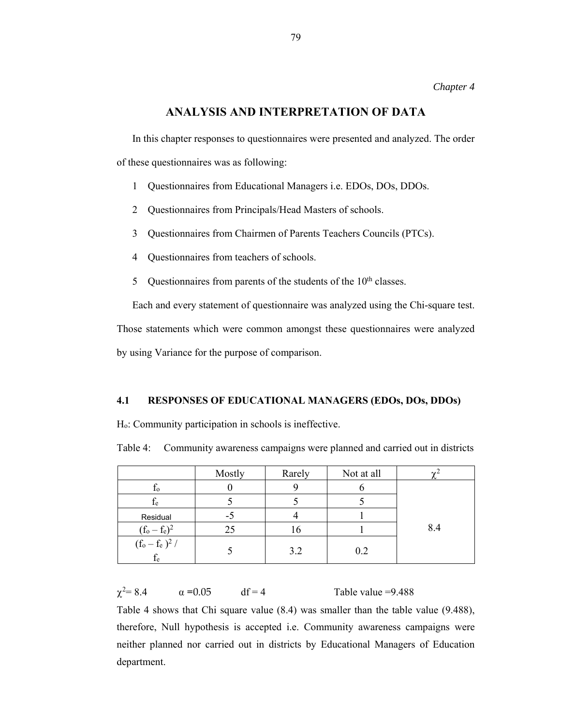## **ANALYSIS AND INTERPRETATION OF DATA**

In this chapter responses to questionnaires were presented and analyzed. The order of these questionnaires was as following:

- 1 Questionnaires from Educational Managers i.e. EDOs, DOs, DDOs.
- 2 Questionnaires from Principals/Head Masters of schools.
- 3 Questionnaires from Chairmen of Parents Teachers Councils (PTCs).
- 4 Questionnaires from teachers of schools.
- 5 Questionnaires from parents of the students of the  $10<sup>th</sup>$  classes.

Each and every statement of questionnaire was analyzed using the Chi-square test.

Those statements which were common amongst these questionnaires were analyzed

by using Variance for the purpose of comparison.

#### **4.1 RESPONSES OF EDUCATIONAL MANAGERS (EDOs, DOs, DDOs)**

Ho: Community participation in schools is ineffective.

Table 4: Community awareness campaigns were planned and carried out in districts

|                                                               | Mostly | Rarely | Not at all |     |
|---------------------------------------------------------------|--------|--------|------------|-----|
| 10 <sup>2</sup>                                               |        |        |            |     |
| $f_e$                                                         |        |        |            |     |
| Residual                                                      | -5     |        |            |     |
| $(f_o - f_e)^2$                                               | 25     |        |            | 8.4 |
| $(\mathrm{f}_\mathrm{o} - \mathrm{f}_\mathrm{e}\,)^2$ /<br>te |        | 3.2    | 0.2        |     |

 $\gamma^2 = 8.4$   $\alpha = 0.05$  df = 4 Table value =9.488

Table 4 shows that Chi square value (8.4) was smaller than the table value (9.488), therefore, Null hypothesis is accepted i.e. Community awareness campaigns were neither planned nor carried out in districts by Educational Managers of Education department.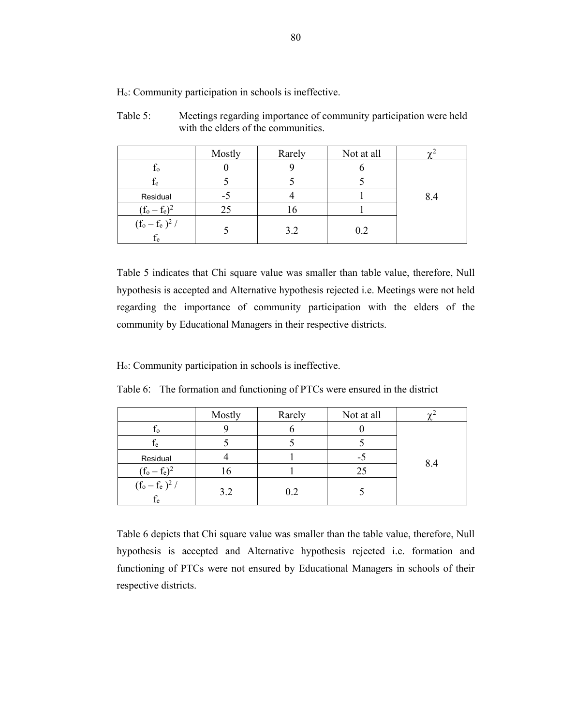|                            | Mostly | Rarely      | Not at all |     |
|----------------------------|--------|-------------|------------|-----|
| Ιo                         |        |             |            |     |
| $f_e$                      |        |             |            |     |
| Residual                   | нŪ     |             |            | 8.4 |
| $(f_0 - f_e)^2$            | 25     | $\mathbf b$ |            |     |
| $(f_o - f_e)^2 /$<br>$f_e$ |        | 3.2         | 0.2        |     |

Table 5: Meetings regarding importance of community participation were held with the elders of the communities.

Table 5 indicates that Chi square value was smaller than table value, therefore, Null hypothesis is accepted and Alternative hypothesis rejected i.e. Meetings were not held regarding the importance of community participation with the elders of the community by Educational Managers in their respective districts.

Ho: Community participation in schools is ineffective.

| Table 6: The formation and functioning of PTCs were ensured in the district |  |  |
|-----------------------------------------------------------------------------|--|--|
|-----------------------------------------------------------------------------|--|--|

|                             | Mostly | Rarely | Not at all |     |
|-----------------------------|--------|--------|------------|-----|
| Ιo                          |        |        |            |     |
| Ιe                          |        |        |            |     |
| Residual                    |        |        | -5         | 8.4 |
| $(f_0 - f_e)^2$             | 16     |        | 25         |     |
| $\frac{(f_o - f_e)^2}{f_e}$ | 3.2    | 0.2    |            |     |

Table 6 depicts that Chi square value was smaller than the table value, therefore, Null hypothesis is accepted and Alternative hypothesis rejected i.e. formation and functioning of PTCs were not ensured by Educational Managers in schools of their respective districts.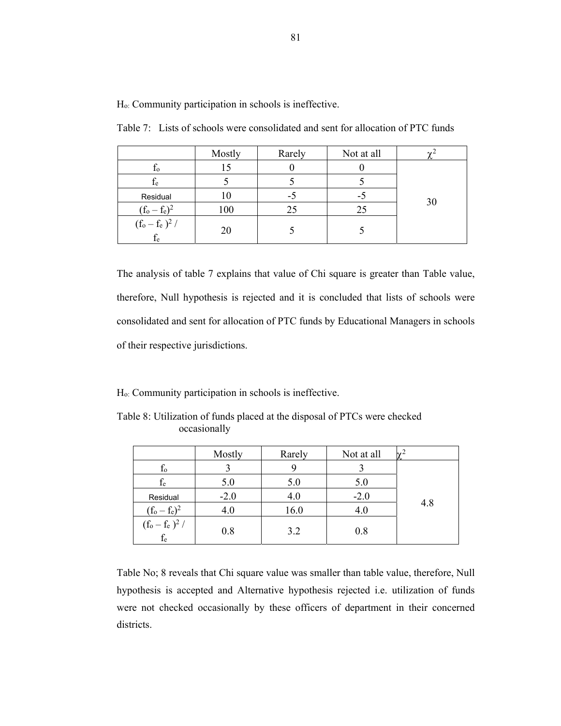|                             | Mostly | Rarely | Not at all |    |
|-----------------------------|--------|--------|------------|----|
| Ιo                          |        |        |            |    |
| fe                          |        |        |            |    |
| Residual                    |        | -5     | -5         | 30 |
| $(f_0 - f_e)^2$             | 100    | 25     | 25         |    |
| $\frac{(f_o - f_e)^2}{f_e}$ | 20     |        |            |    |

Table 7: Lists of schools were consolidated and sent for allocation of PTC funds

The analysis of table 7 explains that value of Chi square is greater than Table value, therefore, Null hypothesis is rejected and it is concluded that lists of schools were consolidated and sent for allocation of PTC funds by Educational Managers in schools of their respective jurisdictions.

Ho: Community participation in schools is ineffective.

|                       | Mostly | Rarely | Not at all |     |
|-----------------------|--------|--------|------------|-----|
| $f_{o}$               |        |        |            |     |
| fe                    | 5.0    | 5.0    | 5.0        |     |
| Residual              | $-2.0$ | 4.0    | $-2.0$     |     |
| $(f_0 - f_e)^2$       | 4.0    | 16.0   | 4.0        | 4.8 |
| $(f_o - f_e)^2 / f_e$ | 0.8    | 3.2    | 0.8        |     |

Table 8: Utilization of funds placed at the disposal of PTCs were checked occasionally

Table No; 8 reveals that Chi square value was smaller than table value, therefore, Null hypothesis is accepted and Alternative hypothesis rejected i.e. utilization of funds were not checked occasionally by these officers of department in their concerned districts.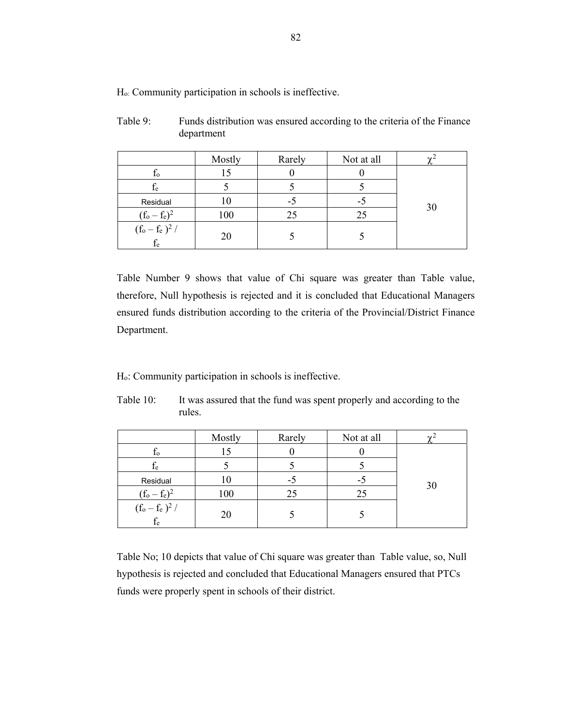|                             | Mostly | Rarely | Not at all |    |
|-----------------------------|--------|--------|------------|----|
| Ιo                          |        |        |            |    |
| $f_e$                       |        |        |            |    |
| Residual                    | 10     | -5     | -5         | 30 |
| $(f_0 - f_e)^2$             | 100    | 25     | 25         |    |
| $\frac{(f_o - f_e)^2}{f_e}$ | 20     |        |            |    |

| Table 9: | Funds distribution was ensured according to the criteria of the Finance |
|----------|-------------------------------------------------------------------------|
|          | department                                                              |

Table Number 9 shows that value of Chi square was greater than Table value, therefore, Null hypothesis is rejected and it is concluded that Educational Managers ensured funds distribution according to the criteria of the Provincial/District Finance Department.

Ho: Community participation in schools is ineffective.

|                                     | Mostly | Rarely | Not at all |    |
|-------------------------------------|--------|--------|------------|----|
| I <sub>0</sub>                      | כו     |        |            |    |
| $f_e$                               |        |        |            |    |
| Residual                            | l0     | -5     | -5         | 30 |
| $(f_0 - f_e)^2$                     | 100    | 25     | 25         |    |
| $(f_o - f_e)^2 /$<br>f <sub>e</sub> | 20     |        |            |    |

Table 10: It was assured that the fund was spent properly and according to the rules.

Table No; 10 depicts that value of Chi square was greater than Table value, so, Null hypothesis is rejected and concluded that Educational Managers ensured that PTCs funds were properly spent in schools of their district.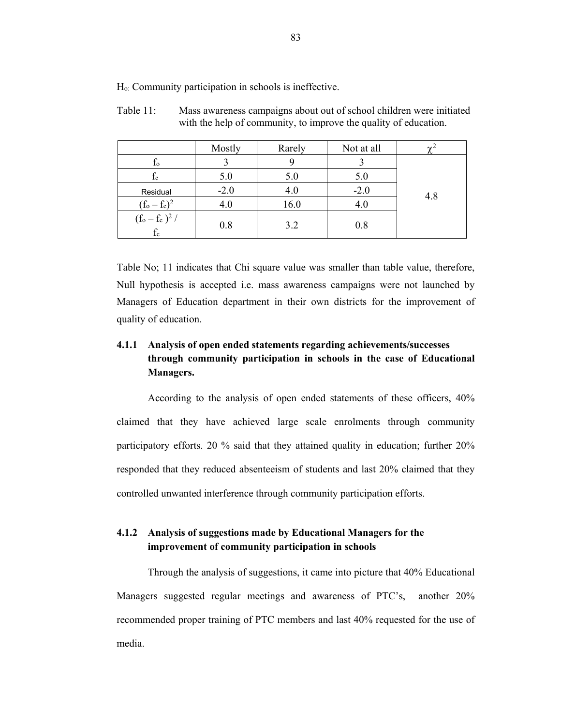|                                                                               | Mostly | Rarely | Not at all |     |
|-------------------------------------------------------------------------------|--------|--------|------------|-----|
| $f_{o}$                                                                       |        |        |            |     |
| $\rm f_e$                                                                     | 5.0    | 5.0    | 5.0        |     |
| Residual                                                                      | $-2.0$ | 4.0    | $-2.0$     | 4.8 |
| $(f_0 - f_e)^2$                                                               | 4.0    | 16.0   | 4.0        |     |
| $(\mathrm{f}_\mathrm{o} - \mathrm{f}_\mathrm{e})^2$ / $\mathrm{f}_\mathrm{e}$ | 0.8    | 3.2    | 0.8        |     |

Table 11: Mass awareness campaigns about out of school children were initiated with the help of community, to improve the quality of education.

Table No; 11 indicates that Chi square value was smaller than table value, therefore, Null hypothesis is accepted i.e. mass awareness campaigns were not launched by Managers of Education department in their own districts for the improvement of quality of education.

# **4.1.1 Analysis of open ended statements regarding achievements/successes through community participation in schools in the case of Educational Managers.**

According to the analysis of open ended statements of these officers, 40% claimed that they have achieved large scale enrolments through community participatory efforts. 20 % said that they attained quality in education; further 20% responded that they reduced absenteeism of students and last 20% claimed that they controlled unwanted interference through community participation efforts.

# **4.1.2 Analysis of suggestions made by Educational Managers for the improvement of community participation in schools**

Through the analysis of suggestions, it came into picture that 40% Educational Managers suggested regular meetings and awareness of PTC's, another 20% recommended proper training of PTC members and last 40% requested for the use of media.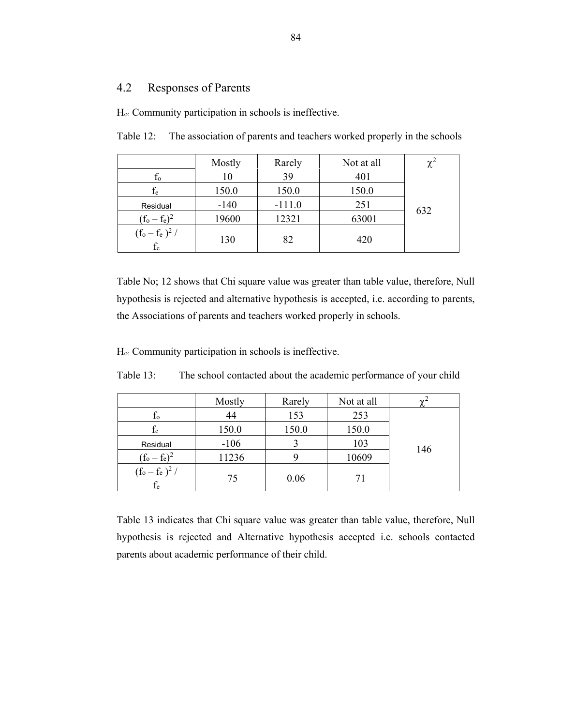# 4.2 Responses of Parents

Ho: Community participation in schools is ineffective.

|                                   | Mostly | Rarely   | Not at all |     |
|-----------------------------------|--------|----------|------------|-----|
| $f_{o}$                           | 10     | 39       | 401        |     |
| $f_e$                             | 150.0  | 150.0    | 150.0      |     |
| Residual                          | $-140$ | $-111.0$ | 251        | 632 |
| $(f_0 - f_e)^2$                   | 19600  | 12321    | 63001      |     |
| $(f_o - f_e)^2$ /<br>$\rm{f_{e}}$ | 130    | 82       | 420        |     |

Table 12: The association of parents and teachers worked properly in the schools

Table No; 12 shows that Chi square value was greater than table value, therefore, Null hypothesis is rejected and alternative hypothesis is accepted, i.e. according to parents, the Associations of parents and teachers worked properly in schools.

Ho: Community participation in schools is ineffective.

|                            | Mostly | Rarely | Not at all | $\sim$ <sup>2</sup> |
|----------------------------|--------|--------|------------|---------------------|
| $f_{o}$                    | 44     | 153    | 253        |                     |
| $\rm f_e$                  | 150.0  | 150.0  | 150.0      |                     |
| Residual                   | $-106$ |        | 103        | 146                 |
| $(f_0 - f_e)^2$            | 11236  |        | 10609      |                     |
| $(f_o - f_e)^2$ /<br>$f_e$ | 75     | 0.06   |            |                     |

Table 13: The school contacted about the academic performance of your child

Table 13 indicates that Chi square value was greater than table value, therefore, Null hypothesis is rejected and Alternative hypothesis accepted i.e. schools contacted parents about academic performance of their child.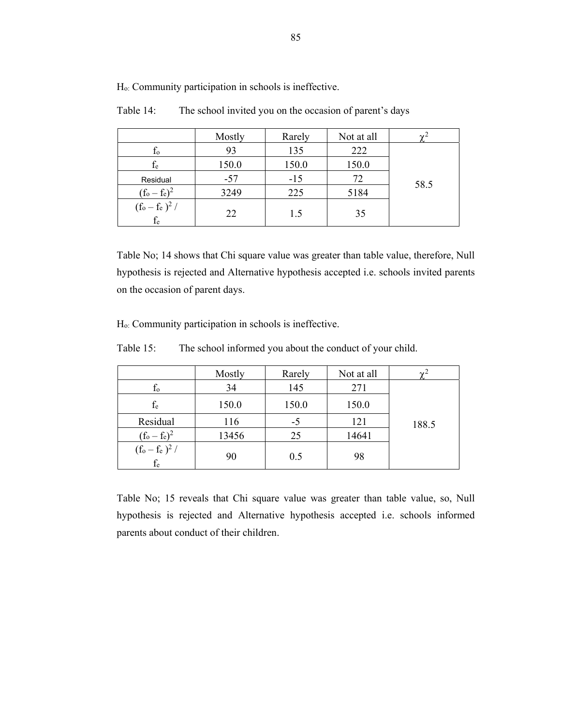|                            | Mostly | Rarely | Not at all |      |
|----------------------------|--------|--------|------------|------|
| $f_{o}$                    | 93     | 135    | 222        |      |
| $f_e$                      | 150.0  | 150.0  | 150.0      |      |
| Residual                   | $-57$  | $-15$  | 72         | 58.5 |
| $(f_o - f_e)^2$            | 3249   | 225    | 5184       |      |
| $(f_o - f_e)^2$ /<br>$f_e$ | 22     | 1.5    | 35         |      |

Table 14: The school invited you on the occasion of parent's days

Table No; 14 shows that Chi square value was greater than table value, therefore, Null hypothesis is rejected and Alternative hypothesis accepted i.e. schools invited parents on the occasion of parent days.

Ho: Community participation in schools is ineffective.

Table 15: The school informed you about the conduct of your child.

|                            | Mostly | Rarely | Not at all |       |
|----------------------------|--------|--------|------------|-------|
| $f_{o}$                    | 34     | 145    | 271        |       |
| $f_{\rm e}$                | 150.0  | 150.0  | 150.0      |       |
| Residual                   | 116    | $-5$   | 121        | 188.5 |
| $(f_0 - f_e)^2$            | 13456  | 25     | 14641      |       |
| $(f_o - f_e)^2$ /<br>$f_e$ | 90     | 0.5    | 98         |       |

Table No; 15 reveals that Chi square value was greater than table value, so, Null hypothesis is rejected and Alternative hypothesis accepted i.e. schools informed parents about conduct of their children.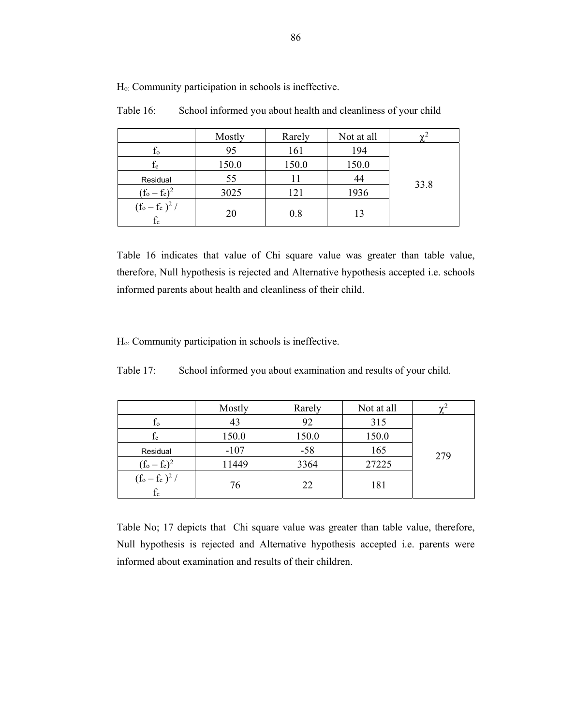|                            | Mostly | Rarely | Not at all | $\sim$ |
|----------------------------|--------|--------|------------|--------|
| $f_{o}$                    | 95     | 161    | 194        |        |
| $f_e$                      | 150.0  | 150.0  | 150.0      |        |
| Residual                   | 55     | 11     | 44         | 33.8   |
| $(f_o - f_e)^2$            | 3025   | 121    | 1936       |        |
| $(f_o - f_e)^2$ /<br>$f_e$ | 20     | 0.8    | 13         |        |

Table 16: School informed you about health and cleanliness of your child

Table 16 indicates that value of Chi square value was greater than table value, therefore, Null hypothesis is rejected and Alternative hypothesis accepted i.e. schools informed parents about health and cleanliness of their child.

Ho: Community participation in schools is ineffective.

Table 17: School informed you about examination and results of your child.

|                            | Mostly | Rarely | Not at all | $\gamma$ |
|----------------------------|--------|--------|------------|----------|
| $f_{o}$                    | 43     | 92     | 315        |          |
| $\rm f_e$                  | 150.0  | 150.0  | 150.0      |          |
| Residual                   | $-107$ | $-58$  | 165        | 279      |
| $(f_0 - f_e)^2$            | 11449  | 3364   | 27225      |          |
| $(f_o - f_e)^2 /$<br>$f_e$ | 76     | 22     | 181        |          |

Table No; 17 depicts that Chi square value was greater than table value, therefore, Null hypothesis is rejected and Alternative hypothesis accepted i.e. parents were informed about examination and results of their children.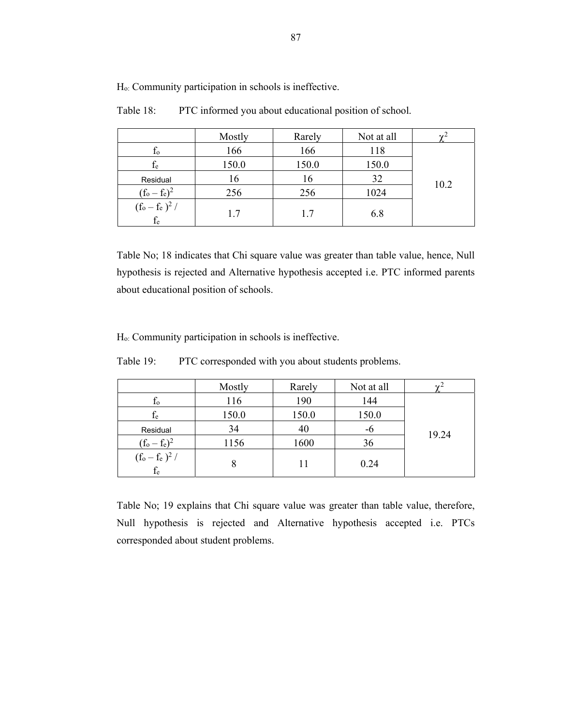|                            | Mostly | Rarely | Not at all |      |
|----------------------------|--------|--------|------------|------|
| $f_{o}$                    | 166    | 166    | 118        |      |
| $\rm f_e$                  | 150.0  | 150.0  | 150.0      |      |
| Residual                   | 16     | 16     | 32         | 10.2 |
| $(f_o - f_e)^2$            | 256    | 256    | 1024       |      |
| $(f_o - f_e)^2$ /<br>$f_e$ | 17     | 1.7    | 6.8        |      |

Table 18: PTC informed you about educational position of school.

Table No; 18 indicates that Chi square value was greater than table value, hence, Null hypothesis is rejected and Alternative hypothesis accepted i.e. PTC informed parents about educational position of schools.

Ho: Community participation in schools is ineffective.

| Table 19: |  | PTC corresponded with you about students problems. |
|-----------|--|----------------------------------------------------|
|           |  |                                                    |

|                                | Mostly | Rarely | Not at all | $\sim$ <sup>2</sup> |
|--------------------------------|--------|--------|------------|---------------------|
| $f_{o}$                        | 116    | 190    | 144        |                     |
| $\rm f_e$                      | 150.0  | 150.0  | 150.0      |                     |
| Residual                       | 34     | 40     | -6         | 19.24               |
| $(f_0 - f_e)^2$                | 1156   | 1600   | 36         |                     |
| $(f_o-f_e)^2/ \frac{f_e}{f_e}$ | 8      |        | 0.24       |                     |

Table No; 19 explains that Chi square value was greater than table value, therefore, Null hypothesis is rejected and Alternative hypothesis accepted i.e. PTCs corresponded about student problems.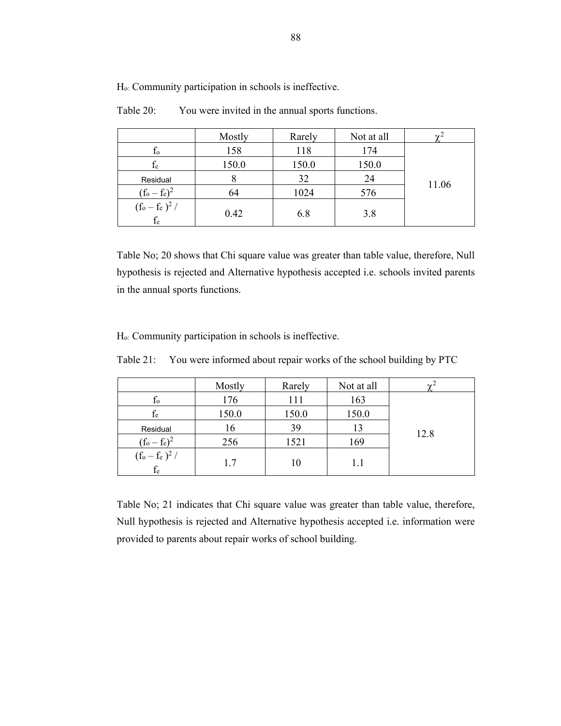|                            | Mostly | Rarely | Not at all |       |
|----------------------------|--------|--------|------------|-------|
| $f_{o}$                    | 158    | 118    | 174        |       |
| ${\rm f_e}$                | 150.0  | 150.0  | 150.0      |       |
| Residual                   | 8      | 32     | 24         | 11.06 |
| $(f_o - f_e)^2$            | 64     | 1024   | 576        |       |
| $(f_0 - f_e)^2 /$<br>$f_e$ | 0.42   | 6.8    | 3.8        |       |

Table 20: You were invited in the annual sports functions.

Table No; 20 shows that Chi square value was greater than table value, therefore, Null hypothesis is rejected and Alternative hypothesis accepted i.e. schools invited parents in the annual sports functions.

Ho: Community participation in schools is ineffective.

| Table 21: | You were informed about repair works of the school building by PTC |  |  |
|-----------|--------------------------------------------------------------------|--|--|
|           |                                                                    |  |  |

|                             | Mostly | Rarely | Not at all |      |
|-----------------------------|--------|--------|------------|------|
| $f_{o}$                     | 176    | 111    | 163        |      |
| $f_e$                       | 150.0  | 150.0  | 150.0      |      |
| Residual                    | 16     | 39     | 13         | 12.8 |
| $(f_0 - f_e)^2$             | 256    | 1521   | 169        |      |
| $\frac{(f_o - f_e)^2}{f_e}$ | 1.7    | 10     | 1.1        |      |

Table No; 21 indicates that Chi square value was greater than table value, therefore, Null hypothesis is rejected and Alternative hypothesis accepted i.e. information were provided to parents about repair works of school building.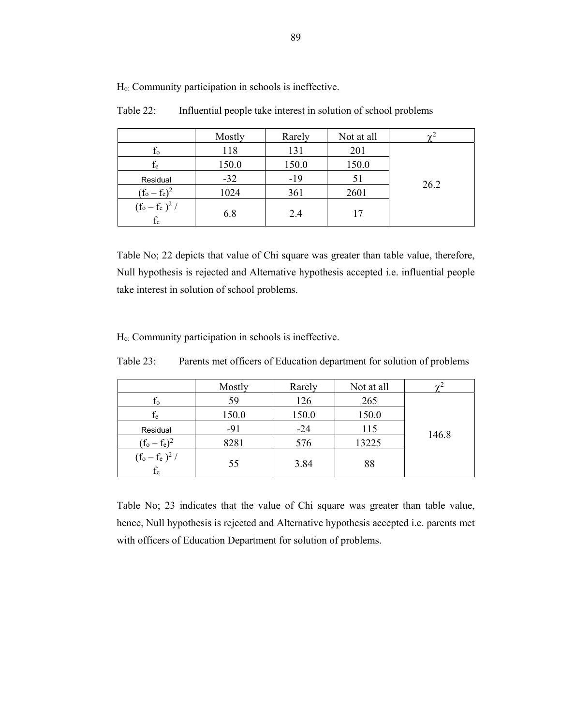|                                | Mostly | Rarely | Not at all | $\gamma^2$ |
|--------------------------------|--------|--------|------------|------------|
| $f_{o}$                        | 118    | 131    | 201        |            |
| $f_e$                          | 150.0  | 150.0  | 150.0      |            |
| Residual                       | $-32$  | $-19$  | 51         | 26.2       |
| $(f_o - f_e)^2$                | 1024   | 361    | 2601       |            |
| $(f_o - f_e)^2 /$<br>$\rm f_e$ | 6.8    | 2.4    | 17         |            |

Table 22: Influential people take interest in solution of school problems

Table No; 22 depicts that value of Chi square was greater than table value, therefore, Null hypothesis is rejected and Alternative hypothesis accepted i.e. influential people take interest in solution of school problems.

Ho: Community participation in schools is ineffective.

Table 23: Parents met officers of Education department for solution of problems

|                             | Mostly | Rarely | Not at all | $\sim$ <sup>2</sup> |
|-----------------------------|--------|--------|------------|---------------------|
| $f_{o}$                     | 59     | 126    | 265        |                     |
| $f_e$                       | 150.0  | 150.0  | 150.0      |                     |
| Residual                    | $-91$  | $-24$  | 115        | 146.8               |
| $(f_0 - f_e)^2$             | 8281   | 576    | 13225      |                     |
| $\frac{(f_o - f_e)^2}{f_e}$ | 55     | 3.84   | 88         |                     |

Table No; 23 indicates that the value of Chi square was greater than table value, hence, Null hypothesis is rejected and Alternative hypothesis accepted i.e. parents met with officers of Education Department for solution of problems.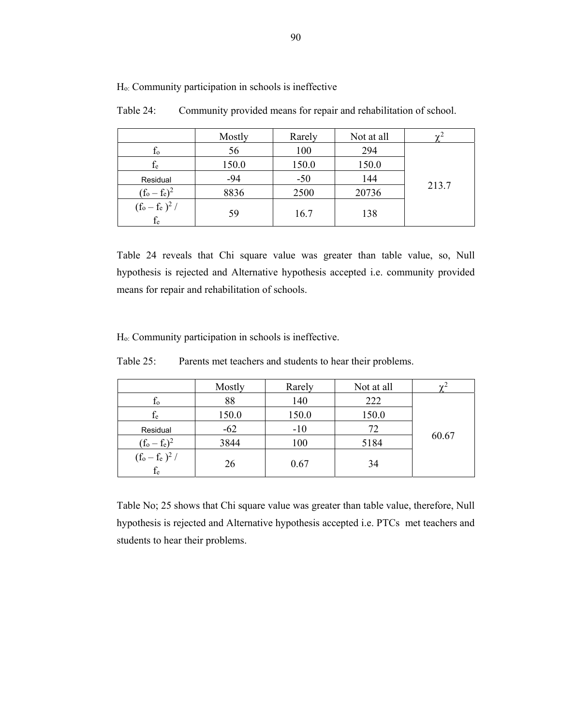|                            | Mostly | Rarely | Not at all | $\mathbf{v}^2$ |
|----------------------------|--------|--------|------------|----------------|
| $f_{o}$                    | 56     | 100    | 294        |                |
| $f_{e}$                    | 150.0  | 150.0  | 150.0      |                |
| Residual                   | $-94$  | $-50$  | 144        |                |
| $(f_o - f_e)^2$            | 8836   | 2500   | 20736      | 213.7          |
| $(f_o - f_e)^2 /$<br>$f_e$ | 59     | 16.7   | 138        |                |

Table 24: Community provided means for repair and rehabilitation of school.

Table 24 reveals that Chi square value was greater than table value, so, Null hypothesis is rejected and Alternative hypothesis accepted i.e. community provided means for repair and rehabilitation of schools.

Ho: Community participation in schools is ineffective.

Table 25: Parents met teachers and students to hear their problems.

|                             | Mostly | Rarely | Not at all | نره   |
|-----------------------------|--------|--------|------------|-------|
| $f_{o}$                     | 88     | 140    | 222        |       |
| $f_e$                       | 150.0  | 150.0  | 150.0      |       |
| Residual                    | $-62$  | $-10$  | 72         |       |
| $(f_0 - f_e)^2$             | 3844   | 100    | 5184       | 60.67 |
| $\frac{(f_o - f_e)^2}{f_e}$ | 26     | 0.67   | 34         |       |

Table No; 25 shows that Chi square value was greater than table value, therefore, Null hypothesis is rejected and Alternative hypothesis accepted i.e. PTCs met teachers and students to hear their problems.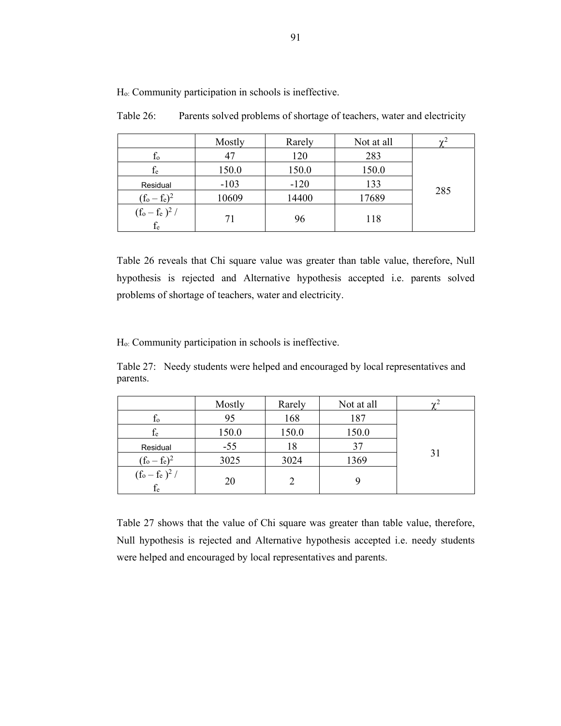Table 26: Parents solved problems of shortage of teachers, water and electricity

Ho: Community participation in schools is ineffective.

|                            | Mostly | Rarely | Not at all |     |
|----------------------------|--------|--------|------------|-----|
| $f_{o}$                    | 47     | 120    | 283        |     |
| $f_e$                      | 150.0  | 150.0  | 150.0      |     |
| Residual                   | $-103$ | $-120$ | 133        |     |
| $(f_0 - f_e)^2$            | 10609  | 14400  | 17689      | 285 |
| $(f_o - f_e)^2 /$<br>$f_e$ | 71     | 96     | 118        |     |

Table 26 reveals that Chi square value was greater than table value, therefore, Null hypothesis is rejected and Alternative hypothesis accepted i.e. parents solved problems of shortage of teachers, water and electricity.

Ho: Community participation in schools is ineffective.

Table 27: Needy students were helped and encouraged by local representatives and parents.

|                            | Mostly | Rarely | Not at all | $\sim$ |
|----------------------------|--------|--------|------------|--------|
| $f_{o}$                    | 95     | 168    | 187        |        |
| $\rm f_e$                  | 150.0  | 150.0  | 150.0      |        |
| Residual                   | $-55$  | 18     | 37         |        |
| $(f_0 - f_e)^2$            | 3025   | 3024   | 1369       | 31     |
| $(f_o - f_e)^2 /$<br>$f_e$ | 20     |        |            |        |

Table 27 shows that the value of Chi square was greater than table value, therefore, Null hypothesis is rejected and Alternative hypothesis accepted i.e. needy students were helped and encouraged by local representatives and parents.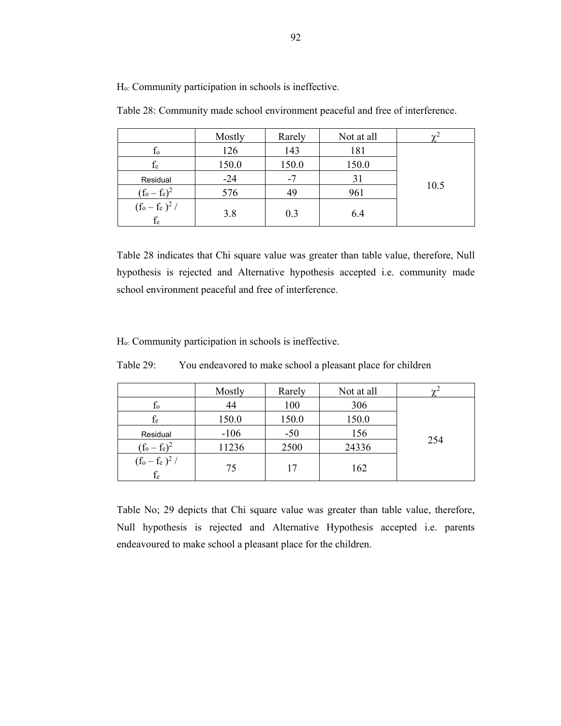|                            | Mostly | Rarely | Not at all | $\overline{v}$ |
|----------------------------|--------|--------|------------|----------------|
| $f_{o}$                    | 126    | 143    | 181        |                |
| $f_{e}$                    | 150.0  | 150.0  | 150.0      |                |
| Residual                   | $-24$  | -7     | 31         |                |
| $(f_o - f_e)^2$            | 576    | 49     | 961        | 10.5           |
| $(f_o - f_e)^2 /$<br>$f_e$ | 3.8    | 0.3    | 6.4        |                |

Table 28: Community made school environment peaceful and free of interference.

Table 28 indicates that Chi square value was greater than table value, therefore, Null hypothesis is rejected and Alternative hypothesis accepted i.e. community made school environment peaceful and free of interference.

Ho: Community participation in schools is ineffective.

|                            | Mostly | Rarely | Not at all | $\sim$ |
|----------------------------|--------|--------|------------|--------|
| $f_{o}$                    | 44     | 100    | 306        |        |
| $\rm f_e$                  | 150.0  | 150.0  | 150.0      |        |
| Residual                   | $-106$ | $-50$  | 156        |        |
| $(f_0 - f_e)^2$            | 11236  | 2500   | 24336      | 254    |
| $(f_o - f_e)^2$ /<br>$f_e$ | 75     | 17     | 162        |        |

Table 29: You endeavored to make school a pleasant place for children

Table No; 29 depicts that Chi square value was greater than table value, therefore, Null hypothesis is rejected and Alternative Hypothesis accepted i.e. parents endeavoured to make school a pleasant place for the children.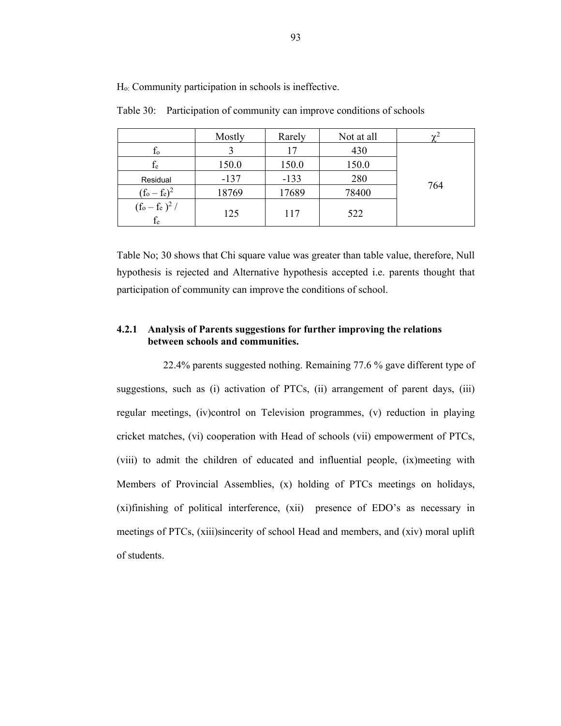|                            | Mostly | Rarely | Not at all | $\gamma$ |
|----------------------------|--------|--------|------------|----------|
| $t_{o}$                    |        | 17     | 430        |          |
| $f_e$                      | 150.0  | 150.0  | 150.0      |          |
| Residual                   | $-137$ | $-133$ | 280        |          |
| $(f_o - f_e)^2$            | 18769  | 17689  | 78400      | 764      |
| $(f_o - f_e)^2$ /<br>$f_e$ | 125    | 117    | 522        |          |

Table 30: Participation of community can improve conditions of schools

Table No; 30 shows that Chi square value was greater than table value, therefore, Null hypothesis is rejected and Alternative hypothesis accepted i.e. parents thought that participation of community can improve the conditions of school.

### **4.2.1 Analysis of Parents suggestions for further improving the relations between schools and communities.**

 22.4% parents suggested nothing. Remaining 77.6 % gave different type of suggestions, such as (i) activation of PTCs, (ii) arrangement of parent days, (iii) regular meetings, (iv)control on Television programmes, (v) reduction in playing cricket matches, (vi) cooperation with Head of schools (vii) empowerment of PTCs, (viii) to admit the children of educated and influential people, (ix)meeting with Members of Provincial Assemblies, (x) holding of PTCs meetings on holidays, (xi)finishing of political interference, (xii) presence of EDO's as necessary in meetings of PTCs, (xiii)sincerity of school Head and members, and (xiv) moral uplift of students.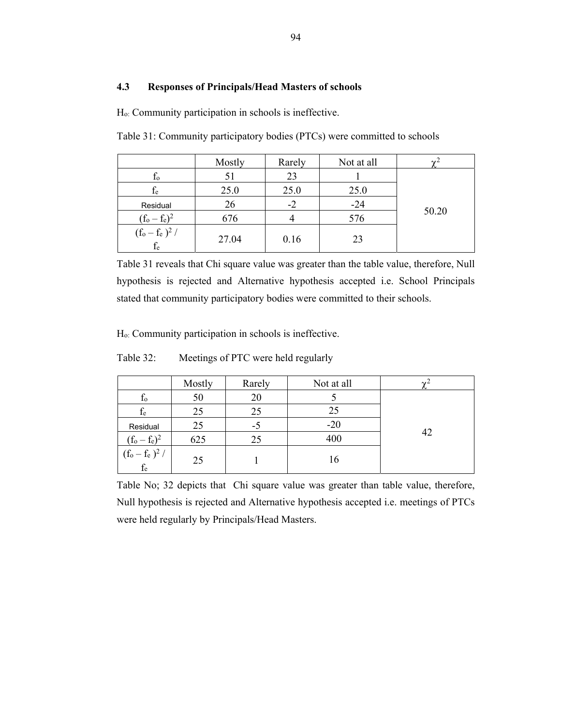### **4.3 Responses of Principals/Head Masters of schools**

Ho: Community participation in schools is ineffective.

Table 31: Community participatory bodies (PTCs) were committed to schools

|                            | Mostly | Rarely | Not at all |       |
|----------------------------|--------|--------|------------|-------|
| $t_{o}$                    |        | 23     |            |       |
| $\rm f_e$                  | 25.0   | 25.0   | 25.0       |       |
| Residual                   | 26     | -2     | $-24$      |       |
| $(f_o - f_e)^2$            | 676    |        | 576        | 50.20 |
| $(f_o - f_e)^2 /$<br>$f_e$ | 27.04  | 0.16   | 23         |       |

Table 31 reveals that Chi square value was greater than the table value, therefore, Null hypothesis is rejected and Alternative hypothesis accepted i.e. School Principals stated that community participatory bodies were committed to their schools.

Ho: Community participation in schools is ineffective.

Table 32: Meetings of PTC were held regularly

|                                     | Mostly | Rarely | Not at all | $\sim$ |
|-------------------------------------|--------|--------|------------|--------|
| Ιo                                  | 50     | 20     |            |        |
| $f_e$                               | 25     | 25     | 25         |        |
| Residual                            | 25     | -5     | $-20$      |        |
| $(f_0 - f_e)^2$                     | 625    | 25     | 400        | 42     |
| $(f_o - f_e)^2 /$<br>f <sub>e</sub> | 25     |        | 16         |        |

Table No; 32 depicts that Chi square value was greater than table value, therefore, Null hypothesis is rejected and Alternative hypothesis accepted i.e. meetings of PTCs were held regularly by Principals/Head Masters.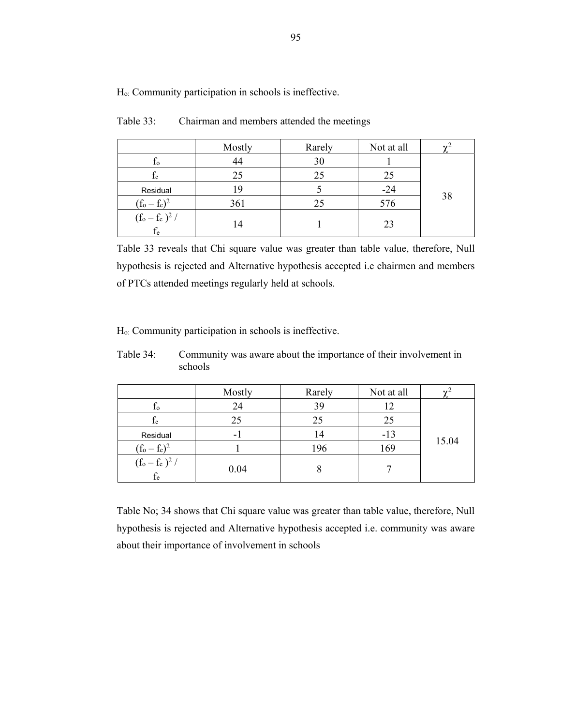|                                 | Mostly | Rarely | Not at all |    |
|---------------------------------|--------|--------|------------|----|
| Ιo                              |        | 30     |            |    |
| $f_e$                           | 25     | 25     | 25         |    |
| Residual                        | 1 Y    |        | $-24$      |    |
| $(f_0 - f_e)^2$                 | 361    | 25     | 576        | 38 |
| $\frac{(f_o - f_e)^2}{f}$<br>İe | 4      |        | 23         |    |

Table 33: Chairman and members attended the meetings

Table 33 reveals that Chi square value was greater than table value, therefore, Null hypothesis is rejected and Alternative hypothesis accepted i.e chairmen and members of PTCs attended meetings regularly held at schools.

Ho: Community participation in schools is ineffective.

Table 34: Community was aware about the importance of their involvement in schools

|                                   | Mostly                   | Rarely | Not at all |       |
|-----------------------------------|--------------------------|--------|------------|-------|
| $f_{o}$                           | 24                       | 39     | 12         |       |
| $f_{e}$                           | 25                       | 25     | 25         |       |
| Residual                          | $\overline{\phantom{0}}$ | 14     | $-13$      |       |
| $(f_o - f_e)^2$                   |                          | 196    | 169        | 15.04 |
| $(f_o - f_e)^2 /$<br>$\rm{f_{e}}$ | 0.04                     |        |            |       |

Table No; 34 shows that Chi square value was greater than table value, therefore, Null hypothesis is rejected and Alternative hypothesis accepted i.e. community was aware about their importance of involvement in schools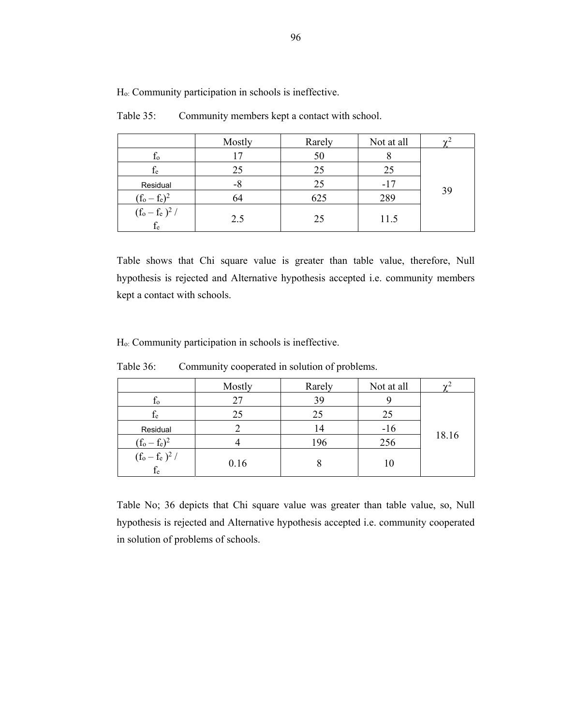|                         | Mostly | Rarely | Not at all |    |
|-------------------------|--------|--------|------------|----|
| $f_{o}$                 |        | 50     |            |    |
| $\rm f_e$               | 25     | 25     | 25         |    |
| Residual                | -8     | 25     | $-17$      |    |
| $(f_0 - f_e)^2$         | 64     | 625    | 289        | 39 |
| $(f_o - f_e)^2 /$<br>İe | 2.5    | 25     | 11.5       |    |

Table 35: Community members kept a contact with school.

Table shows that Chi square value is greater than table value, therefore, Null hypothesis is rejected and Alternative hypothesis accepted i.e. community members kept a contact with schools.

Ho: Community participation in schools is ineffective.

|                                    | Mostly | Rarely | Not at all |       |
|------------------------------------|--------|--------|------------|-------|
| $f_{o}$                            |        | 39     |            |       |
| $\rm f_e$                          | 25     | 25     | 25         |       |
| Residual                           |        | 14     | $-16$      |       |
| $(f_0 - f_e)^2$                    |        | 196    | 256        | 18.16 |
| $(\overline{f_0 - f_e})^2 /$<br>te | 0.16   | O      |            |       |

Table 36: Community cooperated in solution of problems.

Table No; 36 depicts that Chi square value was greater than table value, so, Null hypothesis is rejected and Alternative hypothesis accepted i.e. community cooperated in solution of problems of schools.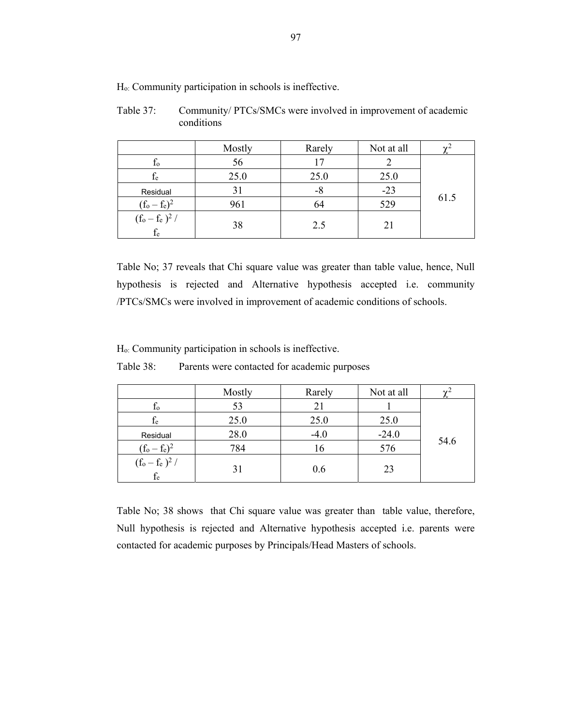Table 37: Community/ PTCs/SMCs were involved in improvement of academic conditions

|                         | Mostly | Rarely | Not at all |      |
|-------------------------|--------|--------|------------|------|
| $f_{o}$                 | 56     | 17     |            |      |
| $f_{e}$                 | 25.0   | 25.0   | 25.0       |      |
| Residual                | 31     | -8     | $-23$      |      |
| $(f_0 - f_e)^2$         | 961    | 64     | 529        | 61.5 |
| $(f_o - f_e)^2 /$<br>fe | 38     | 2.5    |            |      |

Table No; 37 reveals that Chi square value was greater than table value, hence, Null hypothesis is rejected and Alternative hypothesis accepted i.e. community /PTCs/SMCs were involved in improvement of academic conditions of schools.

Ho: Community participation in schools is ineffective.

|                                   | Mostly | Rarely | Not at all |      |
|-----------------------------------|--------|--------|------------|------|
| $f_{o}$                           | 53     | 21     |            |      |
| $\rm f_e$                         | 25.0   | 25.0   | 25.0       |      |
| Residual                          | 28.0   | $-4.0$ | $-24.0$    |      |
| $(f_o - f_e)^2$                   | 784    | 16     | 576        | 54.6 |
| $(f_o - f_e)^2 /$<br>$\rm{f_{e}}$ | 31     | 0.6    | 23         |      |

Table No; 38 shows that Chi square value was greater than table value, therefore, Null hypothesis is rejected and Alternative hypothesis accepted i.e. parents were contacted for academic purposes by Principals/Head Masters of schools.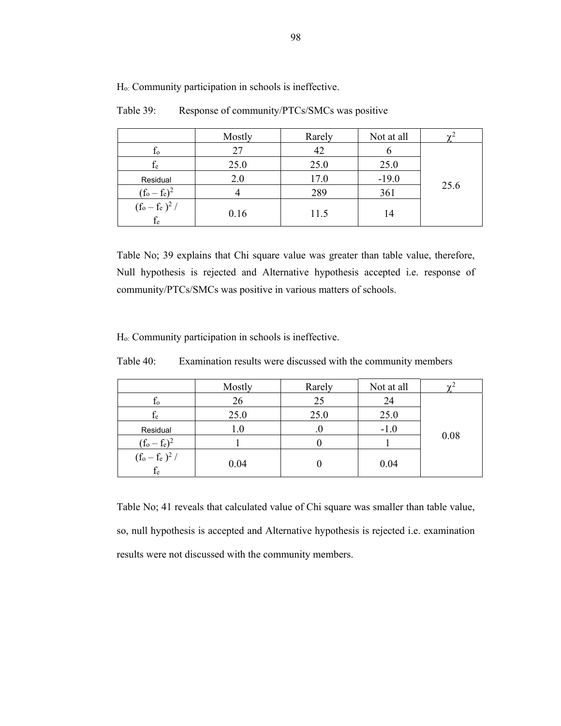|                                                                    | Mostly | Rarely | Not at all |      |
|--------------------------------------------------------------------|--------|--------|------------|------|
| Ιo                                                                 | 27     | 42     |            |      |
| $f_e$                                                              | 25.0   | 25.0   | 25.0       |      |
| Residual                                                           | 2.0    | 17.0   | $-19.0$    |      |
| $(f_o - f_e)^2$                                                    |        | 289    | 361        | 25.6 |
| $(\mathrm{f}_\mathrm{o} - \mathrm{f}_\mathrm{e} \, )^2$ /<br>$f_e$ | 0.16   | 11.5   | 14         |      |

Table 39: Response of community/PTCs/SMCs was positive

Table No; 39 explains that Chi square value was greater than table value, therefore, Null hypothesis is rejected and Alternative hypothesis accepted i.e. response of community/PTCs/SMCs was positive in various matters of schools.

Ho: Community participation in schools is ineffective.

Table 40: Examination results were discussed with the community members

|                             | Mostly | Rarely | Not at all |      |
|-----------------------------|--------|--------|------------|------|
| $f_{o}$                     | 26     | 25     | 24         |      |
| $\rm f_e$                   | 25.0   | 25.0   | 25.0       |      |
| Residual                    | 1.0    |        | $-1.0$     |      |
| $(f_0 - f_e)^2$             |        |        |            | 0.08 |
| $\frac{(f_o - f_e)^2}{f_e}$ | 0.04   |        | 0.04       |      |

Table No; 41 reveals that calculated value of Chi square was smaller than table value, so, null hypothesis is accepted and Alternative hypothesis is rejected i.e. examination results were not discussed with the community members.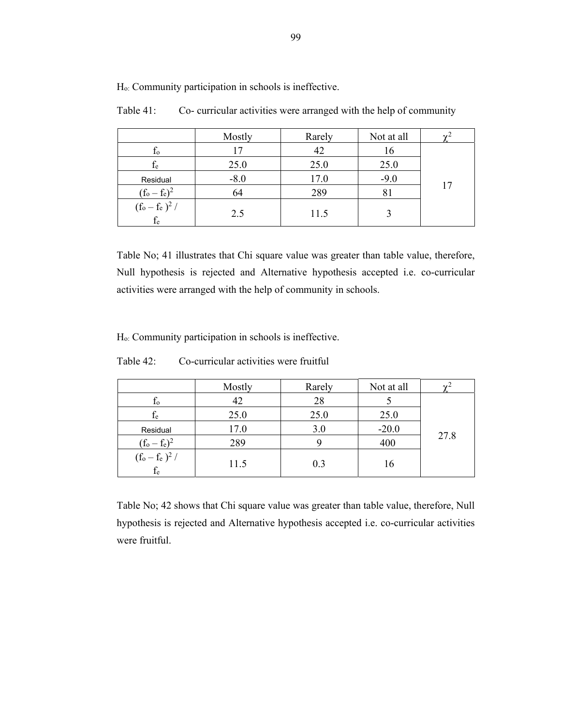|                                | Mostly | Rarely | Not at all |  |
|--------------------------------|--------|--------|------------|--|
| Ιo                             |        | 42     | 16         |  |
| fe                             | 25.0   | 25.0   | 25.0       |  |
| Residual                       | $-8.0$ | 17.0   | $-9.0$     |  |
| $(f_o - f_e)^2$                | 64     | 289    | 81         |  |
| $(f_o - f_e)^2$ /<br>$\rm f_e$ | 2.5    | 11.5   |            |  |

Table 41: Co- curricular activities were arranged with the help of community

Table No; 41 illustrates that Chi square value was greater than table value, therefore, Null hypothesis is rejected and Alternative hypothesis accepted i.e. co-curricular activities were arranged with the help of community in schools.

Ho: Community participation in schools is ineffective.

| Table 42: | Co-curricular activities were fruitful |  |
|-----------|----------------------------------------|--|
|           |                                        |  |

|                             | Mostly | Rarely | Not at all |      |
|-----------------------------|--------|--------|------------|------|
| İο                          | 42     | 28     |            |      |
| $\rm f_e$                   | 25.0   | 25.0   | 25.0       |      |
| Residual                    | 17.0   | 3.0    | $-20.0$    |      |
| $(f_0 - f_e)^2$             | 289    |        | 400        | 27.8 |
| $\frac{(f_o - f_e)^2}{f_e}$ | 11.5   | 0.3    |            |      |

Table No; 42 shows that Chi square value was greater than table value, therefore, Null hypothesis is rejected and Alternative hypothesis accepted i.e. co-curricular activities were fruitful.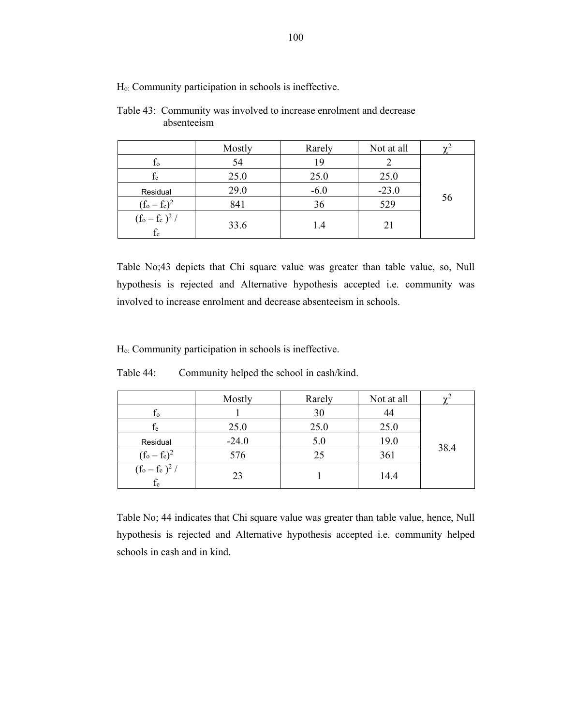|                                  | Mostly | Rarely | Not at all |    |
|----------------------------------|--------|--------|------------|----|
| $f_{o}$                          | 54     | 19     |            |    |
| fe                               | 25.0   | 25.0   | 25.0       |    |
| Residual                         | 29.0   | $-6.0$ | $-23.0$    |    |
| $(f_0 - f_e)^2$                  | 841    | 36     | 529        | 56 |
| $(f_o - f_e)^2 /$<br>${\rm f_e}$ | 33.6   | 1.4    | 21         |    |

Table 43: Community was involved to increase enrolment and decrease absenteeism

Table No;43 depicts that Chi square value was greater than table value, so, Null hypothesis is rejected and Alternative hypothesis accepted i.e. community was involved to increase enrolment and decrease absenteeism in schools.

Ho: Community participation in schools is ineffective.

|                             | Mostly  | Rarely | Not at all |      |
|-----------------------------|---------|--------|------------|------|
| $f_{o}$                     |         | 30     | 44         |      |
| fe                          | 25.0    | 25.0   | 25.0       |      |
| Residual                    | $-24.0$ | 5.0    | 19.0       |      |
| $(f_o - f_e)^2$             | 576     | 25     | 361        | 38.4 |
| $\frac{(f_o - f_e)^2}{f_e}$ | 23      |        | 14.4       |      |

Table 44: Community helped the school in cash/kind.

Table No; 44 indicates that Chi square value was greater than table value, hence, Null hypothesis is rejected and Alternative hypothesis accepted i.e. community helped schools in cash and in kind.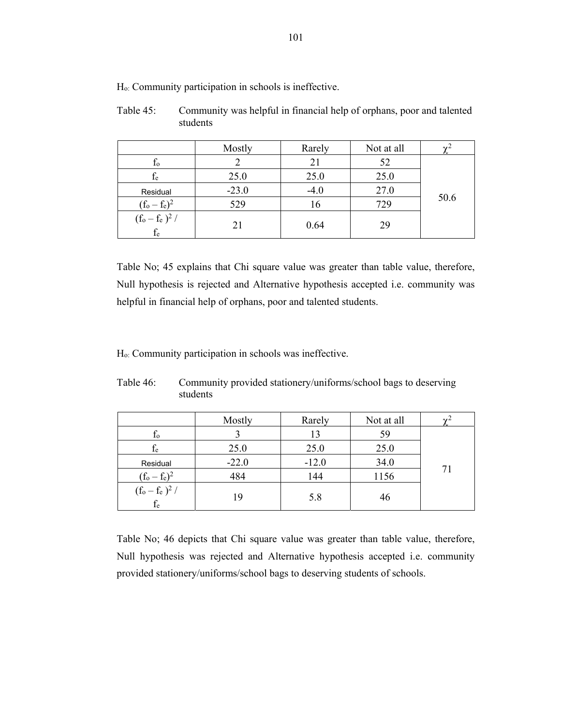| Table 45: | Community was helpful in financial help of orphans, poor and talented |
|-----------|-----------------------------------------------------------------------|
|           | students                                                              |

|                                  | Mostly  | Rarely | Not at all |      |
|----------------------------------|---------|--------|------------|------|
| $f_{o}$                          |         | 21     | 52         |      |
| $f_{e}$                          | 25.0    | 25.0   | 25.0       |      |
| Residual                         | $-23.0$ | $-4.0$ | 27.0       |      |
| $(f_0 - f_e)^2$                  | 529     | 16     | 729        | 50.6 |
| $(f_o - f_e)^2 /$<br>${\rm f_e}$ | 21      | 0.64   | 29         |      |

Table No; 45 explains that Chi square value was greater than table value, therefore, Null hypothesis is rejected and Alternative hypothesis accepted i.e. community was helpful in financial help of orphans, poor and talented students.

Ho: Community participation in schools was ineffective.

|                             | Mostly  | Rarely  | Not at all |    |
|-----------------------------|---------|---------|------------|----|
| $f_{o}$                     |         | 13      | 59         |    |
| fe                          | 25.0    | 25.0    | 25.0       |    |
| Residual                    | $-22.0$ | $-12.0$ | 34.0       |    |
| $(f_0 - f_e)^2$             | 484     | 144     | 1156       | 71 |
| $\frac{(f_o - f_e)^2}{f_e}$ | 19      | 5.8     | 46         |    |

Table 46: Community provided stationery/uniforms/school bags to deserving students

Table No; 46 depicts that Chi square value was greater than table value, therefore, Null hypothesis was rejected and Alternative hypothesis accepted i.e. community provided stationery/uniforms/school bags to deserving students of schools.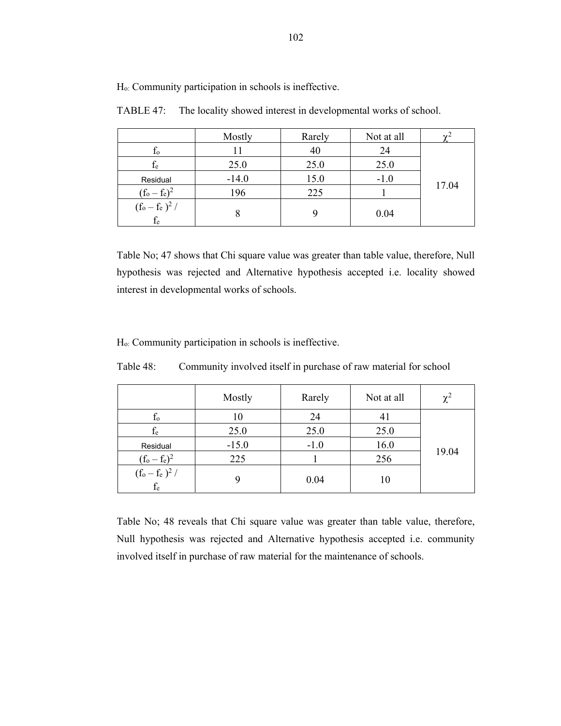|                            | Mostly  | Rarely | Not at all |       |
|----------------------------|---------|--------|------------|-------|
| $f_{o}$                    |         | 40     | 24         |       |
| fe                         | 25.0    | 25.0   | 25.0       |       |
| Residual                   | $-14.0$ | 15.0   | $-1.0$     |       |
| $(f_o - f_e)^2$            | 196     | 225    |            | 17.04 |
| $(f_o - f_e)^2 /$<br>$f_e$ | 8       |        | 0.04       |       |

TABLE 47: The locality showed interest in developmental works of school.

Table No; 47 shows that Chi square value was greater than table value, therefore, Null hypothesis was rejected and Alternative hypothesis accepted i.e. locality showed interest in developmental works of schools.

Ho: Community participation in schools is ineffective.

| Table 48: | Community involved itself in purchase of raw material for school |  |  |
|-----------|------------------------------------------------------------------|--|--|
|           |                                                                  |  |  |

|                                           | Mostly  | Rarely | Not at all | $\chi^2$ |
|-------------------------------------------|---------|--------|------------|----------|
| $f_{o}$                                   | 10      | 24     | 41         |          |
| $f_e$                                     | 25.0    | 25.0   | 25.0       |          |
| Residual                                  | $-15.0$ | $-1.0$ | 16.0       |          |
| $(f_o - f_e)^2$                           | 225     |        | 256        | 19.04    |
| $\frac{1}{(\text{f}_o - \text{f}_e)^2}$ / |         | 0.04   | 10         |          |

Table No; 48 reveals that Chi square value was greater than table value, therefore, Null hypothesis was rejected and Alternative hypothesis accepted i.e. community involved itself in purchase of raw material for the maintenance of schools.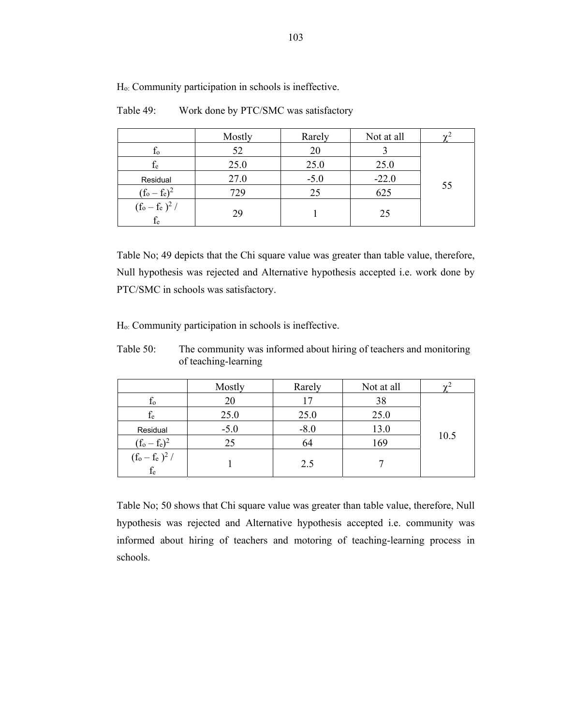|                            | Mostly | Rarely | Not at all |    |
|----------------------------|--------|--------|------------|----|
| $f_{o}$                    | 52     | 20     |            |    |
| fe                         | 25.0   | 25.0   | 25.0       |    |
| Residual                   | 27.0   | $-5.0$ | $-22.0$    |    |
| $(f_o - f_e)^2$            | 729    | 25     | 625        | 55 |
| $(f_o - f_e)^2$ /<br>$f_e$ | 29     |        | 25         |    |

Table 49: Work done by PTC/SMC was satisfactory

Table No; 49 depicts that the Chi square value was greater than table value, therefore, Null hypothesis was rejected and Alternative hypothesis accepted i.e. work done by PTC/SMC in schools was satisfactory.

Ho: Community participation in schools is ineffective.

Table 50: The community was informed about hiring of teachers and monitoring of teaching-learning

|                             | Mostly | Rarely | Not at all |      |
|-----------------------------|--------|--------|------------|------|
| $f_{o}$                     | 20     | 17     | 38         |      |
| $f_e$                       | 25.0   | 25.0   | 25.0       |      |
| Residual                    | $-5.0$ | $-8.0$ | 13.0       |      |
| $(f_0 - f_e)^2$             | 25     | 64     | 169        | 10.5 |
| $\frac{(f_0 - f_e)^2}{f_e}$ |        | 2.5    |            |      |

Table No; 50 shows that Chi square value was greater than table value, therefore, Null hypothesis was rejected and Alternative hypothesis accepted i.e. community was informed about hiring of teachers and motoring of teaching-learning process in schools.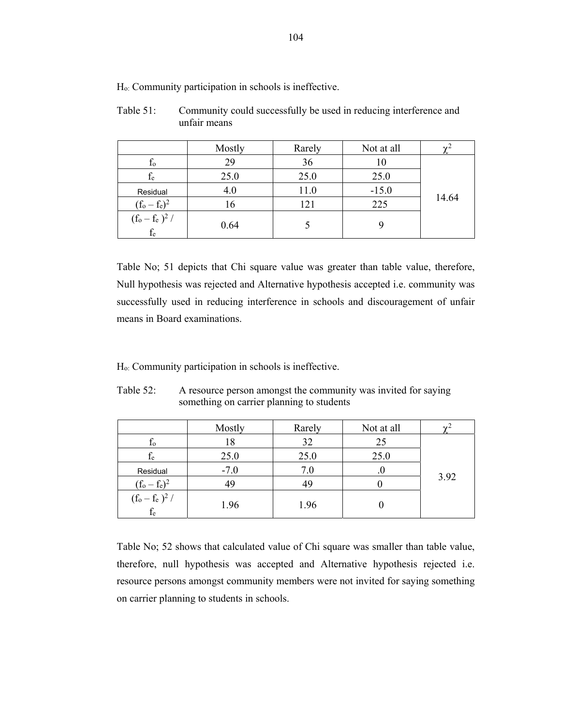Table 51: Community could successfully be used in reducing interference and unfair means

|                                                                                | Mostly | Rarely | Not at all |       |
|--------------------------------------------------------------------------------|--------|--------|------------|-------|
| $f_{o}$                                                                        | 29     | 36     |            |       |
| $f_{e}$                                                                        | 25.0   | 25.0   | 25.0       |       |
| Residual                                                                       | 4.0    | 11.0   | $-15.0$    |       |
| $(f_0 - f_e)^2$                                                                | 16     | 121    | 225        | 14.64 |
| $(\mathrm{f}_\mathrm{o} - \mathrm{f}_\mathrm{e}~)^2$ / $\mathrm{f}_\mathrm{e}$ | 0.64   |        |            |       |

Table No; 51 depicts that Chi square value was greater than table value, therefore, Null hypothesis was rejected and Alternative hypothesis accepted i.e. community was successfully used in reducing interference in schools and discouragement of unfair means in Board examinations.

Ho: Community participation in schools is ineffective.

| Table 52: | A resource person amongst the community was invited for saying |
|-----------|----------------------------------------------------------------|
|           | something on carrier planning to students                      |

|                            | Mostly | Rarely | Not at all |      |
|----------------------------|--------|--------|------------|------|
| $f_{o}$                    | 18     | 32     | 25         |      |
| $f_{\rm e}$                | 25.0   | 25.0   | 25.0       |      |
| Residual                   | $-7.0$ | 7.0    |            |      |
| $(f_o - f_e)^2$            | 49     | 49     |            | 3.92 |
| $(f_0 - f_e)^2 /$<br>$f_e$ | 1.96   | 1.96   |            |      |

Table No; 52 shows that calculated value of Chi square was smaller than table value, therefore, null hypothesis was accepted and Alternative hypothesis rejected i.e. resource persons amongst community members were not invited for saying something on carrier planning to students in schools.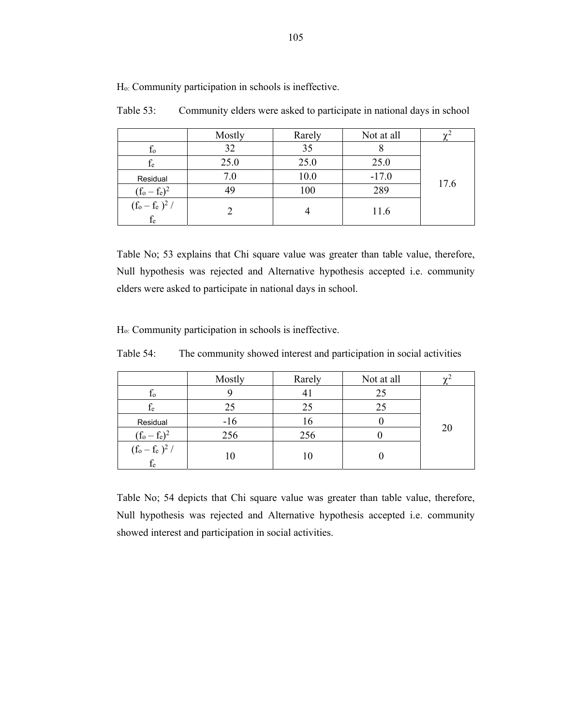|                                                      | Mostly | Rarely | Not at all |      |
|------------------------------------------------------|--------|--------|------------|------|
| $f_{o}$                                              | 32     | 35     |            |      |
| $f_{e}$                                              | 25.0   | 25.0   | 25.0       |      |
| Residual                                             | 7.0    | 10.0   | $-17.0$    | 17.6 |
| $(f_0 - f_e)^2$                                      |        | 100    | 289        |      |
| $(\mathrm{f}_o - \mathrm{f}_e\,)^2$ / $\mathrm{f}_e$ |        |        | 11.6       |      |

Table 53: Community elders were asked to participate in national days in school

Table No; 53 explains that Chi square value was greater than table value, therefore, Null hypothesis was rejected and Alternative hypothesis accepted i.e. community elders were asked to participate in national days in school.

Ho: Community participation in schools is ineffective.

Table 54: The community showed interest and participation in social activities

|                             | Mostly | Rarely         | Not at all |    |
|-----------------------------|--------|----------------|------------|----|
| $t_{0}$                     |        | 4 <sub>1</sub> | 25         |    |
| $f_{\rm e}$                 | 25     | 25             | 25         |    |
| Residual                    | $-16$  | 16             |            |    |
| $(f_o - f_e)^2$             | 256    | 256            |            | 20 |
| $\frac{(f_o - f_e)^2}{f_e}$ | 10     | 10             |            |    |

Table No; 54 depicts that Chi square value was greater than table value, therefore, Null hypothesis was rejected and Alternative hypothesis accepted i.e. community showed interest and participation in social activities.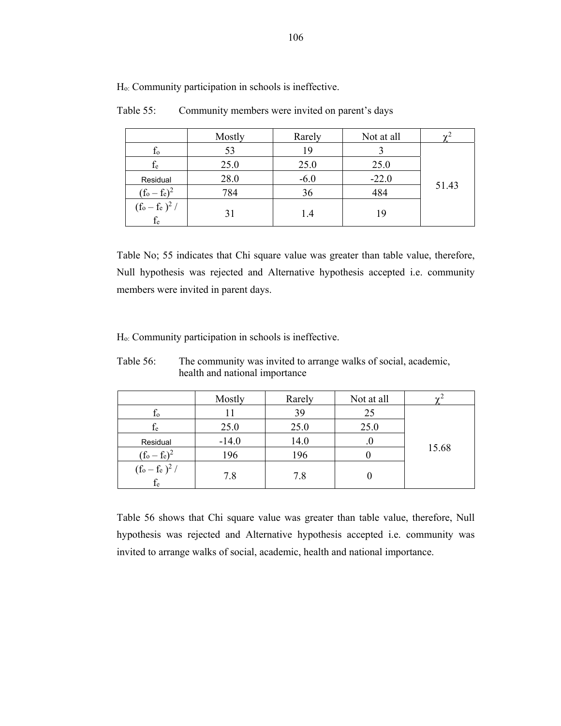|                       | Mostly | Rarely | Not at all |       |
|-----------------------|--------|--------|------------|-------|
| $f_{o}$               | 53     |        |            |       |
| $f_e$                 | 25.0   | 25.0   | 25.0       |       |
| Residual              | 28.0   | $-6.0$ | $-22.0$    |       |
| $(f_o - f_e)^2$       | 784    | 36     | 484        | 51.43 |
| $(f_o-f_e)^2$ / $f_e$ | 31     | 1.4    | 19         |       |

Table 55: Community members were invited on parent's days

Table No; 55 indicates that Chi square value was greater than table value, therefore, Null hypothesis was rejected and Alternative hypothesis accepted i.e. community members were invited in parent days.

Ho: Community participation in schools is ineffective.

Table 56: The community was invited to arrange walks of social, academic, health and national importance

|                                                                               | Mostly  | Rarely | Not at all | $\sim$ <sup>2</sup> |
|-------------------------------------------------------------------------------|---------|--------|------------|---------------------|
| $f_{o}$                                                                       |         | 39     | 25         |                     |
| $f_{e}$                                                                       | 25.0    | 25.0   | 25.0       |                     |
| Residual                                                                      | $-14.0$ | 14.0   |            | 15.68               |
| $(f_o - f_e)^2$                                                               | 196     | 196    |            |                     |
| $(\mathrm{f}_\mathrm{o} - \mathrm{f}_\mathrm{e})^2$ / $\mathrm{f}_\mathrm{e}$ | 7.8     | 7.8    |            |                     |

Table 56 shows that Chi square value was greater than table value, therefore, Null hypothesis was rejected and Alternative hypothesis accepted i.e. community was invited to arrange walks of social, academic, health and national importance.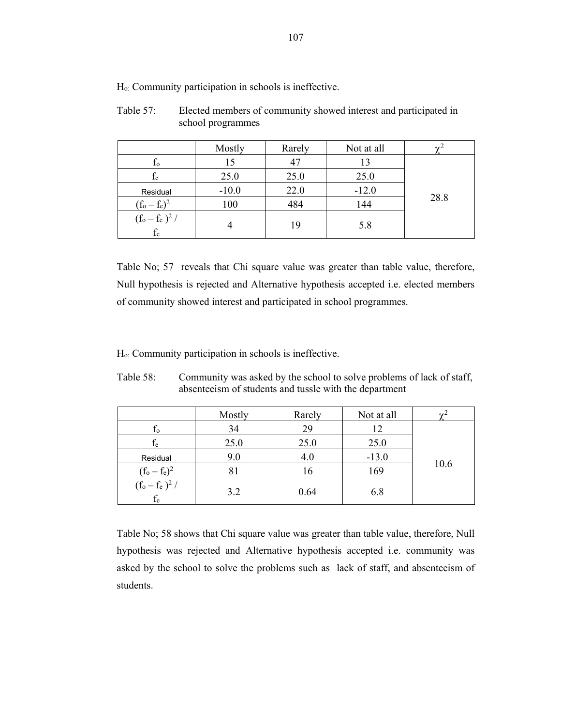|                            | Mostly  | Rarely | Not at all | $\sim$ |
|----------------------------|---------|--------|------------|--------|
| Ιo                         | 15      | 47     | 13         |        |
| $f_{e}$                    | 25.0    | 25.0   | 25.0       |        |
| Residual                   | $-10.0$ | 22.0   | $-12.0$    | 28.8   |
| $(f_0 - f_e)^2$            | 100     | 484    | 144        |        |
| $(f_0 - f_e)^2 /$<br>$f_e$ |         |        | 5.8        |        |

Table 57: Elected members of community showed interest and participated in school programmes

Table No; 57 reveals that Chi square value was greater than table value, therefore, Null hypothesis is rejected and Alternative hypothesis accepted i.e. elected members of community showed interest and participated in school programmes.

Ho: Community participation in schools is ineffective.

| Table 58: | Community was asked by the school to solve problems of lack of staff, |
|-----------|-----------------------------------------------------------------------|
|           | absenteerism of students and tussle with the department               |

|                            | Mostly | Rarely | Not at all | $\mathbf{v}$ |
|----------------------------|--------|--------|------------|--------------|
| $f_{o}$                    | 34     | 29     | 12         |              |
| $\rm f_e$                  | 25.0   | 25.0   | 25.0       |              |
| Residual                   | 9.0    | 4.0    | $-13.0$    |              |
| $(f_0 - f_e)^2$            | 81     | 16     | 169        | 10.6         |
| $(f_o - f_e)^2 /$<br>$f_e$ | 3.2    | 0.64   | 6.8        |              |

Table No; 58 shows that Chi square value was greater than table value, therefore, Null hypothesis was rejected and Alternative hypothesis accepted i.e. community was asked by the school to solve the problems such as lack of staff, and absenteeism of students.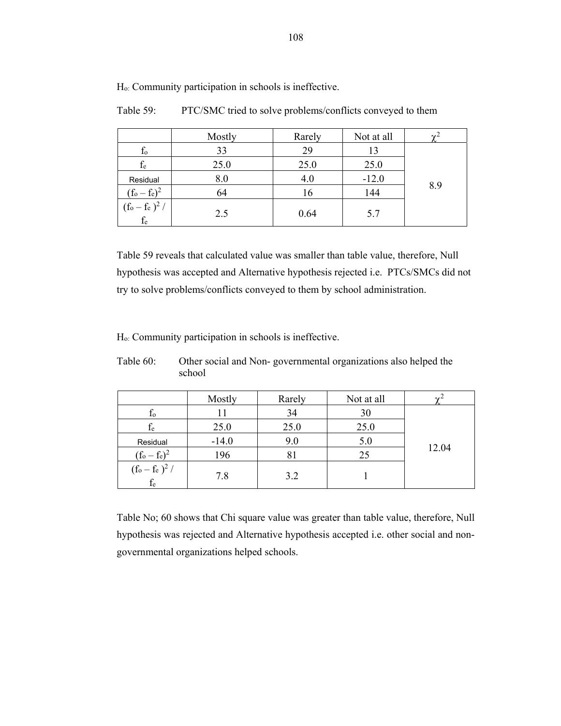|                                        | Mostly | Rarely | Not at all |     |
|----------------------------------------|--------|--------|------------|-----|
| $f_{o}$                                | 33     | 29     | 13         |     |
| $f_e$                                  | 25.0   | 25.0   | 25.0       |     |
| Residual                               | 8.0    | 4.0    | $-12.0$    |     |
| $(f_o - f_e)^2$                        | 64     | 16     | 144        | 8.9 |
| $(f_o - f_e)^2 /$<br>$\frac{f_e}{f_e}$ | 2.5    | 0.64   | 5.7        |     |

Table 59: PTC/SMC tried to solve problems/conflicts conveyed to them

Table 59 reveals that calculated value was smaller than table value, therefore, Null hypothesis was accepted and Alternative hypothesis rejected i.e. PTCs/SMCs did not try to solve problems/conflicts conveyed to them by school administration.

Ho: Community participation in schools is ineffective.

fe

|                 | <b>SVIIUUI</b> |               |                          |       |
|-----------------|----------------|---------------|--------------------------|-------|
|                 | Mostly         | Rarely        | Not at all               |       |
| Ιo              |                | 34            | 30                       |       |
| fe              | 25.0           | 25.0          | 25.0                     |       |
| Residual        | $-14.0$        | 9.0           | 5.0                      |       |
| $(f_o - f_e)^2$ | 196            |               | 25                       | 12.04 |
| $(f_o - f_e)^2$ | $\sim$         | $\sim$ $\sim$ | $\overline{\phantom{a}}$ |       |

7.8 3.2 1

Table 60: Other social and Non- governmental organizations also helped the school

Table No; 60 shows that Chi square value was greater than table value, therefore, Null hypothesis was rejected and Alternative hypothesis accepted i.e. other social and nongovernmental organizations helped schools.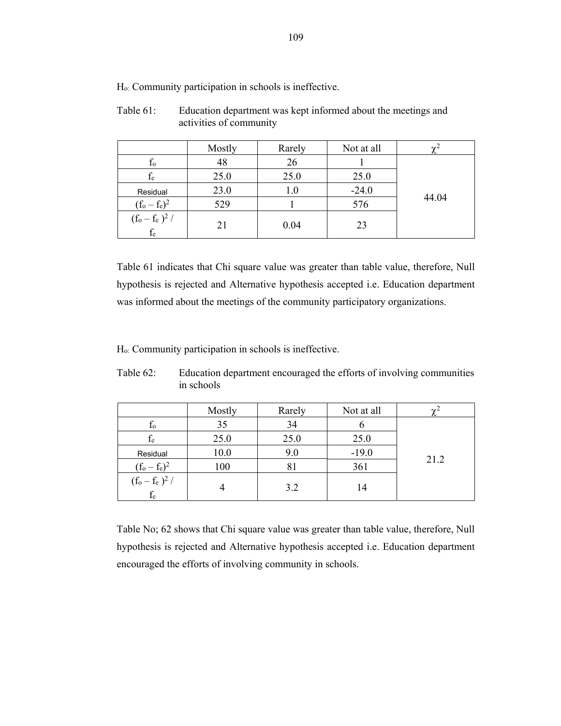|                            | Mostly | Rarely | Not at all | $\gamma^2$ |
|----------------------------|--------|--------|------------|------------|
| $f_{o}$                    | 48     | 26     |            |            |
| fe                         | 25.0   | 25.0   | 25.0       |            |
| Residual                   | 23.0   | 1.0    | $-24.0$    |            |
| $(f_0 - f_e)^2$            | 529    |        | 576        | 44.04      |
| $(f_o - f_e)^2$ /<br>$f_e$ | 21     | 0.04   | 23         |            |

Table 61: Education department was kept informed about the meetings and activities of community

Table 61 indicates that Chi square value was greater than table value, therefore, Null hypothesis is rejected and Alternative hypothesis accepted i.e. Education department was informed about the meetings of the community participatory organizations.

Ho: Community participation in schools is ineffective.

| Table 62: | Education department encouraged the efforts of involving communities<br>in schools |
|-----------|------------------------------------------------------------------------------------|
|           |                                                                                    |

|                                                                    | Mostly | Rarely | Not at all | $\sim$ |
|--------------------------------------------------------------------|--------|--------|------------|--------|
| $f_{o}$                                                            | 35     | 34     |            |        |
| $f_{\rm e}$                                                        | 25.0   | 25.0   | 25.0       |        |
| Residual                                                           | 10.0   | 9.0    | $-19.0$    |        |
| $(f_0 - f_e)^2$                                                    | 100    | 81     | 361        | 21.2   |
| $(\mathrm{f}_\mathrm{o} - \mathrm{f}_\mathrm{e} \, )^2 \, / \,$ fe |        | 3.2    | 14         |        |

Table No; 62 shows that Chi square value was greater than table value, therefore, Null hypothesis is rejected and Alternative hypothesis accepted i.e. Education department encouraged the efforts of involving community in schools.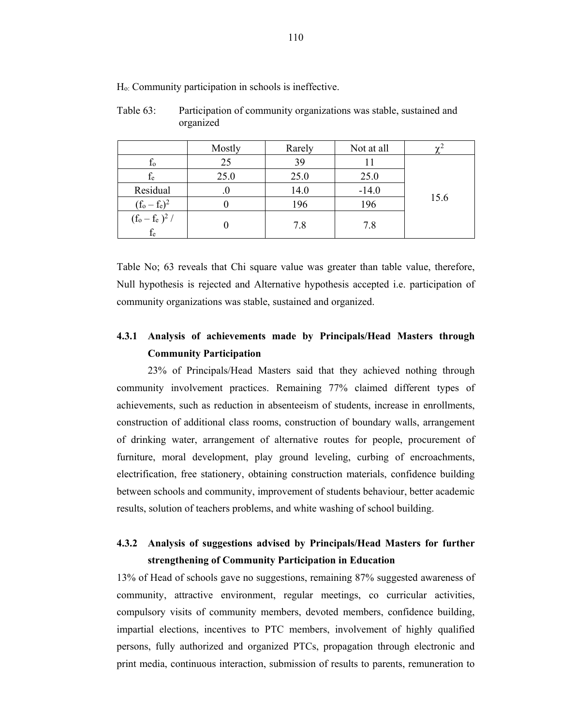| Table 63: | Participation of community organizations was stable, sustained and |
|-----------|--------------------------------------------------------------------|
|           | organized                                                          |

|                                                                    | Mostly | Rarely | Not at all |      |
|--------------------------------------------------------------------|--------|--------|------------|------|
| $f_{o}$                                                            | 25     | 39     |            |      |
| $f_e$                                                              | 25.0   | 25.0   | 25.0       |      |
| Residual                                                           | .U     | 14.0   | $-14.0$    |      |
| $(f_0 - f_e)^2$                                                    |        | 196    | 196        | 15.6 |
| $(\mathrm{f}_\mathrm{o} - \mathrm{f}_\mathrm{e} \, )^2 \, / \,$ fe |        | 7.8    | 7.8        |      |

Table No; 63 reveals that Chi square value was greater than table value, therefore, Null hypothesis is rejected and Alternative hypothesis accepted i.e. participation of community organizations was stable, sustained and organized.

# **4.3.1 Analysis of achievements made by Principals/Head Masters through Community Participation**

23% of Principals/Head Masters said that they achieved nothing through community involvement practices. Remaining 77% claimed different types of achievements, such as reduction in absenteeism of students, increase in enrollments, construction of additional class rooms, construction of boundary walls, arrangement of drinking water, arrangement of alternative routes for people, procurement of furniture, moral development, play ground leveling, curbing of encroachments, electrification, free stationery, obtaining construction materials, confidence building between schools and community, improvement of students behaviour, better academic results, solution of teachers problems, and white washing of school building.

## **4.3.2 Analysis of suggestions advised by Principals/Head Masters for further strengthening of Community Participation in Education**

13% of Head of schools gave no suggestions, remaining 87% suggested awareness of community, attractive environment, regular meetings, co curricular activities, compulsory visits of community members, devoted members, confidence building, impartial elections, incentives to PTC members, involvement of highly qualified persons, fully authorized and organized PTCs, propagation through electronic and print media, continuous interaction, submission of results to parents, remuneration to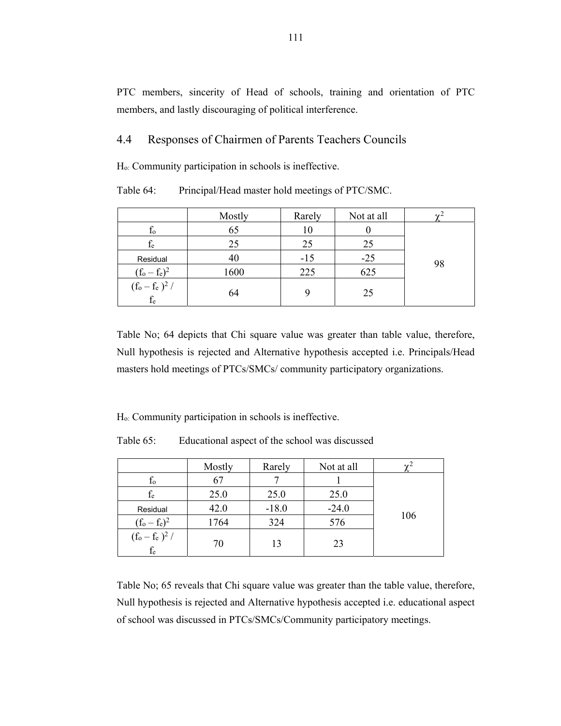PTC members, sincerity of Head of schools, training and orientation of PTC members, and lastly discouraging of political interference.

### 4.4 Responses of Chairmen of Parents Teachers Councils

Ho: Community participation in schools is ineffective.

Table 64: Principal/Head master hold meetings of PTC/SMC.

|                       | Mostly | Rarely | Not at all |    |
|-----------------------|--------|--------|------------|----|
| $f_{o}$               | 65     | 10     |            |    |
| fe                    | 25     | 25     | 25         |    |
| Residual              | 40     | $-15$  | $-25$      | 98 |
| $(f_0 - f_e)^2$       | 1600   | 225    | 625        |    |
| $(f_o - f_e)^2 / f_e$ | 64     |        | 25         |    |

Table No; 64 depicts that Chi square value was greater than table value, therefore, Null hypothesis is rejected and Alternative hypothesis accepted i.e. Principals/Head masters hold meetings of PTCs/SMCs/ community participatory organizations.

Ho: Community participation in schools is ineffective.

Table 65: Educational aspect of the school was discussed

|                                  | Mostly | Rarely  | Not at all | $\mathbf{v}$ |
|----------------------------------|--------|---------|------------|--------------|
| $\rm f_{o}$                      | 67     |         |            |              |
| $\rm f_e$                        | 25.0   | 25.0    | 25.0       |              |
| Residual                         | 42.0   | $-18.0$ | $-24.0$    |              |
| $(f_0 - f_e)^2$                  | 1764   | 324     | 576        | 106          |
| $(f_o - f_e)^2 /$<br>${\rm f_e}$ | 70     | 13      | 23         |              |

Table No; 65 reveals that Chi square value was greater than the table value, therefore, Null hypothesis is rejected and Alternative hypothesis accepted i.e. educational aspect of school was discussed in PTCs/SMCs/Community participatory meetings.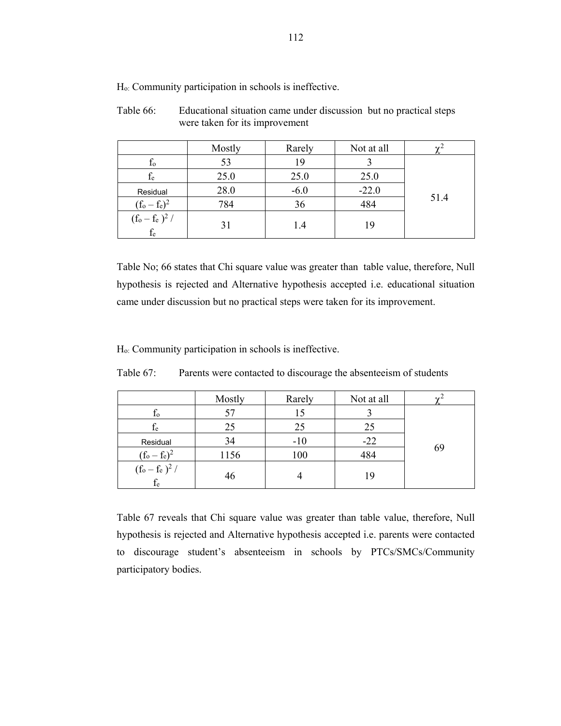| Table 66: | Educational situation came under discussion but no practical steps |  |
|-----------|--------------------------------------------------------------------|--|
|           | were taken for its improvement                                     |  |

|                                                                                | Mostly | Rarely | Not at all |      |
|--------------------------------------------------------------------------------|--------|--------|------------|------|
| $f_{o}$                                                                        | 53     | 19     |            |      |
| $f_e$                                                                          | 25.0   | 25.0   | 25.0       |      |
| Residual                                                                       | 28.0   | $-6.0$ | $-22.0$    |      |
| $(f_0 - f_e)^2$                                                                | 784    | 36     | 484        | 51.4 |
| $(\mathrm{f}_\mathrm{o} - \mathrm{f}_\mathrm{e}~)^2$ / $\mathrm{f}_\mathrm{e}$ | 31     | 1.4    | 19         |      |

Table No; 66 states that Chi square value was greater than table value, therefore, Null hypothesis is rejected and Alternative hypothesis accepted i.e. educational situation came under discussion but no practical steps were taken for its improvement.

Ho: Community participation in schools is ineffective.

|                                                                               | Mostly | Rarely | Not at all |    |
|-------------------------------------------------------------------------------|--------|--------|------------|----|
| $f_{o}$                                                                       | 57     | 15     |            |    |
| fe                                                                            | 25     | 25     | 25         |    |
| Residual                                                                      | 34     | $-10$  | $-22$      |    |
| $(f_o - f_e)^2$                                                               | 1156   | 100    | 484        | 69 |
| $(\mathrm{f}_\mathrm{o} - \mathrm{f}_\mathrm{e})^2$ / $\mathrm{f}_\mathrm{e}$ | 46     |        | 19         |    |

Table 67: Parents were contacted to discourage the absenteeism of students

Table 67 reveals that Chi square value was greater than table value, therefore, Null hypothesis is rejected and Alternative hypothesis accepted i.e. parents were contacted to discourage student's absenteeism in schools by PTCs/SMCs/Community participatory bodies.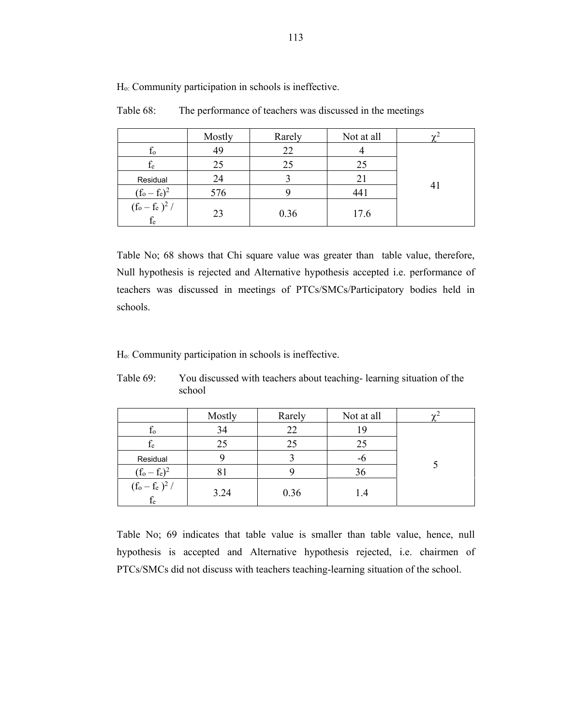|                             | Mostly | Rarely | Not at all |    |
|-----------------------------|--------|--------|------------|----|
| Ιo                          | 49     | 22     |            |    |
| fe                          | 25     | 25     | 25         |    |
| Residual                    | 24     |        |            |    |
| $(f_o - f_e)^2$             | 576    |        | 441        | 41 |
| $\frac{(f_0 - f_e)^2}{f_e}$ | 23     | 0.36   | 17.6       |    |

Table 68: The performance of teachers was discussed in the meetings

Table No; 68 shows that Chi square value was greater than table value, therefore, Null hypothesis is rejected and Alternative hypothesis accepted i.e. performance of teachers was discussed in meetings of PTCs/SMCs/Participatory bodies held in schools.

Ho: Community participation in schools is ineffective.

|                         | Mostly | Rarely | Not at all |  |
|-------------------------|--------|--------|------------|--|
| Ιo                      | 34     | 22     |            |  |
| fe                      | 25     | 25     | 25         |  |
| Residual                |        |        | -0         |  |
| $(f_0 - f_e)^2$         | 81     |        | 36         |  |
| $(f_o-f_e\,)^2$ / $f_e$ | 3.24   | 0.36   |            |  |

Table 69: You discussed with teachers about teaching- learning situation of the school

Table No; 69 indicates that table value is smaller than table value, hence, null hypothesis is accepted and Alternative hypothesis rejected, i.e. chairmen of PTCs/SMCs did not discuss with teachers teaching-learning situation of the school.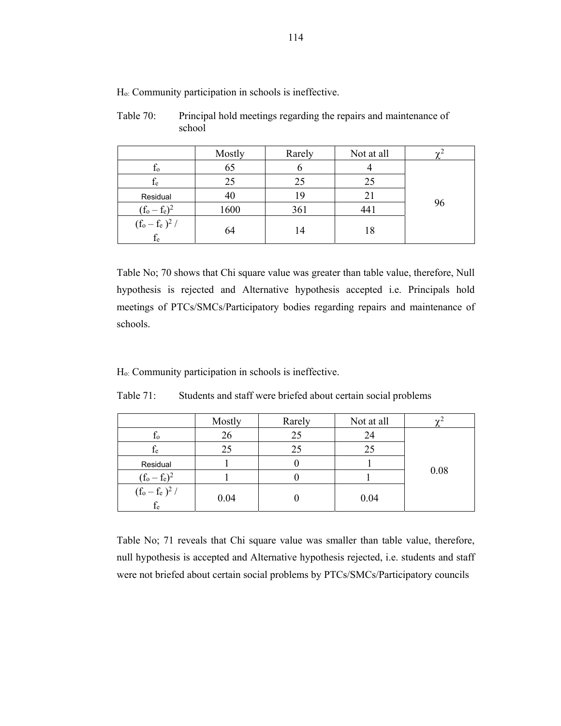|                       | Mostly | Rarely | Not at all |    |
|-----------------------|--------|--------|------------|----|
| $f_{o}$               | 65     |        |            |    |
| $f_e$                 | 25     | 25     | 25         |    |
| Residual              | 40     | 19     | 21         |    |
| $(f_0 - f_e)^2$       | 1600   | 361    | 441        | 96 |
| $(f_o-f_e)^2$ / $f_e$ | 64     | 14     | 18         |    |

Table 70: Principal hold meetings regarding the repairs and maintenance of school

Table No; 70 shows that Chi square value was greater than table value, therefore, Null hypothesis is rejected and Alternative hypothesis accepted i.e. Principals hold meetings of PTCs/SMCs/Participatory bodies regarding repairs and maintenance of schools.

Ho: Community participation in schools is ineffective.

|                            | Mostly | Rarely | Not at all |      |
|----------------------------|--------|--------|------------|------|
| $t_{o}$                    | 26     | 25     | 24         |      |
| İe                         | 25     | 25     | 25         |      |
| Residual                   |        |        |            |      |
| $(f_0 - f_e)^2$            |        |        |            | 0.08 |
| $(f_0 - f_e)^2 /$<br>$f_e$ | 0.04   |        | 0.04       |      |

Table 71: Students and staff were briefed about certain social problems

Table No; 71 reveals that Chi square value was smaller than table value, therefore, null hypothesis is accepted and Alternative hypothesis rejected, i.e. students and staff were not briefed about certain social problems by PTCs/SMCs/Participatory councils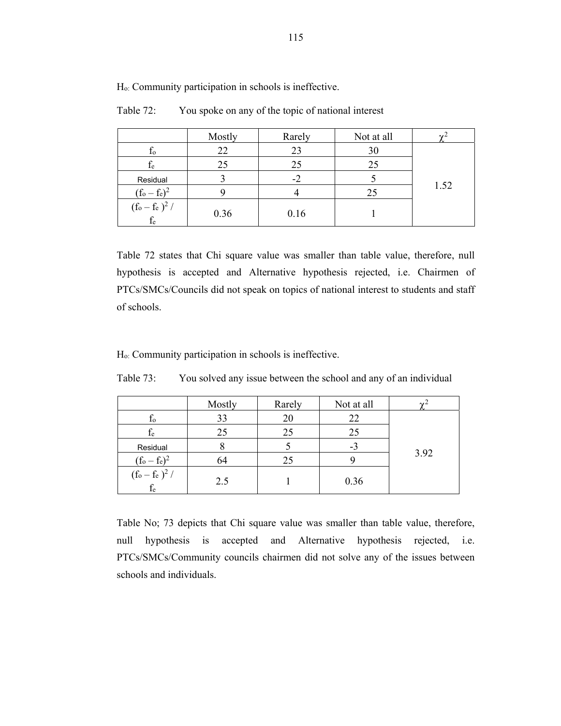|                             | Mostly | Rarely | Not at all |      |
|-----------------------------|--------|--------|------------|------|
| Ιo                          | 22     | 23     | 30         |      |
| $f_{e}$                     | 25     | 25     | 25         |      |
| Residual                    |        |        |            |      |
| $(f_o - f_e)^2$             |        |        | 25         | 1.52 |
| $\frac{(f_0 - f_e)^2}{f_e}$ | 0.36   | 0.16   |            |      |

Table 72: You spoke on any of the topic of national interest

Table 72 states that Chi square value was smaller than table value, therefore, null hypothesis is accepted and Alternative hypothesis rejected, i.e. Chairmen of PTCs/SMCs/Councils did not speak on topics of national interest to students and staff of schools.

Ho: Community participation in schools is ineffective.

|                                                                               | Mostly | Rarely | Not at all |      |
|-------------------------------------------------------------------------------|--------|--------|------------|------|
| Ιo                                                                            | 33     | 20     | 22         |      |
| fe                                                                            | 25     | 25     | 25         |      |
| Residual                                                                      |        |        | -3         |      |
| $(f_0 - f_e)^2$                                                               | 64     | 25     |            | 3.92 |
| $(\mathrm{f}_\mathrm{o} - \mathrm{f}_\mathrm{e})^2$ / $\mathrm{f}_\mathrm{e}$ | 2.5    |        | 0.36       |      |

Table 73: You solved any issue between the school and any of an individual

Table No; 73 depicts that Chi square value was smaller than table value, therefore, null hypothesis is accepted and Alternative hypothesis rejected, i.e. PTCs/SMCs/Community councils chairmen did not solve any of the issues between schools and individuals.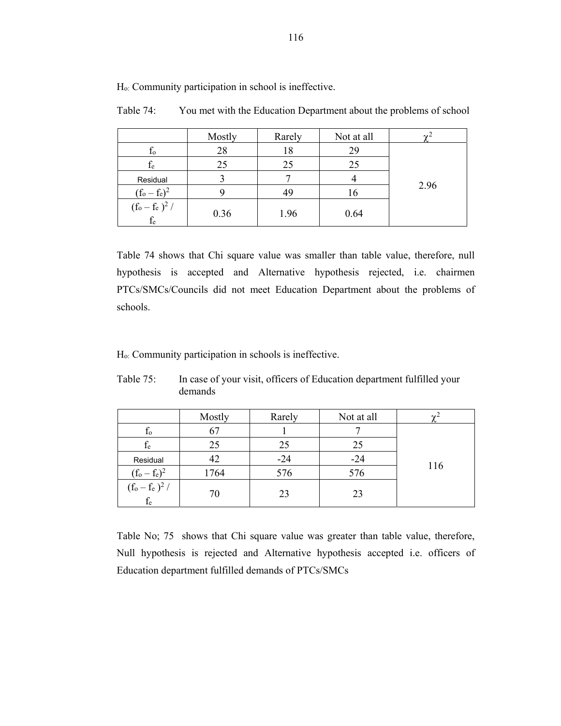|                                | Mostly | Rarely | Not at all |      |
|--------------------------------|--------|--------|------------|------|
| $f_{o}$                        | 28     | 18     | 29         |      |
| $f_e$                          | 25     | 25     | 25         |      |
| Residual                       |        |        |            |      |
| $(f_o - f_e)^2$                |        | 49     | 16         | 2.96 |
| $(f_o-f_e)^2/ \frac{f_e}{f_e}$ | 0.36   | 1.96   | 0.64       |      |

Table 74: You met with the Education Department about the problems of school

Table 74 shows that Chi square value was smaller than table value, therefore, null hypothesis is accepted and Alternative hypothesis rejected, i.e. chairmen PTCs/SMCs/Councils did not meet Education Department about the problems of schools.

Ho: Community participation in schools is ineffective.

|                                | Mostly | Rarely | Not at all | $\mathbf{v}^2$ |
|--------------------------------|--------|--------|------------|----------------|
| $f_{o}$                        | 67     |        |            |                |
| $f_e$                          | 25     | 25     | 25         |                |
| Residual                       | 42     | $-24$  | $-24$      |                |
| $(f_0 - f_e)^2$                | 1764   | 576    | 576        | 116            |
| $(f_o-f_e)^2/ \frac{f_e}{f_e}$ | 70     | 23     | 23         |                |

Table 75: In case of your visit, officers of Education department fulfilled your demands

Table No; 75 shows that Chi square value was greater than table value, therefore, Null hypothesis is rejected and Alternative hypothesis accepted i.e. officers of Education department fulfilled demands of PTCs/SMCs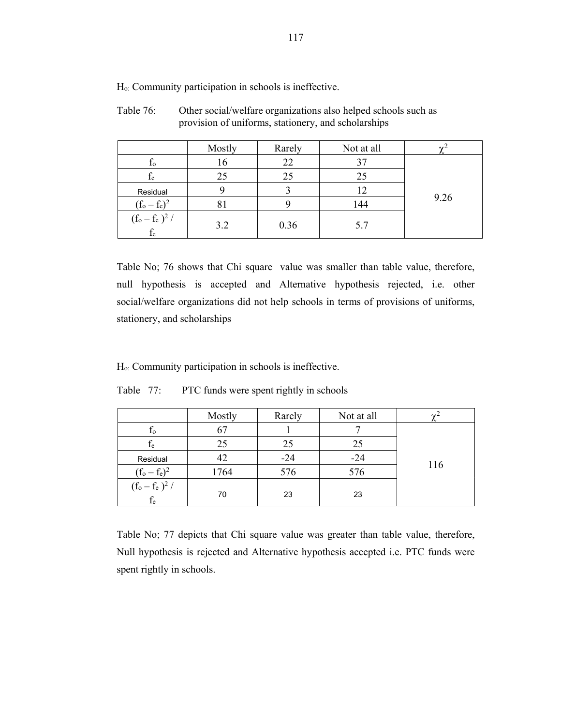|                             | Mostly | Rarely | Not at all | $\sim$ |
|-----------------------------|--------|--------|------------|--------|
| to                          | 16     | 22     | 37         |        |
| fe                          | 25     | 25     | 25         |        |
| Residual                    |        |        | 12         |        |
| $(f_0 - f_e)^2$             |        |        | 144        | 9.26   |
| $\frac{(f_0 - f_e)^2}{f_e}$ | 3.2    | 0.36   | 5.7        |        |

Table 76: Other social/welfare organizations also helped schools such as provision of uniforms, stationery, and scholarships

Table No; 76 shows that Chi square value was smaller than table value, therefore, null hypothesis is accepted and Alternative hypothesis rejected, i.e. other social/welfare organizations did not help schools in terms of provisions of uniforms, stationery, and scholarships

Ho: Community participation in schools is ineffective.

|                      | Mostly | Rarely | Not at all | $\sim$ |
|----------------------|--------|--------|------------|--------|
| Ιo                   | 67     |        |            |        |
| $f_e$                | 25     | 25     | 25         |        |
| Residual             | 42     | $-24$  | $-24$      |        |
| $(f_0 - f_e)^2$      | 1764   | 576    | 576        | 116    |
| $(f_o-f_e)^2/$ $f_e$ | 70     | 23     | 23         |        |

Table 77: PTC funds were spent rightly in schools

Table No; 77 depicts that Chi square value was greater than table value, therefore, Null hypothesis is rejected and Alternative hypothesis accepted i.e. PTC funds were spent rightly in schools.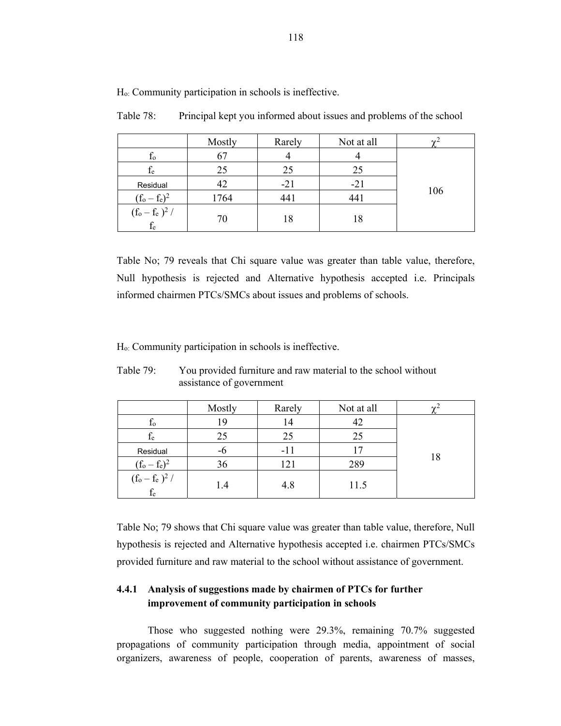|                            | Mostly | Rarely | Not at all | $\sim$ |
|----------------------------|--------|--------|------------|--------|
| $f_{o}$                    | 67     |        |            |        |
| $f_{e}$                    | 25     | 25     | 25         |        |
| Residual                   | 42     | $-21$  | $-21$      |        |
| $(f_0 - f_e)^2$            | 1764   | 441    | 441        | 106    |
| $(f_o - f_e)^2$ /<br>$f_e$ | 70     | 18     | 18         |        |

Table 78: Principal kept you informed about issues and problems of the school

Table No; 79 reveals that Chi square value was greater than table value, therefore, Null hypothesis is rejected and Alternative hypothesis accepted i.e. Principals informed chairmen PTCs/SMCs about issues and problems of schools.

Ho: Community participation in schools is ineffective.

|                                                                               | Mostly | Rarely | Not at all | $\sim$ |
|-------------------------------------------------------------------------------|--------|--------|------------|--------|
| Ιo                                                                            | 19     | 14     | 42         |        |
| $f_e$                                                                         | 25     | 25     | 25         |        |
| Residual                                                                      | -6     | $-11$  |            |        |
| $(f_0 - f_e)^2$                                                               | 36     | 121    | 289        | 18     |
| $(\mathrm{f}_\mathrm{o} - \mathrm{f}_\mathrm{e})^2$ / $\mathrm{f}_\mathrm{e}$ | 1.4    | 4.8    | 11.5       |        |

Table 79: You provided furniture and raw material to the school without assistance of government

Table No; 79 shows that Chi square value was greater than table value, therefore, Null hypothesis is rejected and Alternative hypothesis accepted i.e. chairmen PTCs/SMCs provided furniture and raw material to the school without assistance of government.

### **4.4.1 Analysis of suggestions made by chairmen of PTCs for further improvement of community participation in schools**

Those who suggested nothing were 29.3%, remaining 70.7% suggested propagations of community participation through media, appointment of social organizers, awareness of people, cooperation of parents, awareness of masses,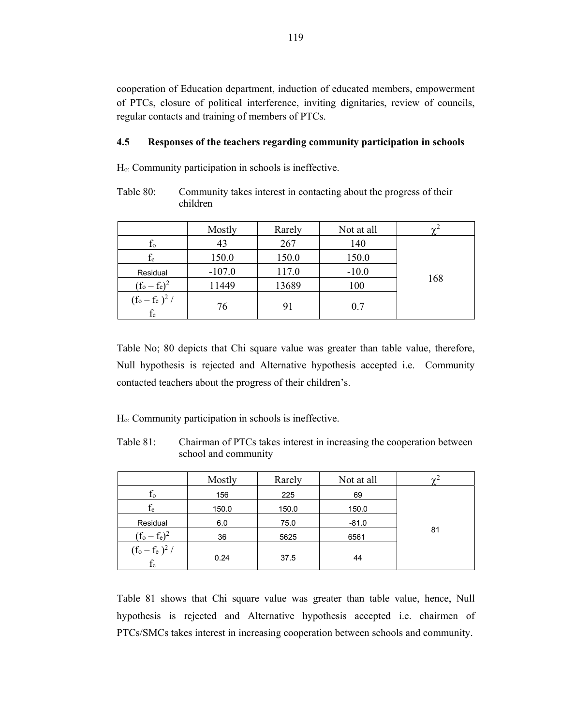cooperation of Education department, induction of educated members, empowerment of PTCs, closure of political interference, inviting dignitaries, review of councils, regular contacts and training of members of PTCs.

### **4.5 Responses of the teachers regarding community participation in schools**

Ho: Community participation in schools is ineffective.

Table 80: Community takes interest in contacting about the progress of their children

|                          | Mostly   | Rarely | Not at all | $\sim$ <sup>2</sup> |
|--------------------------|----------|--------|------------|---------------------|
| $f_{o}$                  | 43       | 267    | 140        |                     |
| $f_e$                    | 150.0    | 150.0  | 150.0      |                     |
| Residual                 | $-107.0$ | 117.0  | $-10.0$    |                     |
| $(f_0 - f_e)^2$          | 11449    | 13689  | 100        | 168                 |
| $(f_o-f_e)^2/$ $\rm f_e$ | 76       | 91     | 0.7        |                     |

Table No; 80 depicts that Chi square value was greater than table value, therefore, Null hypothesis is rejected and Alternative hypothesis accepted i.e. Community contacted teachers about the progress of their children's.

Ho: Community participation in schools is ineffective.

Table 81: Chairman of PTCs takes interest in increasing the cooperation between school and community

|                                                                                | Mostly | Rarely | Not at all | $\sim$ |
|--------------------------------------------------------------------------------|--------|--------|------------|--------|
| $f_{o}$                                                                        | 156    | 225    | 69         |        |
| fe                                                                             | 150.0  | 150.0  | 150.0      |        |
| Residual                                                                       | 6.0    | 75.0   | $-81.0$    |        |
| $(f_0 - f_e)^2$                                                                | 36     | 5625   | 6561       | 81     |
| $(\mathrm{f}_\mathrm{o} - \mathrm{f}_\mathrm{e}~)^2$ / $\mathrm{f}_\mathrm{e}$ | 0.24   | 37.5   | 44         |        |

Table 81 shows that Chi square value was greater than table value, hence, Null hypothesis is rejected and Alternative hypothesis accepted i.e. chairmen of PTCs/SMCs takes interest in increasing cooperation between schools and community.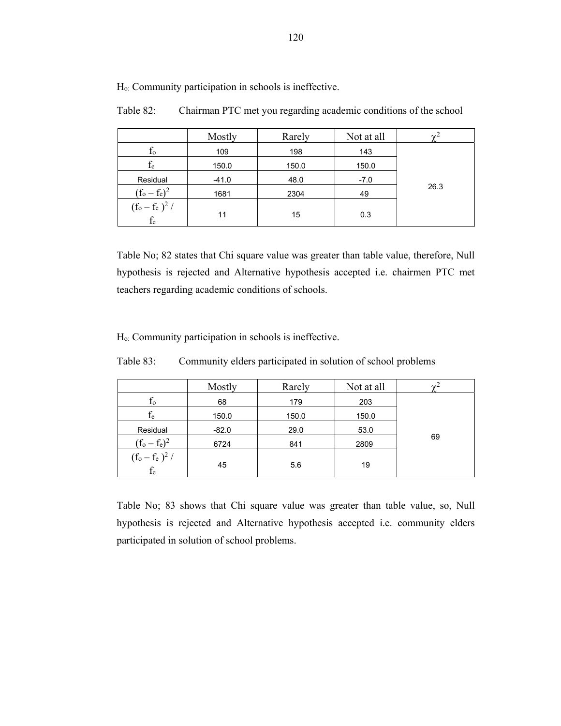Mostly Rarely Not at all  $\chi^2$  $f_o$  109 198 143 26.3  $f_e$  150.0 150.0 150.0 Residual | -41.0 | 48.0 | -7.0  $(f_o - f_e)^2$  $\begin{array}{|c|c|c|c|c|}\n^2 & 1681 & 2304 & 49 \\
\hline\n\end{array}$  $(f_o - f_e)^2$  /  $f_e$  11 15 0.3

Ho: Community participation in schools is ineffective.

Table 82: Chairman PTC met you regarding academic conditions of the school

Table No; 82 states that Chi square value was greater than table value, therefore, Null hypothesis is rejected and Alternative hypothesis accepted i.e. chairmen PTC met teachers regarding academic conditions of schools.

Ho: Community participation in schools is ineffective.

Table 83: Community elders participated in solution of school problems

|                                | Mostly  | Rarely | Not at all | $\sim$ |
|--------------------------------|---------|--------|------------|--------|
| f0                             | 68      | 179    | 203        |        |
| $f_e$                          | 150.0   | 150.0  | 150.0      |        |
| Residual                       | $-82.0$ | 29.0   | 53.0       |        |
| $(f_0 - f_e)^2$                | 6724    | 841    | 2809       | 69     |
| $(f_o-f_e)^2/ \frac{f_e}{f_e}$ | 45      | 5.6    | 19         |        |

Table No; 83 shows that Chi square value was greater than table value, so, Null hypothesis is rejected and Alternative hypothesis accepted i.e. community elders participated in solution of school problems.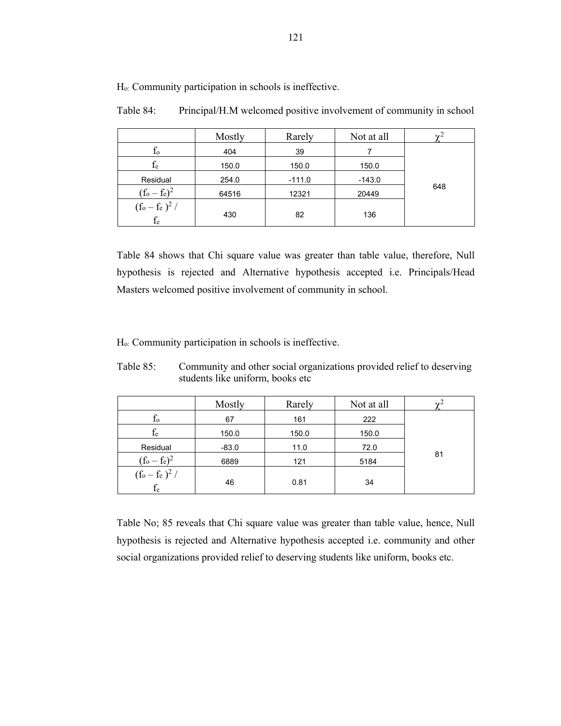|                            | Mostly | Rarely   | Not at all |     |
|----------------------------|--------|----------|------------|-----|
| $f_{o}$                    | 404    | 39       |            |     |
| $f_e$                      | 150.0  | 150.0    | 150.0      |     |
| Residual                   | 254.0  | $-111.0$ | $-143.0$   |     |
| $(f_o - f_e)^2$            | 64516  | 12321    | 20449      | 648 |
| $(f_o - f_e)^2$ /<br>$f_e$ | 430    | 82       | 136        |     |

Table 84: Principal/H.M welcomed positive involvement of community in school

Table 84 shows that Chi square value was greater than table value, therefore, Null hypothesis is rejected and Alternative hypothesis accepted i.e. Principals/Head Masters welcomed positive involvement of community in school.

Ho: Community participation in schools is ineffective.

| Table 85: | Community and other social organizations provided relief to deserving |
|-----------|-----------------------------------------------------------------------|
|           | students like uniform, books etc                                      |

|                                  | Mostly  | Rarely | Not at all |    |
|----------------------------------|---------|--------|------------|----|
| f0                               | 67      | 161    | 222        |    |
| fe                               | 150.0   | 150.0  | 150.0      |    |
| Residual                         | $-83.0$ | 11.0   | 72.0       |    |
| $(f_0 - f_e)^2$                  | 6889    | 121    | 5184       | 81 |
| $(f_o - f_e)^2 /$<br>${\rm f_e}$ | 46      | 0.81   | 34         |    |

Table No; 85 reveals that Chi square value was greater than table value, hence, Null hypothesis is rejected and Alternative hypothesis accepted i.e. community and other social organizations provided relief to deserving students like uniform, books etc.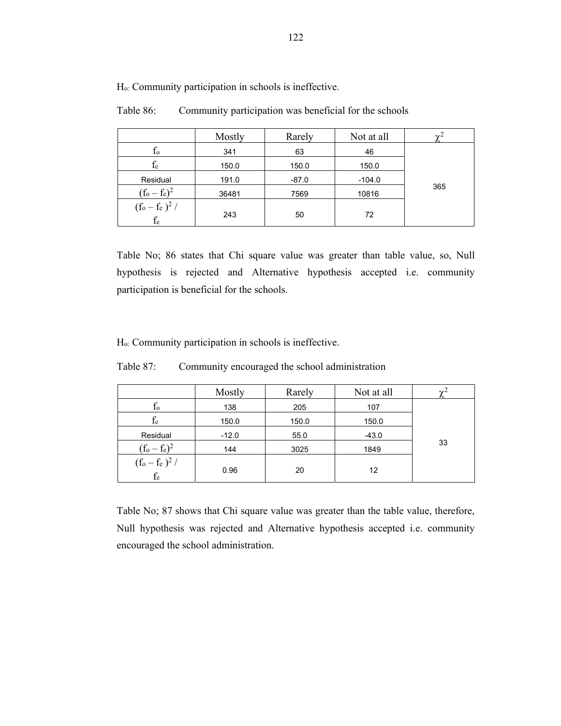|                            | Mostly | Rarely  | Not at all | $\gamma$ |
|----------------------------|--------|---------|------------|----------|
| $t_{o}$                    | 341    | 63      | 46         |          |
| $\rm f_e$                  | 150.0  | 150.0   | 150.0      |          |
| Residual                   | 191.0  | $-87.0$ | $-104.0$   |          |
| $(f_o - f_e)^2$            | 36481  | 7569    | 10816      | 365      |
| $(f_o - f_e)^2 /$<br>$f_e$ | 243    | 50      | 72         |          |

Table 86: Community participation was beneficial for the schools

Table No; 86 states that Chi square value was greater than table value, so, Null hypothesis is rejected and Alternative hypothesis accepted i.e. community participation is beneficial for the schools.

Ho: Community participation in schools is ineffective.

|                                   | Mostly  | Rarely | Not at all | $\mathbf{v}^2$ |
|-----------------------------------|---------|--------|------------|----------------|
| $f_{o}$                           | 138     | 205    | 107        |                |
| fe                                | 150.0   | 150.0  | 150.0      |                |
| Residual                          | $-12.0$ | 55.0   | $-43.0$    |                |
| $(f_o - f_e)^2$                   | 144     | 3025   | 1849       | 33             |
| $(f_o - f_e)^2 /$<br>$\rm{f_{e}}$ | 0.96    | 20     | 12         |                |

Table 87: Community encouraged the school administration

Table No; 87 shows that Chi square value was greater than the table value, therefore, Null hypothesis was rejected and Alternative hypothesis accepted i.e. community encouraged the school administration.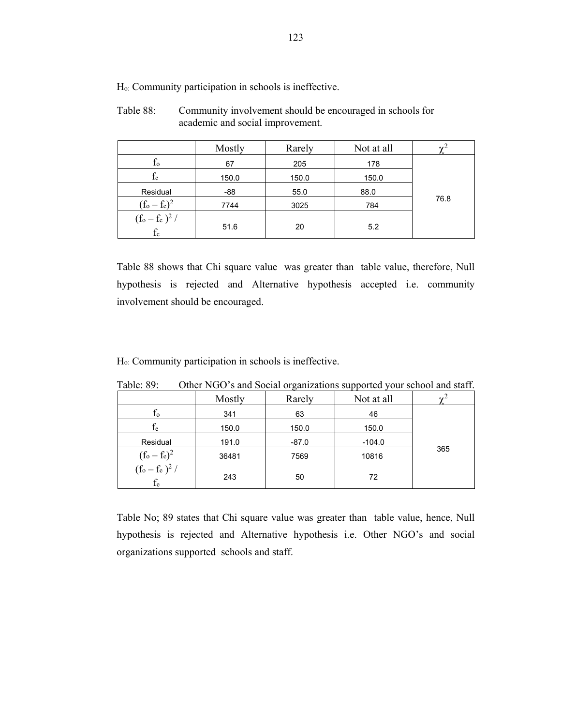| Table 88: | Community involvement should be encouraged in schools for |
|-----------|-----------------------------------------------------------|
|           | academic and social improvement.                          |

|                            | Mostly | Rarely | Not at all |      |
|----------------------------|--------|--------|------------|------|
| $f_{o}$                    | 67     | 205    | 178        |      |
| $\rm f_e$                  | 150.0  | 150.0  | 150.0      |      |
| Residual                   | $-88$  | 55.0   | 88.0       |      |
| $(f_0 - f_e)^2$            | 7744   | 3025   | 784        | 76.8 |
| $(f_o - f_e)^2 /$<br>$f_e$ | 51.6   | 20     | 5.2        |      |

Table 88 shows that Chi square value was greater than table value, therefore, Null hypothesis is rejected and Alternative hypothesis accepted i.e. community involvement should be encouraged.

Ho: Community participation in schools is ineffective.

|                             | Mostly | $\cdots$<br>Rarely | Not at all | $\mathbf{v}^2$ |
|-----------------------------|--------|--------------------|------------|----------------|
| $f_{o}$                     | 341    | 63                 | 46         |                |
| $\rm f_e$                   | 150.0  | 150.0              | 150.0      |                |
| Residual                    | 191.0  | $-87.0$            | $-104.0$   |                |
| $(f_o - f_e)^2$             | 36481  | 7569               | 10816      | 365            |
| $\frac{(f_o - f_e)^2}{f_e}$ | 243    | 50                 | 72         |                |

Table: 89: Other NGO's and Social organizations supported your school and staff.

Table No; 89 states that Chi square value was greater than table value, hence, Null hypothesis is rejected and Alternative hypothesis i.e. Other NGO's and social organizations supported schools and staff.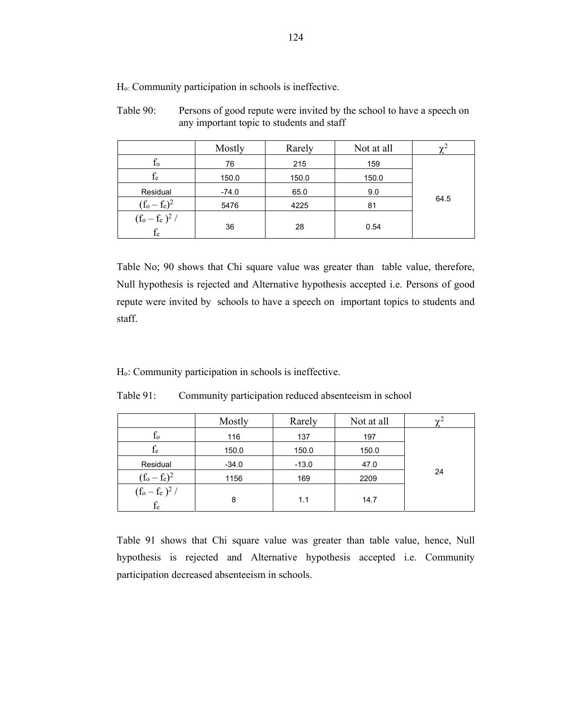Table 90: Persons of good repute were invited by the school to have a speech on any important topic to students and staff

|                            | Mostly  | Rarely | Not at all |      |
|----------------------------|---------|--------|------------|------|
| $f_{o}$                    | 76      | 215    | 159        |      |
| $f_{e}$                    | 150.0   | 150.0  | 150.0      |      |
| Residual                   | $-74.0$ | 65.0   | 9.0        |      |
| $(f_0 - f_e)^2$            | 5476    | 4225   | 81         | 64.5 |
| $(f_o - f_e)^2 /$<br>$f_e$ | 36      | 28     | 0.54       |      |

Table No; 90 shows that Chi square value was greater than table value, therefore, Null hypothesis is rejected and Alternative hypothesis accepted i.e. Persons of good repute were invited by schools to have a speech on important topics to students and staff.

Ho: Community participation in schools is ineffective.

| Table 91: | Community participation reduced absenteeism in school |  |  |
|-----------|-------------------------------------------------------|--|--|
|           |                                                       |  |  |

|                            | Mostly  | Rarely  | Not at all | $\gamma^2$ |  |
|----------------------------|---------|---------|------------|------------|--|
| $f_{o}$                    | 116     | 137     | 197        |            |  |
| $\rm f_e$                  | 150.0   | 150.0   | 150.0      |            |  |
| Residual                   | $-34.0$ | $-13.0$ | 47.0       |            |  |
| $(f_0 - f_e)^2$            | 1156    | 169     | 2209       | 24         |  |
| $(f_0 - f_e)^2 /$<br>$f_e$ | 8       | 1.1     | 14.7       |            |  |

Table 91 shows that Chi square value was greater than table value, hence, Null hypothesis is rejected and Alternative hypothesis accepted i.e. Community participation decreased absenteeism in schools.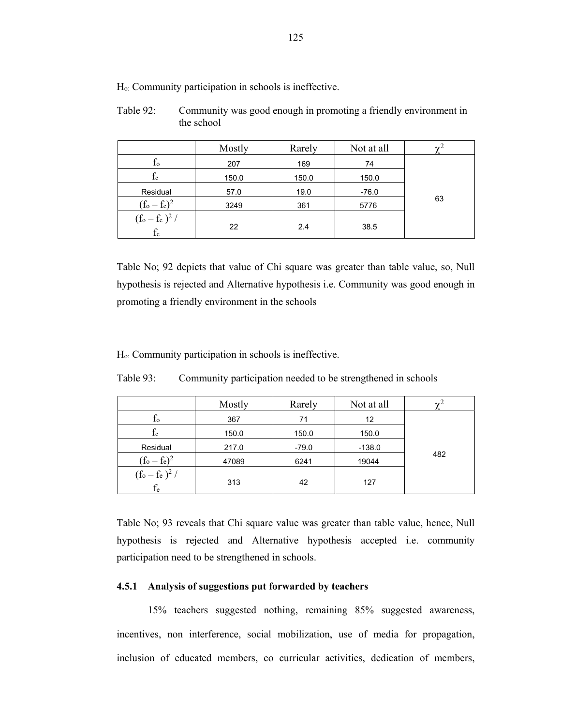| Table 92: | Community was good enough in promoting a friendly environment in |
|-----------|------------------------------------------------------------------|
|           | the school                                                       |

|                         | Mostly | Rarely | Not at all |    |  |
|-------------------------|--------|--------|------------|----|--|
| $f_{o}$                 | 207    | 169    | 74         |    |  |
| $\rm f_e$               | 150.0  | 150.0  | 150.0      |    |  |
| Residual                | 57.0   | 19.0   | $-76.0$    |    |  |
| $(f_0 - f_e)^2$         | 3249   | 361    | 5776       | 63 |  |
| $(f_o - f_e)^2 /$<br>fe | 22     | 2.4    | 38.5       |    |  |

Table No; 92 depicts that value of Chi square was greater than table value, so, Null hypothesis is rejected and Alternative hypothesis i.e. Community was good enough in promoting a friendly environment in the schools

Ho: Community participation in schools is ineffective.

|                            | Mostly | Rarely  | Not at all |     |  |
|----------------------------|--------|---------|------------|-----|--|
| $f_{o}$                    | 367    | 71      | 12         |     |  |
| $f_{e}$                    | 150.0  | 150.0   | 150.0      |     |  |
| Residual                   | 217.0  | $-79.0$ | $-138.0$   |     |  |
| $(f_0 - f_e)^2$            | 47089  | 6241    | 19044      | 482 |  |
| $(f_o - f_e)^2 /$<br>$f_e$ | 313    | 42      | 127        |     |  |

Table 93: Community participation needed to be strengthened in schools

Table No; 93 reveals that Chi square value was greater than table value, hence, Null hypothesis is rejected and Alternative hypothesis accepted i.e. community participation need to be strengthened in schools.

### **4.5.1 Analysis of suggestions put forwarded by teachers**

15% teachers suggested nothing, remaining 85% suggested awareness, incentives, non interference, social mobilization, use of media for propagation, inclusion of educated members, co curricular activities, dedication of members,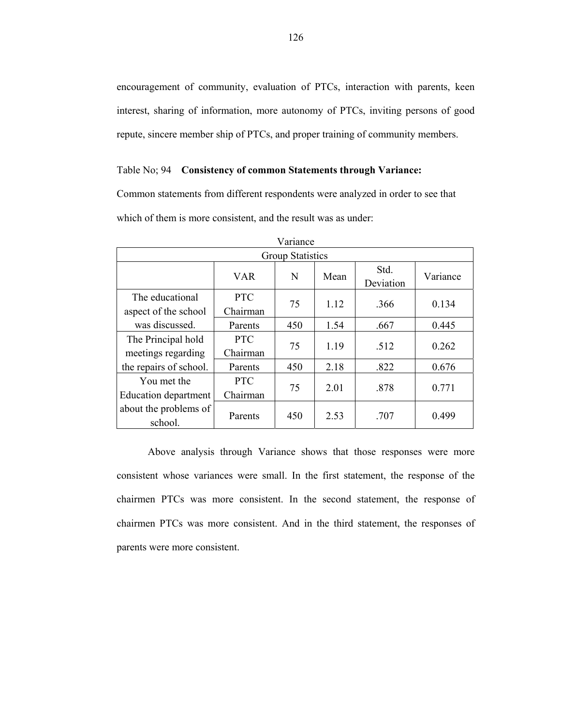encouragement of community, evaluation of PTCs, interaction with parents, keen interest, sharing of information, more autonomy of PTCs, inviting persons of good repute, sincere member ship of PTCs, and proper training of community members.

#### Table No; 94 **Consistency of common Statements through Variance:**

Common statements from different respondents were analyzed in order to see that which of them is more consistent, and the result was as under:

| Variance                                 |                        |     |      |                   |          |
|------------------------------------------|------------------------|-----|------|-------------------|----------|
| <b>Group Statistics</b>                  |                        |     |      |                   |          |
|                                          | <b>VAR</b>             | N   | Mean | Std.<br>Deviation | Variance |
| The educational<br>aspect of the school  | <b>PTC</b><br>Chairman | 75  | 1.12 | .366              | 0.134    |
| was discussed.                           | Parents                | 450 | 1.54 | .667              | 0.445    |
| The Principal hold<br>meetings regarding | <b>PTC</b><br>Chairman | 75  | 1.19 | .512              | 0.262    |
| the repairs of school.                   | Parents                | 450 | 2.18 | .822              | 0.676    |
| You met the<br>Education department      | <b>PTC</b><br>Chairman | 75  | 2.01 | .878              | 0.771    |
| about the problems of<br>school.         | Parents                | 450 | 2.53 | .707              | 0.499    |

Above analysis through Variance shows that those responses were more consistent whose variances were small. In the first statement, the response of the chairmen PTCs was more consistent. In the second statement, the response of chairmen PTCs was more consistent. And in the third statement, the responses of parents were more consistent.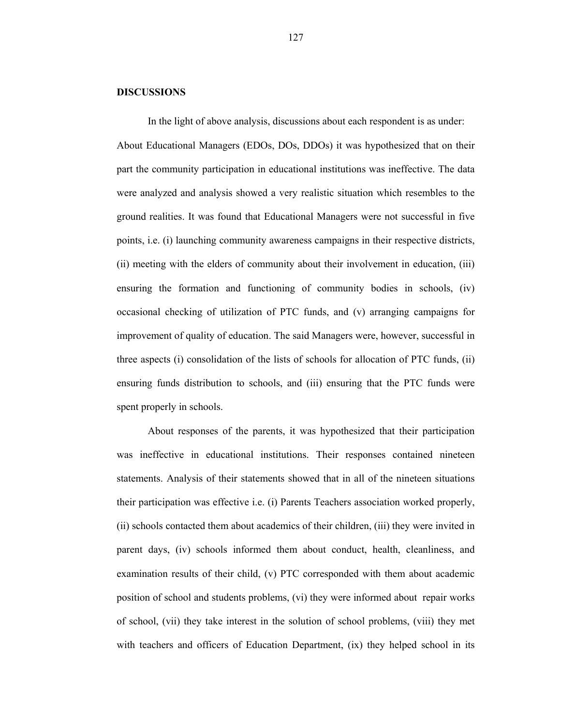#### **DISCUSSIONS**

In the light of above analysis, discussions about each respondent is as under: About Educational Managers (EDOs, DOs, DDOs) it was hypothesized that on their part the community participation in educational institutions was ineffective. The data were analyzed and analysis showed a very realistic situation which resembles to the ground realities. It was found that Educational Managers were not successful in five points, i.e. (i) launching community awareness campaigns in their respective districts, (ii) meeting with the elders of community about their involvement in education, (iii) ensuring the formation and functioning of community bodies in schools, (iv) occasional checking of utilization of PTC funds, and (v) arranging campaigns for improvement of quality of education. The said Managers were, however, successful in three aspects (i) consolidation of the lists of schools for allocation of PTC funds, (ii) ensuring funds distribution to schools, and (iii) ensuring that the PTC funds were spent properly in schools.

 About responses of the parents, it was hypothesized that their participation was ineffective in educational institutions. Their responses contained nineteen statements. Analysis of their statements showed that in all of the nineteen situations their participation was effective i.e. (i) Parents Teachers association worked properly, (ii) schools contacted them about academics of their children, (iii) they were invited in parent days, (iv) schools informed them about conduct, health, cleanliness, and examination results of their child, (v) PTC corresponded with them about academic position of school and students problems, (vi) they were informed about repair works of school, (vii) they take interest in the solution of school problems, (viii) they met with teachers and officers of Education Department, (ix) they helped school in its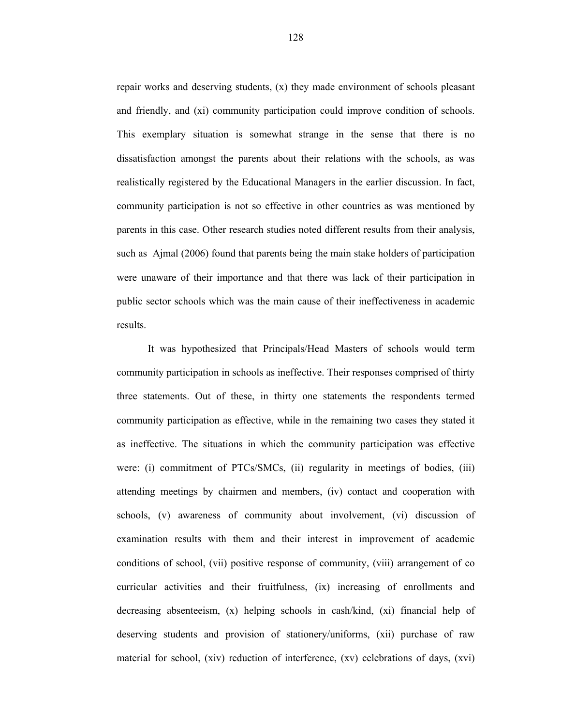repair works and deserving students, (x) they made environment of schools pleasant and friendly, and (xi) community participation could improve condition of schools. This exemplary situation is somewhat strange in the sense that there is no dissatisfaction amongst the parents about their relations with the schools, as was realistically registered by the Educational Managers in the earlier discussion. In fact, community participation is not so effective in other countries as was mentioned by parents in this case. Other research studies noted different results from their analysis, such as Ajmal (2006) found that parents being the main stake holders of participation were unaware of their importance and that there was lack of their participation in public sector schools which was the main cause of their ineffectiveness in academic results.

 It was hypothesized that Principals/Head Masters of schools would term community participation in schools as ineffective. Their responses comprised of thirty three statements. Out of these, in thirty one statements the respondents termed community participation as effective, while in the remaining two cases they stated it as ineffective. The situations in which the community participation was effective were: (i) commitment of PTCs/SMCs, (ii) regularity in meetings of bodies, (iii) attending meetings by chairmen and members, (iv) contact and cooperation with schools, (v) awareness of community about involvement, (vi) discussion of examination results with them and their interest in improvement of academic conditions of school, (vii) positive response of community, (viii) arrangement of co curricular activities and their fruitfulness, (ix) increasing of enrollments and decreasing absenteeism, (x) helping schools in cash/kind, (xi) financial help of deserving students and provision of stationery/uniforms, (xii) purchase of raw material for school, (xiv) reduction of interference, (xv) celebrations of days, (xvi)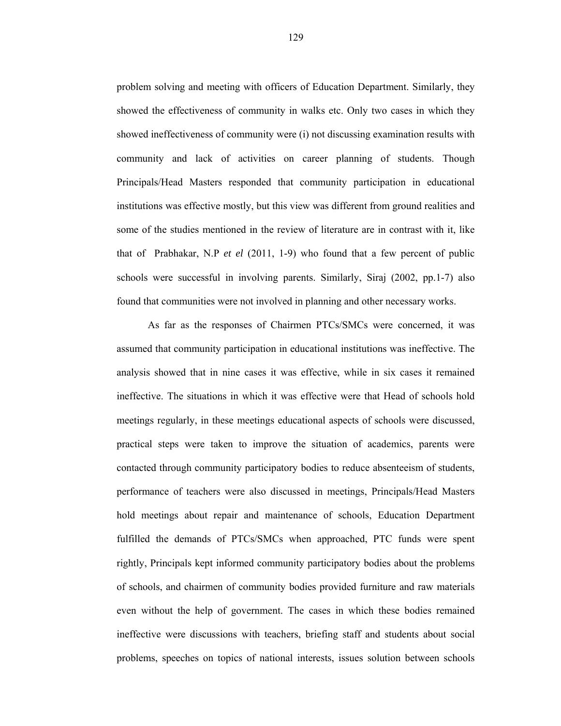problem solving and meeting with officers of Education Department. Similarly, they showed the effectiveness of community in walks etc. Only two cases in which they showed ineffectiveness of community were (i) not discussing examination results with community and lack of activities on career planning of students. Though Principals/Head Masters responded that community participation in educational institutions was effective mostly, but this view was different from ground realities and some of the studies mentioned in the review of literature are in contrast with it, like that of Prabhakar, N.P *et el* (2011, 1-9) who found that a few percent of public schools were successful in involving parents. Similarly, Siraj (2002, pp.1-7) also found that communities were not involved in planning and other necessary works.

 As far as the responses of Chairmen PTCs/SMCs were concerned, it was assumed that community participation in educational institutions was ineffective. The analysis showed that in nine cases it was effective, while in six cases it remained ineffective. The situations in which it was effective were that Head of schools hold meetings regularly, in these meetings educational aspects of schools were discussed, practical steps were taken to improve the situation of academics, parents were contacted through community participatory bodies to reduce absenteeism of students, performance of teachers were also discussed in meetings, Principals/Head Masters hold meetings about repair and maintenance of schools, Education Department fulfilled the demands of PTCs/SMCs when approached, PTC funds were spent rightly, Principals kept informed community participatory bodies about the problems of schools, and chairmen of community bodies provided furniture and raw materials even without the help of government. The cases in which these bodies remained ineffective were discussions with teachers, briefing staff and students about social problems, speeches on topics of national interests, issues solution between schools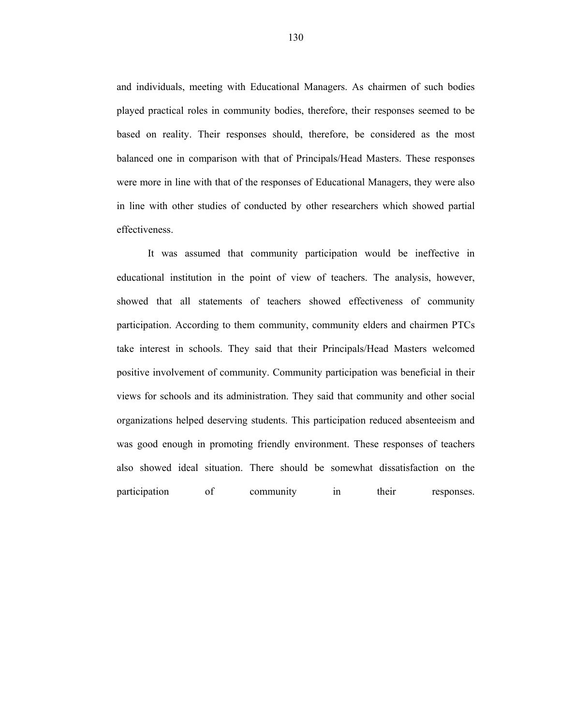and individuals, meeting with Educational Managers. As chairmen of such bodies played practical roles in community bodies, therefore, their responses seemed to be based on reality. Their responses should, therefore, be considered as the most balanced one in comparison with that of Principals/Head Masters. These responses were more in line with that of the responses of Educational Managers, they were also in line with other studies of conducted by other researchers which showed partial effectiveness.

 It was assumed that community participation would be ineffective in educational institution in the point of view of teachers. The analysis, however, showed that all statements of teachers showed effectiveness of community participation. According to them community, community elders and chairmen PTCs take interest in schools. They said that their Principals/Head Masters welcomed positive involvement of community. Community participation was beneficial in their views for schools and its administration. They said that community and other social organizations helped deserving students. This participation reduced absenteeism and was good enough in promoting friendly environment. These responses of teachers also showed ideal situation. There should be somewhat dissatisfaction on the participation of community in their responses.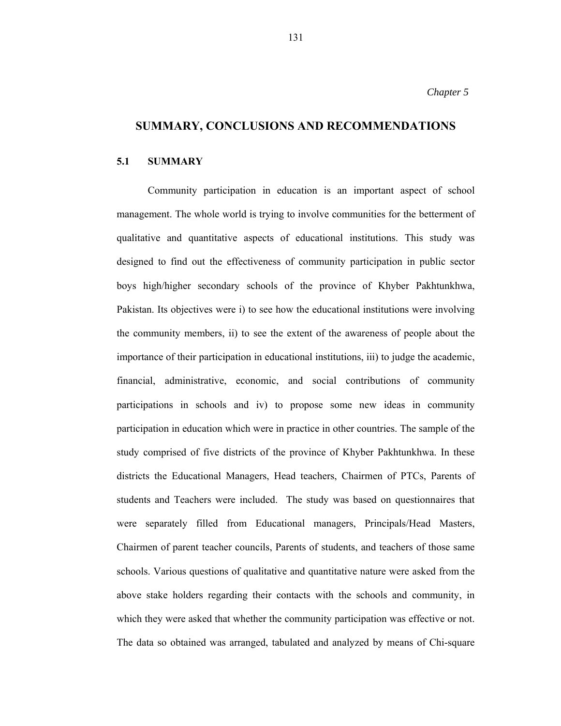# **SUMMARY, CONCLUSIONS AND RECOMMENDATIONS**

### **5.1 SUMMARY**

 Community participation in education is an important aspect of school management. The whole world is trying to involve communities for the betterment of qualitative and quantitative aspects of educational institutions. This study was designed to find out the effectiveness of community participation in public sector boys high/higher secondary schools of the province of Khyber Pakhtunkhwa, Pakistan. Its objectives were i) to see how the educational institutions were involving the community members, ii) to see the extent of the awareness of people about the importance of their participation in educational institutions, iii) to judge the academic, financial, administrative, economic, and social contributions of community participations in schools and iv) to propose some new ideas in community participation in education which were in practice in other countries. The sample of the study comprised of five districts of the province of Khyber Pakhtunkhwa. In these districts the Educational Managers, Head teachers, Chairmen of PTCs, Parents of students and Teachers were included. The study was based on questionnaires that were separately filled from Educational managers, Principals/Head Masters, Chairmen of parent teacher councils, Parents of students, and teachers of those same schools. Various questions of qualitative and quantitative nature were asked from the above stake holders regarding their contacts with the schools and community, in which they were asked that whether the community participation was effective or not. The data so obtained was arranged, tabulated and analyzed by means of Chi-square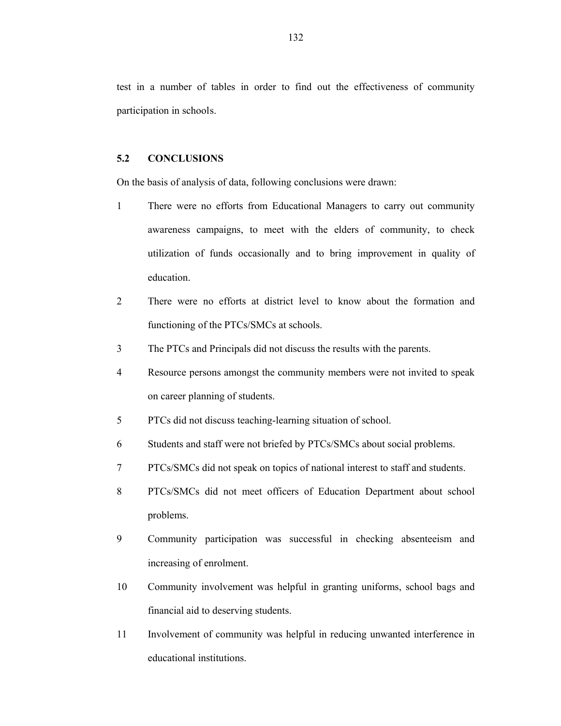test in a number of tables in order to find out the effectiveness of community participation in schools.

### **5.2 CONCLUSIONS**

On the basis of analysis of data, following conclusions were drawn:

- 1 There were no efforts from Educational Managers to carry out community awareness campaigns, to meet with the elders of community, to check utilization of funds occasionally and to bring improvement in quality of education.
- 2 There were no efforts at district level to know about the formation and functioning of the PTCs/SMCs at schools.
- 3 The PTCs and Principals did not discuss the results with the parents.
- 4 Resource persons amongst the community members were not invited to speak on career planning of students.
- 5 PTCs did not discuss teaching-learning situation of school.
- 6 Students and staff were not briefed by PTCs/SMCs about social problems.
- 7 PTCs/SMCs did not speak on topics of national interest to staff and students.
- 8 PTCs/SMCs did not meet officers of Education Department about school problems.
- 9 Community participation was successful in checking absenteeism and increasing of enrolment.
- 10 Community involvement was helpful in granting uniforms, school bags and financial aid to deserving students.
- 11 Involvement of community was helpful in reducing unwanted interference in educational institutions.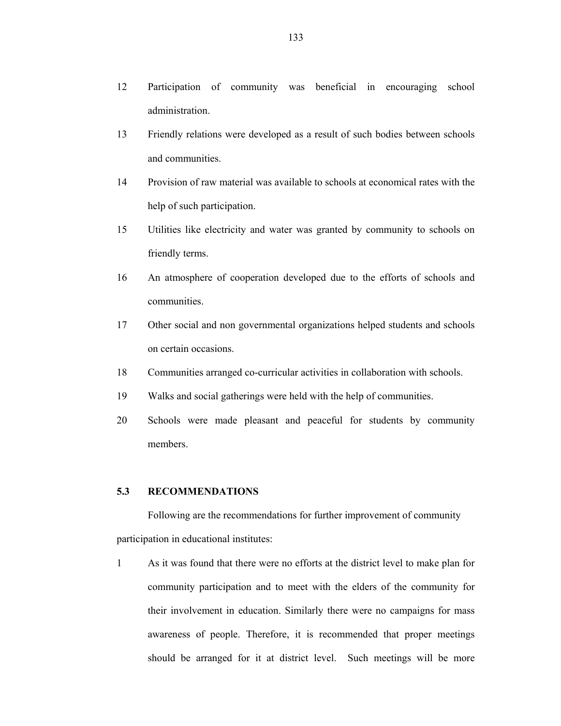- 13 Friendly relations were developed as a result of such bodies between schools and communities.
- 14 Provision of raw material was available to schools at economical rates with the help of such participation.
- 15 Utilities like electricity and water was granted by community to schools on friendly terms.
- 16 An atmosphere of cooperation developed due to the efforts of schools and communities.
- 17 Other social and non governmental organizations helped students and schools on certain occasions.
- 18 Communities arranged co-curricular activities in collaboration with schools.
- 19 Walks and social gatherings were held with the help of communities.
- 20 Schools were made pleasant and peaceful for students by community members.

### **5.3 RECOMMENDATIONS**

Following are the recommendations for further improvement of community participation in educational institutes:

1 As it was found that there were no efforts at the district level to make plan for community participation and to meet with the elders of the community for their involvement in education. Similarly there were no campaigns for mass awareness of people. Therefore, it is recommended that proper meetings should be arranged for it at district level. Such meetings will be more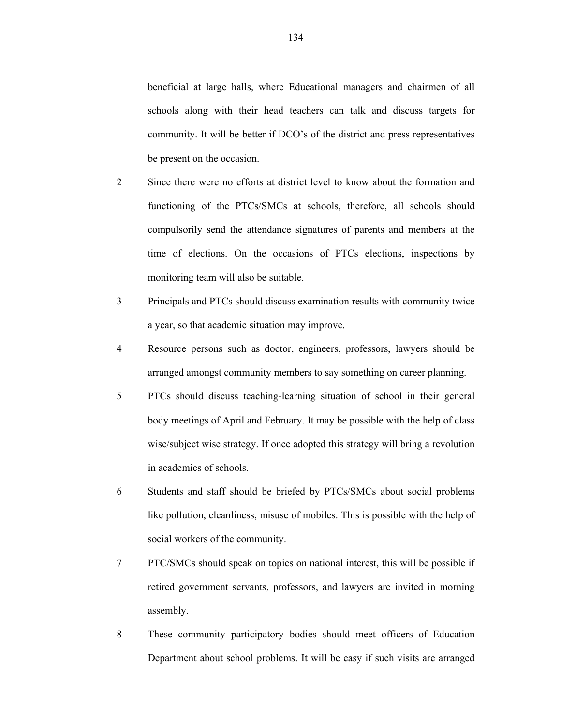beneficial at large halls, where Educational managers and chairmen of all schools along with their head teachers can talk and discuss targets for community. It will be better if DCO's of the district and press representatives be present on the occasion.

- 2 Since there were no efforts at district level to know about the formation and functioning of the PTCs/SMCs at schools, therefore, all schools should compulsorily send the attendance signatures of parents and members at the time of elections. On the occasions of PTCs elections, inspections by monitoring team will also be suitable.
- 3 Principals and PTCs should discuss examination results with community twice a year, so that academic situation may improve.
- 4 Resource persons such as doctor, engineers, professors, lawyers should be arranged amongst community members to say something on career planning.
- 5 PTCs should discuss teaching-learning situation of school in their general body meetings of April and February. It may be possible with the help of class wise/subject wise strategy. If once adopted this strategy will bring a revolution in academics of schools.
- 6 Students and staff should be briefed by PTCs/SMCs about social problems like pollution, cleanliness, misuse of mobiles. This is possible with the help of social workers of the community.
- 7 PTC/SMCs should speak on topics on national interest, this will be possible if retired government servants, professors, and lawyers are invited in morning assembly.
- 8 These community participatory bodies should meet officers of Education Department about school problems. It will be easy if such visits are arranged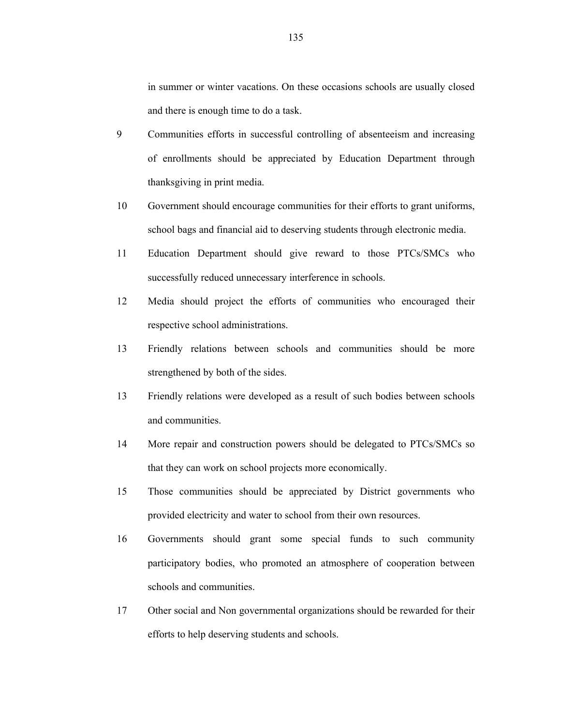in summer or winter vacations. On these occasions schools are usually closed and there is enough time to do a task.

- 9 Communities efforts in successful controlling of absenteeism and increasing of enrollments should be appreciated by Education Department through thanksgiving in print media.
- 10 Government should encourage communities for their efforts to grant uniforms, school bags and financial aid to deserving students through electronic media.
- 11 Education Department should give reward to those PTCs/SMCs who successfully reduced unnecessary interference in schools.
- 12 Media should project the efforts of communities who encouraged their respective school administrations.
- 13 Friendly relations between schools and communities should be more strengthened by both of the sides.
- 13 Friendly relations were developed as a result of such bodies between schools and communities.
- 14 More repair and construction powers should be delegated to PTCs/SMCs so that they can work on school projects more economically.
- 15 Those communities should be appreciated by District governments who provided electricity and water to school from their own resources.
- 16 Governments should grant some special funds to such community participatory bodies, who promoted an atmosphere of cooperation between schools and communities.
- 17 Other social and Non governmental organizations should be rewarded for their efforts to help deserving students and schools.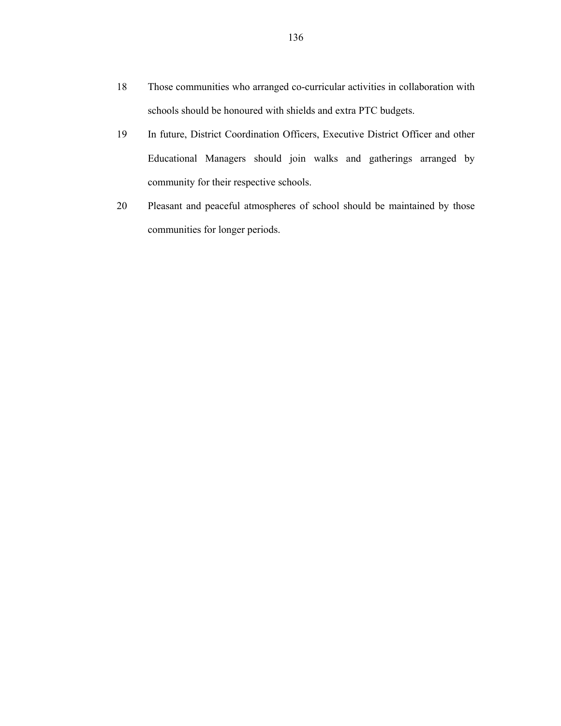- 18 Those communities who arranged co-curricular activities in collaboration with schools should be honoured with shields and extra PTC budgets.
- 19 In future, District Coordination Officers, Executive District Officer and other Educational Managers should join walks and gatherings arranged by community for their respective schools.
- 20 Pleasant and peaceful atmospheres of school should be maintained by those communities for longer periods.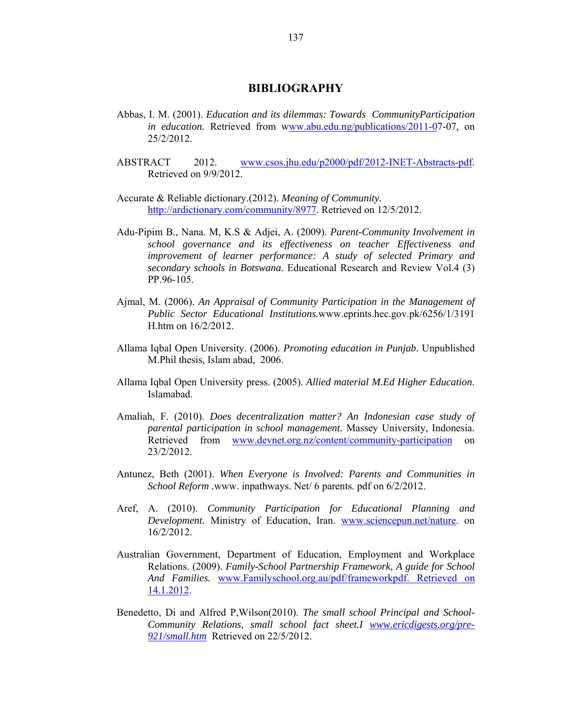### **BIBLIOGRAPHY**

- Abbas, I. M. (2001). *Education and its dilemmas: Towards CommunityParticipation in education.* Retrieved from www.abu.edu.ng/publications/2011-07-07*,* on 25/2/2012.
- ABSTRACT 2012. www.csos.jhu.edu/p2000/pdf/2012-INET-Abstracts-pdf. Retrieved on 9/9/2012.
- Accurate & Reliable dictionary.(2012). *Meaning of Community.* http://ardictionary.com/community/8977. Retrieved on 12/5/2012.
- Adu-Pipim B., Nana. M, K.S & Adjei, A. (2009). *Parent-Community Involvement in school governance and its effectiveness on teacher Effectiveness and improvement of learner performance: A study of selected Primary and secondary schools in Botswana.* Educational Research and Review Vol.4 (3) PP.96-105.
- Ajmal, M. (2006). *An Appraisal of Community Participation in the Management of Public Sector Educational Institutions.*www.eprints.hec.gov.pk/6256/1/3191 H.htm on 16/2/2012.
- Allama Iqbal Open University. (2006). *Promoting education in Punjab*. Unpublished M.Phil thesis, Islam abad, 2006.
- Allama Iqbal Open University press. (2005). *Allied material M.Ed Higher Education*. Islamabad.
- Amaliah, F. (2010). *Does decentralization matter? An Indonesian case study of parental participation in school management.* Massey University, Indonesia. Retrieved from www.devnet.org.nz/content/community-participation on 23/2/2012.
- Antunez, Beth (2001). *When Everyone is Involved: Parents and Communities in School Reform .*www. inpathways. Net/ 6 parents. pdf on 6/2/2012.
- Aref, A. (2010). *Community Participation for Educational Planning and Development.* Ministry of Education, Iran. www.sciencepun.net/nature. on 16/2/2012.
- Australian Government, Department of Education, Employment and Workplace Relations. (2009). *Family-School Partnership Framework, A guide for School And Families.* www.Familyschool.org.au/pdf/frameworkpdf. Retrieved on 14.1.2012.
- Benedetto, Di and Alfred P,Wilson(2010). *The small school Principal and School-Community Relations, small school fact sheet.I www.ericdigests.org/pre-921/small.htm* Retrieved on 22/5/2012.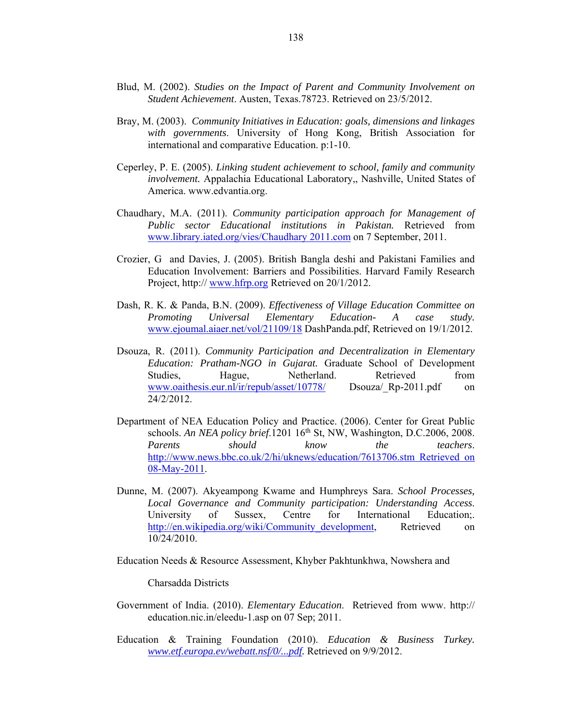- Blud, M. (2002). *Studies on the Impact of Parent and Community Involvement on Student Achievement*. Austen, Texas.78723. Retrieved on 23/5/2012.
- Bray, M. (2003). *Community Initiatives in Education: goals, dimensions and linkages with governments*. University of Hong Kong, British Association for international and comparative Education. p:1-10.
- Ceperley, P. E. (2005). *Linking student achievement to school, family and community involvement.* Appalachia Educational Laboratory,, Nashville, United States of America. www.edvantia.org.
- Chaudhary, M.A. (2011). *Community participation approach for Management of Public sector Educational institutions in Pakistan.* Retrieved from www.library.iated.org/vies/Chaudhary 2011.com on 7 September, 2011.
- Crozier, G and Davies, J. (2005). British Bangla deshi and Pakistani Families and Education Involvement: Barriers and Possibilities. Harvard Family Research Project, http:// www.hfrp.org Retrieved on 20/1/2012.
- Dash, R. K. & Panda, B.N. (2009). *Effectiveness of Village Education Committee on Promoting Universal Elementary Education- A case study.* www.ejoumal.aiaer.net/vol/21109/18 DashPanda.pdf, Retrieved on 19/1/2012.
- Dsouza, R. (2011). *Community Participation and Decentralization in Elementary Education: Pratham-NGO in Gujarat.* Graduate School of Development Studies, Hague, Netherland. Retrieved from www.oaithesis.eur.nl/ir/repub/asset/10778/ Dsouza/ Rp-2011.pdf on 24/2/2012.
- Department of NEA Education Policy and Practice. (2006). Center for Great Public schools. *An NEA policy brief*.1201 16<sup>th</sup> St, NW, Washington, D.C.2006, 2008. *Parents should know the teachers*. http://www.news.bbc.co.uk/2/hi/uknews/education/7613706.stm Retrieved on 08-May-2011.
- Dunne, M. (2007). Akyeampong Kwame and Humphreys Sara. *School Processes, Local Governance and Community participation: Understanding Access*. University of Sussex, Centre for International Education; http://en.wikipedia.org/wiki/Community\_development, Retrieved on 10/24/2010.

Education Needs & Resource Assessment, Khyber Pakhtunkhwa, Nowshera and

Charsadda Districts

- Government of India. (2010). *Elementary Education*. Retrieved from www. http:// education.nic.in/eleedu-1.asp on 07 Sep; 2011.
- Education & Training Foundation (2010). *Education & Business Turkey. www.etf.europa.ev/webatt.nsf/0/...pdf.* Retrieved on 9/9/2012.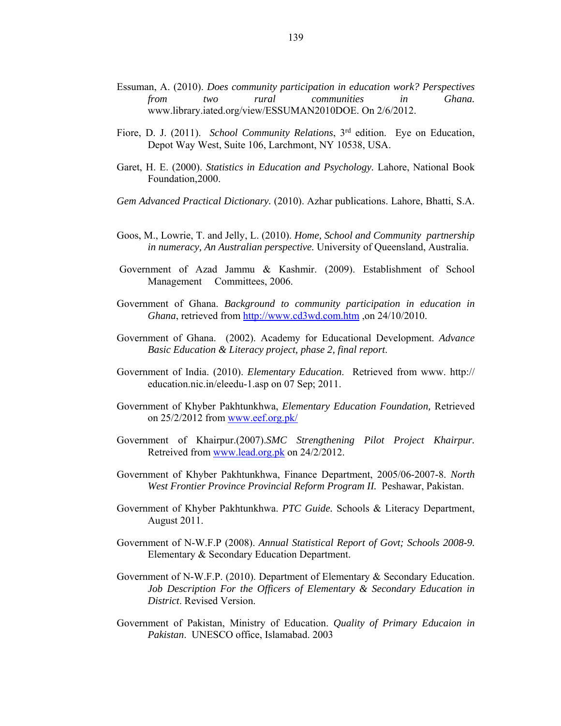- Essuman, A. (2010). *Does community participation in education work? Perspectives from two rural communities in Ghana.*  www.library.iated.org/view/ESSUMAN2010DOE. On 2/6/2012.
- Fiore, D. J. (2011). *School Community Relations*, 3rd edition. Eye on Education, Depot Way West, Suite 106, Larchmont, NY 10538, USA.
- Garet, H. E. (2000). *Statistics in Education and Psychology.* Lahore, National Book Foundation,2000.
- *Gem Advanced Practical Dictionary.* (2010). Azhar publications. Lahore, Bhatti, S.A.
- Goos, M., Lowrie, T. and Jelly, L. (2010). *Home, School and Community partnership in numeracy, An Australian perspective.* University of Queensland, Australia.
- Government of Azad Jammu & Kashmir. (2009). Establishment of School Management Committees, 2006.
- Government of Ghana. *Background to community participation in education in Ghana*, retrieved from http://www.cd3wd.com.htm ,on 24/10/2010.
- Government of Ghana. (2002). Academy for Educational Development. *Advance Basic Education & Literacy project, phase 2, final report*.
- Government of India. (2010). *Elementary Education*. Retrieved from www. http:// education.nic.in/eleedu-1.asp on 07 Sep; 2011.
- Government of Khyber Pakhtunkhwa, *Elementary Education Foundation,* Retrieved on 25/2/2012 from www.eef.org.pk/
- Government of Khairpur.(2007).*SMC Strengthening Pilot Project Khairpur.* Retreived from www.lead.org.pk on 24/2/2012.
- Government of Khyber Pakhtunkhwa, Finance Department, 2005/06-2007-8. *North West Frontier Province Provincial Reform Program II.* Peshawar, Pakistan.
- Government of Khyber Pakhtunkhwa. *PTC Guide.* Schools & Literacy Department, August 2011.
- Government of N-W.F.P (2008). *Annual Statistical Report of Govt; Schools 2008-9.* Elementary & Secondary Education Department.
- Government of N-W.F.P. (2010). Department of Elementary & Secondary Education. *Job Description For the Officers of Elementary & Secondary Education in District*. Revised Version.
- Government of Pakistan, Ministry of Education. *Quality of Primary Educaion in Pakistan*. UNESCO office, Islamabad. 2003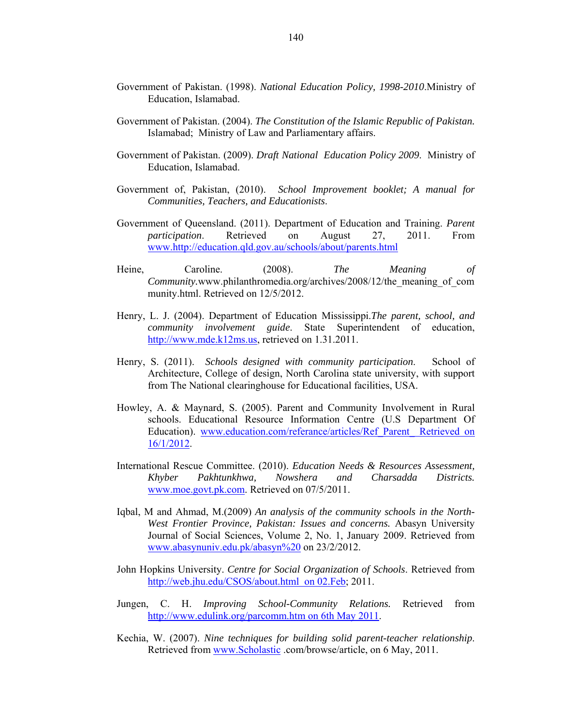- Government of Pakistan. (1998). *National Education Policy, 1998-2010*.Ministry of Education, Islamabad.
- Government of Pakistan. (2004). *The Constitution of the Islamic Republic of Pakistan.*  Islamabad; Ministry of Law and Parliamentary affairs.
- Government of Pakistan. (2009). *Draft National Education Policy 2009*. Ministry of Education, Islamabad.
- Government of, Pakistan, (2010). *School Improvement booklet; A manual for Communities, Teachers, and Educationists*.
- Government of Queensland. (2011). Department of Education and Training. *Parent participation*. Retrieved on August 27, 2011. From www.http://education.qld.gov.au/schools/about/parents.html
- Heine, Caroline. (2008). *The Meaning of Community.*www.philanthromedia.org/archives/2008/12/the\_meaning\_of\_com munity.html. Retrieved on 12/5/2012.
- Henry, L. J. (2004). Department of Education Mississippi.*The parent, school, and community involvement guide*. State Superintendent of education, http://www.mde.k12ms.us, retrieved on 1.31.2011.
- Henry, S. (2011). *Schools designed with community participation*. School of Architecture, College of design, North Carolina state university, with support from The National clearinghouse for Educational facilities, USA.
- Howley, A. & Maynard, S. (2005). Parent and Community Involvement in Rural schools. Educational Resource Information Centre (U.S Department Of Education). www.education.com/referance/articles/Ref\_Parent\_ Retrieved on 16/1/2012.
- International Rescue Committee. (2010). *Education Needs & Resources Assessment, Khyber Pakhtunkhwa, Nowshera and Charsadda Districts.* www.moe.govt.pk.com. Retrieved on 07/5/2011.
- Iqbal, M and Ahmad, M.(2009) *An analysis of the community schools in the North-West Frontier Province, Pakistan: Issues and concerns.* Abasyn University Journal of Social Sciences, Volume 2, No. 1, January 2009. Retrieved from www.abasynuniv.edu.pk/abasyn%20 on 23/2/2012.
- John Hopkins University. *Centre for Social Organization of Schools*. Retrieved from http://web.jhu.edu/CSOS/about.html on 02.Feb; 2011.
- Jungen, C. H. *Improving School-Community Relations.* Retrieved from http://www.edulink.org/parcomm.htm on 6th May 2011.
- Kechia, W. (2007). *Nine techniques for building solid parent-teacher relationship*. Retrieved from www.Scholastic .com/browse/article, on 6 May, 2011.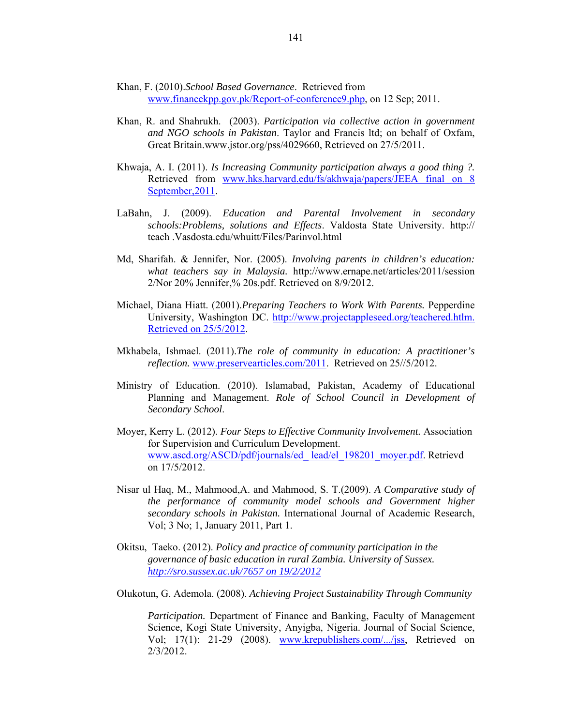- Khan, F. (2010).*School Based Governance*. Retrieved from www.financekpp.gov.pk/Report-of-conference9.php, on 12 Sep; 2011.
- Khan, R. and Shahrukh. (2003). *Participation via collective action in government and NGO schools in Pakistan*. Taylor and Francis ltd; on behalf of Oxfam, Great Britain.www.jstor.org/pss/4029660, Retrieved on 27/5/2011.
- Khwaja, A. I. (2011). *Is Increasing Community participation always a good thing ?.* Retrieved from www.hks.harvard.edu/fs/akhwaja/papers/JEEA final on 8 September,2011.
- LaBahn, J. (2009). *Education and Parental Involvement in secondary schools:Problems, solutions and Effects*. Valdosta State University. http:// teach .Vasdosta.edu/whuitt/Files/Parinvol.html
- Md, Sharifah. & Jennifer, Nor. (2005). *Involving parents in children's education: what teachers say in Malaysia.* http://www.ernape.net/articles/2011/session 2/Nor 20% Jennifer,% 20s.pdf. Retrieved on 8/9/2012.
- Michael, Diana Hiatt. (2001).*Preparing Teachers to Work With Parents.* Pepperdine University, Washington DC. http://www.projectappleseed.org/teachered.htlm. Retrieved on 25/5/2012.
- Mkhabela, Ishmael. (2011).*The role of community in education: A practitioner's reflection.* www.preservearticles.com/2011. Retrieved on 25//5/2012.
- Ministry of Education. (2010). Islamabad, Pakistan, Academy of Educational Planning and Management. *Role of School Council in Development of Secondary School*.
- Moyer, Kerry L. (2012). *Four Steps to Effective Community Involvement.* Association for Supervision and Curriculum Development. www.ascd.org/ASCD/pdf/journals/ed\_ lead/el\_198201\_moyer.pdf. Retrievd on 17/5/2012.
- Nisar ul Haq, M., Mahmood,A. and Mahmood, S. T.(2009). *A Comparative study of the performance of community model schools and Government higher secondary schools in Pakistan.* International Journal of Academic Research, Vol; 3 No; 1, January 2011, Part 1.
- Okitsu, Taeko. (2012). *Policy and practice of community participation in the governance of basic education in rural Zambia. University of Sussex. http://sro.sussex.ac.uk/7657 on 19/2/2012*

Olukotun, G. Ademola. (2008). *Achieving Project Sustainability Through Community* 

*Participation.* Department of Finance and Banking, Faculty of Management Science, Kogi State University, Anyigba, Nigeria. Journal of Social Science, Vol; 17(1): 21-29 (2008). www.krepublishers.com/.../jss, Retrieved on 2/3/2012.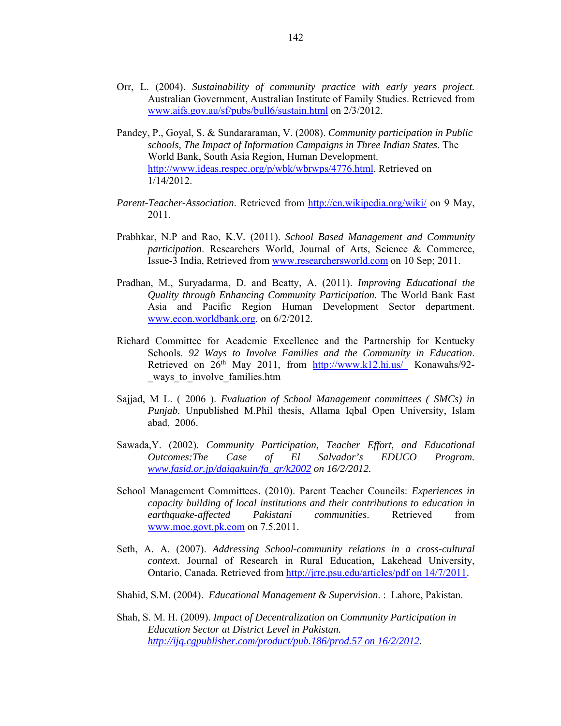- Orr, L. (2004). *Sustainability of community practice with early years project.* Australian Government, Australian Institute of Family Studies. Retrieved from www.aifs.gov.au/sf/pubs/bull6/sustain.html on 2/3/2012.
- Pandey, P., Goyal, S. & Sundararaman, V. (2008). *Community participation in Public schools, The Impact of Information Campaigns in Three Indian States*. The World Bank, South Asia Region, Human Development. http://www.ideas.respec.org/p/wbk/wbrwps/4776.html. Retrieved on 1/14/2012.
- *Parent-Teacher-Association*. Retrieved from http://en.wikipedia.org/wiki/ on 9 May, 2011.
- Prabhkar, N.P and Rao, K.V*.* (2011). *School Based Management and Community participation*. Researchers World, Journal of Arts, Science & Commerce, Issue-3 India, Retrieved from www.researchersworld.com on 10 Sep; 2011.
- Pradhan, M., Suryadarma, D. and Beatty, A. (2011). *Improving Educational the Quality through Enhancing Community Participation.* The World Bank East Asia and Pacific Region Human Development Sector department. www.econ.worldbank.org. on 6/2/2012.
- Richard Committee for Academic Excellence and the Partnership for Kentucky Schools. *92 Ways to Involve Families and the Community in Education*. Retrieved on  $26<sup>th</sup>$  May 2011, from  $\frac{http://www.k12.hi.us/}{http://www.k12.hi.us/}$  Konawahs/92-\_ways\_to\_involve\_families.htm
- Sajjad, M L. ( 2006 ). *Evaluation of School Management committees ( SMCs) in Punjab.* Unpublished M.Phil thesis, Allama Iqbal Open University, Islam abad, 2006.
- Sawada,Y. (2002). *Community Participation, Teacher Effort, and Educational Outcomes:The Case of El Salvador's EDUCO Program. www.fasid.or.jp/daigakuin/fa\_gr/k2002 on 16/2/2012.*
- School Management Committees. (2010). Parent Teacher Councils: *Experiences in capacity building of local institutions and their contributions to education in earthquake*-*affected Pakistani communities*. Retrieved from www.moe.govt.pk.com on 7.5.2011.
- Seth, A. A. (2007). *Addressing School-community relations in a cross-cultural contex*t. Journal of Research in Rural Education, Lakehead University, Ontario, Canada. Retrieved from http://jrre.psu.edu/articles/pdf on 14/7/2011.
- Shahid, S.M. (2004). *Educational Management & Supervision*. : Lahore, Pakistan.
- Shah, S. M. H. (2009). *Impact of Decentralization on Community Participation in Education Sector at District Level in Pakistan. http://ijq.cgpublisher.com/product/pub.186/prod.57 on 16/2/2012.*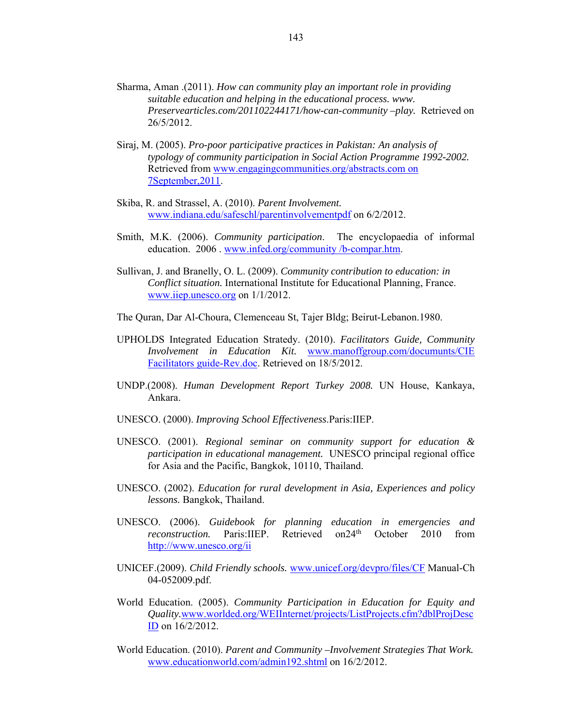- Sharma, Aman .(2011). *How can community play an important role in providing suitable education and helping in the educational process. www. Preservearticles.com/201102244171/how-can-community –play.* Retrieved on 26/5/2012.
- Siraj, M. (2005). *Pro-poor participative practices in Pakistan: An analysis of typology of community participation in Social Action Programme 1992-2002.*  Retrieved from www.engagingcommunities.org/abstracts.com on 7September,2011.
- Skiba, R. and Strassel, A. (2010). *Parent Involvement.* www.indiana.edu/safeschl/parentinvolvementpdf on 6/2/2012.
- Smith, M.K. (2006). *Community participation*. The encyclopaedia of informal education. 2006 . www.infed.org/community /b-compar.htm.
- Sullivan, J. and Branelly, O. L. (2009). *Community contribution to education: in Conflict situation.* International Institute for Educational Planning, France. www.iiep.unesco.org on 1/1/2012.
- The Quran, Dar Al-Choura, Clemenceau St, Tajer Bldg; Beirut-Lebanon.1980.
- UPHOLDS Integrated Education Stratedy. (2010). *Facilitators Guide, Community Involvement in Education Kit.* www.manoffgroup.com/documunts/CIE Facilitators guide-Rev.doc. Retrieved on 18/5/2012.
- UNDP.(2008). *Human Development Report Turkey 2008.* UN House, Kankaya, Ankara.
- UNESCO. (2000). *Improving School Effectiveness*.Paris:IIEP.
- UNESCO. (2001). *Regional seminar on community support for education & participation in educational management.* UNESCO principal regional office for Asia and the Pacific, Bangkok, 10110, Thailand.
- UNESCO. (2002). *Education for rural development in Asia, Experiences and policy lessons.* Bangkok, Thailand.
- UNESCO. (2006). *Guidebook for planning education in emergencies and reconstruction.* Paris:IIEP. Retrieved on24<sup>th</sup> October 2010 from http://www.unesco.org/ii
- UNICEF.(2009). *Child Friendly schools.* www.unicef.org/devpro/files/CF Manual-Ch 04-052009.pdf.
- World Education. (2005). *Community Participation in Education for Equity and Quality.*www.worlded.org/WEIInternet/projects/ListProjects.cfm?dblProjDesc ID on 16/2/2012.
- World Education. (2010). *Parent and Community –Involvement Strategies That Work.*  www.educationworld.com/admin192.shtml on 16/2/2012.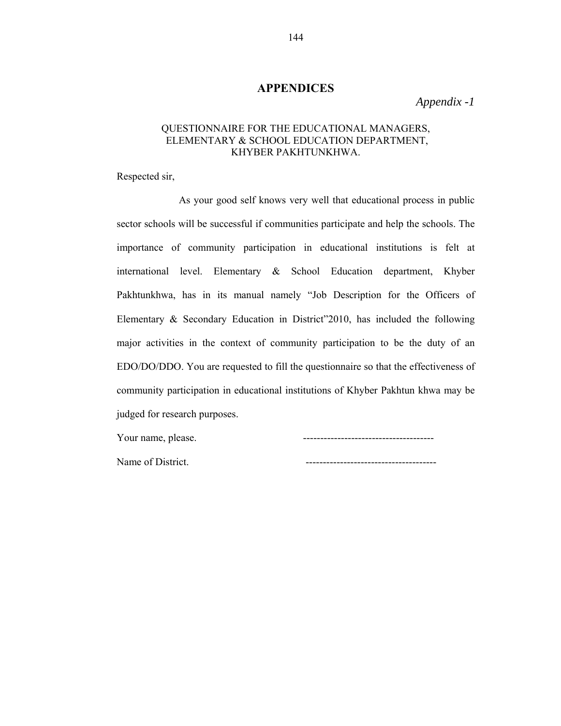# **APPENDICES**

*Appendix -1* 

# QUESTIONNAIRE FOR THE EDUCATIONAL MANAGERS, ELEMENTARY & SCHOOL EDUCATION DEPARTMENT, KHYBER PAKHTUNKHWA.

Respected sir,

 As your good self knows very well that educational process in public sector schools will be successful if communities participate and help the schools. The importance of community participation in educational institutions is felt at international level. Elementary & School Education department, Khyber Pakhtunkhwa, has in its manual namely "Job Description for the Officers of Elementary & Secondary Education in District"2010, has included the following major activities in the context of community participation to be the duty of an EDO/DO/DDO. You are requested to fill the questionnaire so that the effectiveness of community participation in educational institutions of Khyber Pakhtun khwa may be judged for research purposes.

Name of District.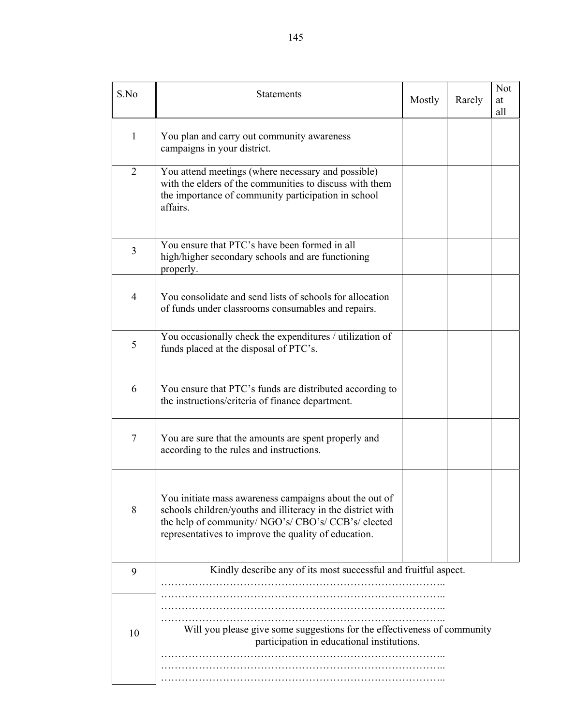| S.No           | <b>Statements</b>                                                                                                                                                                                                                    | Mostly | Rarely | <b>Not</b><br>at<br>all |
|----------------|--------------------------------------------------------------------------------------------------------------------------------------------------------------------------------------------------------------------------------------|--------|--------|-------------------------|
| 1              | You plan and carry out community awareness<br>campaigns in your district.                                                                                                                                                            |        |        |                         |
| $\overline{2}$ | You attend meetings (where necessary and possible)<br>with the elders of the communities to discuss with them<br>the importance of community participation in school<br>affairs.                                                     |        |        |                         |
| 3              | You ensure that PTC's have been formed in all<br>high/higher secondary schools and are functioning<br>properly.                                                                                                                      |        |        |                         |
| $\overline{4}$ | You consolidate and send lists of schools for allocation<br>of funds under classrooms consumables and repairs.                                                                                                                       |        |        |                         |
| 5              | You occasionally check the expenditures / utilization of<br>funds placed at the disposal of PTC's.                                                                                                                                   |        |        |                         |
| 6              | You ensure that PTC's funds are distributed according to<br>the instructions/criteria of finance department.                                                                                                                         |        |        |                         |
| 7              | You are sure that the amounts are spent properly and<br>according to the rules and instructions.                                                                                                                                     |        |        |                         |
| 8              | You initiate mass awareness campaigns about the out of<br>schools children/youths and illiteracy in the district with<br>the help of community/ NGO's/ CBO's/ CCB's/ elected<br>representatives to improve the quality of education. |        |        |                         |
| 9              | Kindly describe any of its most successful and fruitful aspect.                                                                                                                                                                      |        |        |                         |
| 10             | Will you please give some suggestions for the effectiveness of community<br>participation in educational institutions.                                                                                                               |        |        |                         |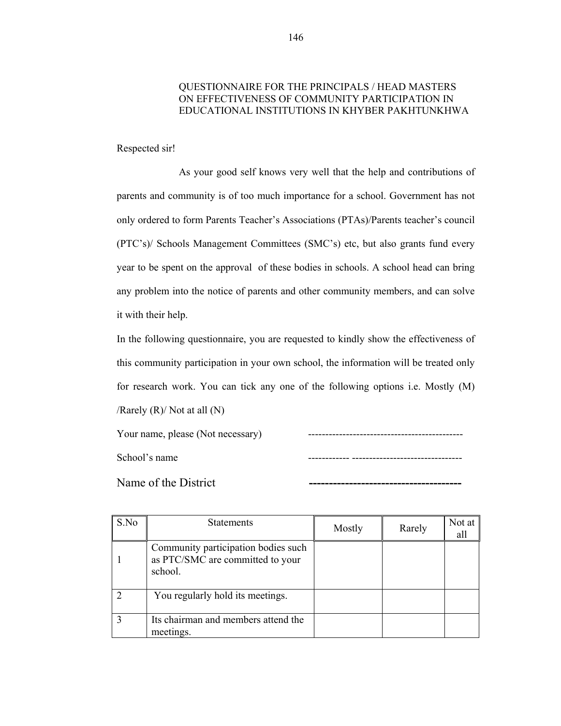# QUESTIONNAIRE FOR THE PRINCIPALS / HEAD MASTERS ON EFFECTIVENESS OF COMMUNITY PARTICIPATION IN EDUCATIONAL INSTITUTIONS IN KHYBER PAKHTUNKHWA

Respected sir!

 As your good self knows very well that the help and contributions of parents and community is of too much importance for a school. Government has not only ordered to form Parents Teacher's Associations (PTAs)/Parents teacher's council (PTC's)/ Schools Management Committees (SMC's) etc, but also grants fund every year to be spent on the approval of these bodies in schools. A school head can bring any problem into the notice of parents and other community members, and can solve it with their help.

In the following questionnaire, you are requested to kindly show the effectiveness of this community participation in your own school, the information will be treated only for research work. You can tick any one of the following options i.e. Mostly (M) /Rarely  $(R)$ / Not at all  $(N)$ 

Your name, please (Not necessary) --------------------------------------------- School's name ------------ --------------------------------

Name of the District

| S.No | <b>Statements</b>                                                                  | Mostly | Rarely | Not at<br>all |
|------|------------------------------------------------------------------------------------|--------|--------|---------------|
|      | Community participation bodies such<br>as PTC/SMC are committed to your<br>school. |        |        |               |
|      | You regularly hold its meetings.                                                   |        |        |               |
|      | Its chairman and members attend the<br>meetings.                                   |        |        |               |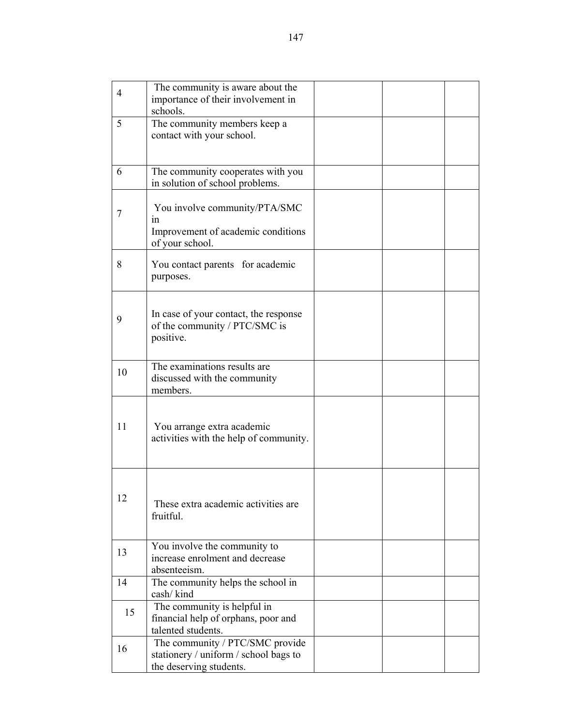| $\overline{4}$ | The community is aware about the<br>importance of their involvement in<br>schools.                  |  |  |
|----------------|-----------------------------------------------------------------------------------------------------|--|--|
| 5              | The community members keep a<br>contact with your school.                                           |  |  |
| 6              | The community cooperates with you<br>in solution of school problems.                                |  |  |
| 7              | You involve community/PTA/SMC<br>1n<br>Improvement of academic conditions<br>of your school.        |  |  |
| 8              | You contact parents for academic<br>purposes.                                                       |  |  |
| 9              | In case of your contact, the response<br>of the community / PTC/SMC is<br>positive.                 |  |  |
| 10             | The examinations results are<br>discussed with the community<br>members.                            |  |  |
| 11             | You arrange extra academic<br>activities with the help of community.                                |  |  |
| 12             | These extra academic activities are<br>fruitful.                                                    |  |  |
| 13             | You involve the community to<br>increase enrolment and decrease<br>absenteeism.                     |  |  |
| 14             | The community helps the school in<br>cash/kind                                                      |  |  |
| 15             | The community is helpful in<br>financial help of orphans, poor and<br>talented students.            |  |  |
| 16             | The community / PTC/SMC provide<br>stationery / uniform / school bags to<br>the deserving students. |  |  |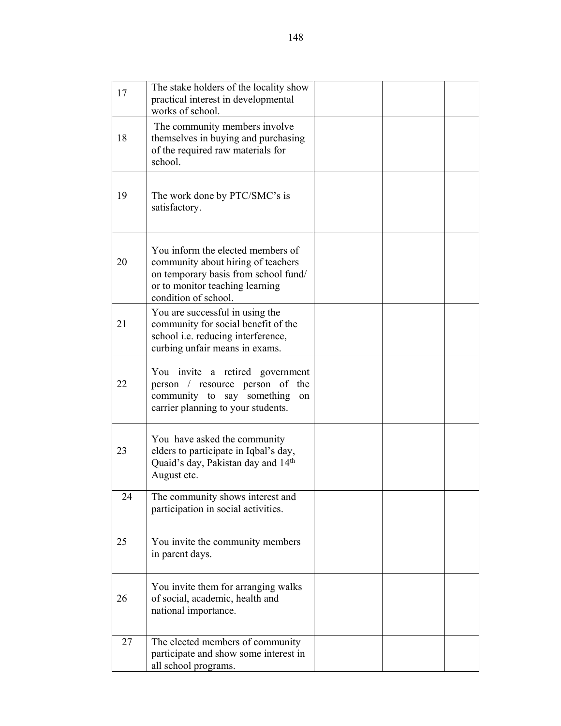| 17 | The stake holders of the locality show<br>practical interest in developmental<br>works of school.                                                                          |  |  |
|----|----------------------------------------------------------------------------------------------------------------------------------------------------------------------------|--|--|
| 18 | The community members involve<br>themselves in buying and purchasing<br>of the required raw materials for<br>school.                                                       |  |  |
| 19 | The work done by PTC/SMC's is<br>satisfactory.                                                                                                                             |  |  |
| 20 | You inform the elected members of<br>community about hiring of teachers<br>on temporary basis from school fund/<br>or to monitor teaching learning<br>condition of school. |  |  |
| 21 | You are successful in using the<br>community for social benefit of the<br>school <i>i.e.</i> reducing interference,<br>curbing unfair means in exams.                      |  |  |
| 22 | You invite a retired government<br>person / resource person of<br>the<br>community to say something<br>on<br>carrier planning to your students.                            |  |  |
| 23 | You have asked the community<br>elders to participate in Iqbal's day,<br>Quaid's day, Pakistan day and 14 <sup>th</sup><br>August etc.                                     |  |  |
| 24 | The community shows interest and<br>participation in social activities.                                                                                                    |  |  |
| 25 | You invite the community members<br>in parent days.                                                                                                                        |  |  |
| 26 | You invite them for arranging walks<br>of social, academic, health and<br>national importance.                                                                             |  |  |
| 27 | The elected members of community<br>participate and show some interest in<br>all school programs.                                                                          |  |  |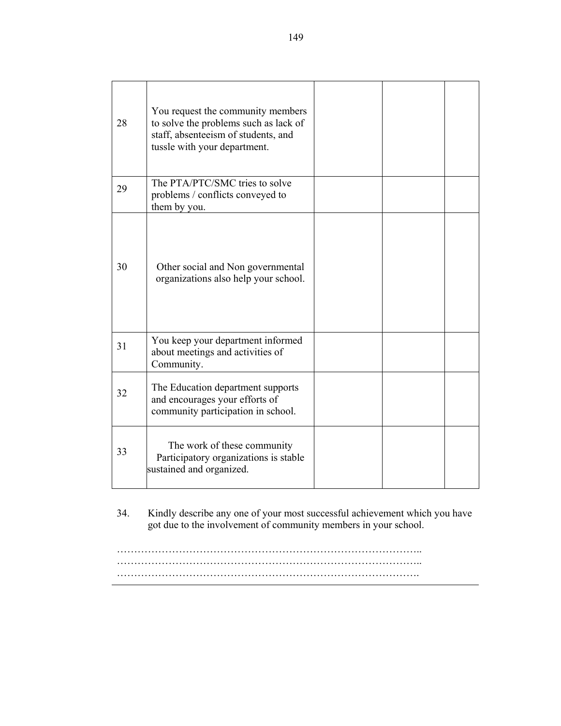| 28 | You request the community members<br>to solve the problems such as lack of<br>staff, absenteeism of students, and<br>tussle with your department. |  |  |
|----|---------------------------------------------------------------------------------------------------------------------------------------------------|--|--|
| 29 | The PTA/PTC/SMC tries to solve<br>problems / conflicts conveyed to<br>them by you.                                                                |  |  |
| 30 | Other social and Non governmental<br>organizations also help your school.                                                                         |  |  |
| 31 | You keep your department informed<br>about meetings and activities of<br>Community.                                                               |  |  |
| 32 | The Education department supports<br>and encourages your efforts of<br>community participation in school.                                         |  |  |
| 33 | The work of these community<br>Participatory organizations is stable<br>sustained and organized.                                                  |  |  |

34. Kindly describe any one of your most successful achievement which you have got due to the involvement of community members in your school.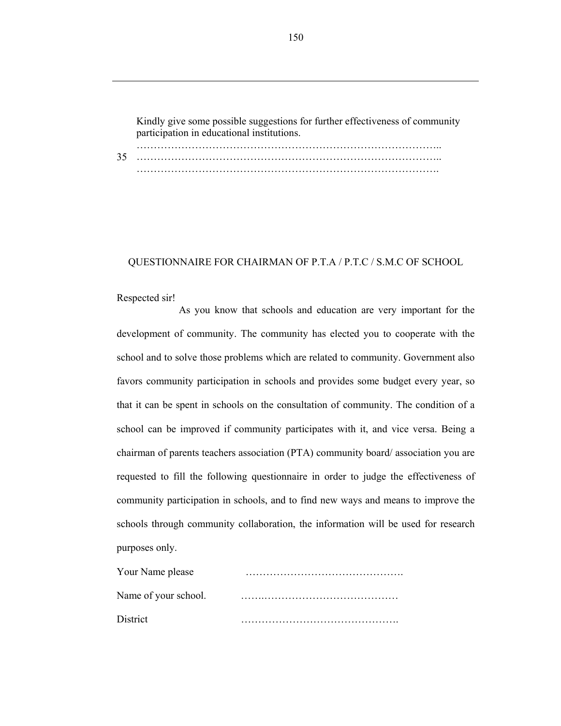Kindly give some possible suggestions for further effectiveness of community participation in educational institutions.

35 …………………………………………………………………………….. …………………………………………………………………………….. …………………………………………………………………………….

### QUESTIONNAIRE FOR CHAIRMAN OF P.T.A / P.T.C / S.M.C OF SCHOOL

#### Respected sir!

 As you know that schools and education are very important for the development of community. The community has elected you to cooperate with the school and to solve those problems which are related to community. Government also favors community participation in schools and provides some budget every year, so that it can be spent in schools on the consultation of community. The condition of a school can be improved if community participates with it, and vice versa. Being a chairman of parents teachers association (PTA) community board/ association you are requested to fill the following questionnaire in order to judge the effectiveness of community participation in schools, and to find new ways and means to improve the schools through community collaboration, the information will be used for research purposes only.

| Your Name please     |  |
|----------------------|--|
| Name of your school. |  |
| District             |  |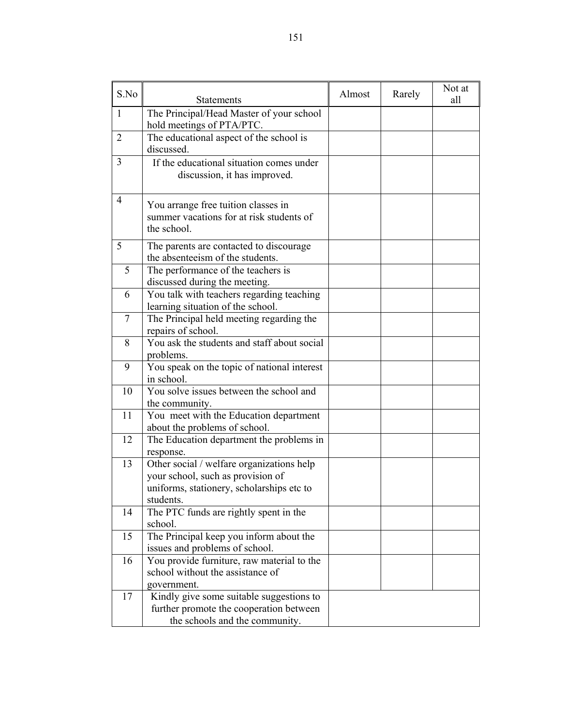| S.No           | <b>Statements</b>                                                                                                                        | Almost | Rarely | Not at<br>all |
|----------------|------------------------------------------------------------------------------------------------------------------------------------------|--------|--------|---------------|
| $\mathbf{1}$   | The Principal/Head Master of your school<br>hold meetings of PTA/PTC.                                                                    |        |        |               |
| $\overline{2}$ | The educational aspect of the school is<br>discussed.                                                                                    |        |        |               |
| 3              | If the educational situation comes under<br>discussion, it has improved.                                                                 |        |        |               |
| 4              | You arrange free tuition classes in<br>summer vacations for at risk students of<br>the school.                                           |        |        |               |
| 5              | The parents are contacted to discourage<br>the absenteeism of the students.                                                              |        |        |               |
| 5              | The performance of the teachers is<br>discussed during the meeting.                                                                      |        |        |               |
| 6              | You talk with teachers regarding teaching<br>learning situation of the school.                                                           |        |        |               |
| 7              | The Principal held meeting regarding the<br>repairs of school.                                                                           |        |        |               |
| 8              | You ask the students and staff about social<br>problems.                                                                                 |        |        |               |
| 9              | You speak on the topic of national interest<br>in school.                                                                                |        |        |               |
| 10             | You solve issues between the school and<br>the community.                                                                                |        |        |               |
| 11             | You meet with the Education department<br>about the problems of school.                                                                  |        |        |               |
| 12             | The Education department the problems in<br>response.                                                                                    |        |        |               |
| 13             | Other social / welfare organizations help<br>your school, such as provision of<br>uniforms, stationery, scholarships etc to<br>students. |        |        |               |
| 14             | The PTC funds are rightly spent in the<br>school.                                                                                        |        |        |               |
| 15             | The Principal keep you inform about the<br>issues and problems of school.                                                                |        |        |               |
| 16             | You provide furniture, raw material to the<br>school without the assistance of<br>government.                                            |        |        |               |
| 17             | Kindly give some suitable suggestions to<br>further promote the cooperation between<br>the schools and the community.                    |        |        |               |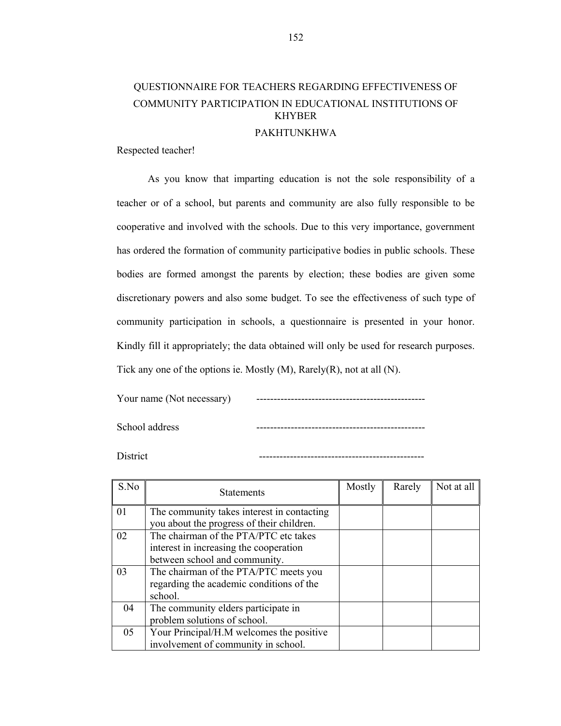# QUESTIONNAIRE FOR TEACHERS REGARDING EFFECTIVENESS OF COMMUNITY PARTICIPATION IN EDUCATIONAL INSTITUTIONS OF KHYBER

### PAKHTUNKHWA

Respected teacher!

 As you know that imparting education is not the sole responsibility of a teacher or of a school, but parents and community are also fully responsible to be cooperative and involved with the schools. Due to this very importance, government has ordered the formation of community participative bodies in public schools. These bodies are formed amongst the parents by election; these bodies are given some discretionary powers and also some budget. To see the effectiveness of such type of community participation in schools, a questionnaire is presented in your honor. Kindly fill it appropriately; the data obtained will only be used for research purposes. Tick any one of the options ie. Mostly (M), Rarely(R), not at all (N).

Your name (Not necessary)

School address

District ------------------------------------------------

| S.No | <b>Statements</b>                          | Mostly | Rarely | Not at all |
|------|--------------------------------------------|--------|--------|------------|
| 01   | The community takes interest in contacting |        |        |            |
|      | you about the progress of their children.  |        |        |            |
| 02   | The chairman of the PTA/PTC etc takes      |        |        |            |
|      | interest in increasing the cooperation     |        |        |            |
|      | between school and community.              |        |        |            |
| 03   | The chairman of the PTA/PTC meets you      |        |        |            |
|      | regarding the academic conditions of the   |        |        |            |
|      | school.                                    |        |        |            |
| 04   | The community elders participate in        |        |        |            |
|      | problem solutions of school.               |        |        |            |
| 05   | Your Principal/H.M welcomes the positive   |        |        |            |
|      | involvement of community in school.        |        |        |            |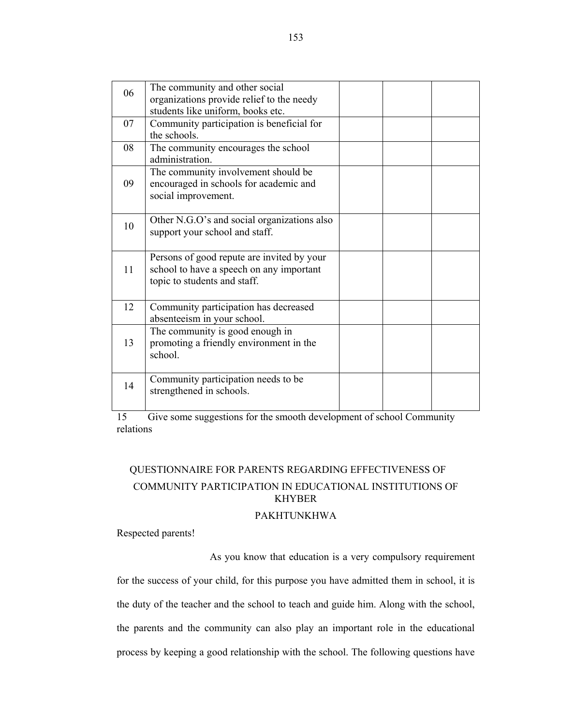| 06 | The community and other social<br>organizations provide relief to the needy<br>students like uniform, books etc.       |  |  |
|----|------------------------------------------------------------------------------------------------------------------------|--|--|
| 07 | Community participation is beneficial for<br>the schools.                                                              |  |  |
| 08 | The community encourages the school<br>administration.                                                                 |  |  |
| 09 | The community involvement should be<br>encouraged in schools for academic and<br>social improvement.                   |  |  |
| 10 | Other N.G.O's and social organizations also<br>support your school and staff.                                          |  |  |
| 11 | Persons of good repute are invited by your<br>school to have a speech on any important<br>topic to students and staff. |  |  |
| 12 | Community participation has decreased<br>absenteeism in your school.                                                   |  |  |
| 13 | The community is good enough in<br>promoting a friendly environment in the<br>school.                                  |  |  |
| 14 | Community participation needs to be<br>strengthened in schools.                                                        |  |  |

15 Give some suggestions for the smooth development of school Community relations

# QUESTIONNAIRE FOR PARENTS REGARDING EFFECTIVENESS OF COMMUNITY PARTICIPATION IN EDUCATIONAL INSTITUTIONS OF KHYBER

# PAKHTUNKHWA

Respected parents!

As you know that education is a very compulsory requirement

for the success of your child, for this purpose you have admitted them in school, it is the duty of the teacher and the school to teach and guide him. Along with the school, the parents and the community can also play an important role in the educational process by keeping a good relationship with the school. The following questions have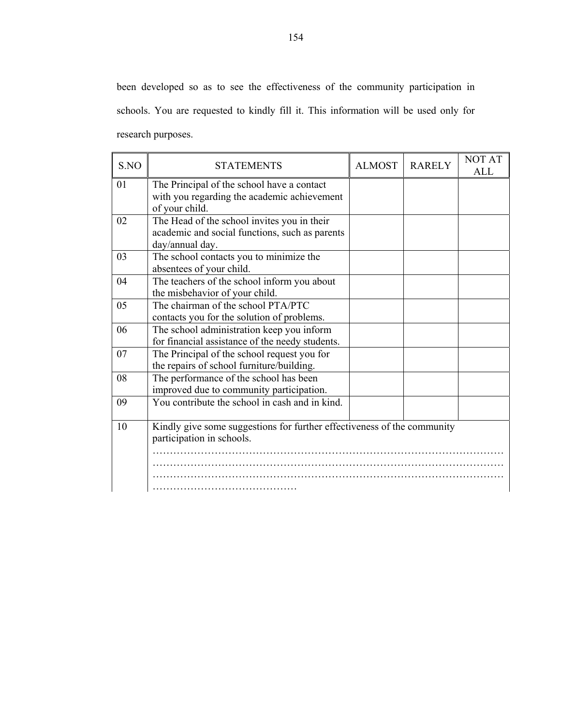been developed so as to see the effectiveness of the community participation in schools. You are requested to kindly fill it. This information will be used only for research purposes.

| S.NO | <b>STATEMENTS</b>                                                       | <b>ALMOST</b> | <b>RARELY</b> | <b>NOT AT</b><br><b>ALL</b> |
|------|-------------------------------------------------------------------------|---------------|---------------|-----------------------------|
| 01   | The Principal of the school have a contact                              |               |               |                             |
|      | with you regarding the academic achievement                             |               |               |                             |
|      | of your child.                                                          |               |               |                             |
| 02   | The Head of the school invites you in their                             |               |               |                             |
|      | academic and social functions, such as parents                          |               |               |                             |
|      | day/annual day.                                                         |               |               |                             |
| 03   | The school contacts you to minimize the                                 |               |               |                             |
|      | absentees of your child.                                                |               |               |                             |
| 04   | The teachers of the school inform you about                             |               |               |                             |
|      | the misbehavior of your child.                                          |               |               |                             |
| 05   | The chairman of the school PTA/PTC                                      |               |               |                             |
|      | contacts you for the solution of problems.                              |               |               |                             |
| 06   | The school administration keep you inform                               |               |               |                             |
|      | for financial assistance of the needy students.                         |               |               |                             |
| 07   | The Principal of the school request you for                             |               |               |                             |
|      | the repairs of school furniture/building.                               |               |               |                             |
| 08   | The performance of the school has been                                  |               |               |                             |
|      | improved due to community participation.                                |               |               |                             |
| 09   | You contribute the school in cash and in kind.                          |               |               |                             |
|      |                                                                         |               |               |                             |
| 10   | Kindly give some suggestions for further effectiveness of the community |               |               |                             |
|      | participation in schools.                                               |               |               |                             |
|      |                                                                         |               |               |                             |
|      |                                                                         |               |               |                             |
|      |                                                                         |               |               |                             |
|      |                                                                         |               |               |                             |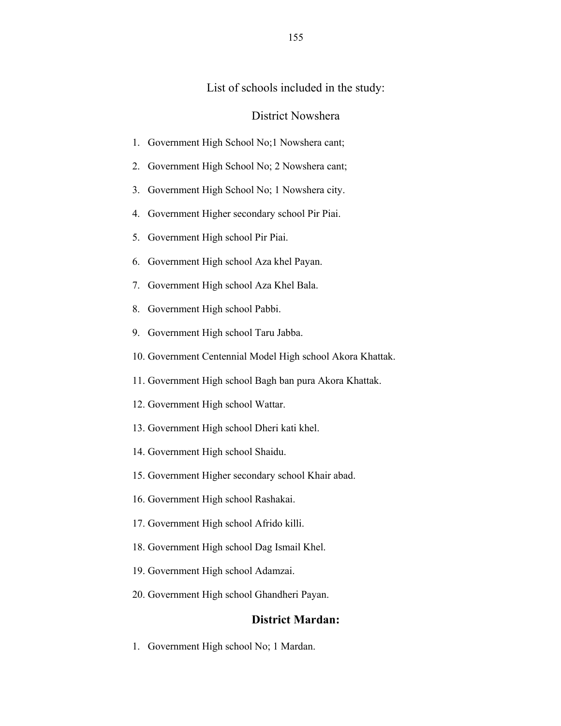# List of schools included in the study:

## District Nowshera

- 1. Government High School No;1 Nowshera cant;
- 2. Government High School No; 2 Nowshera cant;
- 3. Government High School No; 1 Nowshera city.
- 4. Government Higher secondary school Pir Piai.
- 5. Government High school Pir Piai.
- 6. Government High school Aza khel Payan.
- 7. Government High school Aza Khel Bala.
- 8. Government High school Pabbi.
- 9. Government High school Taru Jabba.
- 10. Government Centennial Model High school Akora Khattak.
- 11. Government High school Bagh ban pura Akora Khattak.
- 12. Government High school Wattar.
- 13. Government High school Dheri kati khel.
- 14. Government High school Shaidu.
- 15. Government Higher secondary school Khair abad.
- 16. Government High school Rashakai.
- 17. Government High school Afrido killi.
- 18. Government High school Dag Ismail Khel.
- 19. Government High school Adamzai.
- 20. Government High school Ghandheri Payan.

# **District Mardan:**

1. Government High school No; 1 Mardan.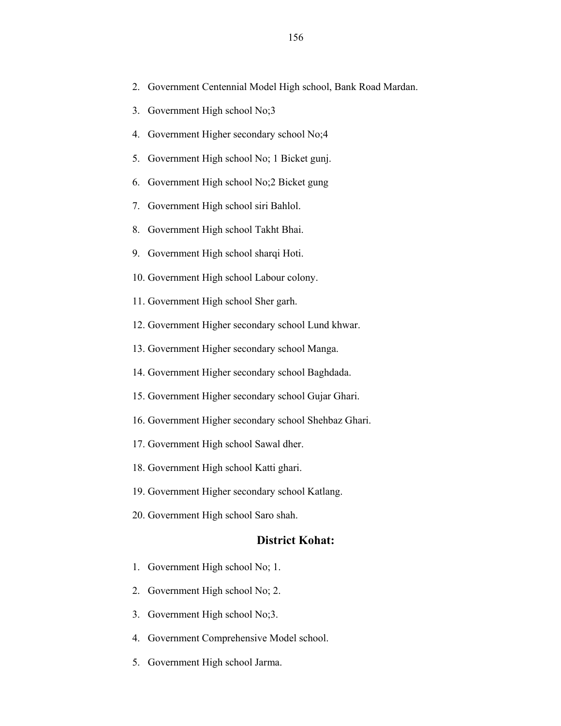- 2. Government Centennial Model High school, Bank Road Mardan.
- 3. Government High school No;3
- 4. Government Higher secondary school No;4
- 5. Government High school No; 1 Bicket gunj.
- 6. Government High school No;2 Bicket gung
- 7. Government High school siri Bahlol.
- 8. Government High school Takht Bhai.
- 9. Government High school sharqi Hoti.
- 10. Government High school Labour colony.
- 11. Government High school Sher garh.
- 12. Government Higher secondary school Lund khwar.
- 13. Government Higher secondary school Manga.
- 14. Government Higher secondary school Baghdada.
- 15. Government Higher secondary school Gujar Ghari.
- 16. Government Higher secondary school Shehbaz Ghari.
- 17. Government High school Sawal dher.
- 18. Government High school Katti ghari.
- 19. Government Higher secondary school Katlang.
- 20. Government High school Saro shah.

### **District Kohat:**

- 1. Government High school No; 1.
- 2. Government High school No; 2.
- 3. Government High school No;3.
- 4. Government Comprehensive Model school.
- 5. Government High school Jarma.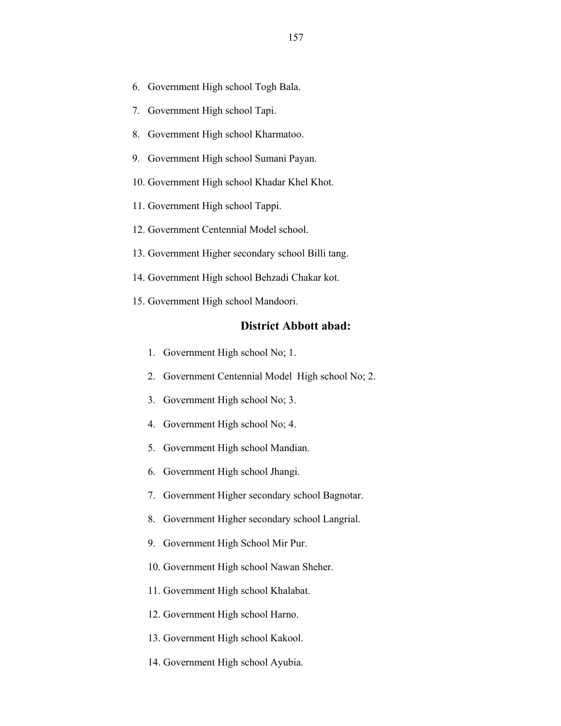- 6. Government High school Togh Bala.
- 7. Government High school Tapi.
- 8. Government High school Kharmatoo.
- 9. Government High school Sumani Payan.
- 10. Government High school Khadar Khel Khot.
- 11. Government High school Tappi.
- 12. Government Centennial Model school.
- 13. Government Higher secondary school Billi tang.
- 14. Government High school Behzadi Chakar kot.
- 15. Government High school Mandoori.

### **District Abbott abad:**

- 1. Government High school No; 1.
- 2. Government Centennial Model High school No; 2.
- 3. Government High school No; 3.
- 4. Government High school No; 4.
- 5. Government High school Mandian.
- 6. Government High school Jhangi.
- 7. Government Higher secondary school Bagnotar.
- 8. Government Higher secondary school Langrial.
- 9. Government High School Mir Pur.
- 10. Government High school Nawan Sheher.
- 11. Government High school Khalabat.
- 12. Government High school Harno.
- 13. Government High school Kakool.
- 14. Government High school Ayubia.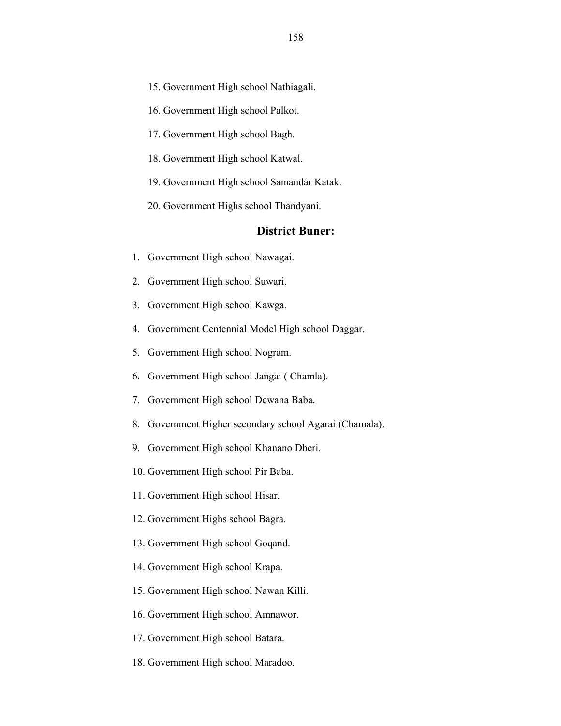- 15. Government High school Nathiagali.
- 16. Government High school Palkot.
- 17. Government High school Bagh.
- 18. Government High school Katwal.
- 19. Government High school Samandar Katak.
- 20. Government Highs school Thandyani.

### **District Buner:**

- 1. Government High school Nawagai.
- 2. Government High school Suwari.
- 3. Government High school Kawga.
- 4. Government Centennial Model High school Daggar.
- 5. Government High school Nogram.
- 6. Government High school Jangai ( Chamla).
- 7. Government High school Dewana Baba.
- 8. Government Higher secondary school Agarai (Chamala).
- 9. Government High school Khanano Dheri.
- 10. Government High school Pir Baba.
- 11. Government High school Hisar.
- 12. Government Highs school Bagra.
- 13. Government High school Goqand.
- 14. Government High school Krapa.
- 15. Government High school Nawan Killi.
- 16. Government High school Amnawor.
- 17. Government High school Batara.
- 18. Government High school Maradoo.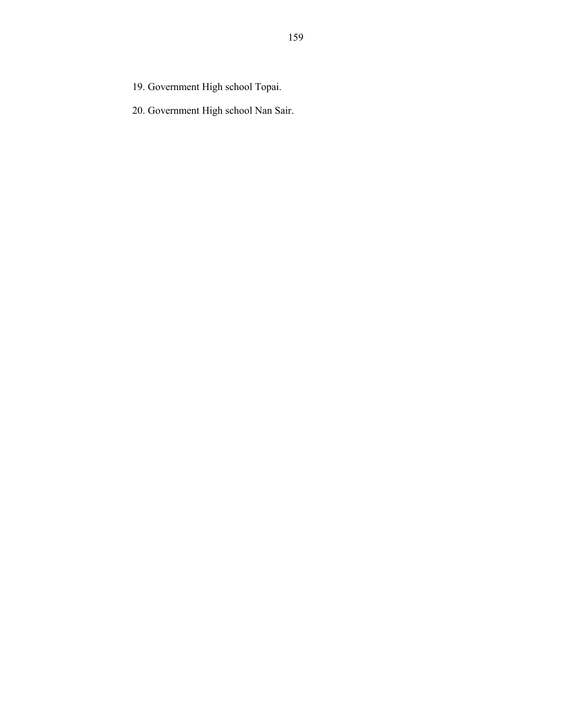- 19. Government High school Topai.
- 20. Government High school Nan Sair.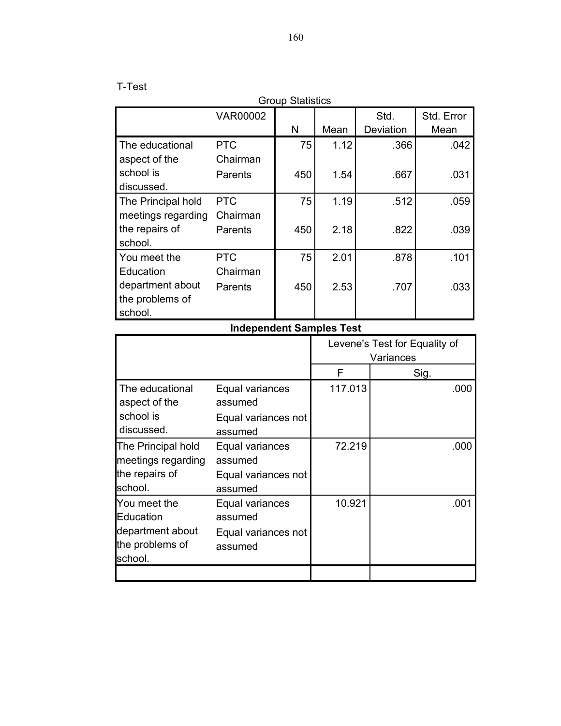# T-Test

| <b>Group Statistics</b>                                     |                            |     |      |           |            |
|-------------------------------------------------------------|----------------------------|-----|------|-----------|------------|
|                                                             | <b>VAR00002</b>            |     |      | Std.      | Std. Error |
|                                                             |                            | N   | Mean | Deviation | Mean       |
| The educational                                             | <b>PTC</b>                 | 75  | 1.12 | .366      | .042       |
| aspect of the<br>school is<br>discussed.                    | Chairman<br>Parents        | 450 | 1.54 | .667      | .031       |
| The Principal hold                                          | <b>PTC</b>                 | 75  | 1.19 | .512      | .059       |
| meetings regarding<br>the repairs of<br>school.             | Chairman<br>Parents        | 450 | 2.18 | .822      | .039       |
| You meet the                                                | <b>PTC</b>                 | 75  | 2.01 | .878      | .101       |
| Education<br>department about<br>the problems of<br>school. | Chairman<br><b>Parents</b> | 450 | 2.53 | .707      | .033       |

# **Independent Samples Test**

|                                                                             |                                                              | Levene's Test for Equality of<br>Variances |      |
|-----------------------------------------------------------------------------|--------------------------------------------------------------|--------------------------------------------|------|
|                                                                             |                                                              | F                                          | Sig. |
| The educational<br>aspect of the<br>school is<br>discussed.                 | Equal variances<br>assumed<br>Equal variances not<br>assumed | 117.013                                    | .000 |
| The Principal hold<br>meetings regarding<br>the repairs of<br>school.       | Equal variances<br>assumed<br>Equal variances not<br>assumed | 72.219                                     | .000 |
| You meet the<br>Education<br>department about<br>the problems of<br>school. | Equal variances<br>assumed<br>Equal variances not<br>assumed | 10.921                                     | .001 |
|                                                                             |                                                              |                                            |      |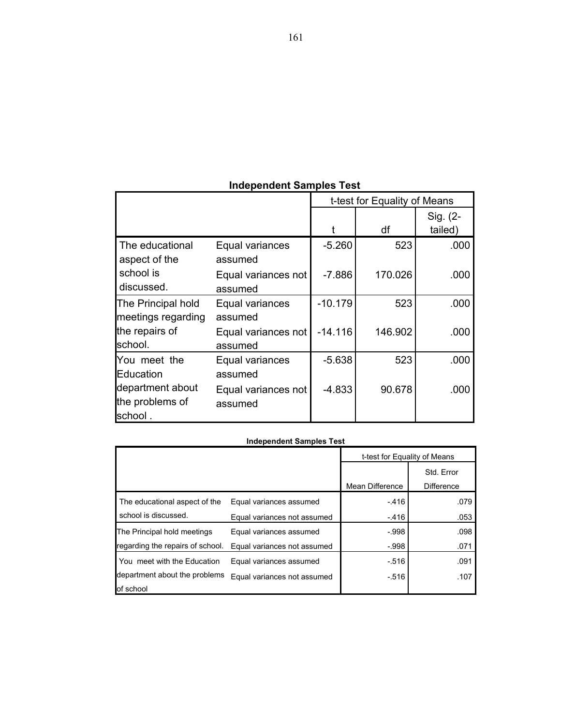| <b>Independent Samples Test</b> |  |  |  |  |
|---------------------------------|--|--|--|--|
|---------------------------------|--|--|--|--|

|                                                |                                | t-test for Equality of Means |         |          |
|------------------------------------------------|--------------------------------|------------------------------|---------|----------|
|                                                |                                |                              |         | Sig. (2- |
|                                                |                                |                              | df      | tailed)  |
| The educational<br>aspect of the               | Equal variances<br>assumed     | $-5.260$                     | 523     | .000     |
| school is<br>discussed.                        | Equal variances not<br>assumed | $-7.886$                     | 170.026 | .000     |
| The Principal hold<br>meetings regarding       | Equal variances<br>assumed     | $-10.179$                    | 523     | .000     |
| the repairs of<br>lschool.                     | Equal variances not<br>assumed | $-14.116$                    | 146.902 | .000     |
| You meet the<br>Education                      | Equal variances<br>assumed     | $-5.638$                     | 523     | .000     |
| department about<br>the problems of<br>school. | Equal variances not<br>assumed | $-4.833$                     | 90.678  | .000     |

#### **Independent Samples Test**

|                                  |                             | t-test for Equality of Means |                   |
|----------------------------------|-----------------------------|------------------------------|-------------------|
|                                  |                             |                              | Std. Error        |
|                                  |                             | Mean Difference              | <b>Difference</b> |
| The educational aspect of the    | Equal variances assumed     | $-416$                       | .079              |
| school is discussed.             | Equal variances not assumed | $-416$                       | .053              |
| The Principal hold meetings      | Equal variances assumed     | $-998$                       | .098              |
| regarding the repairs of school. | Equal variances not assumed | $-998$                       | .071              |
| You meet with the Education      | Equal variances assumed     | $-516$                       | .091              |
| department about the problems    | Equal variances not assumed | $-516$                       | .107              |
| of school                        |                             |                              |                   |